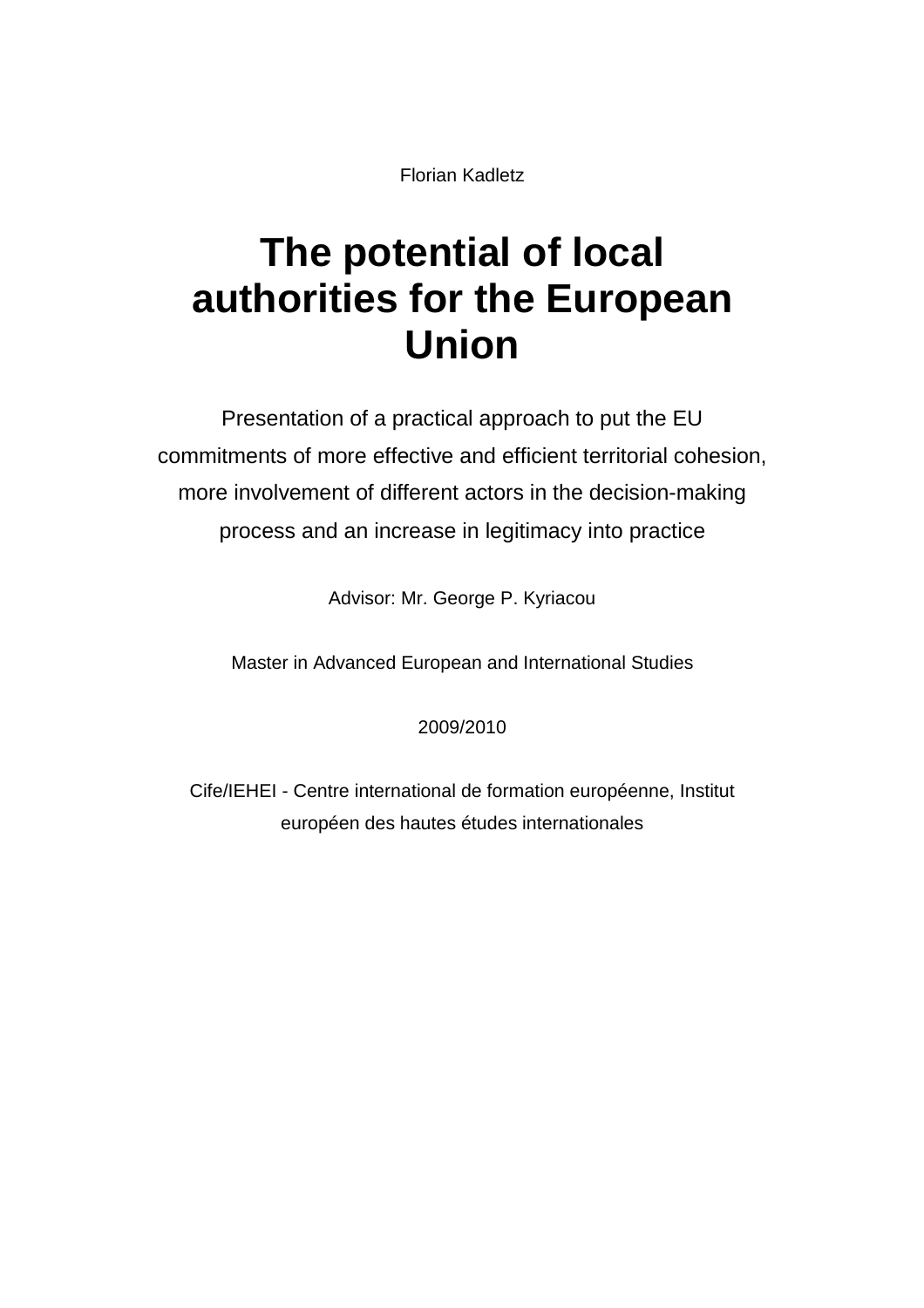Florian Kadletz

# **The potential of local authorities for the European Union**

Presentation of a practical approach to put the EU commitments of more effective and efficient territorial cohesion, more involvement of different actors in the decision-making process and an increase in legitimacy into practice

Advisor: Mr. George P. Kyriacou

Master in Advanced European and International Studies

2009/2010

Cife/IEHEI - Centre international de formation européenne, Institut européen des hautes études internationales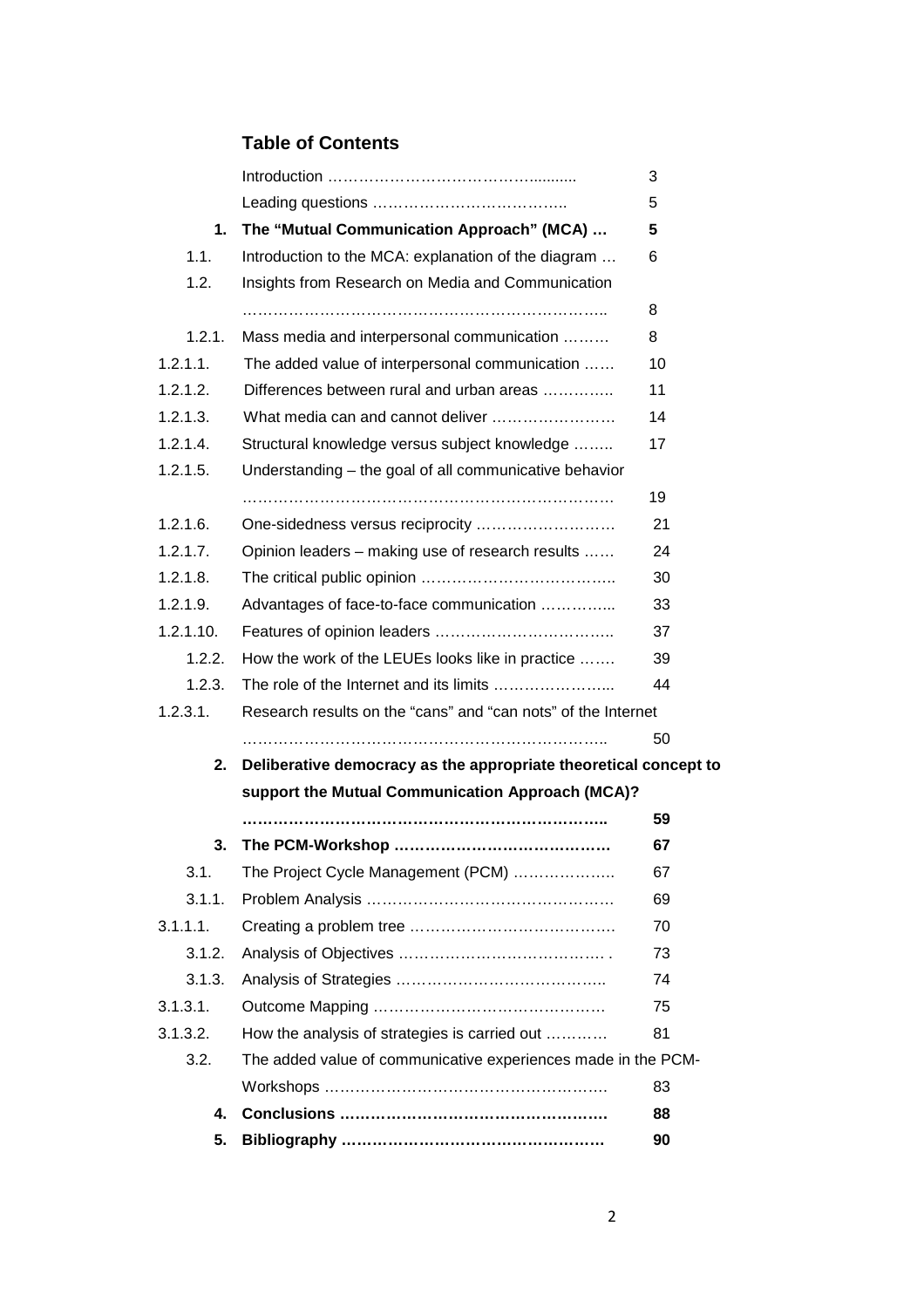# **Table of Contents**

|           |                                                                  | 3  |
|-----------|------------------------------------------------------------------|----|
|           |                                                                  | 5  |
| 1.        | The "Mutual Communication Approach" (MCA)                        | 5  |
| 1.1.      | Introduction to the MCA: explanation of the diagram              | 6  |
| 1.2.      | Insights from Research on Media and Communication                |    |
|           |                                                                  | 8  |
| 1.2.1.    | Mass media and interpersonal communication                       | 8  |
| 1.2.1.1.  | The added value of interpersonal communication                   | 10 |
| 1.2.1.2.  | Differences between rural and urban areas                        | 11 |
| 1.2.1.3.  | What media can and cannot deliver                                | 14 |
| 1.2.1.4.  | Structural knowledge versus subject knowledge                    | 17 |
| 1.2.1.5.  | Understanding - the goal of all communicative behavior           |    |
|           |                                                                  | 19 |
| 1.2.1.6.  |                                                                  | 21 |
| 1.2.1.7.  | Opinion leaders - making use of research results                 | 24 |
| 1.2.1.8.  |                                                                  | 30 |
| 1.2.1.9.  | Advantages of face-to-face communication                         | 33 |
| 1.2.1.10. |                                                                  | 37 |
| 1.2.2.    | How the work of the LEUEs looks like in practice                 | 39 |
| 1.2.3.    |                                                                  | 44 |
| 1.2.3.1.  | Research results on the "cans" and "can nots" of the Internet    |    |
|           |                                                                  | 50 |
| 2.        | Deliberative democracy as the appropriate theoretical concept to |    |
|           | support the Mutual Communication Approach (MCA)?                 |    |
|           |                                                                  | 59 |
| 3.        |                                                                  | 67 |
| 3.1.      | The Project Cycle Management (PCM)                               | 67 |
| 3.1.1.    |                                                                  | 69 |
| 3.1.1.1.  |                                                                  | 70 |
| 3.1.2.    |                                                                  | 73 |
| 3.1.3.    |                                                                  | 74 |
| 3.1.3.1.  |                                                                  | 75 |
| 3.1.3.2.  | How the analysis of strategies is carried out                    | 81 |
| 3.2.      | The added value of communicative experiences made in the PCM-    |    |
|           |                                                                  | 83 |
| 4.        |                                                                  | 88 |
| 5.        |                                                                  | 90 |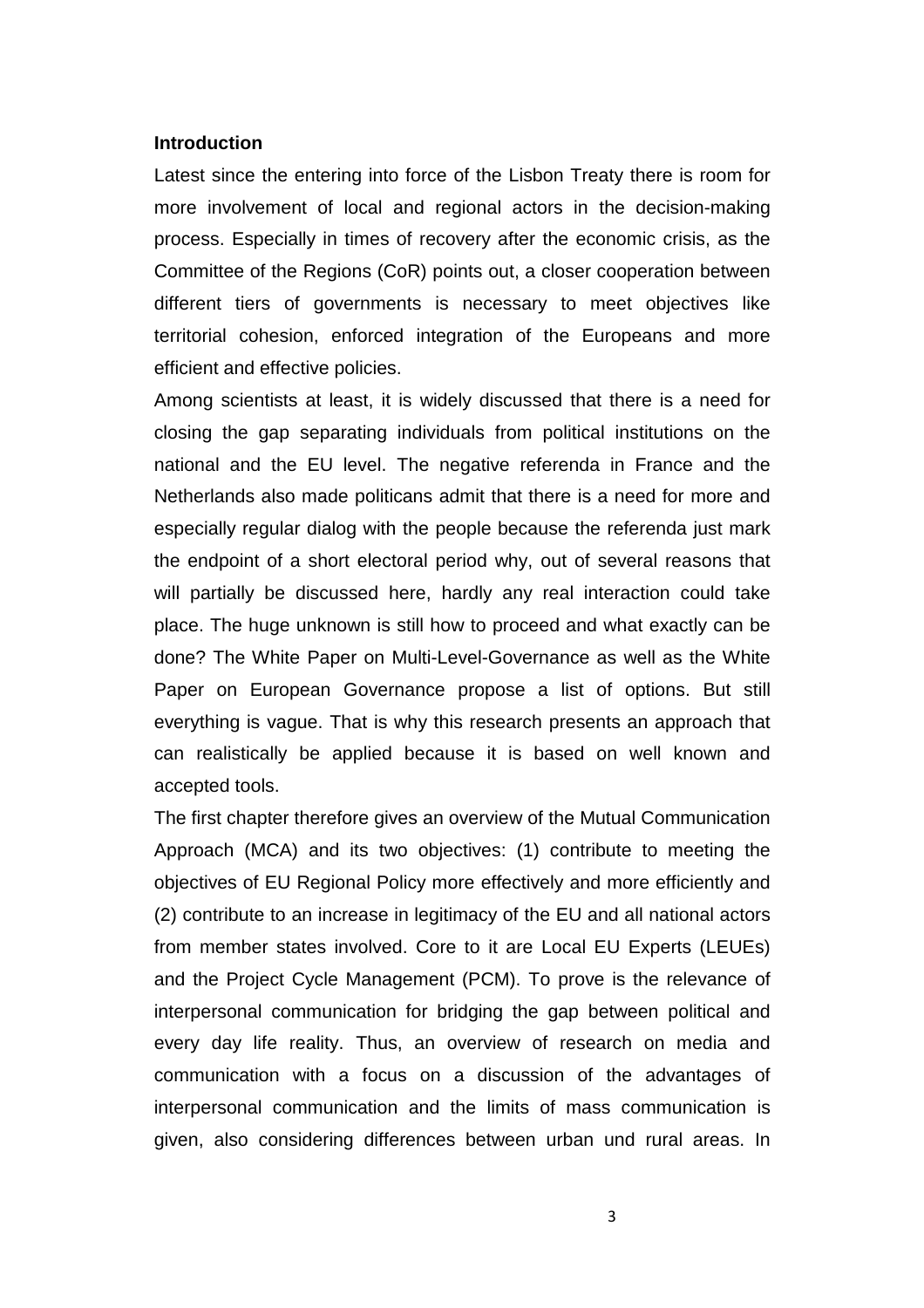#### **Introduction**

Latest since the entering into force of the Lisbon Treaty there is room for more involvement of local and regional actors in the decision-making process. Especially in times of recovery after the economic crisis, as the Committee of the Regions (CoR) points out, a closer cooperation between different tiers of governments is necessary to meet objectives like territorial cohesion, enforced integration of the Europeans and more efficient and effective policies.

Among scientists at least, it is widely discussed that there is a need for closing the gap separating individuals from political institutions on the national and the EU level. The negative referenda in France and the Netherlands also made politicans admit that there is a need for more and especially regular dialog with the people because the referenda just mark the endpoint of a short electoral period why, out of several reasons that will partially be discussed here, hardly any real interaction could take place. The huge unknown is still how to proceed and what exactly can be done? The White Paper on Multi-Level-Governance as well as the White Paper on European Governance propose a list of options. But still everything is vague. That is why this research presents an approach that can realistically be applied because it is based on well known and accepted tools.

The first chapter therefore gives an overview of the Mutual Communication Approach (MCA) and its two objectives: (1) contribute to meeting the objectives of EU Regional Policy more effectively and more efficiently and (2) contribute to an increase in legitimacy of the EU and all national actors from member states involved. Core to it are Local EU Experts (LEUEs) and the Project Cycle Management (PCM). To prove is the relevance of interpersonal communication for bridging the gap between political and every day life reality. Thus, an overview of research on media and communication with a focus on a discussion of the advantages of interpersonal communication and the limits of mass communication is given, also considering differences between urban und rural areas. In

3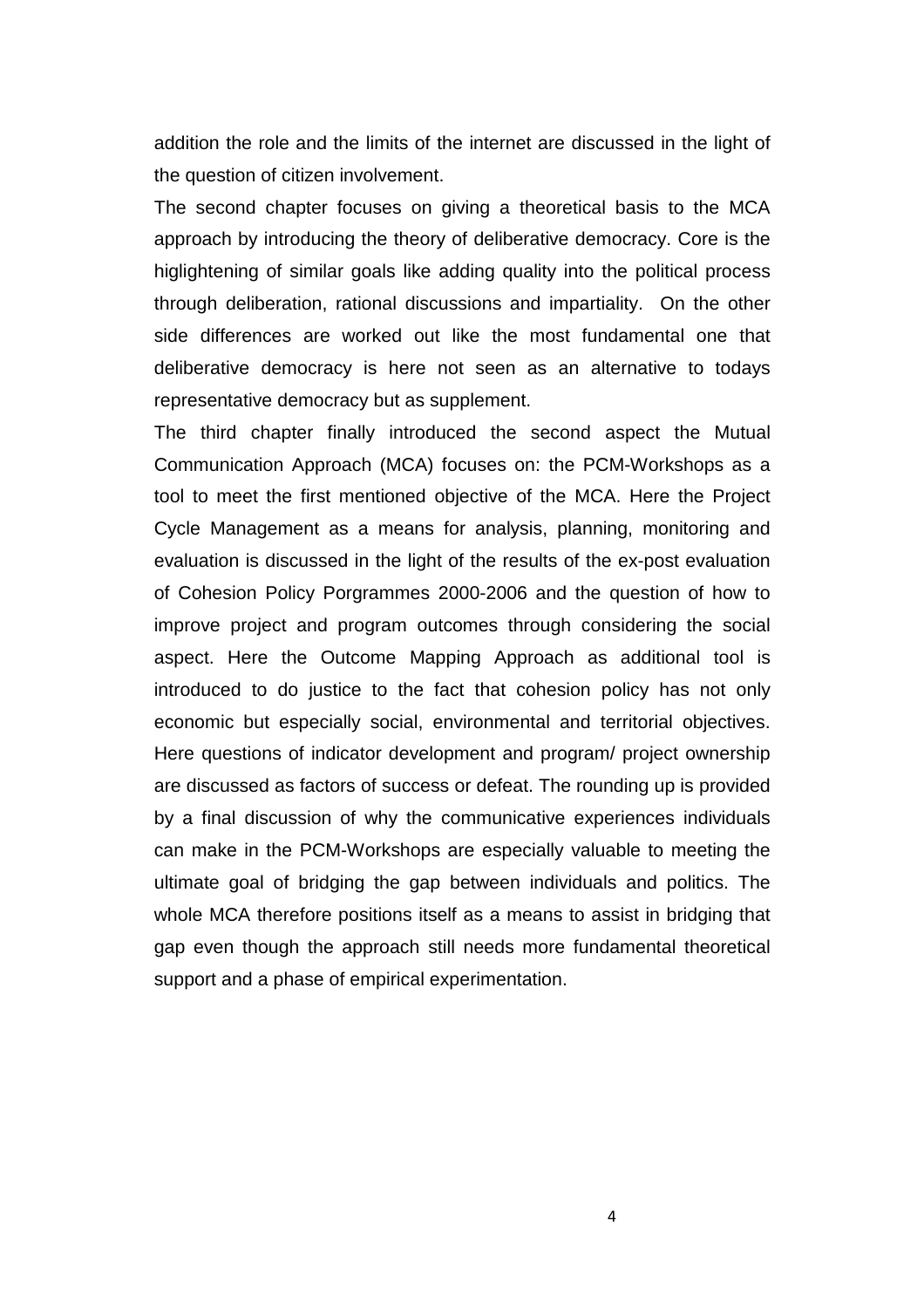addition the role and the limits of the internet are discussed in the light of the question of citizen involvement.

The second chapter focuses on giving a theoretical basis to the MCA approach by introducing the theory of deliberative democracy. Core is the higlightening of similar goals like adding quality into the political process through deliberation, rational discussions and impartiality. On the other side differences are worked out like the most fundamental one that deliberative democracy is here not seen as an alternative to todays representative democracy but as supplement.

The third chapter finally introduced the second aspect the Mutual Communication Approach (MCA) focuses on: the PCM-Workshops as a tool to meet the first mentioned objective of the MCA. Here the Project Cycle Management as a means for analysis, planning, monitoring and evaluation is discussed in the light of the results of the ex-post evaluation of Cohesion Policy Porgrammes 2000-2006 and the question of how to improve project and program outcomes through considering the social aspect. Here the Outcome Mapping Approach as additional tool is introduced to do justice to the fact that cohesion policy has not only economic but especially social, environmental and territorial objectives. Here questions of indicator development and program/ project ownership are discussed as factors of success or defeat. The rounding up is provided by a final discussion of why the communicative experiences individuals can make in the PCM-Workshops are especially valuable to meeting the ultimate goal of bridging the gap between individuals and politics. The whole MCA therefore positions itself as a means to assist in bridging that gap even though the approach still needs more fundamental theoretical support and a phase of empirical experimentation.

4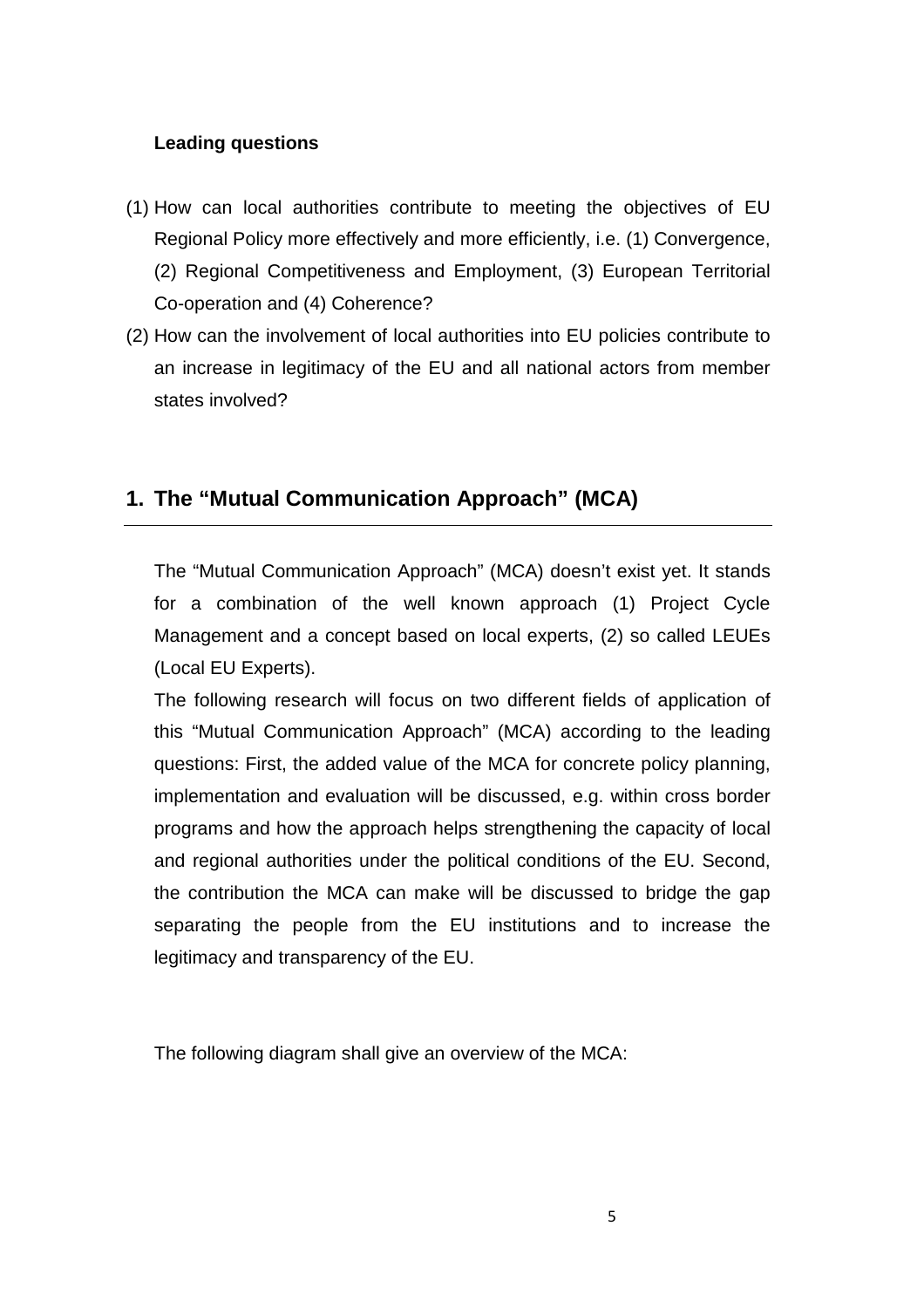# **Leading questions**

- (1) How can local authorities contribute to meeting the objectives of EU Regional Policy more effectively and more efficiently, i.e. (1) Convergence, (2) Regional Competitiveness and Employment, (3) European Territorial Co-operation and (4) Coherence?
- (2) How can the involvement of local authorities into EU policies contribute to an increase in legitimacy of the EU and all national actors from member states involved?

# **1. The "Mutual Communication Approach" (MCA)**

The "Mutual Communication Approach" (MCA) doesn't exist yet. It stands for a combination of the well known approach (1) Project Cycle Management and a concept based on local experts, (2) so called LEUEs (Local EU Experts).

The following research will focus on two different fields of application of this "Mutual Communication Approach" (MCA) according to the leading questions: First, the added value of the MCA for concrete policy planning, implementation and evaluation will be discussed, e.g. within cross border programs and how the approach helps strengthening the capacity of local and regional authorities under the political conditions of the EU. Second, the contribution the MCA can make will be discussed to bridge the gap separating the people from the EU institutions and to increase the legitimacy and transparency of the EU.

The following diagram shall give an overview of the MCA: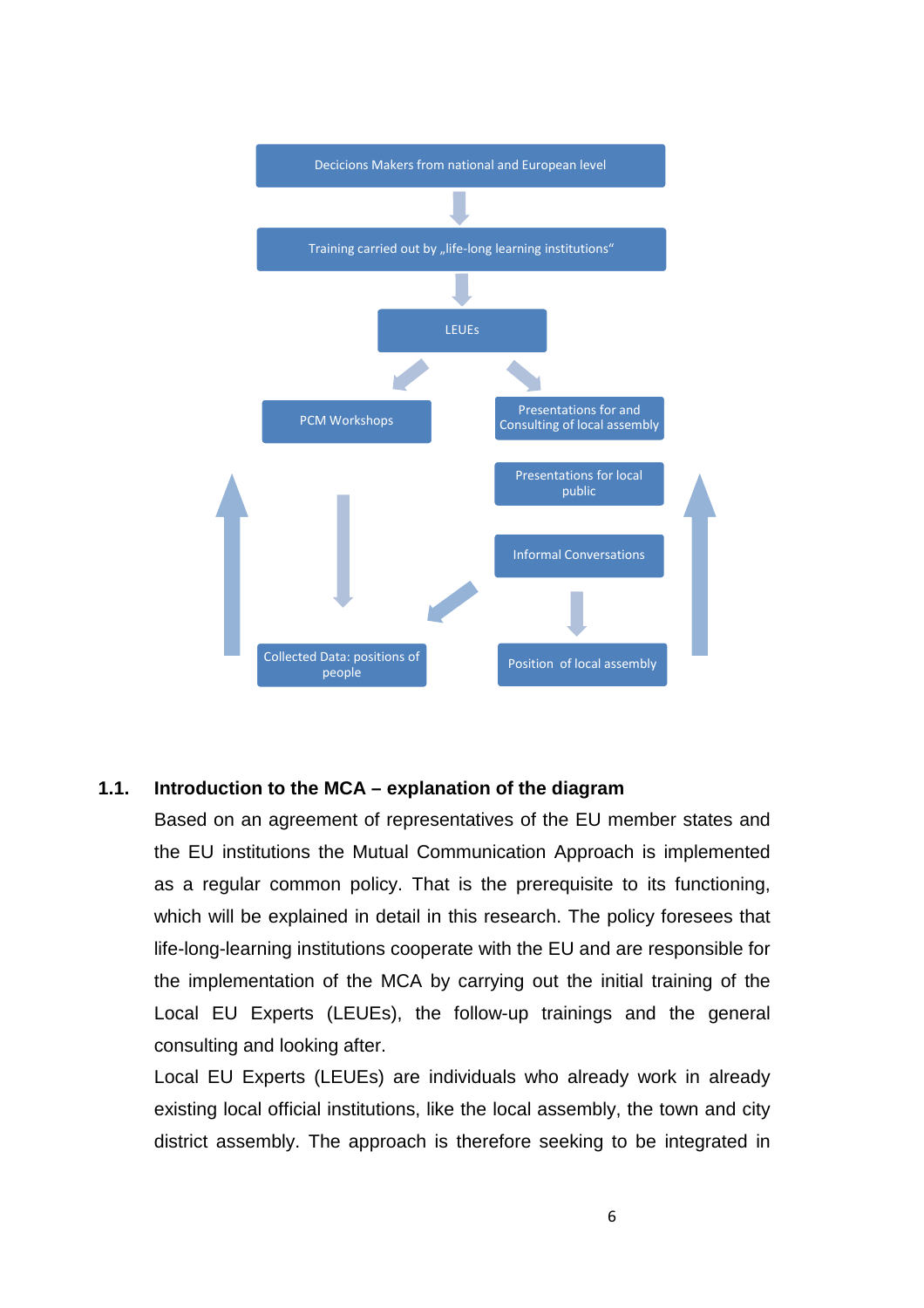

#### **1.1. Introduction to the MCA – explanation of the diagram**

Based on an agreement of representatives of the EU member states and the EU institutions the Mutual Communication Approach is implemented as a regular common policy. That is the prerequisite to its functioning, which will be explained in detail in this research. The policy foresees that life-long-learning institutions cooperate with the EU and are responsible for the implementation of the MCA by carrying out the initial training of the Local EU Experts (LEUEs), the follow-up trainings and the general consulting and looking after.

Local EU Experts (LEUEs) are individuals who already work in already existing local official institutions, like the local assembly, the town and city district assembly. The approach is therefore seeking to be integrated in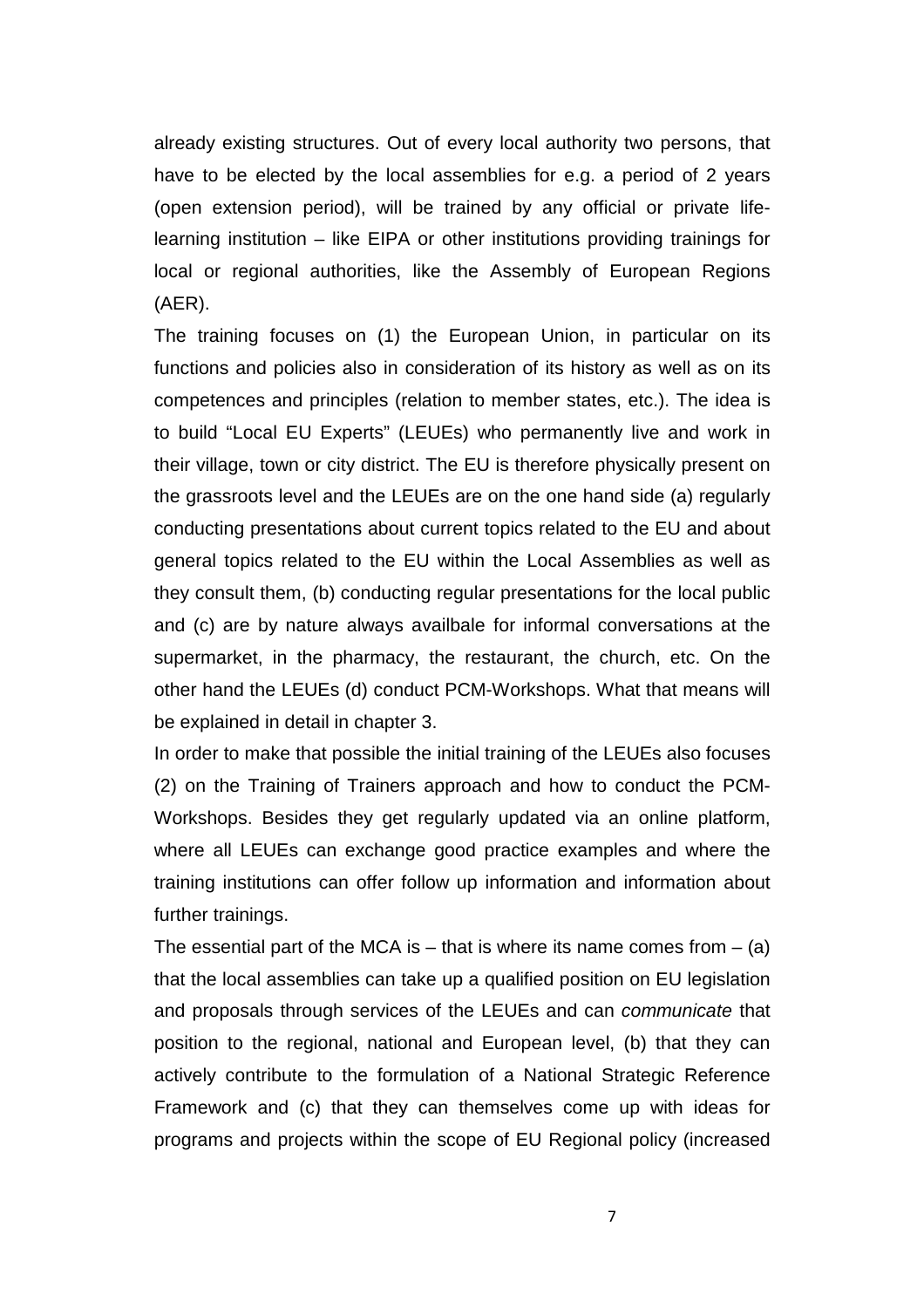already existing structures. Out of every local authority two persons, that have to be elected by the local assemblies for e.g. a period of 2 years (open extension period), will be trained by any official or private lifelearning institution – like EIPA or other institutions providing trainings for local or regional authorities, like the Assembly of European Regions (AER).

The training focuses on (1) the European Union, in particular on its functions and policies also in consideration of its history as well as on its competences and principles (relation to member states, etc.). The idea is to build "Local EU Experts" (LEUEs) who permanently live and work in their village, town or city district. The EU is therefore physically present on the grassroots level and the LEUEs are on the one hand side (a) regularly conducting presentations about current topics related to the EU and about general topics related to the EU within the Local Assemblies as well as they consult them, (b) conducting regular presentations for the local public and (c) are by nature always availbale for informal conversations at the supermarket, in the pharmacy, the restaurant, the church, etc. On the other hand the LEUEs (d) conduct PCM-Workshops. What that means will be explained in detail in chapter 3.

In order to make that possible the initial training of the LEUEs also focuses (2) on the Training of Trainers approach and how to conduct the PCM-Workshops. Besides they get regularly updated via an online platform, where all LEUEs can exchange good practice examples and where the training institutions can offer follow up information and information about further trainings.

The essential part of the MCA is  $-$  that is where its name comes from  $-$  (a) that the local assemblies can take up a qualified position on EU legislation and proposals through services of the LEUEs and can communicate that position to the regional, national and European level, (b) that they can actively contribute to the formulation of a National Strategic Reference Framework and (c) that they can themselves come up with ideas for programs and projects within the scope of EU Regional policy (increased

7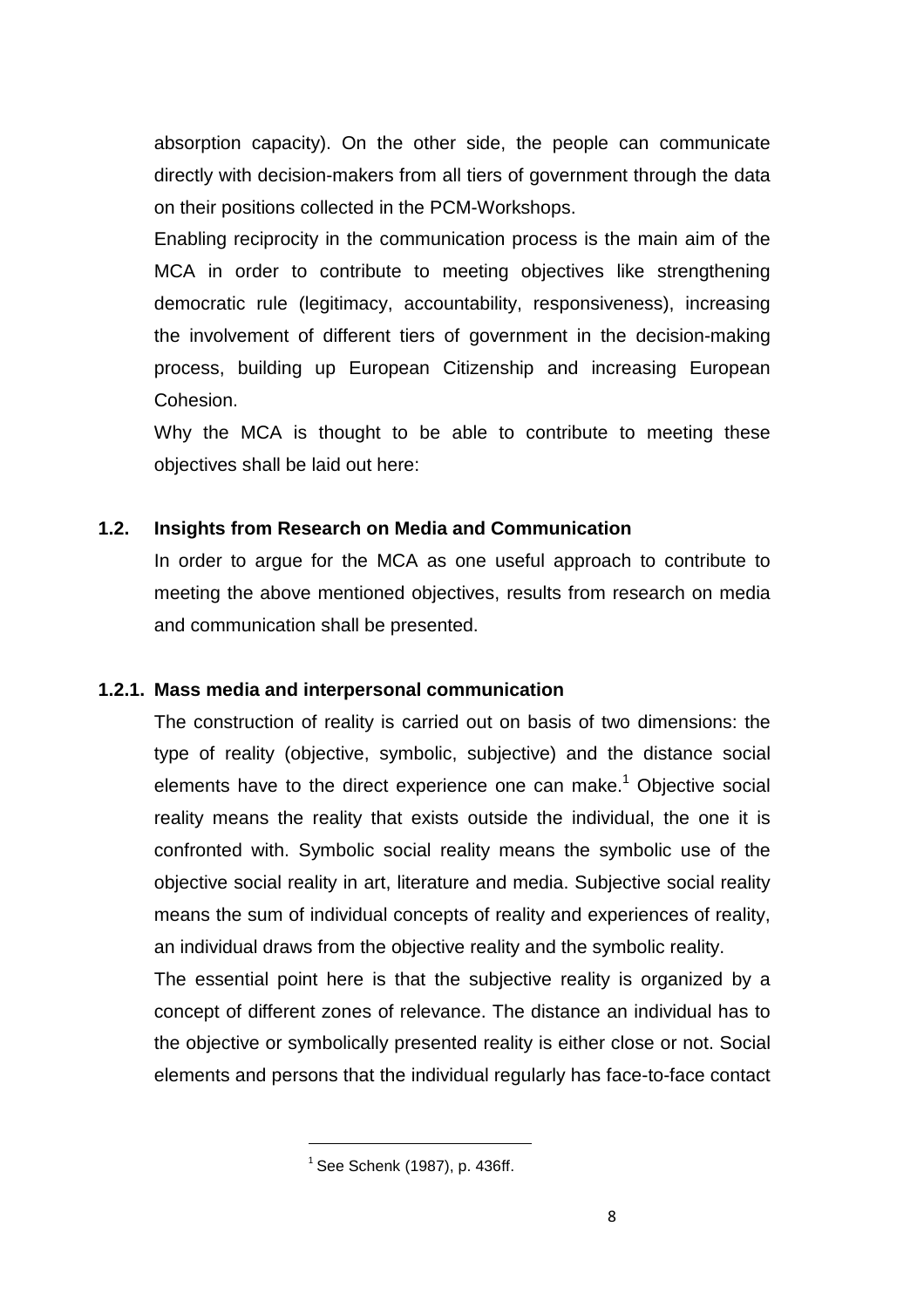absorption capacity). On the other side, the people can communicate directly with decision-makers from all tiers of government through the data on their positions collected in the PCM-Workshops.

Enabling reciprocity in the communication process is the main aim of the MCA in order to contribute to meeting objectives like strengthening democratic rule (legitimacy, accountability, responsiveness), increasing the involvement of different tiers of government in the decision-making process, building up European Citizenship and increasing European Cohesion.

Why the MCA is thought to be able to contribute to meeting these objectives shall be laid out here:

# **1.2. Insights from Research on Media and Communication**

In order to argue for the MCA as one useful approach to contribute to meeting the above mentioned objectives, results from research on media and communication shall be presented.

#### **1.2.1. Mass media and interpersonal communication**

The construction of reality is carried out on basis of two dimensions: the type of reality (objective, symbolic, subjective) and the distance social elements have to the direct experience one can make.<sup>1</sup> Objective social reality means the reality that exists outside the individual, the one it is confronted with. Symbolic social reality means the symbolic use of the objective social reality in art, literature and media. Subjective social reality means the sum of individual concepts of reality and experiences of reality, an individual draws from the objective reality and the symbolic reality.

The essential point here is that the subjective reality is organized by a concept of different zones of relevance. The distance an individual has to the objective or symbolically presented reality is either close or not. Social elements and persons that the individual regularly has face-to-face contact

 $<sup>1</sup>$  See Schenk (1987), p. 436ff.</sup>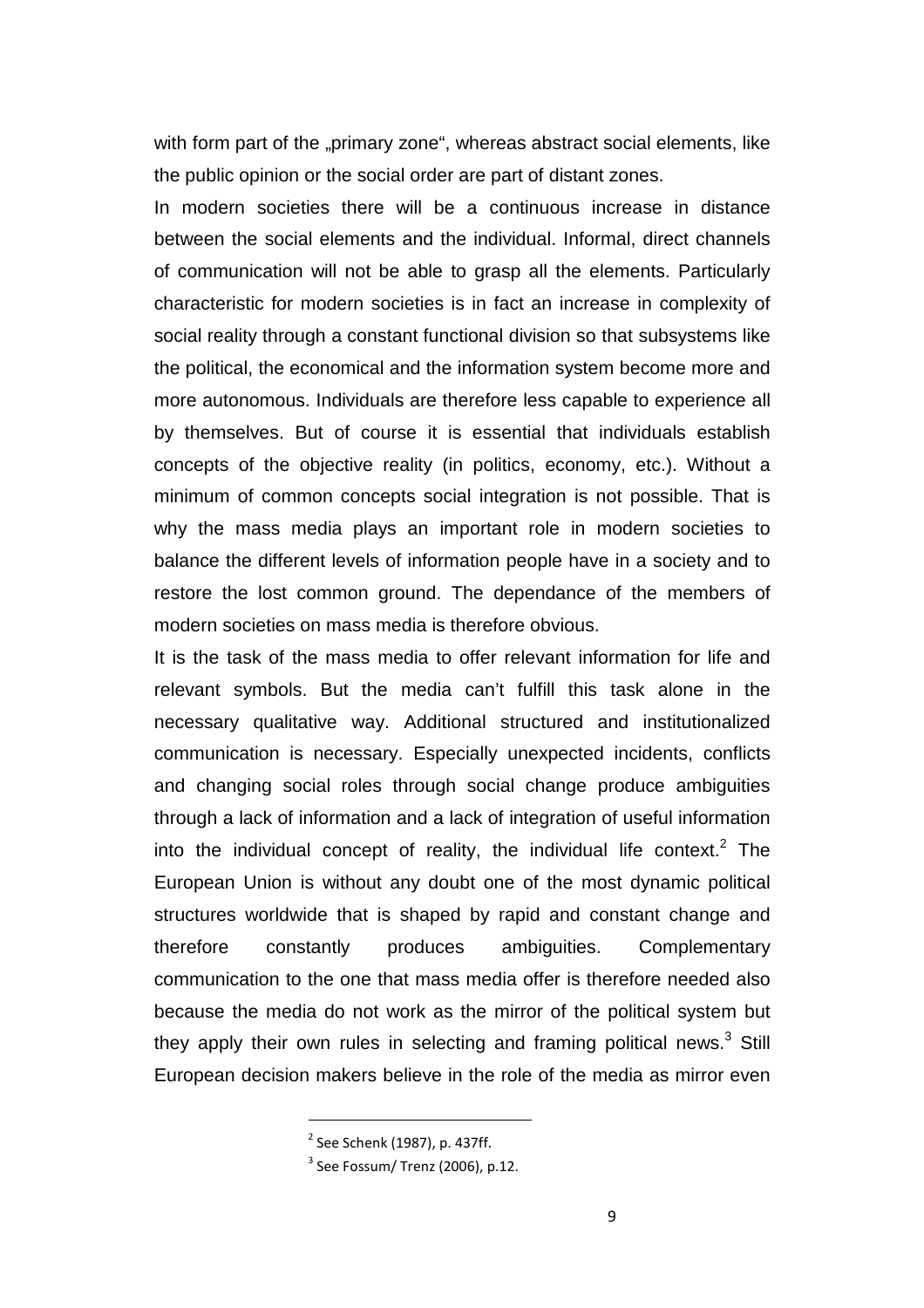with form part of the "primary zone", whereas abstract social elements, like the public opinion or the social order are part of distant zones.

In modern societies there will be a continuous increase in distance between the social elements and the individual. Informal, direct channels of communication will not be able to grasp all the elements. Particularly characteristic for modern societies is in fact an increase in complexity of social reality through a constant functional division so that subsystems like the political, the economical and the information system become more and more autonomous. Individuals are therefore less capable to experience all by themselves. But of course it is essential that individuals establish concepts of the objective reality (in politics, economy, etc.). Without a minimum of common concepts social integration is not possible. That is why the mass media plays an important role in modern societies to balance the different levels of information people have in a society and to restore the lost common ground. The dependance of the members of modern societies on mass media is therefore obvious.

It is the task of the mass media to offer relevant information for life and relevant symbols. But the media can't fulfill this task alone in the necessary qualitative way. Additional structured and institutionalized communication is necessary. Especially unexpected incidents, conflicts and changing social roles through social change produce ambiguities through a lack of information and a lack of integration of useful information into the individual concept of reality, the individual life context.<sup>2</sup> The European Union is without any doubt one of the most dynamic political structures worldwide that is shaped by rapid and constant change and therefore constantly produces ambiguities. Complementary communication to the one that mass media offer is therefore needed also because the media do not work as the mirror of the political system but they apply their own rules in selecting and framing political news. $3$  Still European decision makers believe in the role of the media as mirror even

 $2$  See Schenk (1987), p. 437ff.

 $3$  See Fossum/ Trenz (2006), p.12.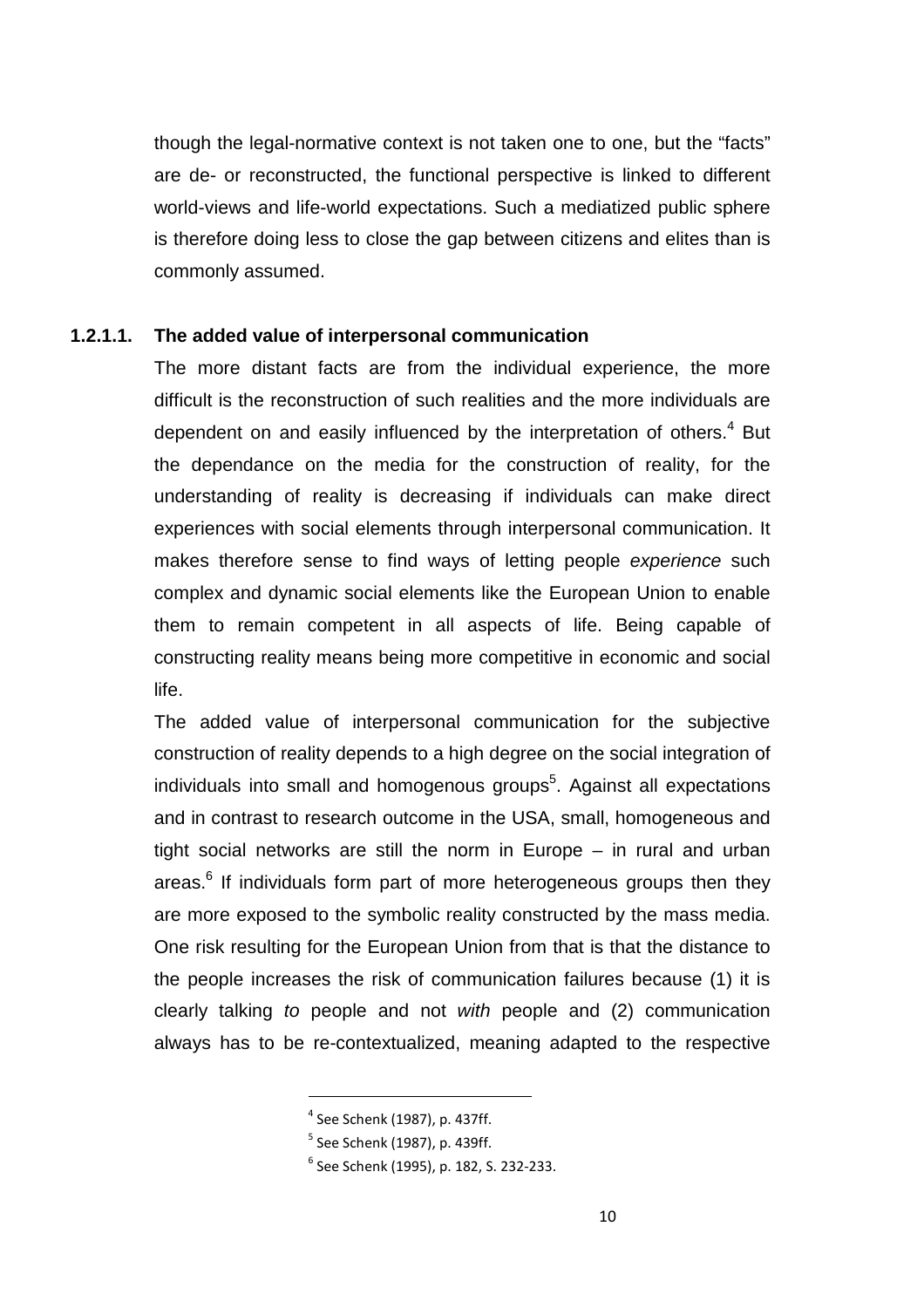though the legal-normative context is not taken one to one, but the "facts" are de- or reconstructed, the functional perspective is linked to different world-views and life-world expectations. Such a mediatized public sphere is therefore doing less to close the gap between citizens and elites than is commonly assumed.

#### **1.2.1.1. The added value of interpersonal communication**

The more distant facts are from the individual experience, the more difficult is the reconstruction of such realities and the more individuals are dependent on and easily influenced by the interpretation of others. $4$  But the dependance on the media for the construction of reality, for the understanding of reality is decreasing if individuals can make direct experiences with social elements through interpersonal communication. It makes therefore sense to find ways of letting people experience such complex and dynamic social elements like the European Union to enable them to remain competent in all aspects of life. Being capable of constructing reality means being more competitive in economic and social life.

The added value of interpersonal communication for the subjective construction of reality depends to a high degree on the social integration of individuals into small and homogenous groups<sup>5</sup>. Against all expectations and in contrast to research outcome in the USA, small, homogeneous and tight social networks are still the norm in Europe – in rural and urban areas.<sup>6</sup> If individuals form part of more heterogeneous groups then they are more exposed to the symbolic reality constructed by the mass media. One risk resulting for the European Union from that is that the distance to the people increases the risk of communication failures because (1) it is clearly talking to people and not with people and (2) communication always has to be re-contextualized, meaning adapted to the respective

<sup>4</sup> See Schenk (1987), p. 437ff.

 $<sup>5</sup>$  See Schenk (1987), p. 439ff.</sup>

<sup>6</sup> See Schenk (1995), p. 182, S. 232-233.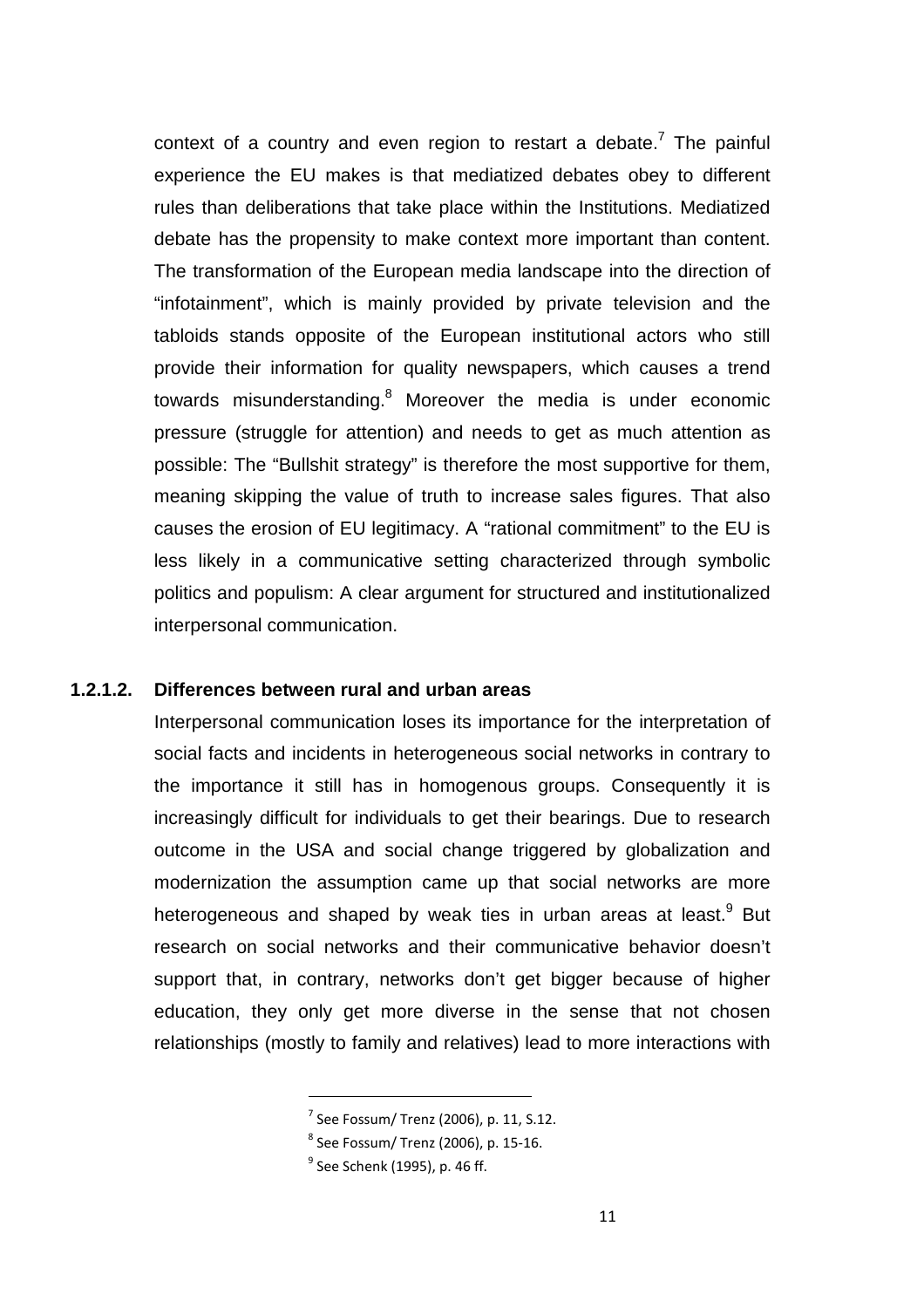context of a country and even region to restart a debate.<sup>7</sup> The painful experience the EU makes is that mediatized debates obey to different rules than deliberations that take place within the Institutions. Mediatized debate has the propensity to make context more important than content. The transformation of the European media landscape into the direction of "infotainment", which is mainly provided by private television and the tabloids stands opposite of the European institutional actors who still provide their information for quality newspapers, which causes a trend towards misunderstanding.<sup>8</sup> Moreover the media is under economic pressure (struggle for attention) and needs to get as much attention as possible: The "Bullshit strategy" is therefore the most supportive for them, meaning skipping the value of truth to increase sales figures. That also causes the erosion of EU legitimacy. A "rational commitment" to the EU is less likely in a communicative setting characterized through symbolic politics and populism: A clear argument for structured and institutionalized interpersonal communication.

#### **1.2.1.2. Differences between rural and urban areas**

l

Interpersonal communication loses its importance for the interpretation of social facts and incidents in heterogeneous social networks in contrary to the importance it still has in homogenous groups. Consequently it is increasingly difficult for individuals to get their bearings. Due to research outcome in the USA and social change triggered by globalization and modernization the assumption came up that social networks are more heterogeneous and shaped by weak ties in urban areas at least.<sup>9</sup> But research on social networks and their communicative behavior doesn't support that, in contrary, networks don't get bigger because of higher education, they only get more diverse in the sense that not chosen relationships (mostly to family and relatives) lead to more interactions with

 $7$  See Fossum/ Trenz (2006), p. 11, S.12.

 $^8$  See Fossum/ Trenz (2006), p. 15-16.

 $^9$  See Schenk (1995), p. 46 ff.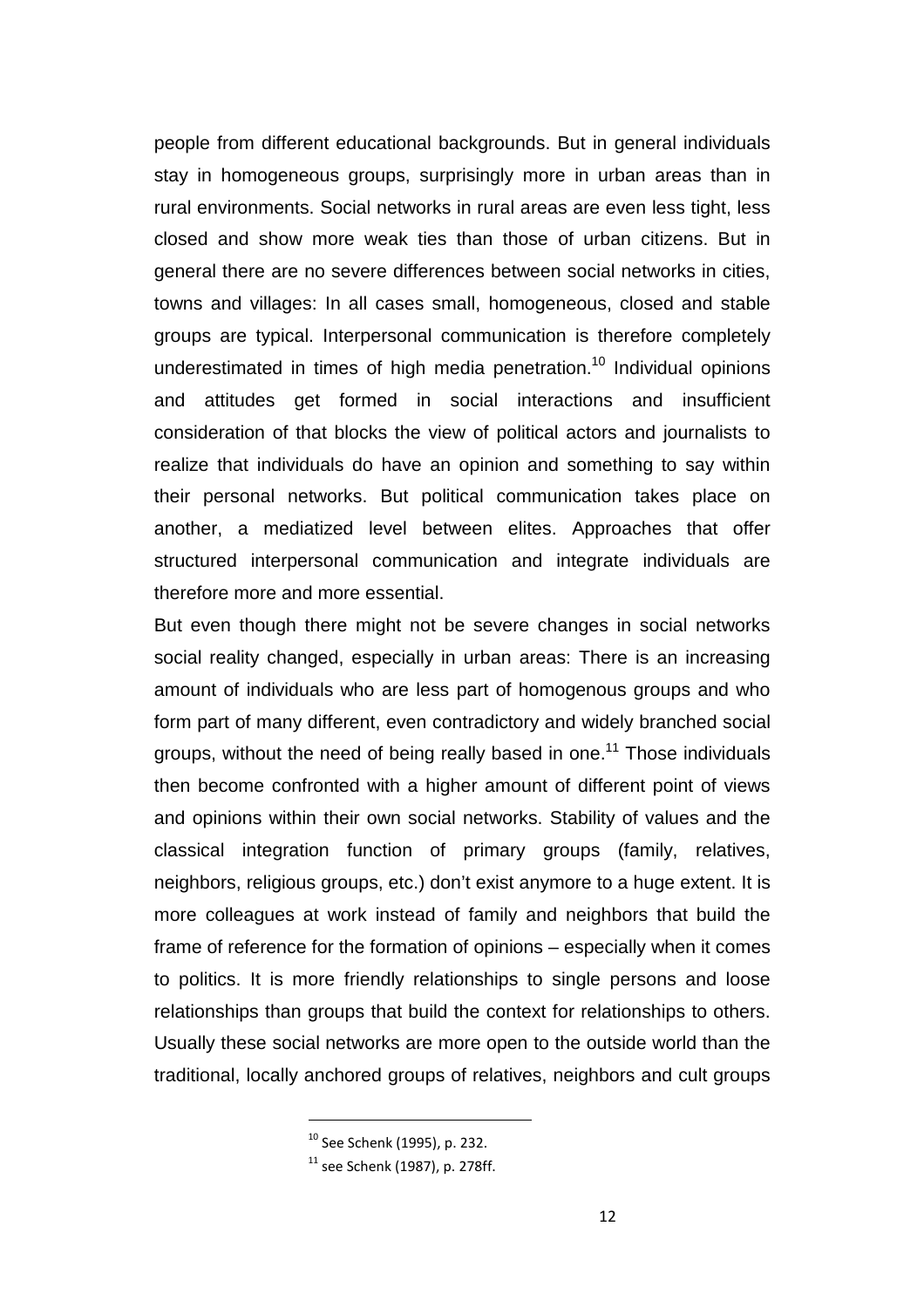people from different educational backgrounds. But in general individuals stay in homogeneous groups, surprisingly more in urban areas than in rural environments. Social networks in rural areas are even less tight, less closed and show more weak ties than those of urban citizens. But in general there are no severe differences between social networks in cities, towns and villages: In all cases small, homogeneous, closed and stable groups are typical. Interpersonal communication is therefore completely underestimated in times of high media penetration.<sup>10</sup> Individual opinions and attitudes get formed in social interactions and insufficient consideration of that blocks the view of political actors and journalists to realize that individuals do have an opinion and something to say within their personal networks. But political communication takes place on another, a mediatized level between elites. Approaches that offer structured interpersonal communication and integrate individuals are therefore more and more essential.

But even though there might not be severe changes in social networks social reality changed, especially in urban areas: There is an increasing amount of individuals who are less part of homogenous groups and who form part of many different, even contradictory and widely branched social groups, without the need of being really based in one.<sup>11</sup> Those individuals then become confronted with a higher amount of different point of views and opinions within their own social networks. Stability of values and the classical integration function of primary groups (family, relatives, neighbors, religious groups, etc.) don't exist anymore to a huge extent. It is more colleagues at work instead of family and neighbors that build the frame of reference for the formation of opinions – especially when it comes to politics. It is more friendly relationships to single persons and loose relationships than groups that build the context for relationships to others. Usually these social networks are more open to the outside world than the traditional, locally anchored groups of relatives, neighbors and cult groups

<sup>10</sup> See Schenk (1995), p. 232.

 $11$  see Schenk (1987), p. 278ff.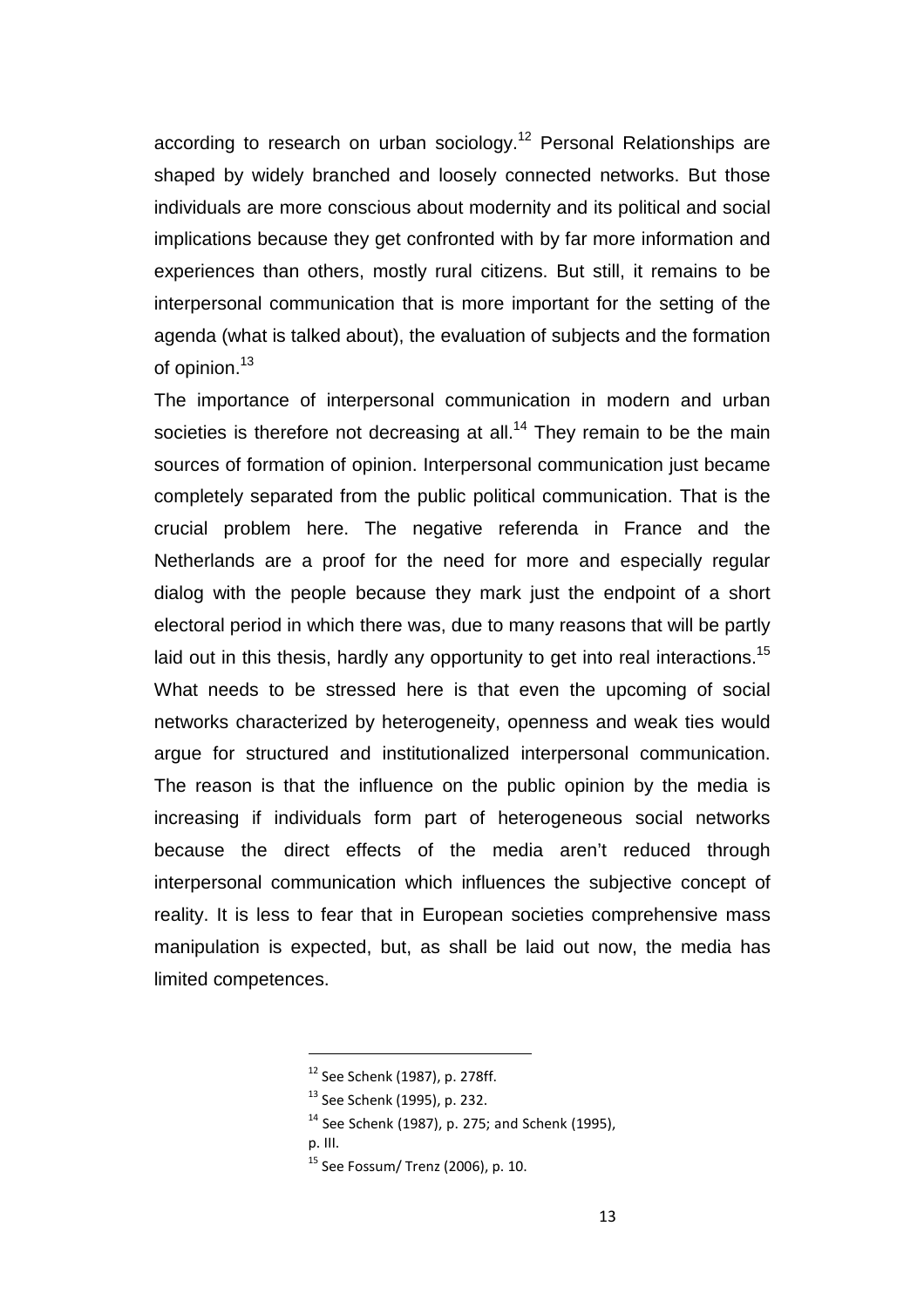according to research on urban sociology.<sup>12</sup> Personal Relationships are shaped by widely branched and loosely connected networks. But those individuals are more conscious about modernity and its political and social implications because they get confronted with by far more information and experiences than others, mostly rural citizens. But still, it remains to be interpersonal communication that is more important for the setting of the agenda (what is talked about), the evaluation of subjects and the formation of opinion.<sup>13</sup>

The importance of interpersonal communication in modern and urban societies is therefore not decreasing at all.<sup>14</sup> They remain to be the main sources of formation of opinion. Interpersonal communication just became completely separated from the public political communication. That is the crucial problem here. The negative referenda in France and the Netherlands are a proof for the need for more and especially regular dialog with the people because they mark just the endpoint of a short electoral period in which there was, due to many reasons that will be partly laid out in this thesis, hardly any opportunity to get into real interactions.<sup>15</sup> What needs to be stressed here is that even the upcoming of social networks characterized by heterogeneity, openness and weak ties would argue for structured and institutionalized interpersonal communication. The reason is that the influence on the public opinion by the media is increasing if individuals form part of heterogeneous social networks because the direct effects of the media aren't reduced through interpersonal communication which influences the subjective concept of reality. It is less to fear that in European societies comprehensive mass manipulation is expected, but, as shall be laid out now, the media has limited competences.

<sup>12</sup> See Schenk (1987), p. 278ff.

<sup>13</sup> See Schenk (1995), p. 232.

 $14$  See Schenk (1987), p. 275; and Schenk (1995),

p. III.

<sup>15</sup> See Fossum/ Trenz (2006), p. 10.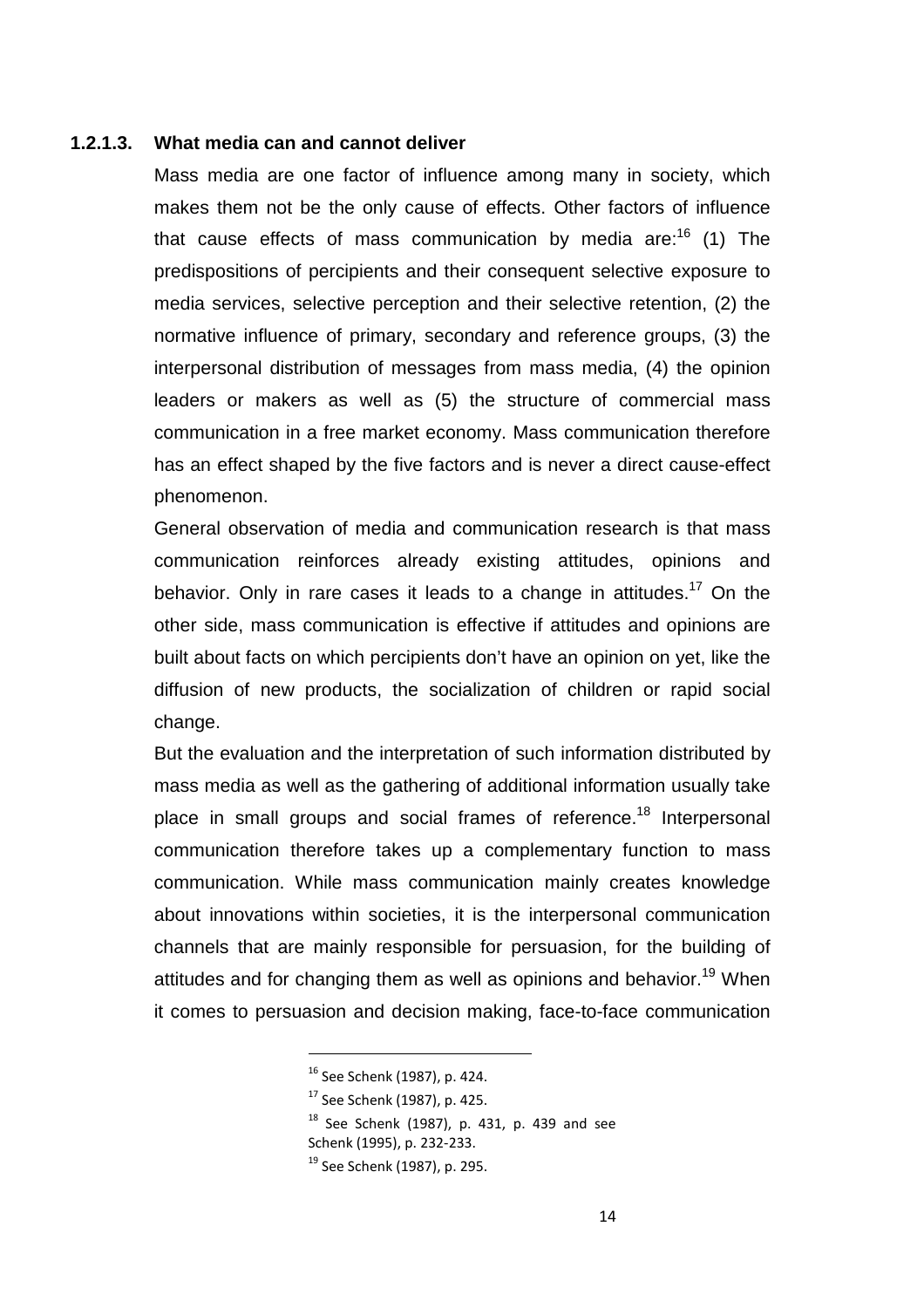#### **1.2.1.3. What media can and cannot deliver**

Mass media are one factor of influence among many in society, which makes them not be the only cause of effects. Other factors of influence that cause effects of mass communication by media are: $16$  (1) The predispositions of percipients and their consequent selective exposure to media services, selective perception and their selective retention, (2) the normative influence of primary, secondary and reference groups, (3) the interpersonal distribution of messages from mass media, (4) the opinion leaders or makers as well as (5) the structure of commercial mass communication in a free market economy. Mass communication therefore has an effect shaped by the five factors and is never a direct cause-effect phenomenon.

General observation of media and communication research is that mass communication reinforces already existing attitudes, opinions and behavior. Only in rare cases it leads to a change in attitudes.<sup>17</sup> On the other side, mass communication is effective if attitudes and opinions are built about facts on which percipients don't have an opinion on yet, like the diffusion of new products, the socialization of children or rapid social change.

But the evaluation and the interpretation of such information distributed by mass media as well as the gathering of additional information usually take place in small groups and social frames of reference.<sup>18</sup> Interpersonal communication therefore takes up a complementary function to mass communication. While mass communication mainly creates knowledge about innovations within societies, it is the interpersonal communication channels that are mainly responsible for persuasion, for the building of attitudes and for changing them as well as opinions and behavior.<sup>19</sup> When it comes to persuasion and decision making, face-to-face communication

<sup>16</sup> See Schenk (1987), p. 424.

<sup>17</sup> See Schenk (1987), p. 425.

 $18$  See Schenk (1987), p. 431, p. 439 and see Schenk (1995), p. 232-233.

<sup>&</sup>lt;sup>19</sup> See Schenk (1987), p. 295.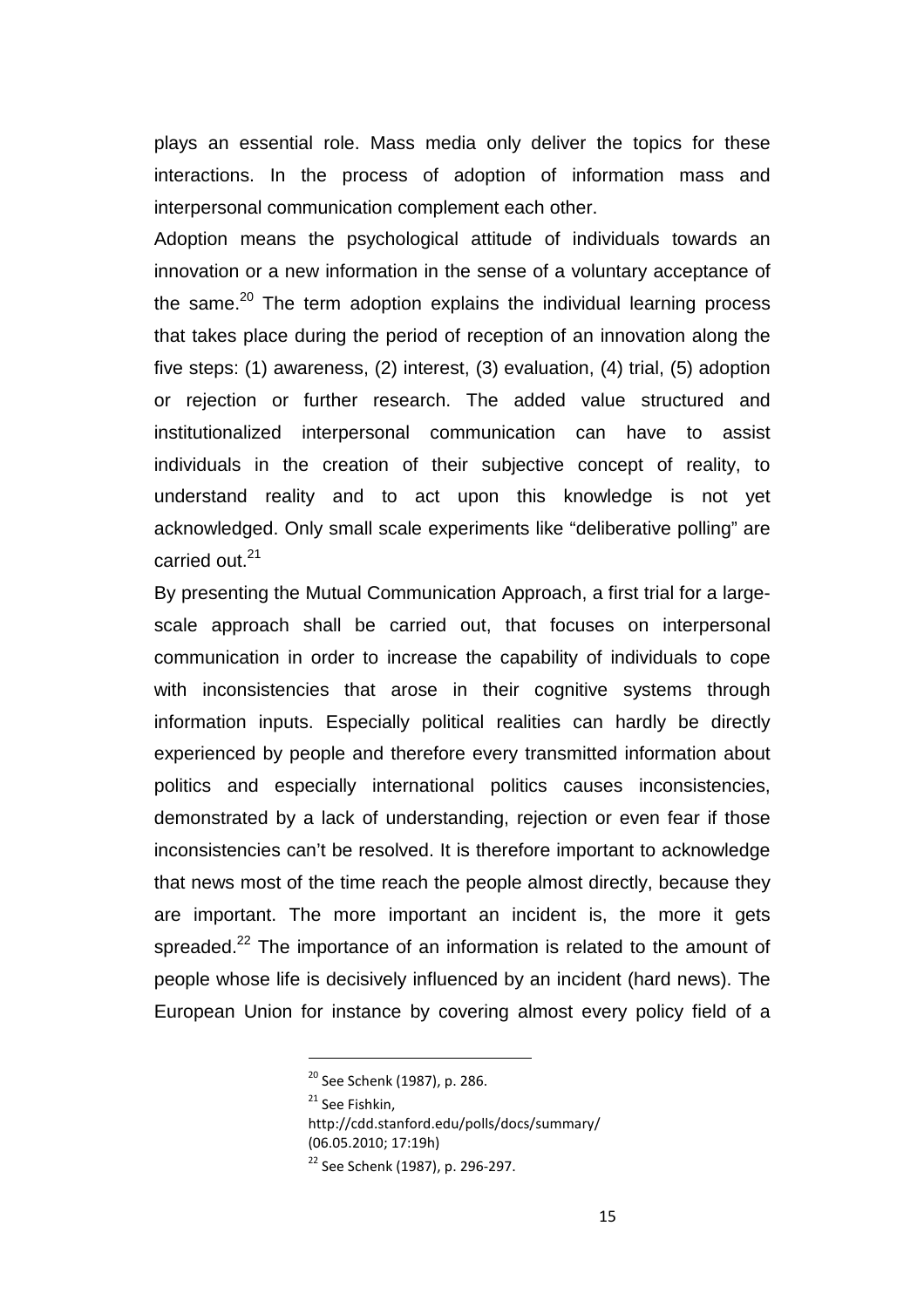plays an essential role. Mass media only deliver the topics for these interactions. In the process of adoption of information mass and interpersonal communication complement each other.

Adoption means the psychological attitude of individuals towards an innovation or a new information in the sense of a voluntary acceptance of the same. $20$  The term adoption explains the individual learning process that takes place during the period of reception of an innovation along the five steps: (1) awareness, (2) interest, (3) evaluation, (4) trial, (5) adoption or rejection or further research. The added value structured and institutionalized interpersonal communication can have to assist individuals in the creation of their subjective concept of reality, to understand reality and to act upon this knowledge is not yet acknowledged. Only small scale experiments like "deliberative polling" are carried out.<sup>21</sup>

By presenting the Mutual Communication Approach, a first trial for a largescale approach shall be carried out, that focuses on interpersonal communication in order to increase the capability of individuals to cope with inconsistencies that arose in their cognitive systems through information inputs. Especially political realities can hardly be directly experienced by people and therefore every transmitted information about politics and especially international politics causes inconsistencies, demonstrated by a lack of understanding, rejection or even fear if those inconsistencies can't be resolved. It is therefore important to acknowledge that news most of the time reach the people almost directly, because they are important. The more important an incident is, the more it gets spreaded.<sup>22</sup> The importance of an information is related to the amount of people whose life is decisively influenced by an incident (hard news). The European Union for instance by covering almost every policy field of a

l

http://cdd.stanford.edu/polls/docs/summary/ (06.05.2010; 17:19h)

<sup>20</sup> See Schenk (1987), p. 286.

<sup>&</sup>lt;sup>21</sup> See Fishkin,

<sup>22</sup> See Schenk (1987), p. 296-297.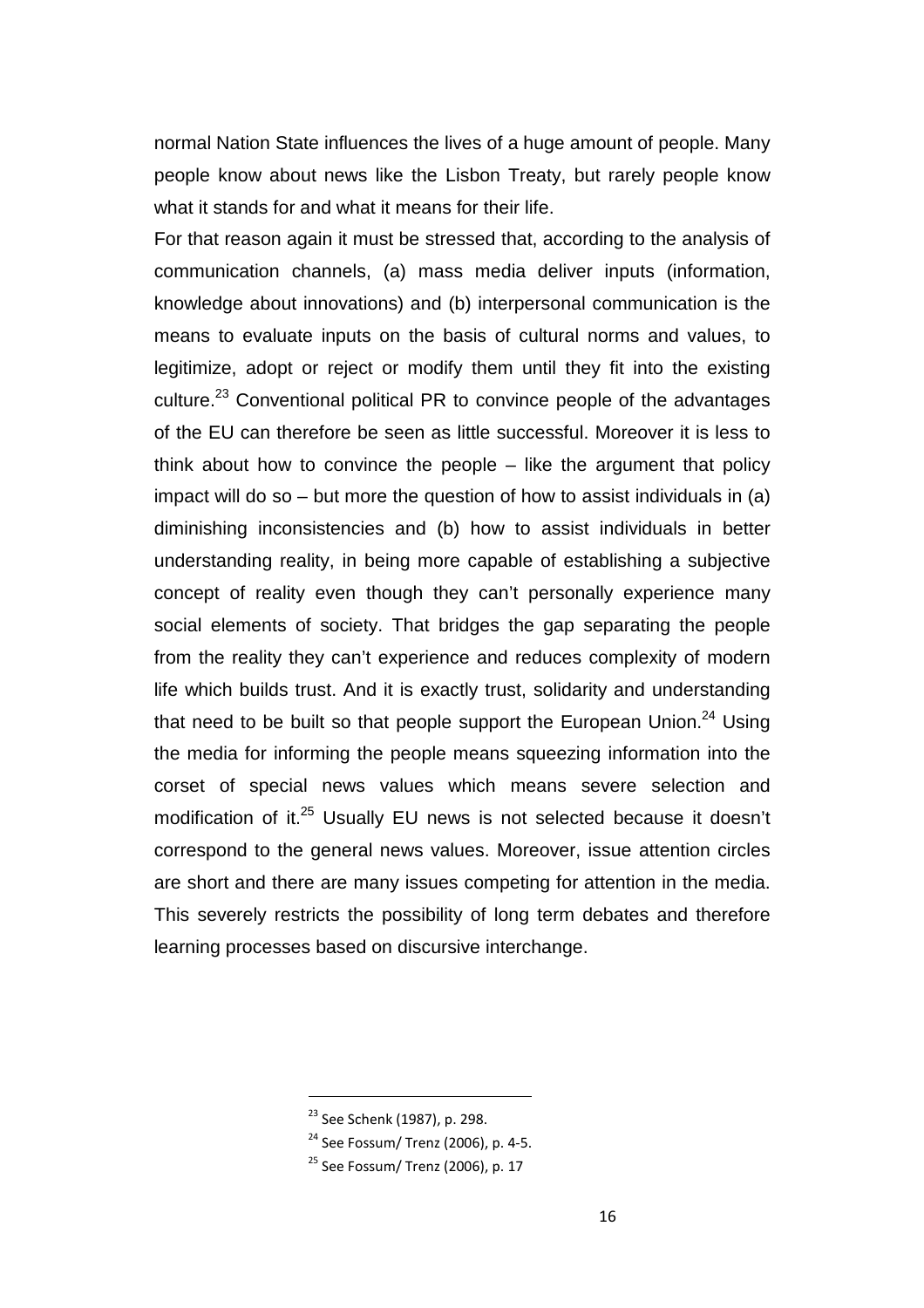normal Nation State influences the lives of a huge amount of people. Many people know about news like the Lisbon Treaty, but rarely people know what it stands for and what it means for their life.

For that reason again it must be stressed that, according to the analysis of communication channels, (a) mass media deliver inputs (information, knowledge about innovations) and (b) interpersonal communication is the means to evaluate inputs on the basis of cultural norms and values, to legitimize, adopt or reject or modify them until they fit into the existing culture.<sup>23</sup> Conventional political PR to convince people of the advantages of the EU can therefore be seen as little successful. Moreover it is less to think about how to convince the people – like the argument that policy impact will do so – but more the question of how to assist individuals in (a) diminishing inconsistencies and (b) how to assist individuals in better understanding reality, in being more capable of establishing a subjective concept of reality even though they can't personally experience many social elements of society. That bridges the gap separating the people from the reality they can't experience and reduces complexity of modern life which builds trust. And it is exactly trust, solidarity and understanding that need to be built so that people support the European Union. $24$  Using the media for informing the people means squeezing information into the corset of special news values which means severe selection and modification of it.<sup>25</sup> Usually EU news is not selected because it doesn't correspond to the general news values. Moreover, issue attention circles are short and there are many issues competing for attention in the media. This severely restricts the possibility of long term debates and therefore learning processes based on discursive interchange.

<sup>&</sup>lt;sup>23</sup> See Schenk (1987), p. 298.

<sup>24</sup> See Fossum/ Trenz (2006), p. 4-5.

 $25$  See Fossum/ Trenz (2006), p. 17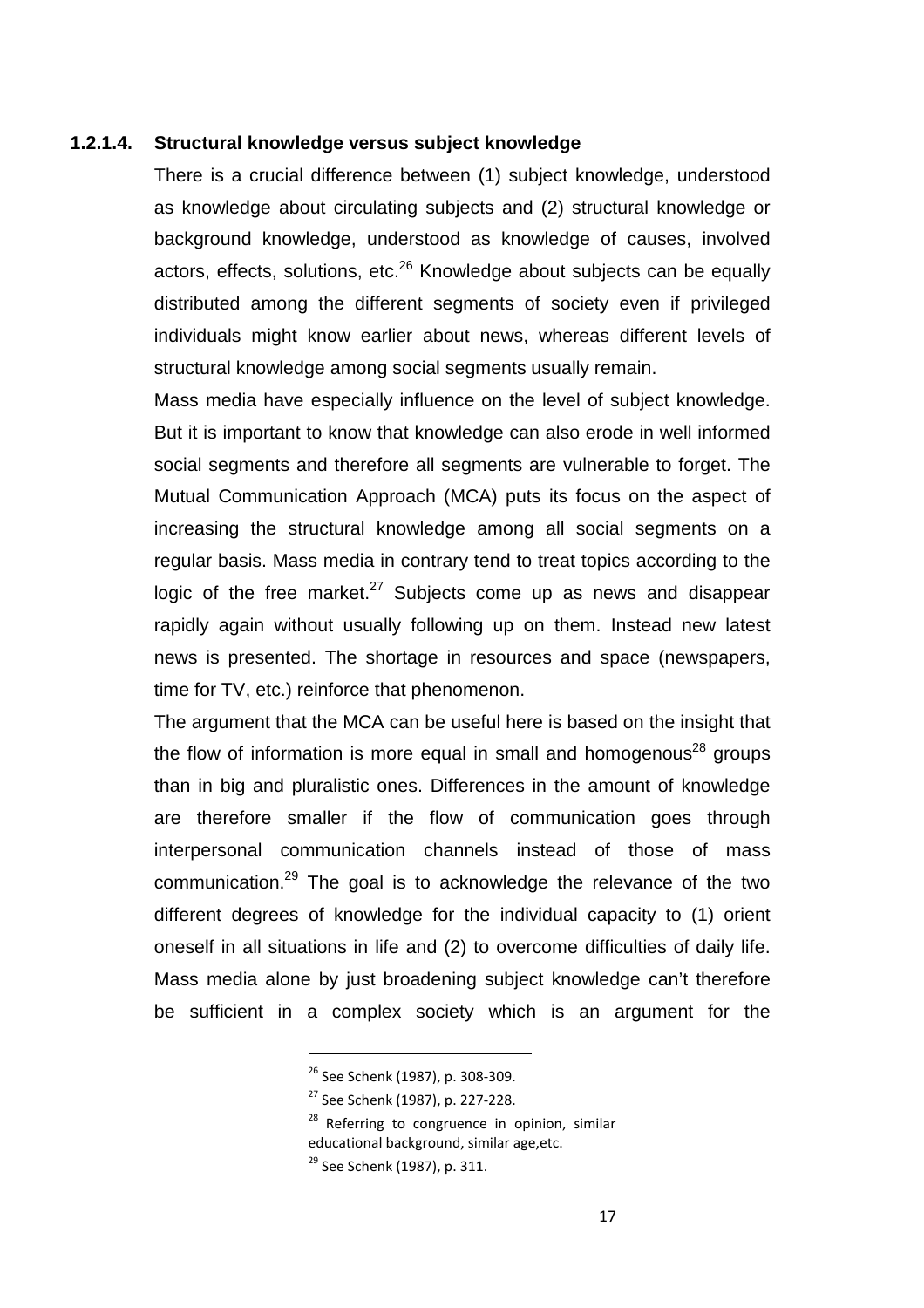#### **1.2.1.4. Structural knowledge versus subject knowledge**

There is a crucial difference between (1) subject knowledge, understood as knowledge about circulating subjects and (2) structural knowledge or background knowledge, understood as knowledge of causes, involved actors, effects, solutions, etc.<sup>26</sup> Knowledge about subjects can be equally distributed among the different segments of society even if privileged individuals might know earlier about news, whereas different levels of structural knowledge among social segments usually remain.

Mass media have especially influence on the level of subject knowledge. But it is important to know that knowledge can also erode in well informed social segments and therefore all segments are vulnerable to forget. The Mutual Communication Approach (MCA) puts its focus on the aspect of increasing the structural knowledge among all social segments on a regular basis. Mass media in contrary tend to treat topics according to the logic of the free market. $27$  Subjects come up as news and disappear rapidly again without usually following up on them. Instead new latest news is presented. The shortage in resources and space (newspapers, time for TV, etc.) reinforce that phenomenon.

The argument that the MCA can be useful here is based on the insight that the flow of information is more equal in small and homogenous<sup>28</sup> groups than in big and pluralistic ones. Differences in the amount of knowledge are therefore smaller if the flow of communication goes through interpersonal communication channels instead of those of mass communication.<sup>29</sup> The goal is to acknowledge the relevance of the two different degrees of knowledge for the individual capacity to (1) orient oneself in all situations in life and (2) to overcome difficulties of daily life. Mass media alone by just broadening subject knowledge can't therefore be sufficient in a complex society which is an argument for the

<sup>26</sup> See Schenk (1987), p. 308-309.

<sup>27</sup> See Schenk (1987), p. 227-228.

 $28$  Referring to congruence in opinion, similar educational background, similar age,etc.

<sup>&</sup>lt;sup>29</sup> See Schenk (1987), p. 311.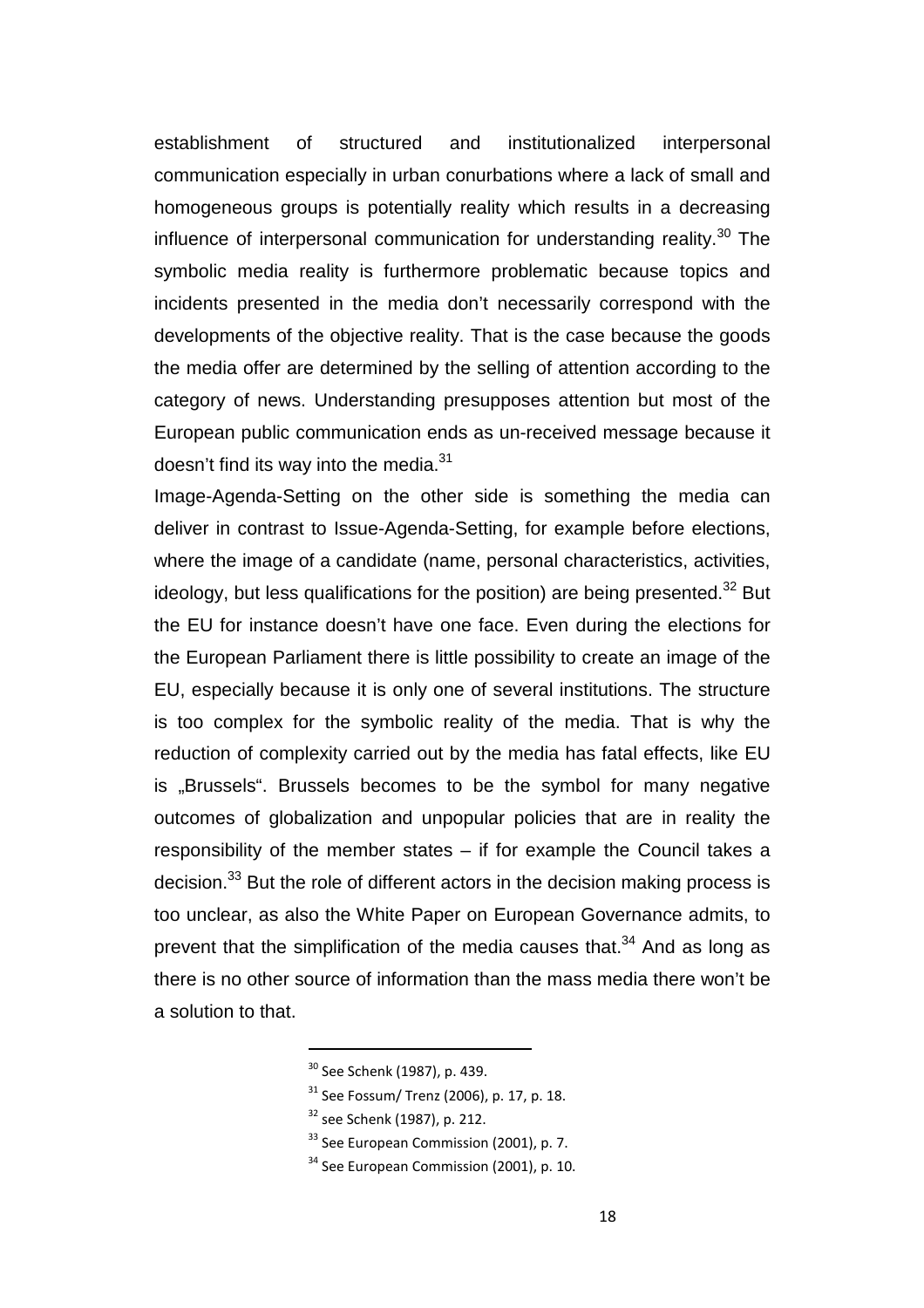establishment of structured and institutionalized interpersonal communication especially in urban conurbations where a lack of small and homogeneous groups is potentially reality which results in a decreasing influence of interpersonal communication for understanding reality.<sup>30</sup> The symbolic media reality is furthermore problematic because topics and incidents presented in the media don't necessarily correspond with the developments of the objective reality. That is the case because the goods the media offer are determined by the selling of attention according to the category of news. Understanding presupposes attention but most of the European public communication ends as un-received message because it doesn't find its way into the media. $31$ 

Image-Agenda-Setting on the other side is something the media can deliver in contrast to Issue-Agenda-Setting, for example before elections, where the image of a candidate (name, personal characteristics, activities, ideology, but less qualifications for the position) are being presented.<sup>32</sup> But the EU for instance doesn't have one face. Even during the elections for the European Parliament there is little possibility to create an image of the EU, especially because it is only one of several institutions. The structure is too complex for the symbolic reality of the media. That is why the reduction of complexity carried out by the media has fatal effects, like EU is "Brussels". Brussels becomes to be the symbol for many negative outcomes of globalization and unpopular policies that are in reality the responsibility of the member states – if for example the Council takes a decision.<sup>33</sup> But the role of different actors in the decision making process is too unclear, as also the White Paper on European Governance admits, to prevent that the simplification of the media causes that. $34$  And as long as there is no other source of information than the mass media there won't be a solution to that.

<sup>30</sup> See Schenk (1987), p. 439.

 $31$  See Fossum/ Trenz (2006), p. 17, p. 18.

<sup>32</sup> see Schenk (1987), p. 212.

 $33$  See European Commission (2001), p. 7.

 $34$  See European Commission (2001), p. 10.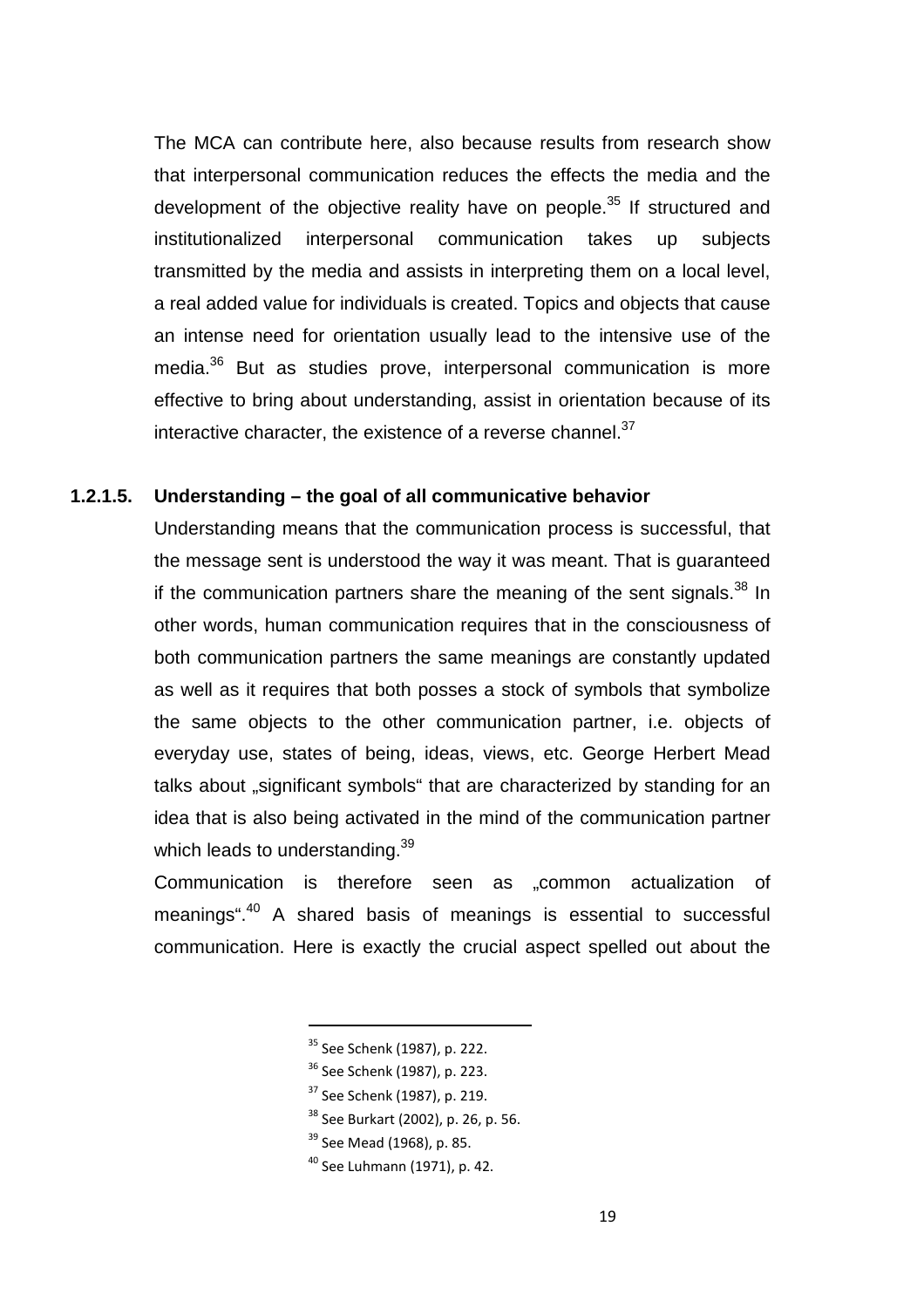The MCA can contribute here, also because results from research show that interpersonal communication reduces the effects the media and the development of the objective reality have on people.<sup>35</sup> If structured and institutionalized interpersonal communication takes up subjects transmitted by the media and assists in interpreting them on a local level, a real added value for individuals is created. Topics and objects that cause an intense need for orientation usually lead to the intensive use of the media.<sup>36</sup> But as studies prove, interpersonal communication is more effective to bring about understanding, assist in orientation because of its interactive character, the existence of a reverse channel. $37$ 

## **1.2.1.5. Understanding – the goal of all communicative behavior**

Understanding means that the communication process is successful, that the message sent is understood the way it was meant. That is guaranteed if the communication partners share the meaning of the sent signals. $38$  In other words, human communication requires that in the consciousness of both communication partners the same meanings are constantly updated as well as it requires that both posses a stock of symbols that symbolize the same objects to the other communication partner, i.e. objects of everyday use, states of being, ideas, views, etc. George Herbert Mead talks about "significant symbols" that are characterized by standing for an idea that is also being activated in the mind of the communication partner which leads to understanding.<sup>39</sup>

Communication is therefore seen as ..common actualization of meanings".<sup>40</sup> A shared basis of meanings is essential to successful communication. Here is exactly the crucial aspect spelled out about the

<sup>35</sup> See Schenk (1987), p. 222.

- <sup>36</sup> See Schenk (1987), p. 223.
- <sup>37</sup> See Schenk (1987), p. 219.
- <sup>38</sup> See Burkart (2002), p. 26, p. 56.
- <sup>39</sup> See Mead (1968), p. 85.
- <sup>40</sup> See Luhmann (1971), p. 42.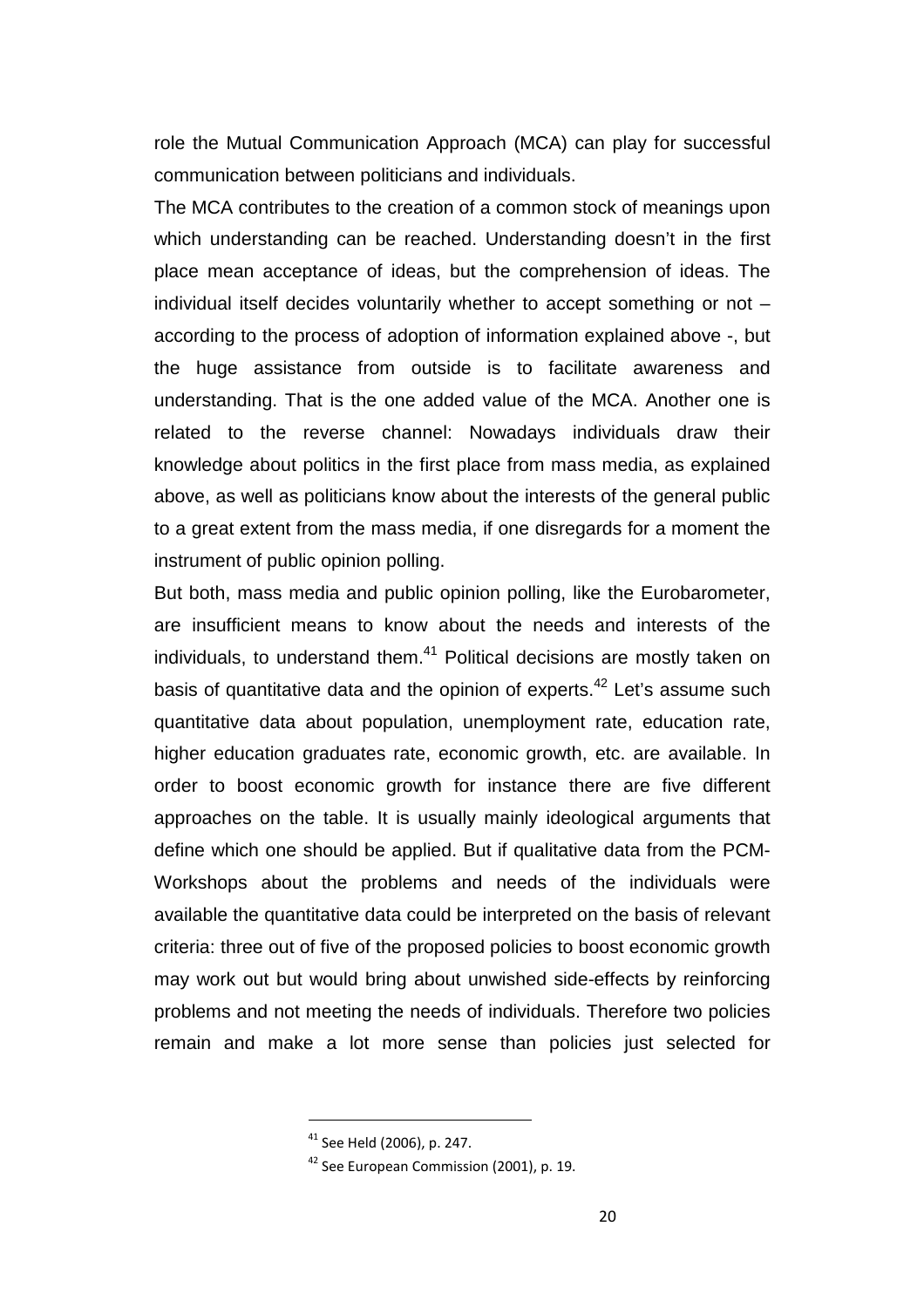role the Mutual Communication Approach (MCA) can play for successful communication between politicians and individuals.

The MCA contributes to the creation of a common stock of meanings upon which understanding can be reached. Understanding doesn't in the first place mean acceptance of ideas, but the comprehension of ideas. The individual itself decides voluntarily whether to accept something or not – according to the process of adoption of information explained above -, but the huge assistance from outside is to facilitate awareness and understanding. That is the one added value of the MCA. Another one is related to the reverse channel: Nowadays individuals draw their knowledge about politics in the first place from mass media, as explained above, as well as politicians know about the interests of the general public to a great extent from the mass media, if one disregards for a moment the instrument of public opinion polling.

But both, mass media and public opinion polling, like the Eurobarometer, are insufficient means to know about the needs and interests of the individuals, to understand them. $41$  Political decisions are mostly taken on basis of quantitative data and the opinion of experts. $42$  Let's assume such quantitative data about population, unemployment rate, education rate, higher education graduates rate, economic growth, etc. are available. In order to boost economic growth for instance there are five different approaches on the table. It is usually mainly ideological arguments that define which one should be applied. But if qualitative data from the PCM-Workshops about the problems and needs of the individuals were available the quantitative data could be interpreted on the basis of relevant criteria: three out of five of the proposed policies to boost economic growth may work out but would bring about unwished side-effects by reinforcing problems and not meeting the needs of individuals. Therefore two policies remain and make a lot more sense than policies just selected for

<sup>41</sup> See Held (2006), p. 247.

 $42$  See European Commission (2001), p. 19.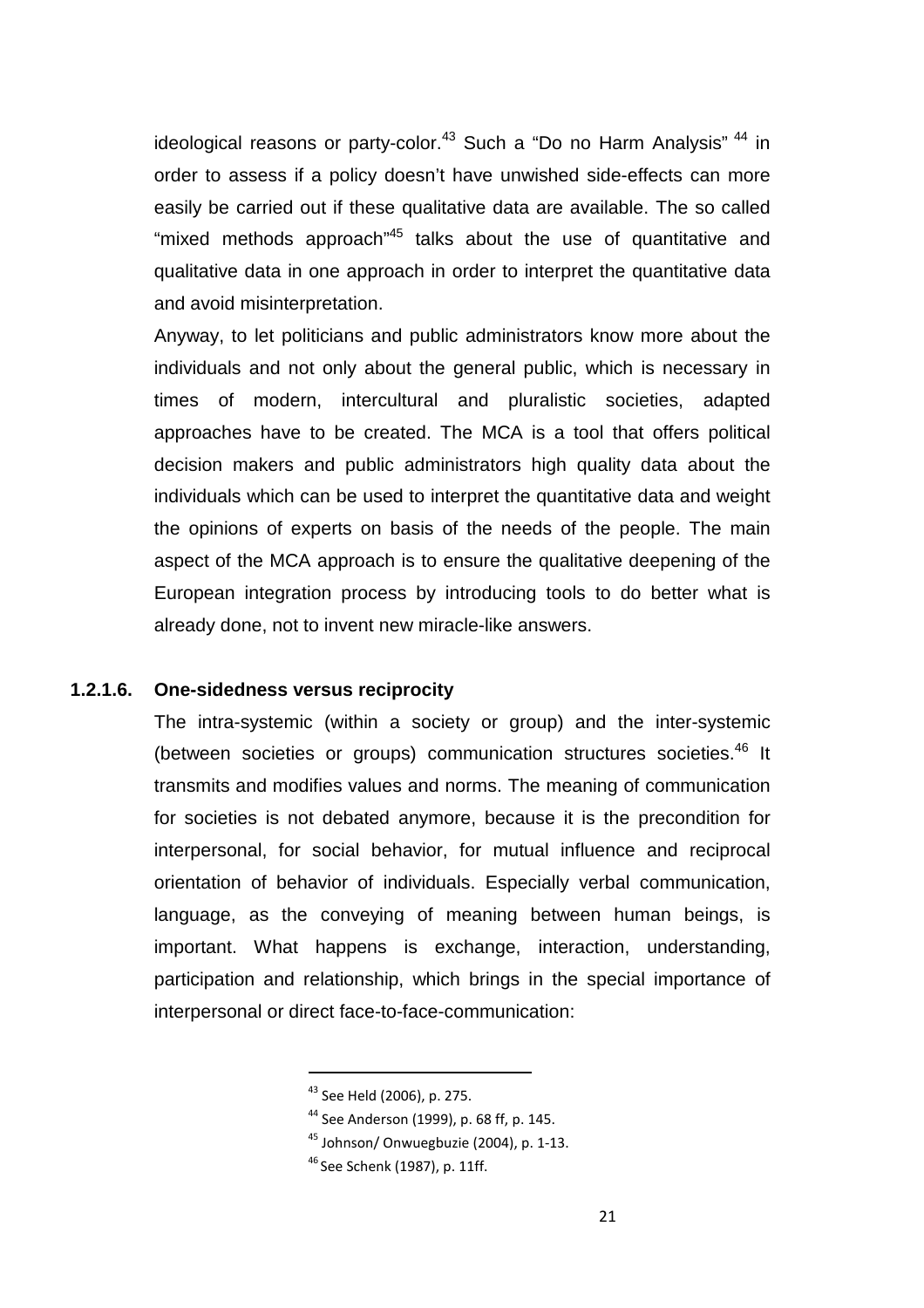ideological reasons or party-color.<sup>43</sup> Such a "Do no Harm Analysis"  $44$  in order to assess if a policy doesn't have unwished side-effects can more easily be carried out if these qualitative data are available. The so called "mixed methods approach"<sup>45</sup> talks about the use of quantitative and qualitative data in one approach in order to interpret the quantitative data and avoid misinterpretation.

Anyway, to let politicians and public administrators know more about the individuals and not only about the general public, which is necessary in times of modern, intercultural and pluralistic societies, adapted approaches have to be created. The MCA is a tool that offers political decision makers and public administrators high quality data about the individuals which can be used to interpret the quantitative data and weight the opinions of experts on basis of the needs of the people. The main aspect of the MCA approach is to ensure the qualitative deepening of the European integration process by introducing tools to do better what is already done, not to invent new miracle-like answers.

## **1.2.1.6. One-sidedness versus reciprocity**

The intra-systemic (within a society or group) and the inter-systemic (between societies or groups) communication structures societies.<sup>46</sup> It transmits and modifies values and norms. The meaning of communication for societies is not debated anymore, because it is the precondition for interpersonal, for social behavior, for mutual influence and reciprocal orientation of behavior of individuals. Especially verbal communication, language, as the conveying of meaning between human beings, is important. What happens is exchange, interaction, understanding, participation and relationship, which brings in the special importance of interpersonal or direct face-to-face-communication:

<sup>43</sup> See Held (2006), p. 275.

<sup>44</sup> See Anderson (1999), p. 68 ff, p. 145.

<sup>&</sup>lt;sup>45</sup> Johnson/ Onwuegbuzie (2004), p. 1-13.

<sup>&</sup>lt;sup>46</sup> See Schenk (1987), p. 11ff.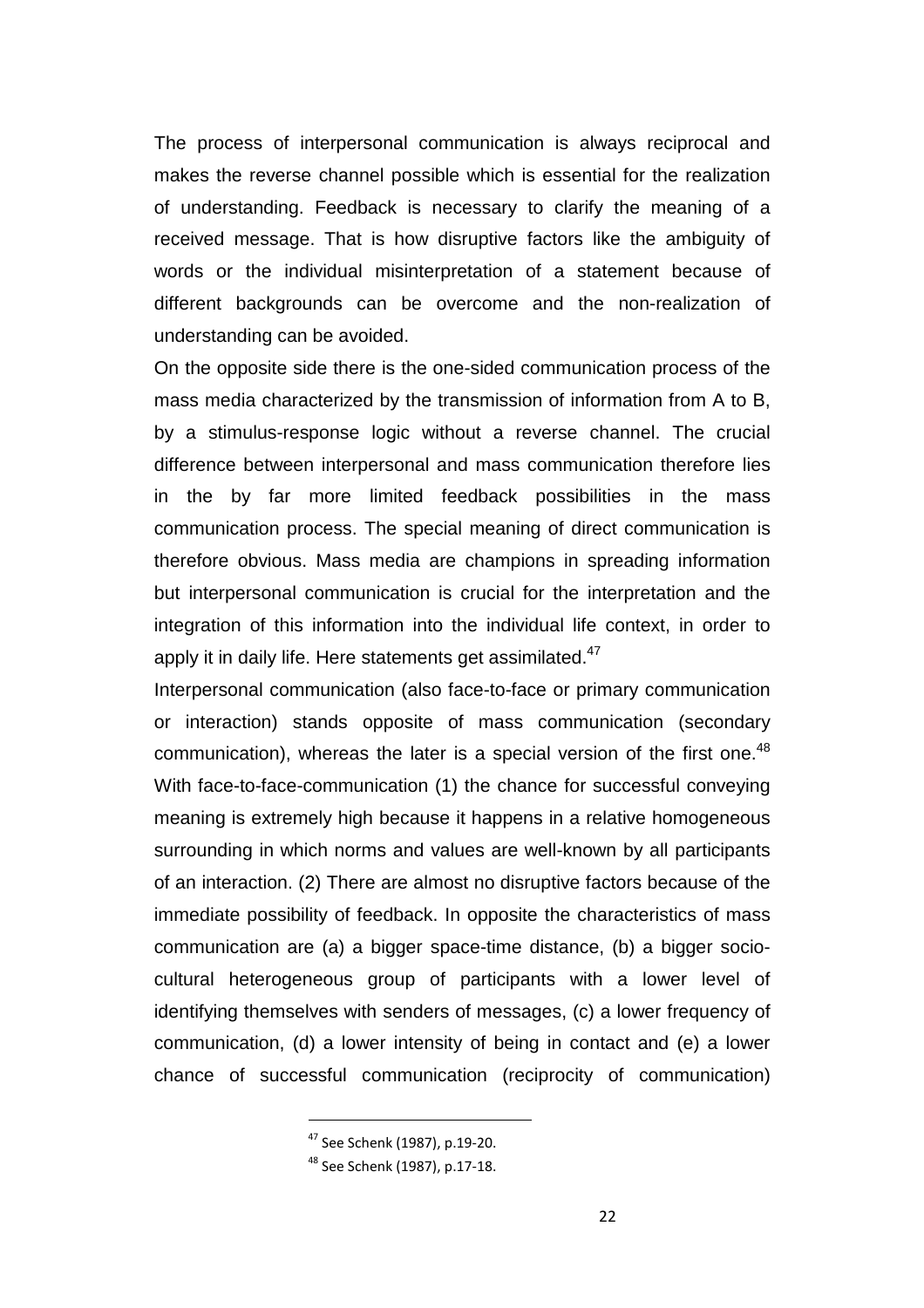The process of interpersonal communication is always reciprocal and makes the reverse channel possible which is essential for the realization of understanding. Feedback is necessary to clarify the meaning of a received message. That is how disruptive factors like the ambiguity of words or the individual misinterpretation of a statement because of different backgrounds can be overcome and the non-realization of understanding can be avoided.

On the opposite side there is the one-sided communication process of the mass media characterized by the transmission of information from A to B, by a stimulus-response logic without a reverse channel. The crucial difference between interpersonal and mass communication therefore lies in the by far more limited feedback possibilities in the mass communication process. The special meaning of direct communication is therefore obvious. Mass media are champions in spreading information but interpersonal communication is crucial for the interpretation and the integration of this information into the individual life context, in order to apply it in daily life. Here statements get assimilated. $47$ 

Interpersonal communication (also face-to-face or primary communication or interaction) stands opposite of mass communication (secondary communication), whereas the later is a special version of the first one.<sup>48</sup> With face-to-face-communication (1) the chance for successful conveying meaning is extremely high because it happens in a relative homogeneous surrounding in which norms and values are well-known by all participants of an interaction. (2) There are almost no disruptive factors because of the immediate possibility of feedback. In opposite the characteristics of mass communication are (a) a bigger space-time distance, (b) a bigger sociocultural heterogeneous group of participants with a lower level of identifying themselves with senders of messages, (c) a lower frequency of communication, (d) a lower intensity of being in contact and (e) a lower chance of successful communication (reciprocity of communication)

<sup>47</sup> See Schenk (1987), p.19-20.

<sup>48</sup> See Schenk (1987), p.17-18.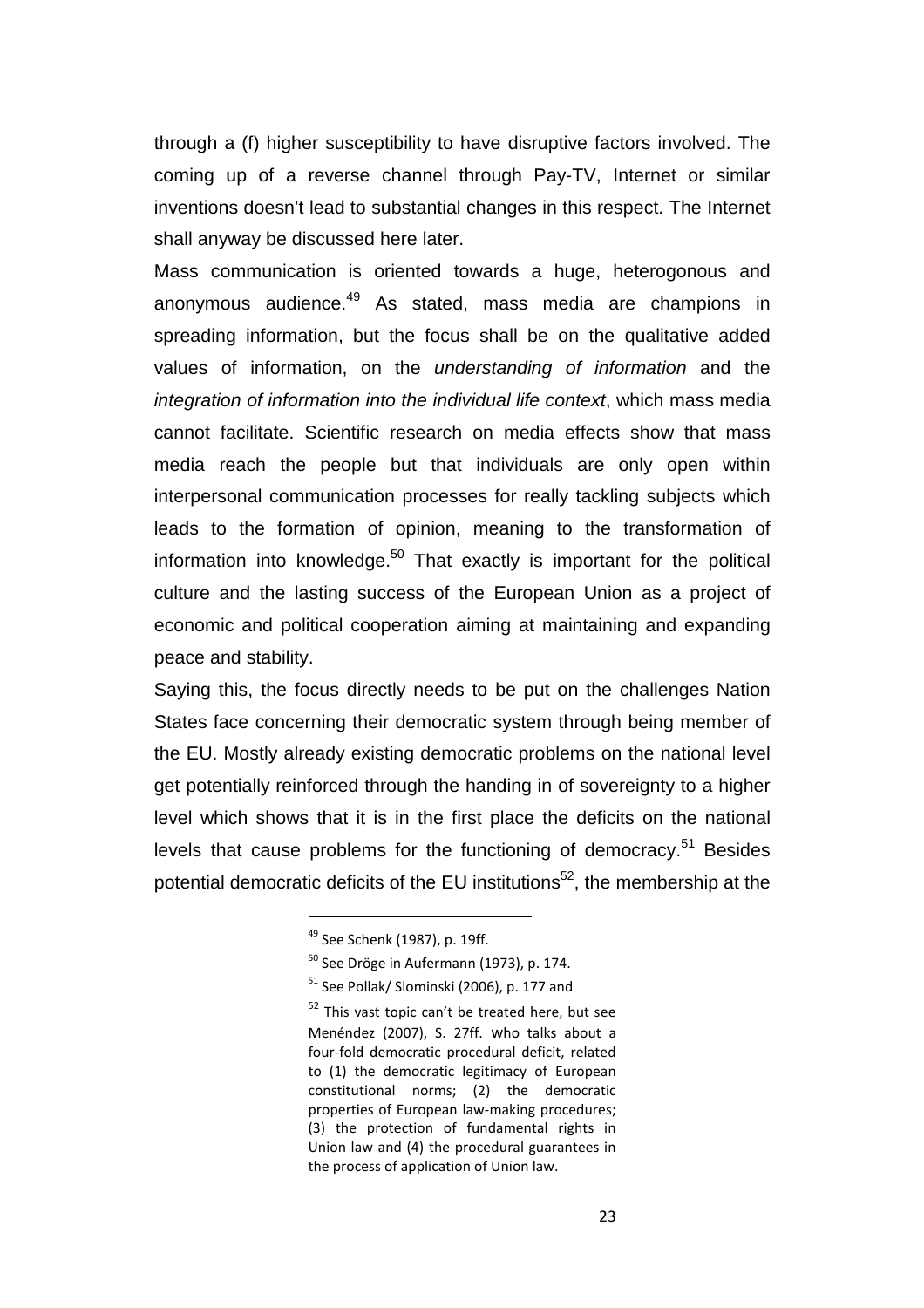through a (f) higher susceptibility to have disruptive factors involved. The coming up of a reverse channel through Pay-TV, Internet or similar inventions doesn't lead to substantial changes in this respect. The Internet shall anyway be discussed here later.

Mass communication is oriented towards a huge, heterogonous and anonymous audience.<sup>49</sup> As stated, mass media are champions in spreading information, but the focus shall be on the qualitative added values of information, on the understanding of information and the integration of information into the individual life context, which mass media cannot facilitate. Scientific research on media effects show that mass media reach the people but that individuals are only open within interpersonal communication processes for really tackling subjects which leads to the formation of opinion, meaning to the transformation of information into knowledge. $50$  That exactly is important for the political culture and the lasting success of the European Union as a project of economic and political cooperation aiming at maintaining and expanding peace and stability.

Saying this, the focus directly needs to be put on the challenges Nation States face concerning their democratic system through being member of the EU. Mostly already existing democratic problems on the national level get potentially reinforced through the handing in of sovereignty to a higher level which shows that it is in the first place the deficits on the national levels that cause problems for the functioning of democracy.<sup>51</sup> Besides potential democratic deficits of the EU institutions<sup>52</sup>, the membership at the

<sup>&</sup>lt;sup>49</sup> See Schenk (1987), p. 19ff.

 $50$  See Dröge in Aufermann (1973), p. 174.

 $51$  See Pollak/ Slominski (2006), p. 177 and

 $52$  This vast topic can't be treated here, but see Menéndez (2007), S. 27ff. who talks about a four-fold democratic procedural deficit, related to (1) the democratic legitimacy of European constitutional norms; (2) the democratic properties of European law-making procedures; (3) the protection of fundamental rights in Union law and (4) the procedural guarantees in the process of application of Union law.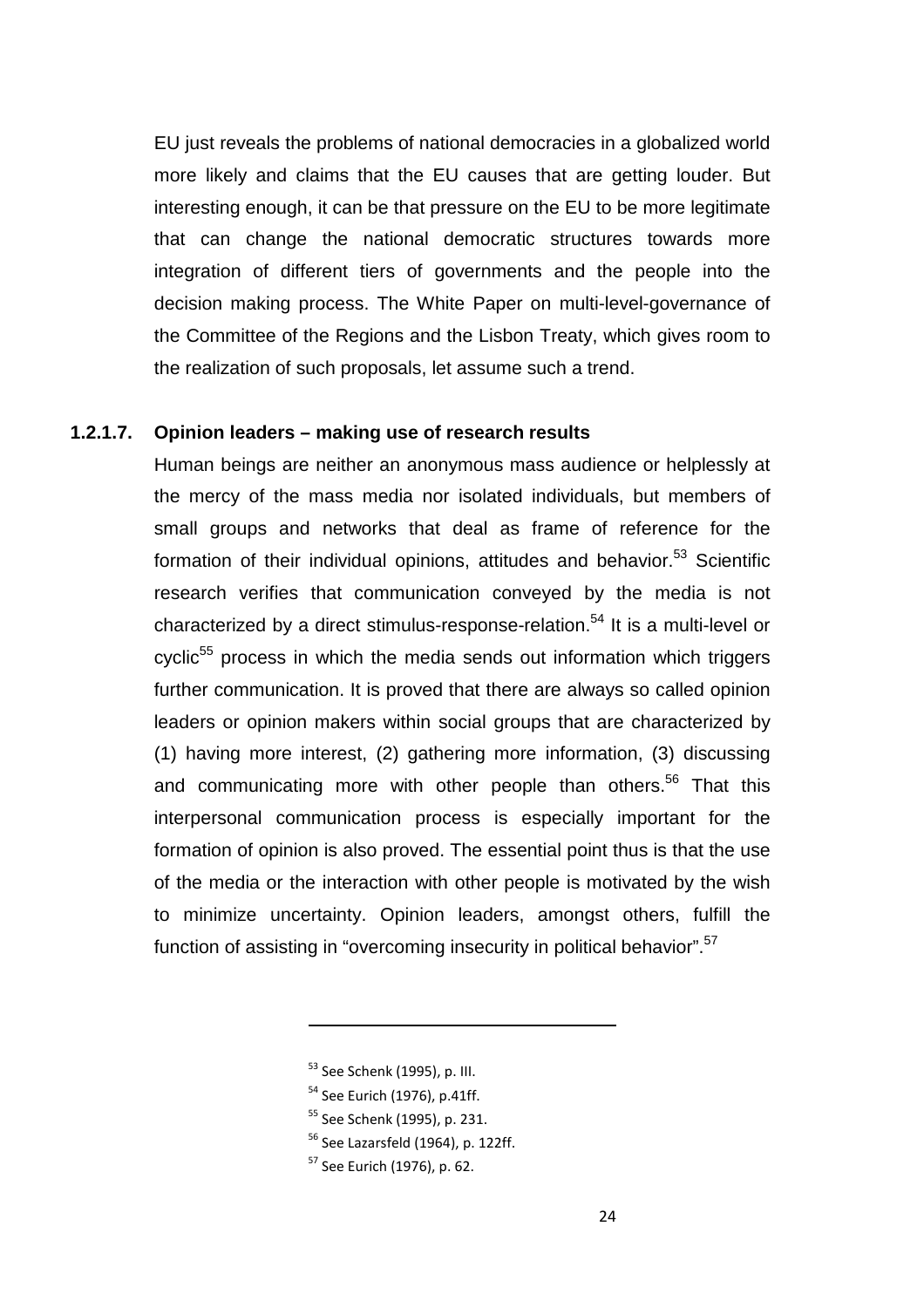EU just reveals the problems of national democracies in a globalized world more likely and claims that the EU causes that are getting louder. But interesting enough, it can be that pressure on the EU to be more legitimate that can change the national democratic structures towards more integration of different tiers of governments and the people into the decision making process. The White Paper on multi-level-governance of the Committee of the Regions and the Lisbon Treaty, which gives room to the realization of such proposals, let assume such a trend.

#### **1.2.1.7. Opinion leaders – making use of research results**

Human beings are neither an anonymous mass audience or helplessly at the mercy of the mass media nor isolated individuals, but members of small groups and networks that deal as frame of reference for the formation of their individual opinions, attitudes and behavior.<sup>53</sup> Scientific research verifies that communication conveyed by the media is not characterized by a direct stimulus-response-relation.<sup>54</sup> It is a multi-level or cyclic<sup>55</sup> process in which the media sends out information which triggers further communication. It is proved that there are always so called opinion leaders or opinion makers within social groups that are characterized by (1) having more interest, (2) gathering more information, (3) discussing and communicating more with other people than others.<sup>56</sup> That this interpersonal communication process is especially important for the formation of opinion is also proved. The essential point thus is that the use of the media or the interaction with other people is motivated by the wish to minimize uncertainty. Opinion leaders, amongst others, fulfill the function of assisting in "overcoming insecurity in political behavior".<sup>57</sup>

<sup>53</sup> See Schenk (1995), p. III.

- <sup>54</sup> See Eurich (1976), p.41ff.
- <sup>55</sup> See Schenk (1995), p. 231.
- $56$  See Lazarsfeld (1964), p. 122ff.
- <sup>57</sup> See Eurich (1976), p. 62.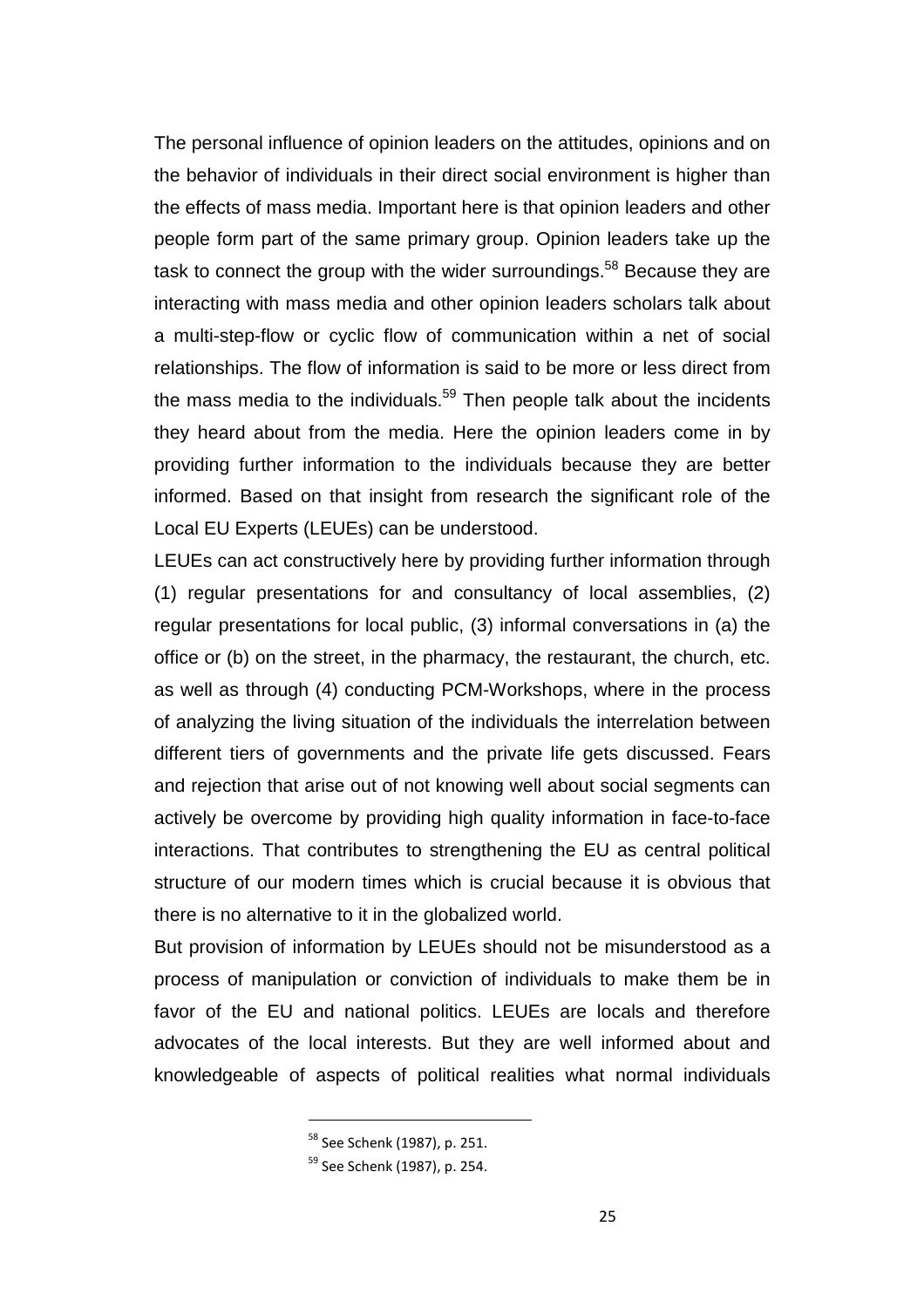The personal influence of opinion leaders on the attitudes, opinions and on the behavior of individuals in their direct social environment is higher than the effects of mass media. Important here is that opinion leaders and other people form part of the same primary group. Opinion leaders take up the task to connect the group with the wider surroundings.<sup>58</sup> Because they are interacting with mass media and other opinion leaders scholars talk about a multi-step-flow or cyclic flow of communication within a net of social relationships. The flow of information is said to be more or less direct from the mass media to the individuals.<sup>59</sup> Then people talk about the incidents they heard about from the media. Here the opinion leaders come in by providing further information to the individuals because they are better informed. Based on that insight from research the significant role of the Local EU Experts (LEUEs) can be understood.

LEUEs can act constructively here by providing further information through (1) regular presentations for and consultancy of local assemblies, (2) regular presentations for local public, (3) informal conversations in (a) the office or (b) on the street, in the pharmacy, the restaurant, the church, etc. as well as through (4) conducting PCM-Workshops, where in the process of analyzing the living situation of the individuals the interrelation between different tiers of governments and the private life gets discussed. Fears and rejection that arise out of not knowing well about social segments can actively be overcome by providing high quality information in face-to-face interactions. That contributes to strengthening the EU as central political structure of our modern times which is crucial because it is obvious that there is no alternative to it in the globalized world.

But provision of information by LEUEs should not be misunderstood as a process of manipulation or conviction of individuals to make them be in favor of the EU and national politics. LEUEs are locals and therefore advocates of the local interests. But they are well informed about and knowledgeable of aspects of political realities what normal individuals

<sup>58</sup> See Schenk (1987), p. 251.

<sup>59</sup> See Schenk (1987), p. 254.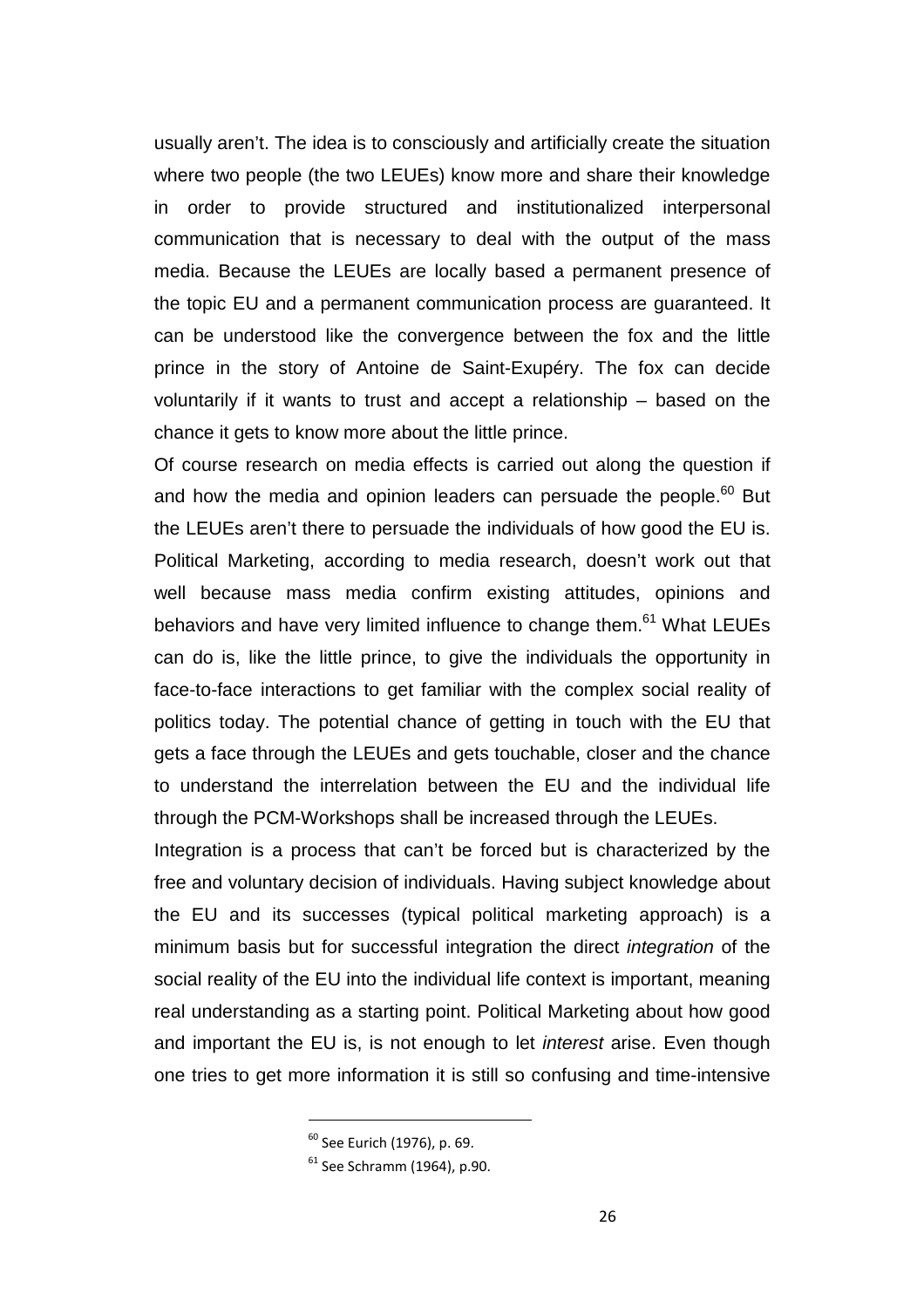usually aren't. The idea is to consciously and artificially create the situation where two people (the two LEUEs) know more and share their knowledge in order to provide structured and institutionalized interpersonal communication that is necessary to deal with the output of the mass media. Because the LEUEs are locally based a permanent presence of the topic EU and a permanent communication process are guaranteed. It can be understood like the convergence between the fox and the little prince in the story of Antoine de Saint-Exupéry. The fox can decide voluntarily if it wants to trust and accept a relationship – based on the chance it gets to know more about the little prince.

Of course research on media effects is carried out along the question if and how the media and opinion leaders can persuade the people.<sup>60</sup> But the LEUEs aren't there to persuade the individuals of how good the EU is. Political Marketing, according to media research, doesn't work out that well because mass media confirm existing attitudes, opinions and behaviors and have very limited influence to change them.<sup>61</sup> What LEUEs can do is, like the little prince, to give the individuals the opportunity in face-to-face interactions to get familiar with the complex social reality of politics today. The potential chance of getting in touch with the EU that gets a face through the LEUEs and gets touchable, closer and the chance to understand the interrelation between the EU and the individual life through the PCM-Workshops shall be increased through the LEUEs.

Integration is a process that can't be forced but is characterized by the free and voluntary decision of individuals. Having subject knowledge about the EU and its successes (typical political marketing approach) is a minimum basis but for successful integration the direct integration of the social reality of the EU into the individual life context is important, meaning real understanding as a starting point. Political Marketing about how good and important the EU is, is not enough to let *interest* arise. Even though one tries to get more information it is still so confusing and time-intensive

<sup>60</sup> See Eurich (1976), p. 69.

<sup>61</sup> See Schramm (1964), p.90.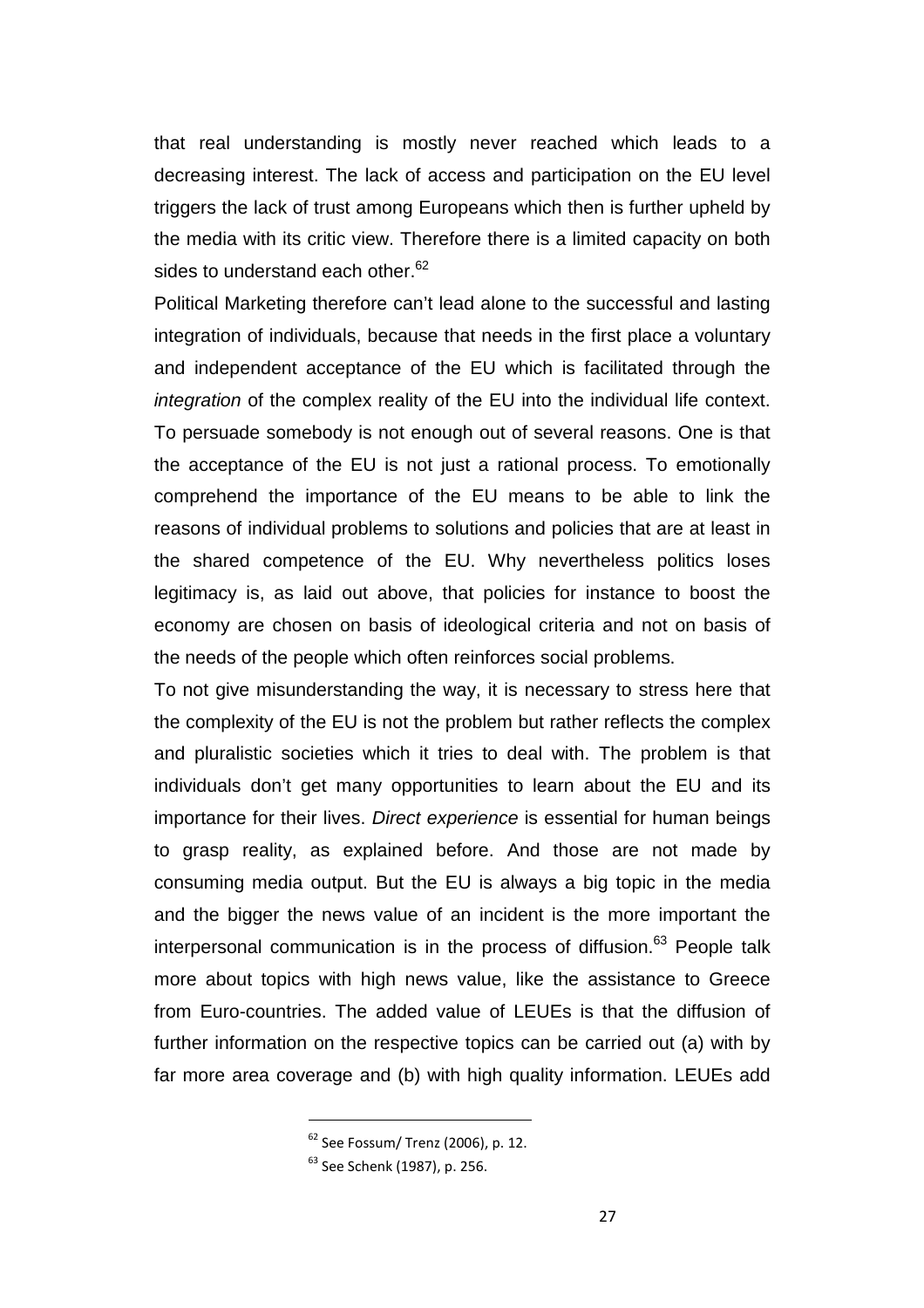that real understanding is mostly never reached which leads to a decreasing interest. The lack of access and participation on the EU level triggers the lack of trust among Europeans which then is further upheld by the media with its critic view. Therefore there is a limited capacity on both sides to understand each other.<sup>62</sup>

Political Marketing therefore can't lead alone to the successful and lasting integration of individuals, because that needs in the first place a voluntary and independent acceptance of the EU which is facilitated through the integration of the complex reality of the EU into the individual life context. To persuade somebody is not enough out of several reasons. One is that the acceptance of the EU is not just a rational process. To emotionally comprehend the importance of the EU means to be able to link the reasons of individual problems to solutions and policies that are at least in the shared competence of the EU. Why nevertheless politics loses legitimacy is, as laid out above, that policies for instance to boost the economy are chosen on basis of ideological criteria and not on basis of the needs of the people which often reinforces social problems.

To not give misunderstanding the way, it is necessary to stress here that the complexity of the EU is not the problem but rather reflects the complex and pluralistic societies which it tries to deal with. The problem is that individuals don't get many opportunities to learn about the EU and its importance for their lives. Direct experience is essential for human beings to grasp reality, as explained before. And those are not made by consuming media output. But the EU is always a big topic in the media and the bigger the news value of an incident is the more important the interpersonal communication is in the process of diffusion. $63$  People talk more about topics with high news value, like the assistance to Greece from Euro-countries. The added value of LEUEs is that the diffusion of further information on the respective topics can be carried out (a) with by far more area coverage and (b) with high quality information. LEUEs add

<sup>62</sup> See Fossum/ Trenz (2006), p. 12.

<sup>63</sup> See Schenk (1987), p. 256.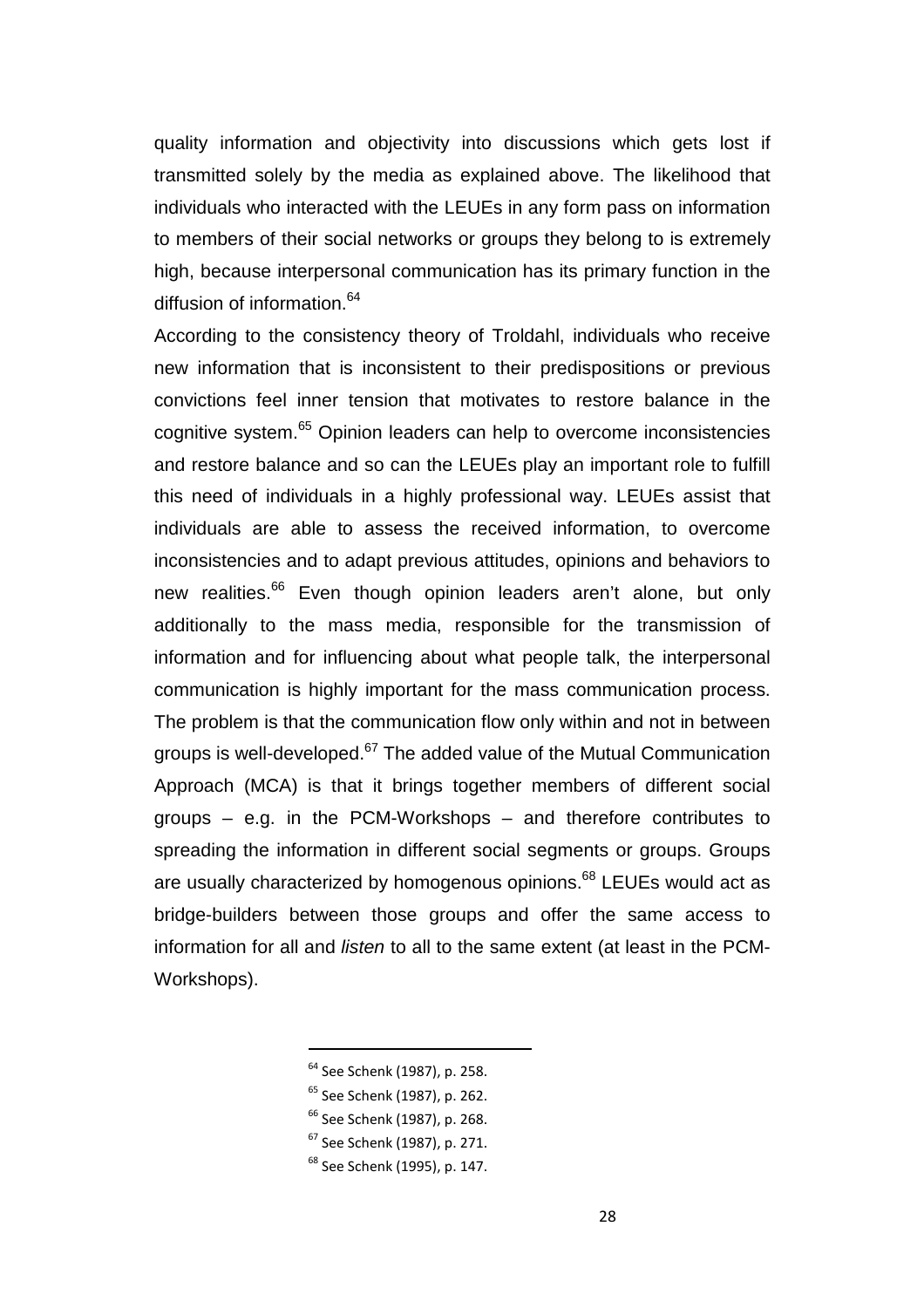quality information and objectivity into discussions which gets lost if transmitted solely by the media as explained above. The likelihood that individuals who interacted with the LEUEs in any form pass on information to members of their social networks or groups they belong to is extremely high, because interpersonal communication has its primary function in the diffusion of information.<sup>64</sup>

According to the consistency theory of Troldahl, individuals who receive new information that is inconsistent to their predispositions or previous convictions feel inner tension that motivates to restore balance in the cognitive system.<sup>65</sup> Opinion leaders can help to overcome inconsistencies and restore balance and so can the LEUEs play an important role to fulfill this need of individuals in a highly professional way. LEUEs assist that individuals are able to assess the received information, to overcome inconsistencies and to adapt previous attitudes, opinions and behaviors to new realities.<sup>66</sup> Even though opinion leaders aren't alone, but only additionally to the mass media, responsible for the transmission of information and for influencing about what people talk, the interpersonal communication is highly important for the mass communication process. The problem is that the communication flow only within and not in between groups is well-developed.<sup>67</sup> The added value of the Mutual Communication Approach (MCA) is that it brings together members of different social groups – e.g. in the PCM-Workshops – and therefore contributes to spreading the information in different social segments or groups. Groups are usually characterized by homogenous opinions.<sup>68</sup> LEUEs would act as bridge-builders between those groups and offer the same access to information for all and listen to all to the same extent (at least in the PCM-Workshops).

<sup>64</sup> See Schenk (1987), p. 258.

- <sup>65</sup> See Schenk (1987), p. 262.
- <sup>66</sup> See Schenk (1987), p. 268.
- <sup>67</sup> See Schenk (1987), p. 271.
- <sup>68</sup> See Schenk (1995), p. 147.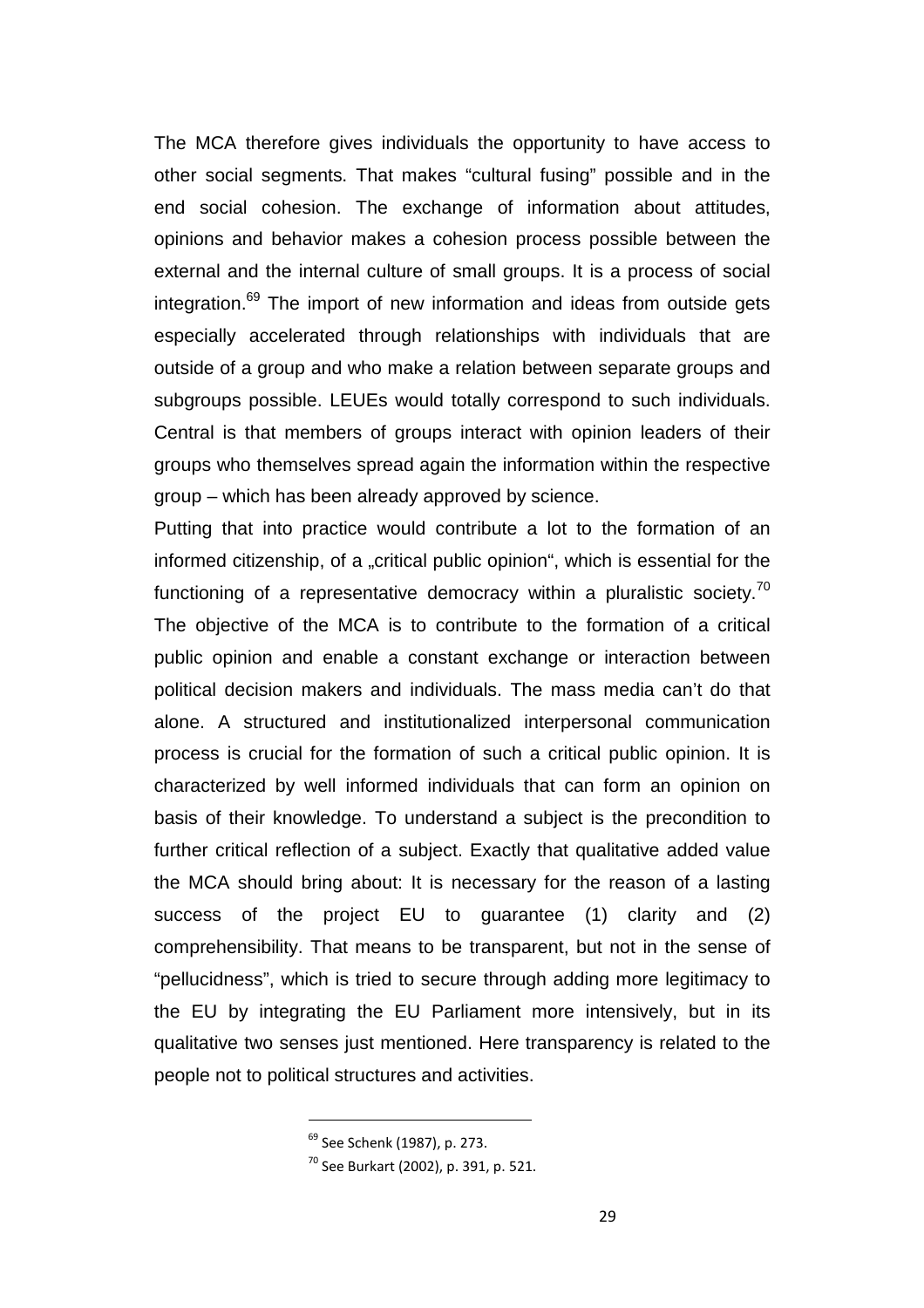The MCA therefore gives individuals the opportunity to have access to other social segments. That makes "cultural fusing" possible and in the end social cohesion. The exchange of information about attitudes, opinions and behavior makes a cohesion process possible between the external and the internal culture of small groups. It is a process of social integration. $69$  The import of new information and ideas from outside gets especially accelerated through relationships with individuals that are outside of a group and who make a relation between separate groups and subgroups possible. LEUEs would totally correspond to such individuals. Central is that members of groups interact with opinion leaders of their groups who themselves spread again the information within the respective group – which has been already approved by science.

Putting that into practice would contribute a lot to the formation of an informed citizenship, of a "critical public opinion", which is essential for the functioning of a representative democracy within a pluralistic society.<sup>70</sup> The objective of the MCA is to contribute to the formation of a critical public opinion and enable a constant exchange or interaction between political decision makers and individuals. The mass media can't do that alone. A structured and institutionalized interpersonal communication process is crucial for the formation of such a critical public opinion. It is characterized by well informed individuals that can form an opinion on basis of their knowledge. To understand a subject is the precondition to further critical reflection of a subject. Exactly that qualitative added value the MCA should bring about: It is necessary for the reason of a lasting success of the project EU to guarantee (1) clarity and (2) comprehensibility. That means to be transparent, but not in the sense of "pellucidness", which is tried to secure through adding more legitimacy to the EU by integrating the EU Parliament more intensively, but in its qualitative two senses just mentioned. Here transparency is related to the people not to political structures and activities.

<sup>69</sup> See Schenk (1987), p. 273.

<sup>70</sup> See Burkart (2002), p. 391, p. 521.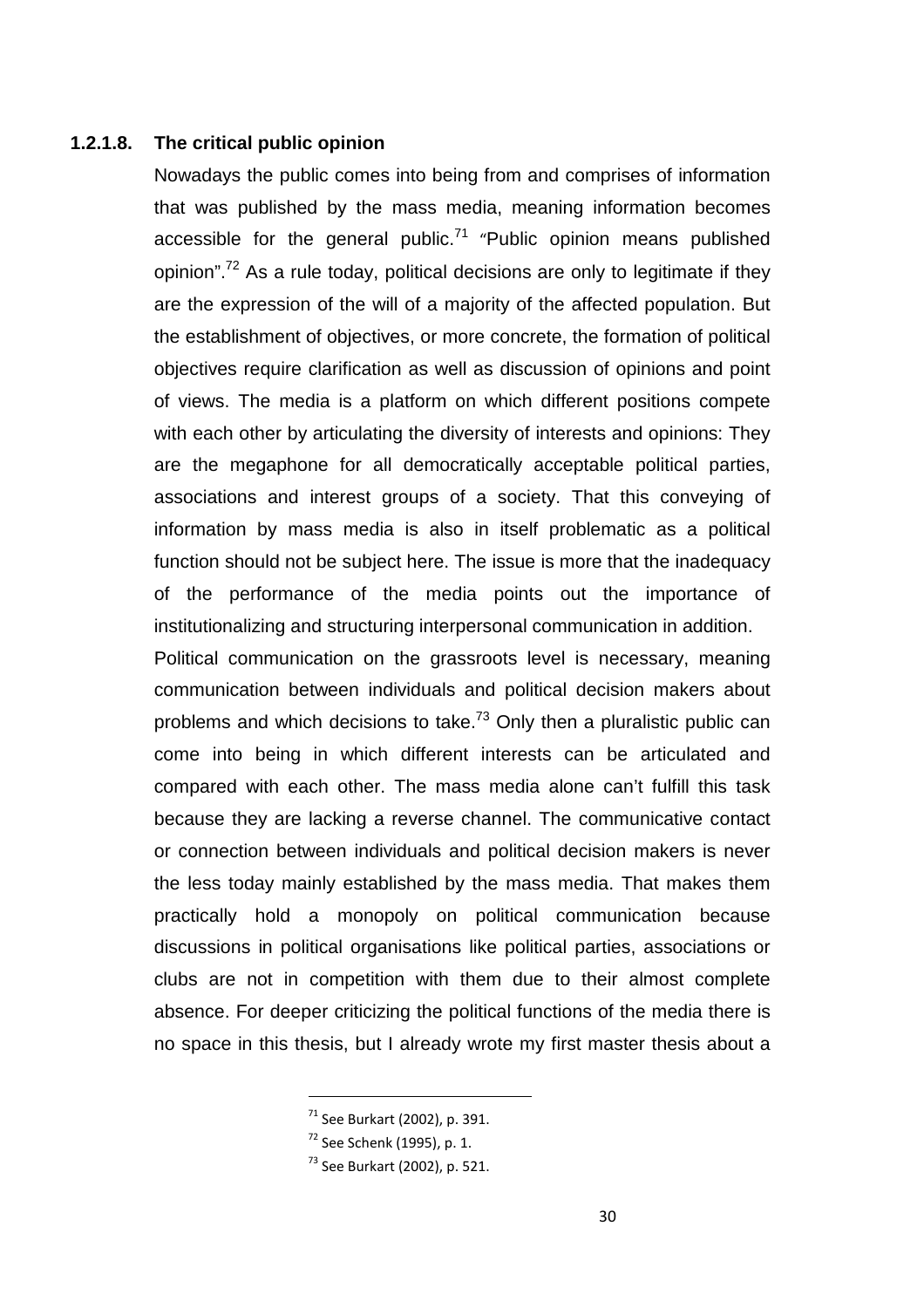#### **1.2.1.8. The critical public opinion**

Nowadays the public comes into being from and comprises of information that was published by the mass media, meaning information becomes accessible for the general public.<sup>71</sup> "Public opinion means published opinion".<sup>72</sup> As a rule today, political decisions are only to legitimate if they are the expression of the will of a majority of the affected population. But the establishment of objectives, or more concrete, the formation of political objectives require clarification as well as discussion of opinions and point of views. The media is a platform on which different positions compete with each other by articulating the diversity of interests and opinions: They are the megaphone for all democratically acceptable political parties, associations and interest groups of a society. That this conveying of information by mass media is also in itself problematic as a political function should not be subject here. The issue is more that the inadequacy of the performance of the media points out the importance of institutionalizing and structuring interpersonal communication in addition.

Political communication on the grassroots level is necessary, meaning communication between individuals and political decision makers about problems and which decisions to take.<sup>73</sup> Only then a pluralistic public can come into being in which different interests can be articulated and compared with each other. The mass media alone can't fulfill this task because they are lacking a reverse channel. The communicative contact or connection between individuals and political decision makers is never the less today mainly established by the mass media. That makes them practically hold a monopoly on political communication because discussions in political organisations like political parties, associations or clubs are not in competition with them due to their almost complete absence. For deeper criticizing the political functions of the media there is no space in this thesis, but I already wrote my first master thesis about a

 $71$  See Burkart (2002), p. 391.

<sup>72</sup> See Schenk (1995), p. 1.

<sup>73</sup> See Burkart (2002), p. 521.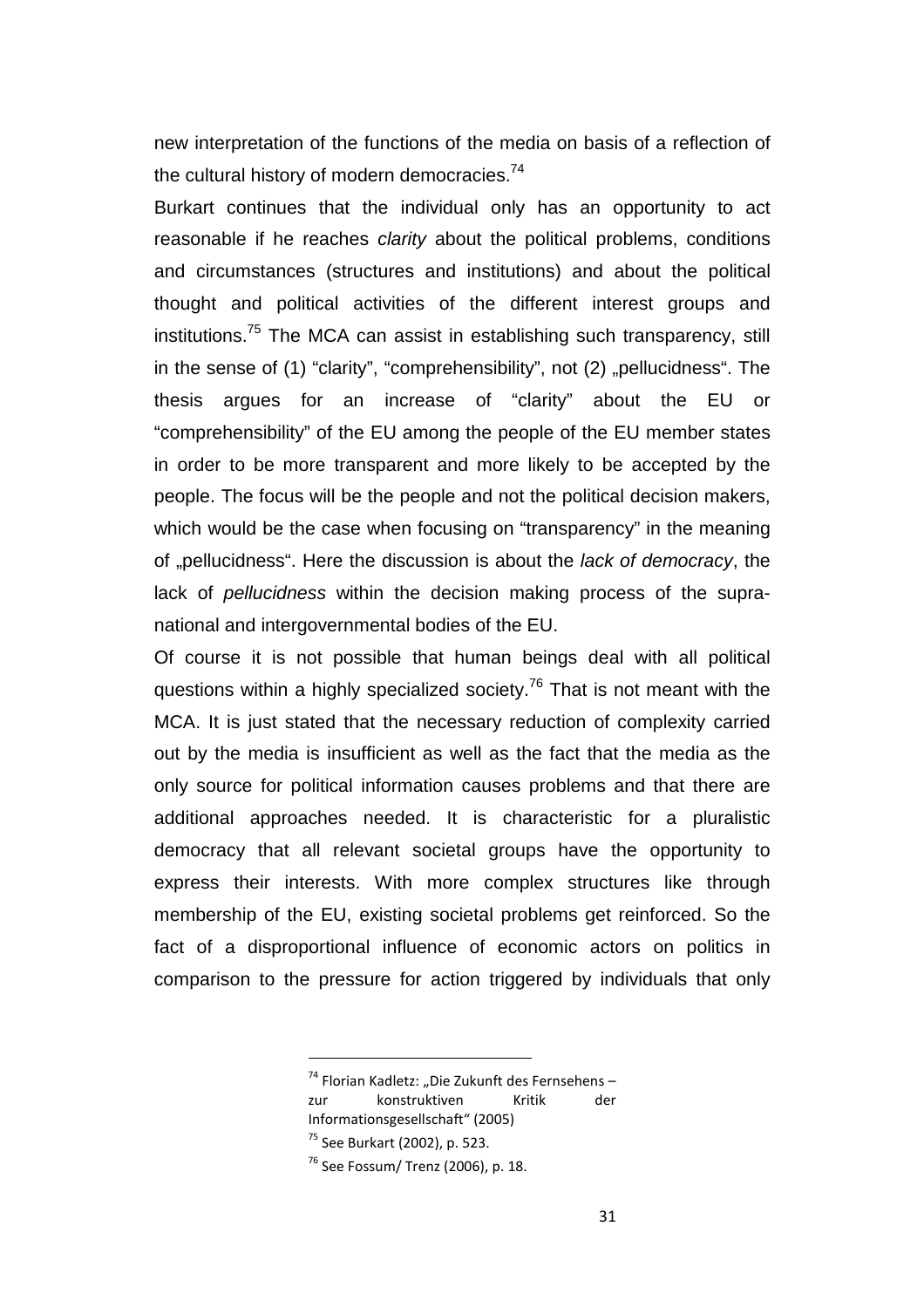new interpretation of the functions of the media on basis of a reflection of the cultural history of modern democracies.<sup>74</sup>

Burkart continues that the individual only has an opportunity to act reasonable if he reaches *clarity* about the political problems, conditions and circumstances (structures and institutions) and about the political thought and political activities of the different interest groups and institutions.<sup>75</sup> The MCA can assist in establishing such transparency, still in the sense of  $(1)$  "clarity", "comprehensibility", not  $(2)$  "pellucidness". The thesis argues for an increase of "clarity" about the EU or "comprehensibility" of the EU among the people of the EU member states in order to be more transparent and more likely to be accepted by the people. The focus will be the people and not the political decision makers, which would be the case when focusing on "transparency" in the meaning of "pellucidness". Here the discussion is about the lack of democracy, the lack of pellucidness within the decision making process of the supranational and intergovernmental bodies of the EU.

Of course it is not possible that human beings deal with all political questions within a highly specialized society.<sup>76</sup> That is not meant with the MCA. It is just stated that the necessary reduction of complexity carried out by the media is insufficient as well as the fact that the media as the only source for political information causes problems and that there are additional approaches needed. It is characteristic for a pluralistic democracy that all relevant societal groups have the opportunity to express their interests. With more complex structures like through membership of the EU, existing societal problems get reinforced. So the fact of a disproportional influence of economic actors on politics in comparison to the pressure for action triggered by individuals that only

 $74$  Florian Kadletz: "Die Zukunft des Fernsehens –

zur konstruktiven Kritik der Informationsgesellschaft" (2005)

<sup>75</sup> See Burkart (2002), p. 523.

 $76$  See Fossum/ Trenz (2006), p. 18.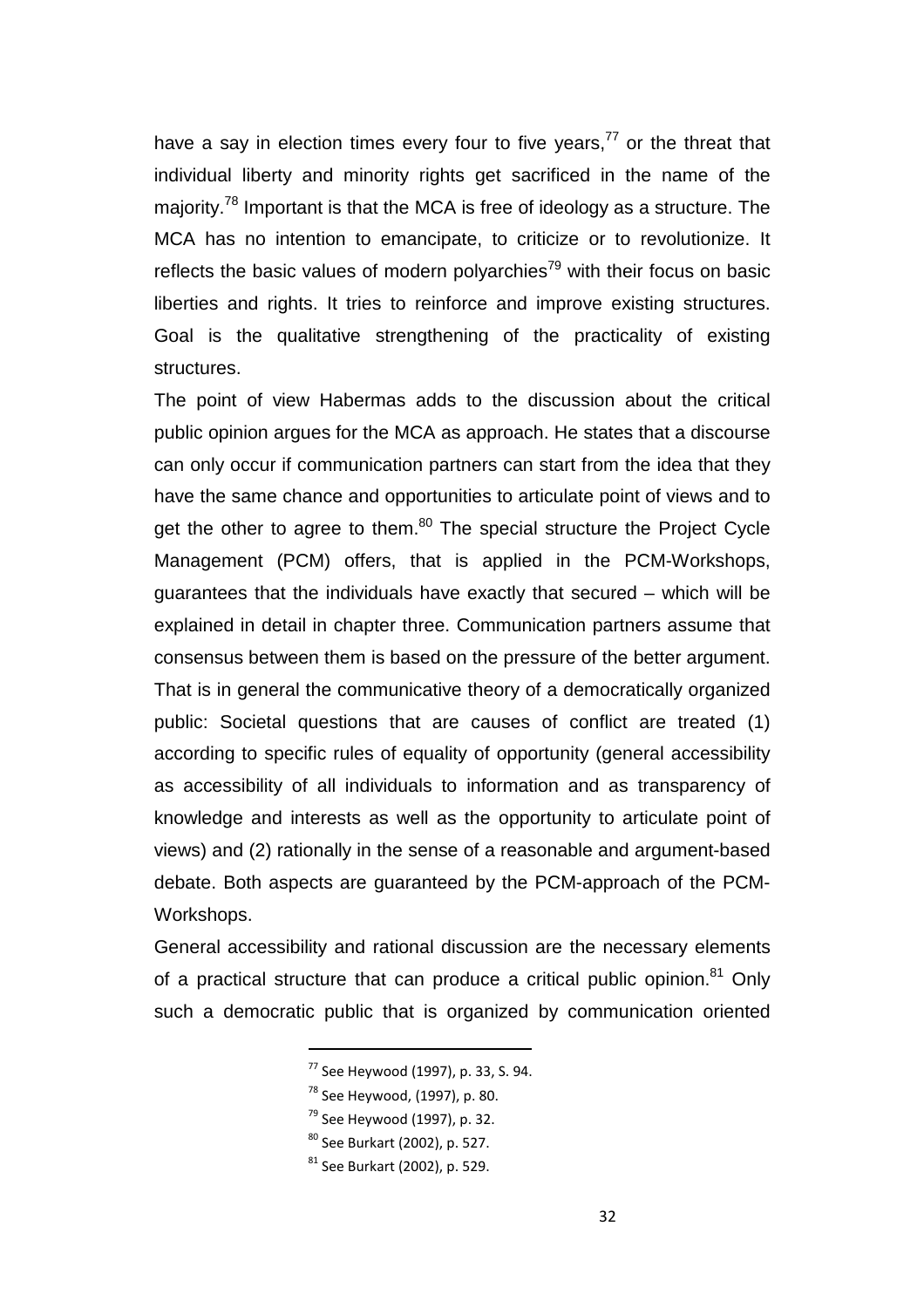have a say in election times every four to five years,<sup>77</sup> or the threat that individual liberty and minority rights get sacrificed in the name of the majority.<sup>78</sup> Important is that the MCA is free of ideology as a structure. The MCA has no intention to emancipate, to criticize or to revolutionize. It reflects the basic values of modern polyarchies<sup>79</sup> with their focus on basic liberties and rights. It tries to reinforce and improve existing structures. Goal is the qualitative strengthening of the practicality of existing structures.

The point of view Habermas adds to the discussion about the critical public opinion argues for the MCA as approach. He states that a discourse can only occur if communication partners can start from the idea that they have the same chance and opportunities to articulate point of views and to get the other to agree to them.<sup>80</sup> The special structure the Project Cycle Management (PCM) offers, that is applied in the PCM-Workshops, guarantees that the individuals have exactly that secured – which will be explained in detail in chapter three. Communication partners assume that consensus between them is based on the pressure of the better argument. That is in general the communicative theory of a democratically organized public: Societal questions that are causes of conflict are treated (1) according to specific rules of equality of opportunity (general accessibility as accessibility of all individuals to information and as transparency of knowledge and interests as well as the opportunity to articulate point of views) and (2) rationally in the sense of a reasonable and argument-based debate. Both aspects are guaranteed by the PCM-approach of the PCM-Workshops.

General accessibility and rational discussion are the necessary elements of a practical structure that can produce a critical public opinion.<sup>81</sup> Only such a democratic public that is organized by communication oriented

 $^{78}$  See Heywood, (1997), p. 80.

- $79$  See Heywood (1997), p. 32.
- <sup>80</sup> See Burkart (2002), p. 527.

<sup>77</sup> See Heywood (1997), p. 33, S. 94.

 $81$  See Burkart (2002), p. 529.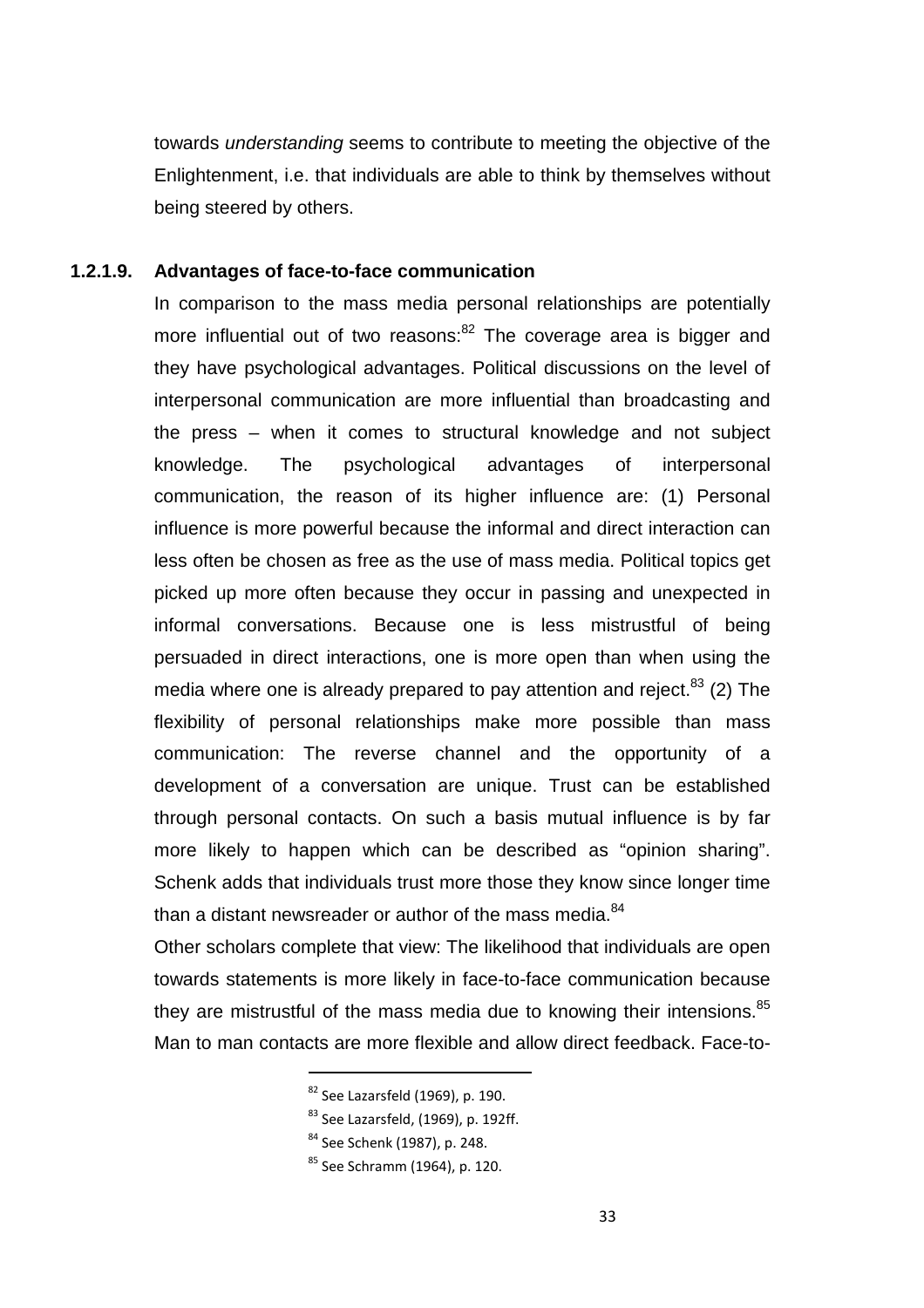towards understanding seems to contribute to meeting the objective of the Enlightenment, i.e. that individuals are able to think by themselves without being steered by others.

#### **1.2.1.9. Advantages of face-to-face communication**

In comparison to the mass media personal relationships are potentially more influential out of two reasons: $82$  The coverage area is bigger and they have psychological advantages. Political discussions on the level of interpersonal communication are more influential than broadcasting and the press – when it comes to structural knowledge and not subject knowledge. The psychological advantages of interpersonal communication, the reason of its higher influence are: (1) Personal influence is more powerful because the informal and direct interaction can less often be chosen as free as the use of mass media. Political topics get picked up more often because they occur in passing and unexpected in informal conversations. Because one is less mistrustful of being persuaded in direct interactions, one is more open than when using the media where one is already prepared to pay attention and reject. $83$  (2) The flexibility of personal relationships make more possible than mass communication: The reverse channel and the opportunity of a development of a conversation are unique. Trust can be established through personal contacts. On such a basis mutual influence is by far more likely to happen which can be described as "opinion sharing". Schenk adds that individuals trust more those they know since longer time than a distant newsreader or author of the mass media. $84$ 

Other scholars complete that view: The likelihood that individuals are open towards statements is more likely in face-to-face communication because they are mistrustful of the mass media due to knowing their intensions.<sup>85</sup> Man to man contacts are more flexible and allow direct feedback. Face-to-

 $83$  See Lazarsfeld, (1969), p. 192ff.

 $82$  See Lazarsfeld (1969), p. 190.

<sup>84</sup> See Schenk (1987), p. 248.

<sup>85</sup> See Schramm (1964), p. 120.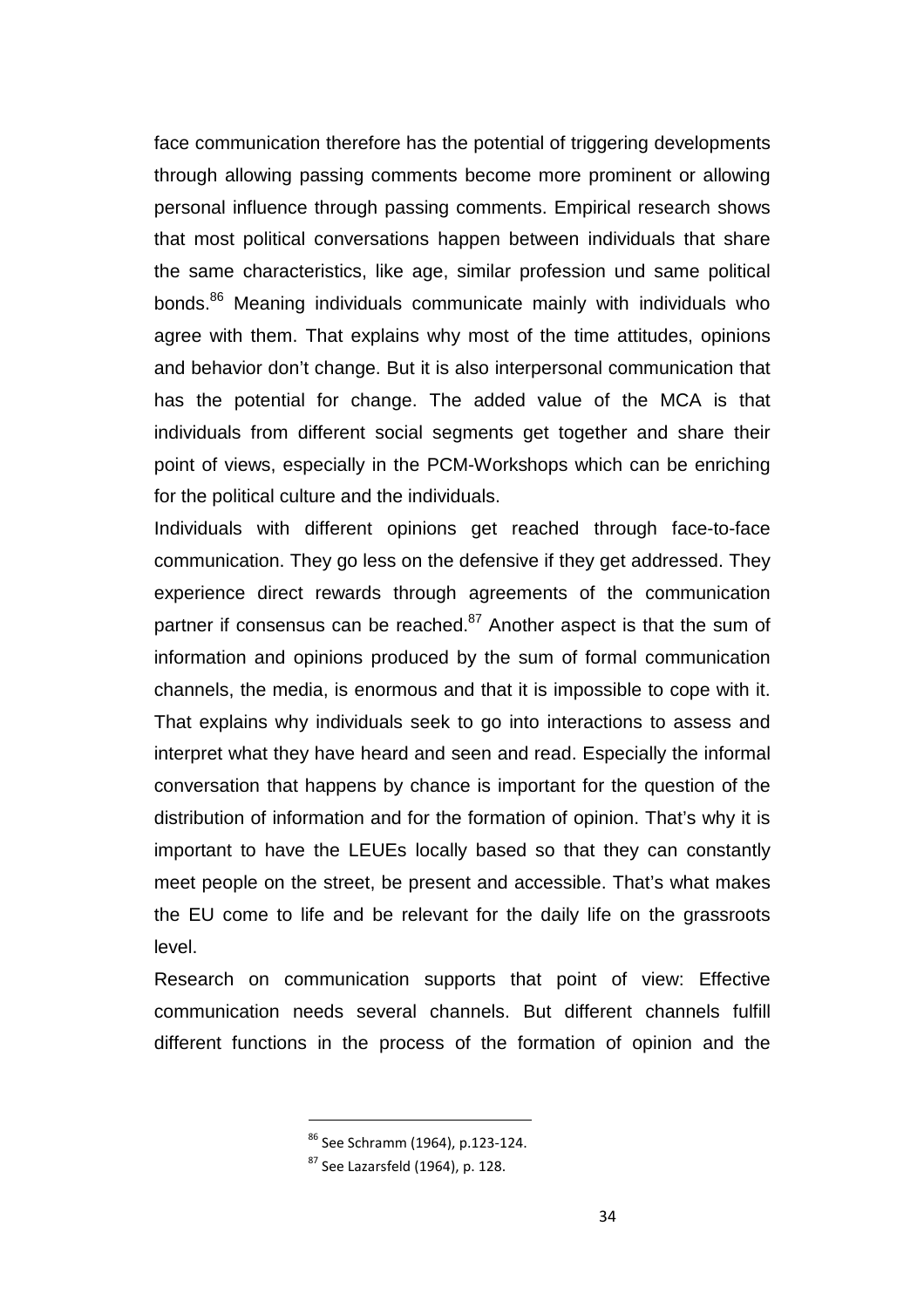face communication therefore has the potential of triggering developments through allowing passing comments become more prominent or allowing personal influence through passing comments. Empirical research shows that most political conversations happen between individuals that share the same characteristics, like age, similar profession und same political bonds.<sup>86</sup> Meaning individuals communicate mainly with individuals who agree with them. That explains why most of the time attitudes, opinions and behavior don't change. But it is also interpersonal communication that has the potential for change. The added value of the MCA is that individuals from different social segments get together and share their point of views, especially in the PCM-Workshops which can be enriching for the political culture and the individuals.

Individuals with different opinions get reached through face-to-face communication. They go less on the defensive if they get addressed. They experience direct rewards through agreements of the communication partner if consensus can be reached. $87$  Another aspect is that the sum of information and opinions produced by the sum of formal communication channels, the media, is enormous and that it is impossible to cope with it. That explains why individuals seek to go into interactions to assess and interpret what they have heard and seen and read. Especially the informal conversation that happens by chance is important for the question of the distribution of information and for the formation of opinion. That's why it is important to have the LEUEs locally based so that they can constantly meet people on the street, be present and accessible. That's what makes the EU come to life and be relevant for the daily life on the grassroots level.

Research on communication supports that point of view: Effective communication needs several channels. But different channels fulfill different functions in the process of the formation of opinion and the

<sup>86</sup> See Schramm (1964), p.123-124.

 $87$  See Lazarsfeld (1964), p. 128.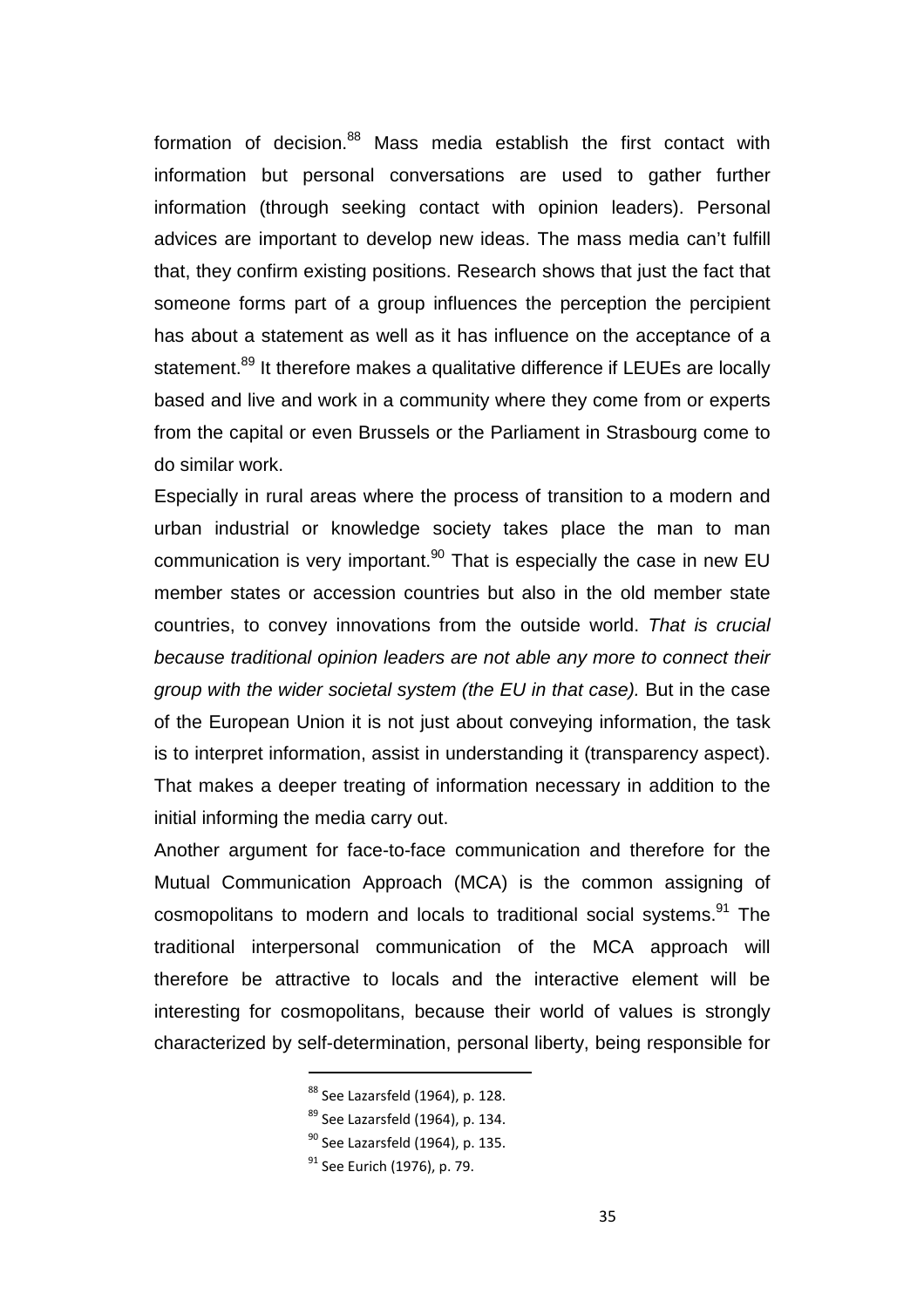formation of decision.<sup>88</sup> Mass media establish the first contact with information but personal conversations are used to gather further information (through seeking contact with opinion leaders). Personal advices are important to develop new ideas. The mass media can't fulfill that, they confirm existing positions. Research shows that just the fact that someone forms part of a group influences the perception the percipient has about a statement as well as it has influence on the acceptance of a statement.<sup>89</sup> It therefore makes a qualitative difference if LEUEs are locally based and live and work in a community where they come from or experts from the capital or even Brussels or the Parliament in Strasbourg come to do similar work.

Especially in rural areas where the process of transition to a modern and urban industrial or knowledge society takes place the man to man communication is very important. $90$  That is especially the case in new EU member states or accession countries but also in the old member state countries, to convey innovations from the outside world. That is crucial because traditional opinion leaders are not able any more to connect their group with the wider societal system (the EU in that case). But in the case of the European Union it is not just about conveying information, the task is to interpret information, assist in understanding it (transparency aspect). That makes a deeper treating of information necessary in addition to the initial informing the media carry out.

Another argument for face-to-face communication and therefore for the Mutual Communication Approach (MCA) is the common assigning of cosmopolitans to modern and locals to traditional social systems.<sup>91</sup> The traditional interpersonal communication of the MCA approach will therefore be attractive to locals and the interactive element will be interesting for cosmopolitans, because their world of values is strongly characterized by self-determination, personal liberty, being responsible for

<sup>88</sup> See Lazarsfeld (1964), p. 128.

 $89$  See Lazarsfeld (1964), p. 134.

 $90$  See Lazarsfeld (1964), p. 135.

 $91$  See Eurich (1976), p. 79.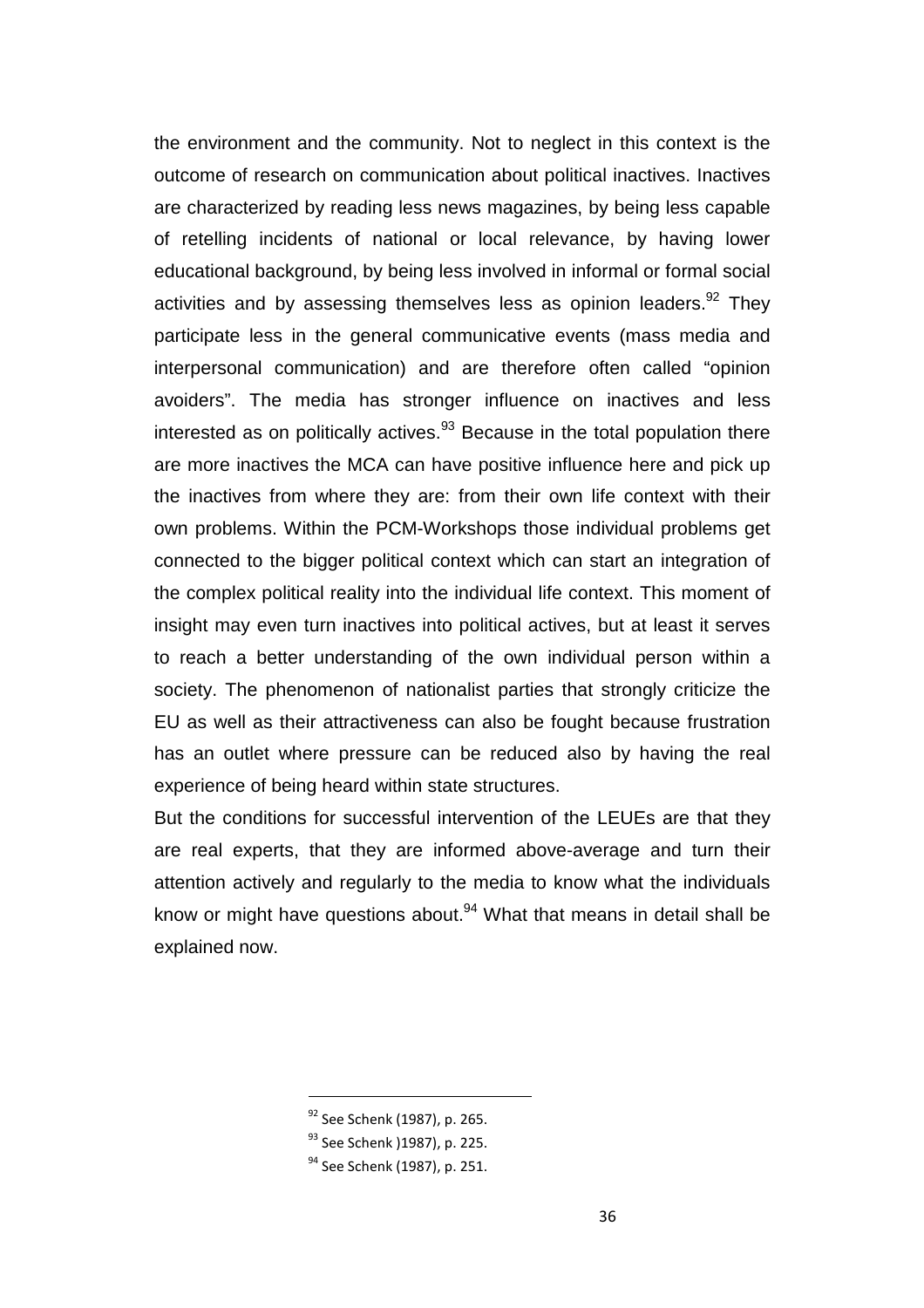the environment and the community. Not to neglect in this context is the outcome of research on communication about political inactives. Inactives are characterized by reading less news magazines, by being less capable of retelling incidents of national or local relevance, by having lower educational background, by being less involved in informal or formal social activities and by assessing themselves less as opinion leaders.  $92$  They participate less in the general communicative events (mass media and interpersonal communication) and are therefore often called "opinion avoiders". The media has stronger influence on inactives and less interested as on politically actives. $93$  Because in the total population there are more inactives the MCA can have positive influence here and pick up the inactives from where they are: from their own life context with their own problems. Within the PCM-Workshops those individual problems get connected to the bigger political context which can start an integration of the complex political reality into the individual life context. This moment of insight may even turn inactives into political actives, but at least it serves to reach a better understanding of the own individual person within a society. The phenomenon of nationalist parties that strongly criticize the EU as well as their attractiveness can also be fought because frustration has an outlet where pressure can be reduced also by having the real experience of being heard within state structures.

But the conditions for successful intervention of the LEUEs are that they are real experts, that they are informed above-average and turn their attention actively and regularly to the media to know what the individuals know or might have questions about.<sup>94</sup> What that means in detail shall be explained now.

<sup>92</sup> See Schenk (1987), p. 265.

<sup>93</sup> See Schenk ) 1987), p. 225.

<sup>&</sup>lt;sup>94</sup> See Schenk (1987), p. 251.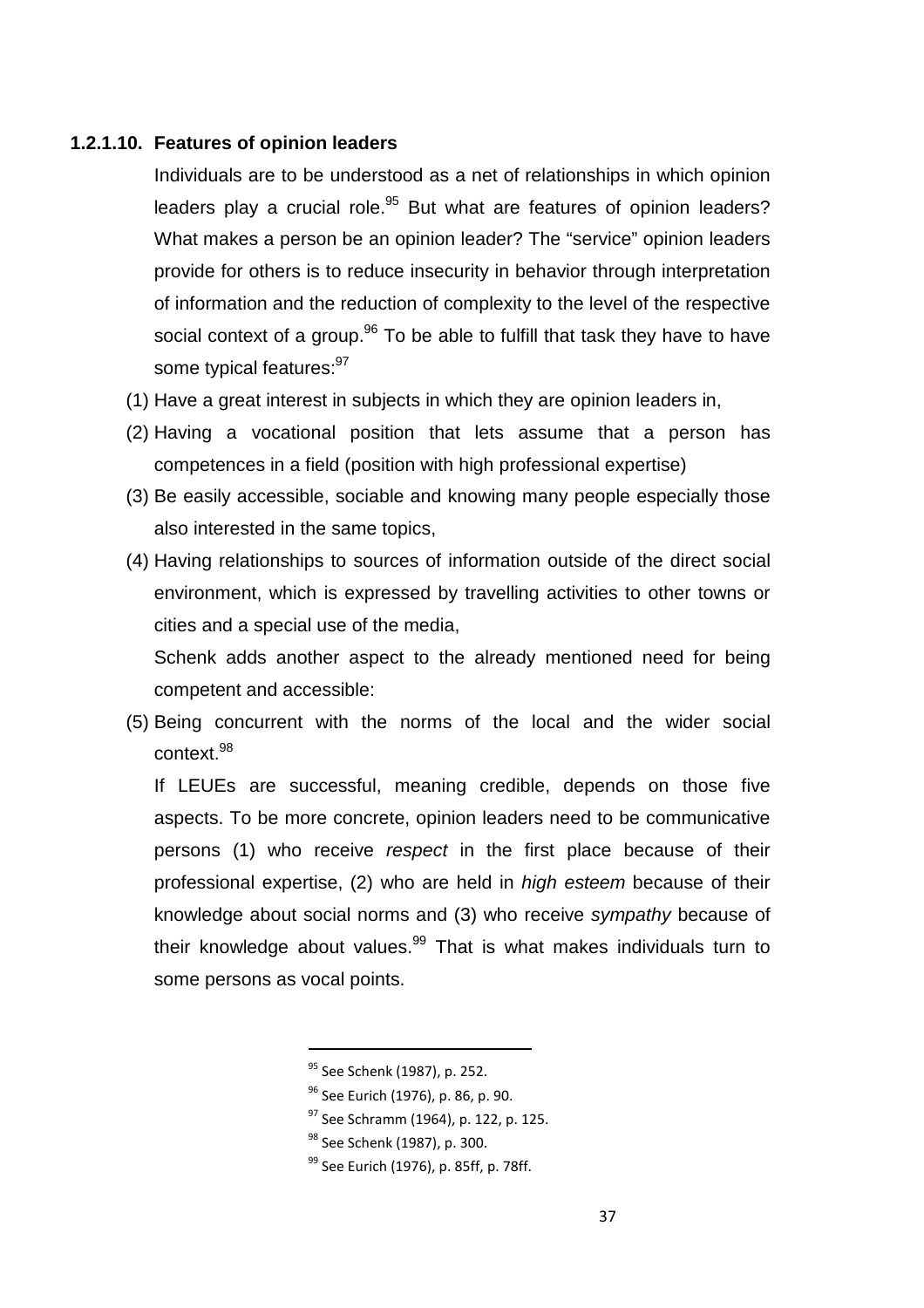### **1.2.1.10. Features of opinion leaders**

Individuals are to be understood as a net of relationships in which opinion leaders play a crucial role. $95$  But what are features of opinion leaders? What makes a person be an opinion leader? The "service" opinion leaders provide for others is to reduce insecurity in behavior through interpretation of information and the reduction of complexity to the level of the respective social context of a group.<sup>96</sup> To be able to fulfill that task they have to have some typical features: 97

- (1) Have a great interest in subjects in which they are opinion leaders in,
- (2) Having a vocational position that lets assume that a person has competences in a field (position with high professional expertise)
- (3) Be easily accessible, sociable and knowing many people especially those also interested in the same topics,
- (4) Having relationships to sources of information outside of the direct social environment, which is expressed by travelling activities to other towns or cities and a special use of the media,

Schenk adds another aspect to the already mentioned need for being competent and accessible:

(5) Being concurrent with the norms of the local and the wider social context.<sup>98</sup>

If LEUEs are successful, meaning credible, depends on those five aspects. To be more concrete, opinion leaders need to be communicative persons (1) who receive respect in the first place because of their professional expertise, (2) who are held in high esteem because of their knowledge about social norms and (3) who receive sympathy because of their knowledge about values.<sup>99</sup> That is what makes individuals turn to some persons as vocal points.

<sup>95</sup> See Schenk (1987), p. 252.

<sup>&</sup>lt;sup>96</sup> See Eurich (1976), p. 86, p. 90.

<sup>&</sup>lt;sup>97</sup> See Schramm (1964), p. 122, p. 125.

<sup>&</sup>lt;sup>98</sup> See Schenk (1987), p. 300.

<sup>&</sup>lt;sup>99</sup> See Eurich (1976), p. 85ff, p. 78ff.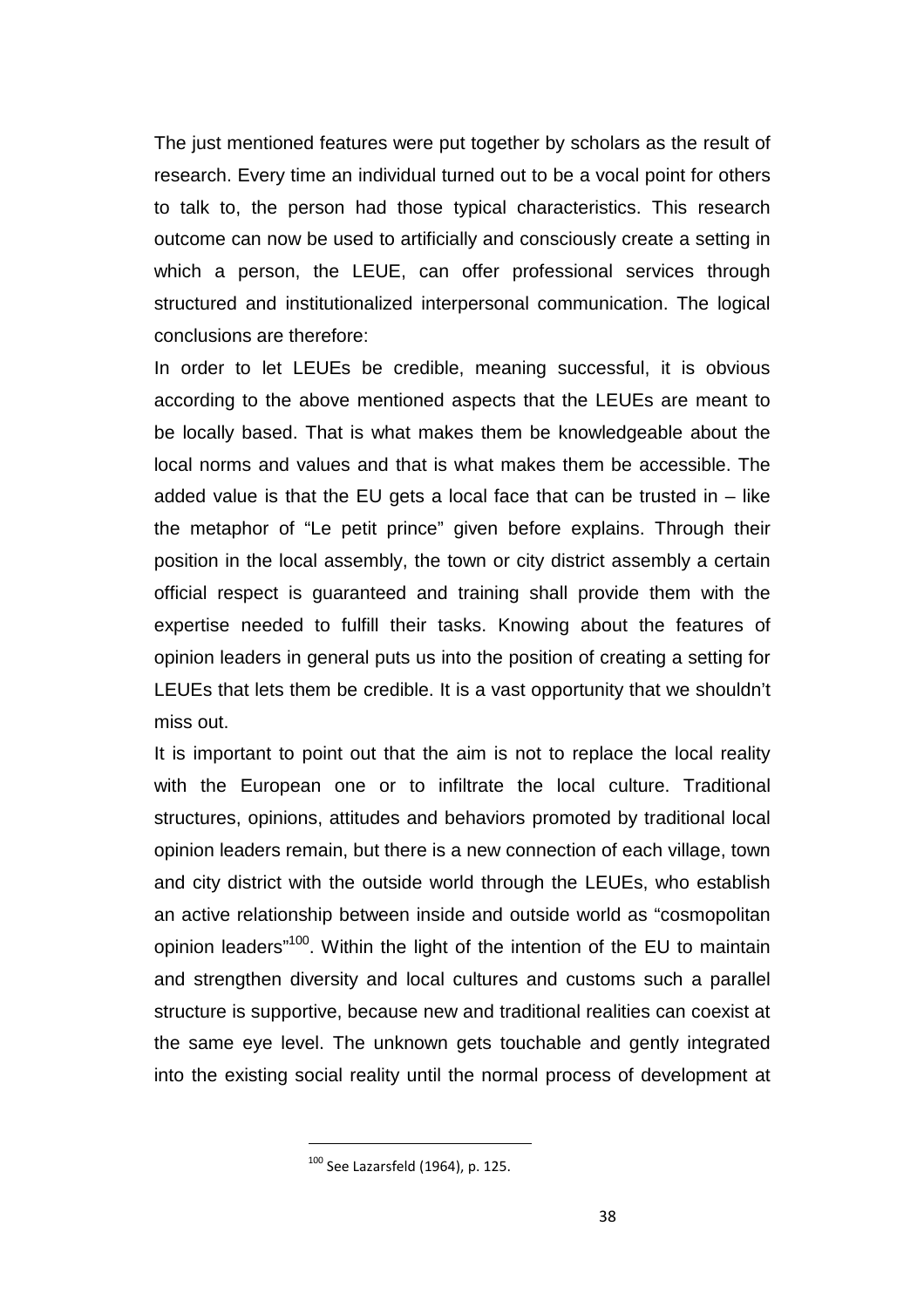The just mentioned features were put together by scholars as the result of research. Every time an individual turned out to be a vocal point for others to talk to, the person had those typical characteristics. This research outcome can now be used to artificially and consciously create a setting in which a person, the LEUE, can offer professional services through structured and institutionalized interpersonal communication. The logical conclusions are therefore:

In order to let LEUEs be credible, meaning successful, it is obvious according to the above mentioned aspects that the LEUEs are meant to be locally based. That is what makes them be knowledgeable about the local norms and values and that is what makes them be accessible. The added value is that the EU gets a local face that can be trusted in  $-$  like the metaphor of "Le petit prince" given before explains. Through their position in the local assembly, the town or city district assembly a certain official respect is guaranteed and training shall provide them with the expertise needed to fulfill their tasks. Knowing about the features of opinion leaders in general puts us into the position of creating a setting for LEUEs that lets them be credible. It is a vast opportunity that we shouldn't miss out.

It is important to point out that the aim is not to replace the local reality with the European one or to infiltrate the local culture. Traditional structures, opinions, attitudes and behaviors promoted by traditional local opinion leaders remain, but there is a new connection of each village, town and city district with the outside world through the LEUEs, who establish an active relationship between inside and outside world as "cosmopolitan opinion leaders"<sup>100</sup>. Within the light of the intention of the EU to maintain and strengthen diversity and local cultures and customs such a parallel structure is supportive, because new and traditional realities can coexist at the same eye level. The unknown gets touchable and gently integrated into the existing social reality until the normal process of development at

 $100$  See Lazarsfeld (1964), p. 125.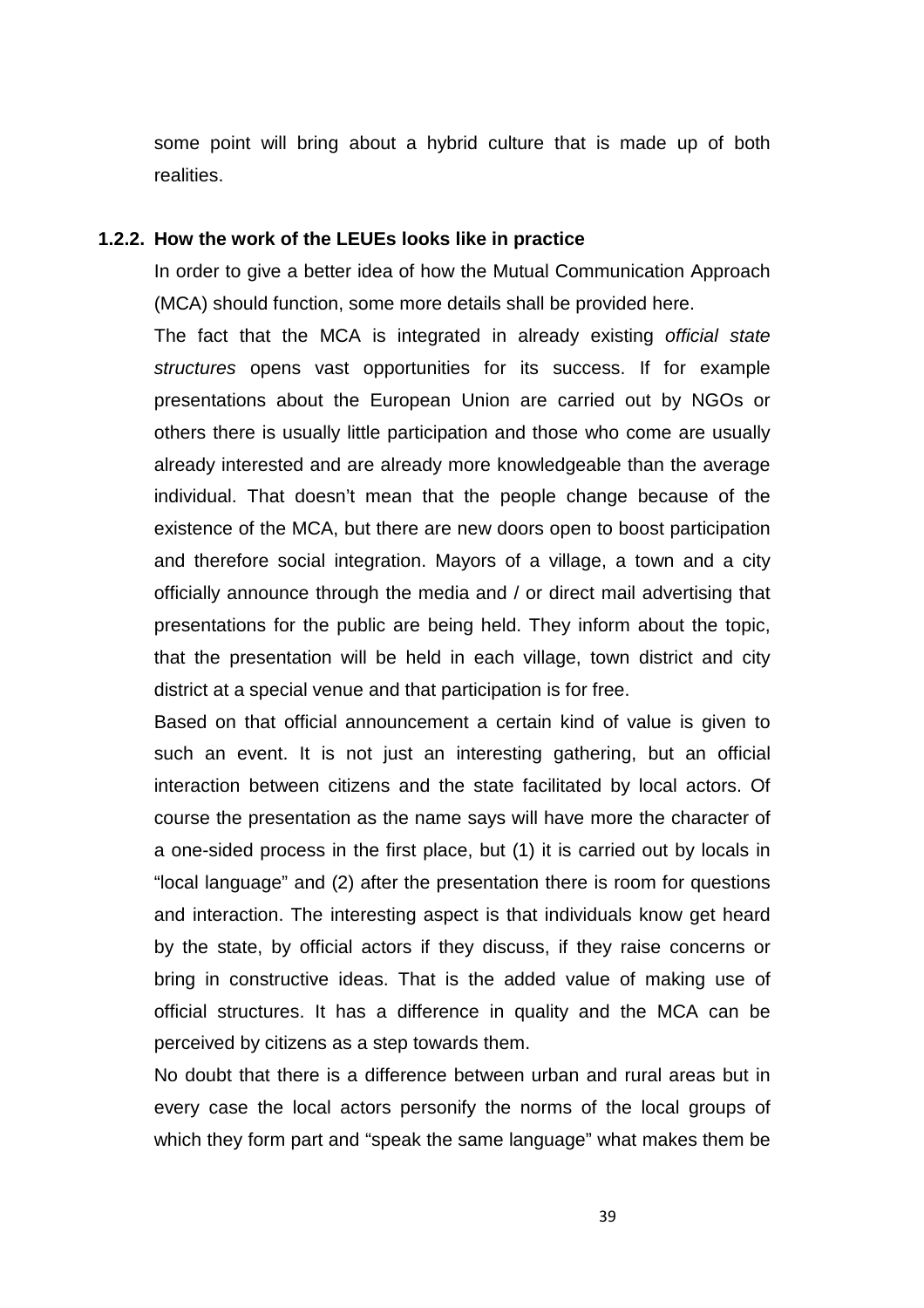some point will bring about a hybrid culture that is made up of both realities.

#### **1.2.2. How the work of the LEUEs looks like in practice**

In order to give a better idea of how the Mutual Communication Approach (MCA) should function, some more details shall be provided here.

The fact that the MCA is integrated in already existing official state structures opens vast opportunities for its success. If for example presentations about the European Union are carried out by NGOs or others there is usually little participation and those who come are usually already interested and are already more knowledgeable than the average individual. That doesn't mean that the people change because of the existence of the MCA, but there are new doors open to boost participation and therefore social integration. Mayors of a village, a town and a city officially announce through the media and / or direct mail advertising that presentations for the public are being held. They inform about the topic, that the presentation will be held in each village, town district and city district at a special venue and that participation is for free.

Based on that official announcement a certain kind of value is given to such an event. It is not just an interesting gathering, but an official interaction between citizens and the state facilitated by local actors. Of course the presentation as the name says will have more the character of a one-sided process in the first place, but (1) it is carried out by locals in "local language" and (2) after the presentation there is room for questions and interaction. The interesting aspect is that individuals know get heard by the state, by official actors if they discuss, if they raise concerns or bring in constructive ideas. That is the added value of making use of official structures. It has a difference in quality and the MCA can be perceived by citizens as a step towards them.

No doubt that there is a difference between urban and rural areas but in every case the local actors personify the norms of the local groups of which they form part and "speak the same language" what makes them be

39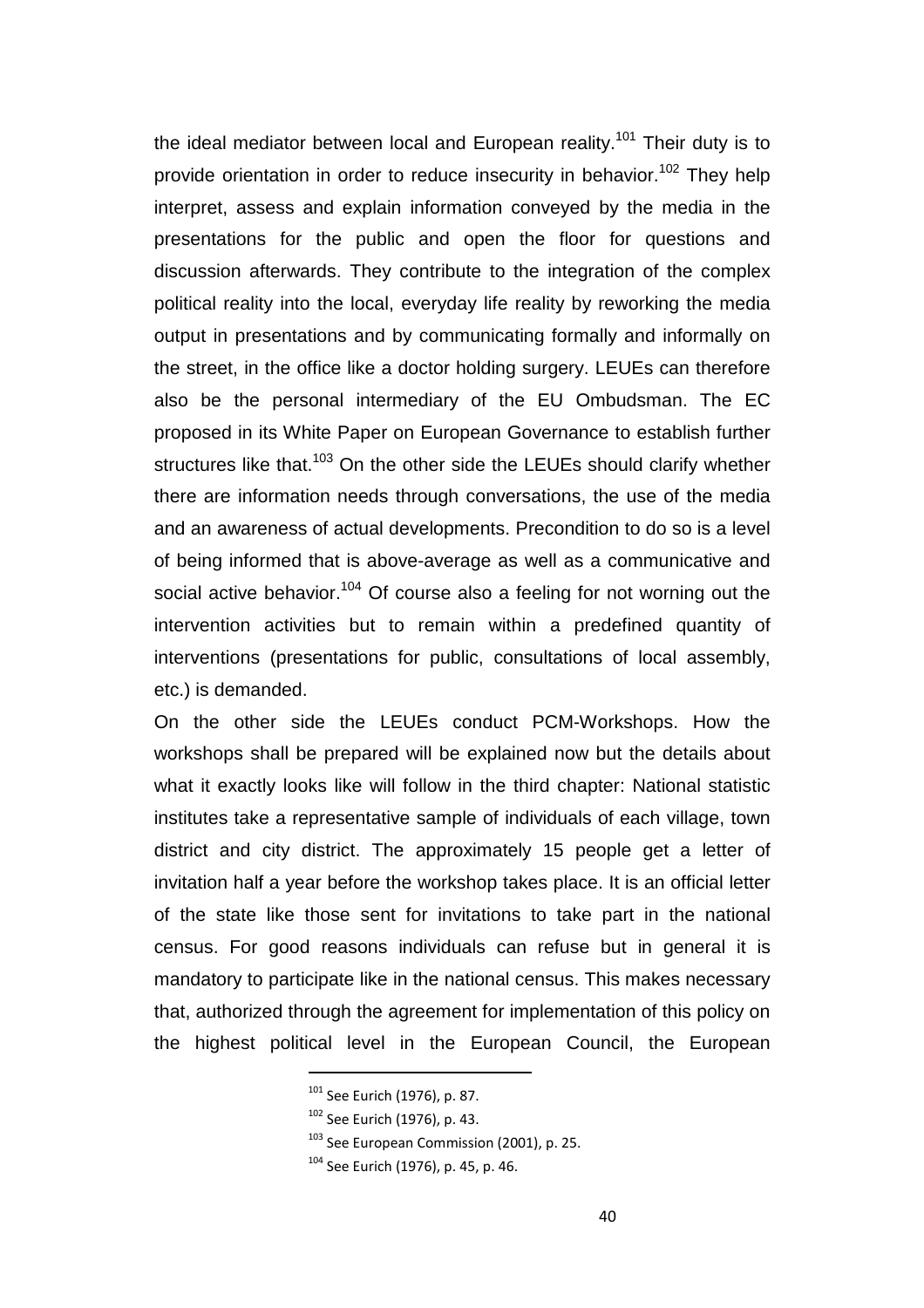the ideal mediator between local and European reality.<sup>101</sup> Their duty is to provide orientation in order to reduce insecurity in behavior.<sup>102</sup> They help interpret, assess and explain information conveyed by the media in the presentations for the public and open the floor for questions and discussion afterwards. They contribute to the integration of the complex political reality into the local, everyday life reality by reworking the media output in presentations and by communicating formally and informally on the street, in the office like a doctor holding surgery. LEUEs can therefore also be the personal intermediary of the EU Ombudsman. The EC proposed in its White Paper on European Governance to establish further structures like that.<sup>103</sup> On the other side the LEUEs should clarify whether there are information needs through conversations, the use of the media and an awareness of actual developments. Precondition to do so is a level of being informed that is above-average as well as a communicative and social active behavior.<sup>104</sup> Of course also a feeling for not worning out the intervention activities but to remain within a predefined quantity of interventions (presentations for public, consultations of local assembly, etc.) is demanded.

On the other side the LEUEs conduct PCM-Workshops. How the workshops shall be prepared will be explained now but the details about what it exactly looks like will follow in the third chapter: National statistic institutes take a representative sample of individuals of each village, town district and city district. The approximately 15 people get a letter of invitation half a year before the workshop takes place. It is an official letter of the state like those sent for invitations to take part in the national census. For good reasons individuals can refuse but in general it is mandatory to participate like in the national census. This makes necessary that, authorized through the agreement for implementation of this policy on the highest political level in the European Council, the European

<sup>&</sup>lt;sup>101</sup> See Eurich (1976), p. 87.

<sup>102</sup> See Eurich (1976), p. 43.

<sup>&</sup>lt;sup>103</sup> See European Commission (2001), p. 25.

<sup>104</sup> See Eurich (1976), p. 45, p. 46.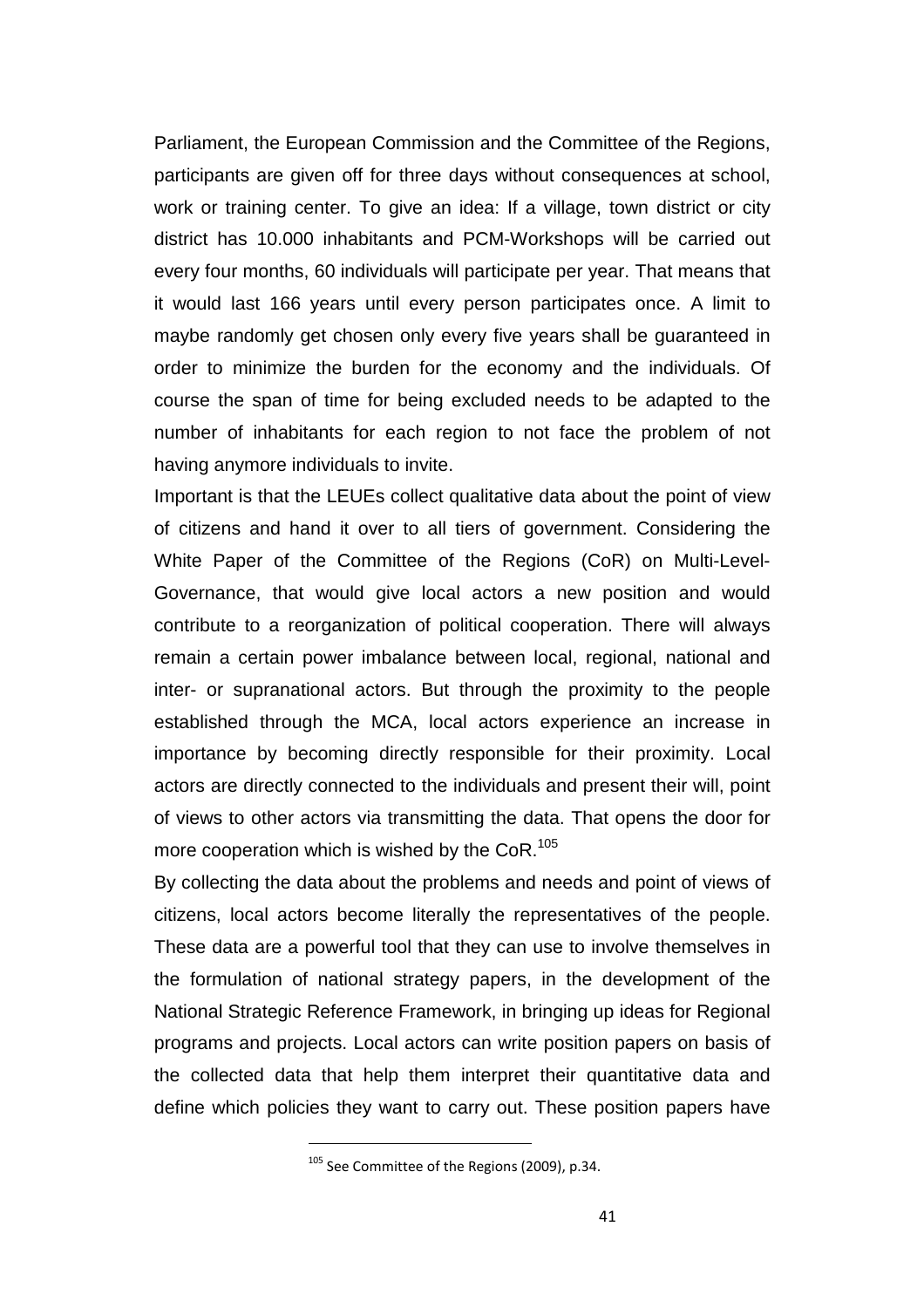Parliament, the European Commission and the Committee of the Regions, participants are given off for three days without consequences at school, work or training center. To give an idea: If a village, town district or city district has 10.000 inhabitants and PCM-Workshops will be carried out every four months, 60 individuals will participate per year. That means that it would last 166 years until every person participates once. A limit to maybe randomly get chosen only every five years shall be guaranteed in order to minimize the burden for the economy and the individuals. Of course the span of time for being excluded needs to be adapted to the number of inhabitants for each region to not face the problem of not having anymore individuals to invite.

Important is that the LEUEs collect qualitative data about the point of view of citizens and hand it over to all tiers of government. Considering the White Paper of the Committee of the Regions (CoR) on Multi-Level-Governance, that would give local actors a new position and would contribute to a reorganization of political cooperation. There will always remain a certain power imbalance between local, regional, national and inter- or supranational actors. But through the proximity to the people established through the MCA, local actors experience an increase in importance by becoming directly responsible for their proximity. Local actors are directly connected to the individuals and present their will, point of views to other actors via transmitting the data. That opens the door for more cooperation which is wished by the  $CoR.<sup>105</sup>$ 

By collecting the data about the problems and needs and point of views of citizens, local actors become literally the representatives of the people. These data are a powerful tool that they can use to involve themselves in the formulation of national strategy papers, in the development of the National Strategic Reference Framework, in bringing up ideas for Regional programs and projects. Local actors can write position papers on basis of the collected data that help them interpret their quantitative data and define which policies they want to carry out. These position papers have

<sup>105</sup> See Committee of the Regions (2009), p.34.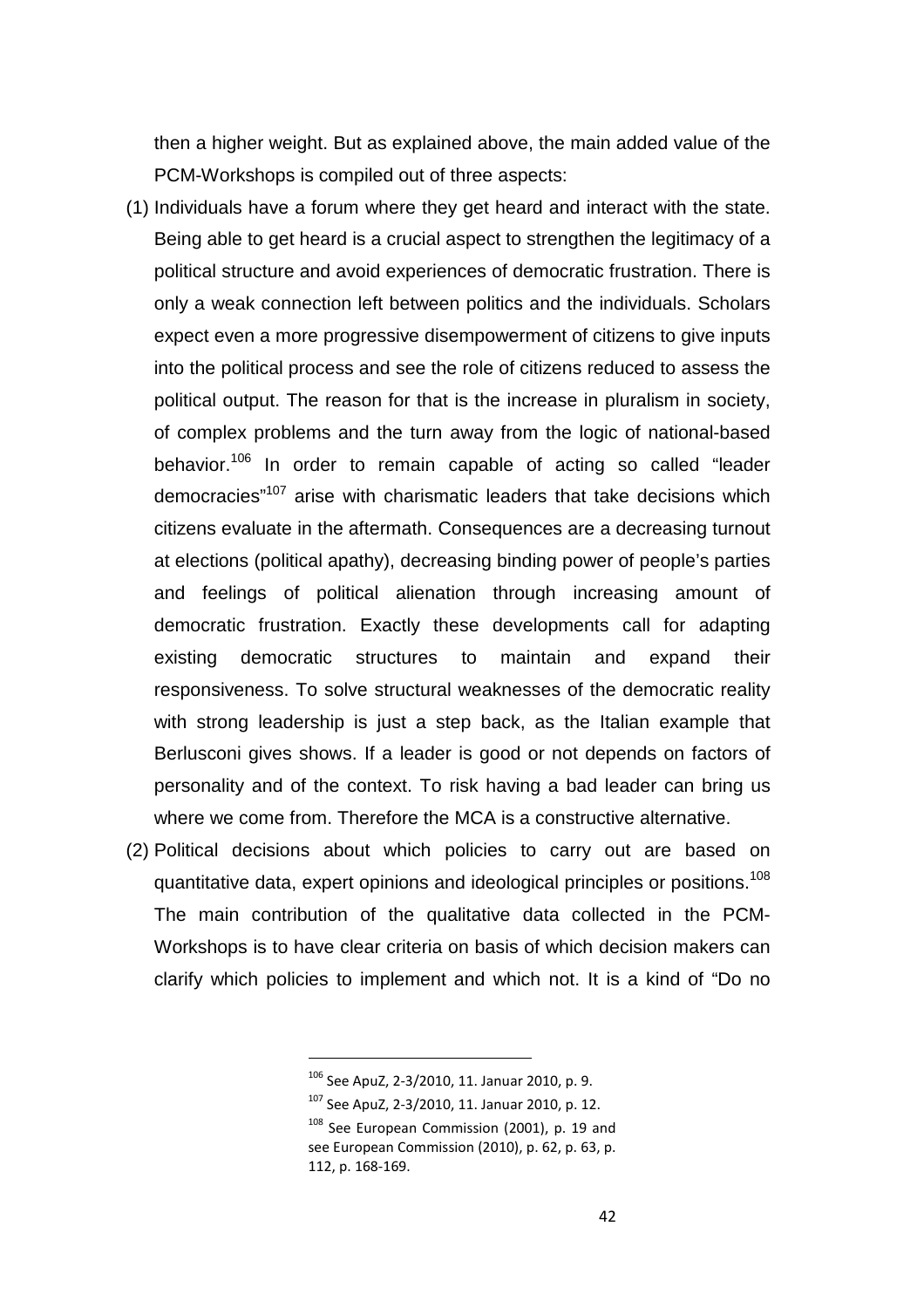then a higher weight. But as explained above, the main added value of the PCM-Workshops is compiled out of three aspects:

- (1) Individuals have a forum where they get heard and interact with the state. Being able to get heard is a crucial aspect to strengthen the legitimacy of a political structure and avoid experiences of democratic frustration. There is only a weak connection left between politics and the individuals. Scholars expect even a more progressive disempowerment of citizens to give inputs into the political process and see the role of citizens reduced to assess the political output. The reason for that is the increase in pluralism in society, of complex problems and the turn away from the logic of national-based behavior.<sup>106</sup> In order to remain capable of acting so called "leader democracies<sup>"107</sup> arise with charismatic leaders that take decisions which citizens evaluate in the aftermath. Consequences are a decreasing turnout at elections (political apathy), decreasing binding power of people's parties and feelings of political alienation through increasing amount of democratic frustration. Exactly these developments call for adapting existing democratic structures to maintain and expand their responsiveness. To solve structural weaknesses of the democratic reality with strong leadership is just a step back, as the Italian example that Berlusconi gives shows. If a leader is good or not depends on factors of personality and of the context. To risk having a bad leader can bring us where we come from. Therefore the MCA is a constructive alternative.
- (2) Political decisions about which policies to carry out are based on quantitative data, expert opinions and ideological principles or positions.<sup>108</sup> The main contribution of the qualitative data collected in the PCM-Workshops is to have clear criteria on basis of which decision makers can clarify which policies to implement and which not. It is a kind of "Do no

<sup>106</sup> See ApuZ, 2-3/2010, 11. Januar 2010, p. 9.

<sup>107</sup> See ApuZ, 2-3/2010, 11. Januar 2010, p. 12.

<sup>&</sup>lt;sup>108</sup> See European Commission (2001), p. 19 and see European Commission (2010), p. 62, p. 63, p. 112, p. 168-169.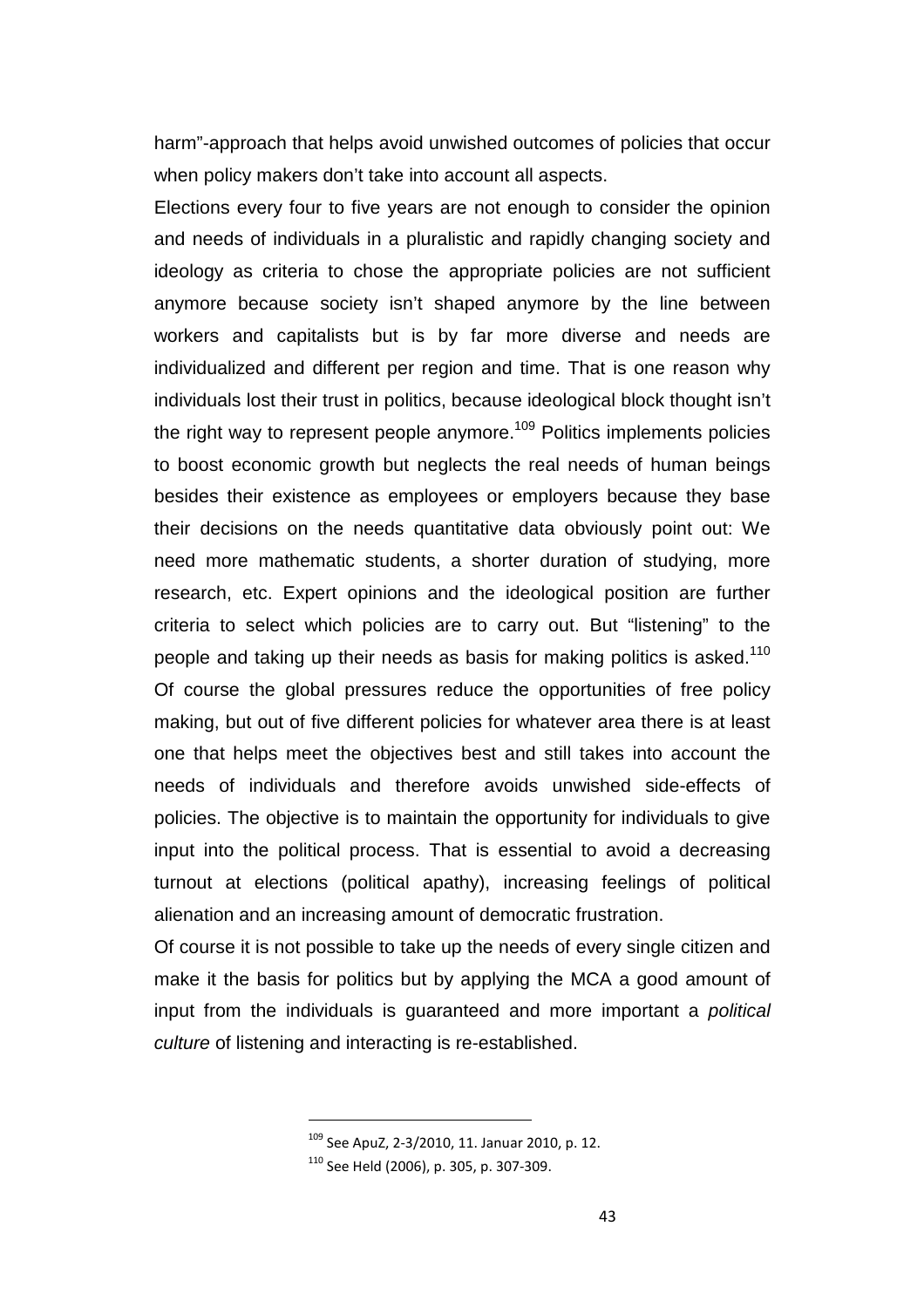harm"-approach that helps avoid unwished outcomes of policies that occur when policy makers don't take into account all aspects.

Elections every four to five years are not enough to consider the opinion and needs of individuals in a pluralistic and rapidly changing society and ideology as criteria to chose the appropriate policies are not sufficient anymore because society isn't shaped anymore by the line between workers and capitalists but is by far more diverse and needs are individualized and different per region and time. That is one reason why individuals lost their trust in politics, because ideological block thought isn't the right way to represent people anymore.<sup>109</sup> Politics implements policies to boost economic growth but neglects the real needs of human beings besides their existence as employees or employers because they base their decisions on the needs quantitative data obviously point out: We need more mathematic students, a shorter duration of studying, more research, etc. Expert opinions and the ideological position are further criteria to select which policies are to carry out. But "listening" to the people and taking up their needs as basis for making politics is asked.<sup>110</sup> Of course the global pressures reduce the opportunities of free policy making, but out of five different policies for whatever area there is at least one that helps meet the objectives best and still takes into account the needs of individuals and therefore avoids unwished side-effects of policies. The objective is to maintain the opportunity for individuals to give input into the political process. That is essential to avoid a decreasing turnout at elections (political apathy), increasing feelings of political alienation and an increasing amount of democratic frustration.

Of course it is not possible to take up the needs of every single citizen and make it the basis for politics but by applying the MCA a good amount of input from the individuals is guaranteed and more important a political culture of listening and interacting is re-established.

<sup>109</sup> See ApuZ, 2-3/2010, 11. Januar 2010, p. 12.

<sup>110</sup> See Held (2006), p. 305, p. 307-309.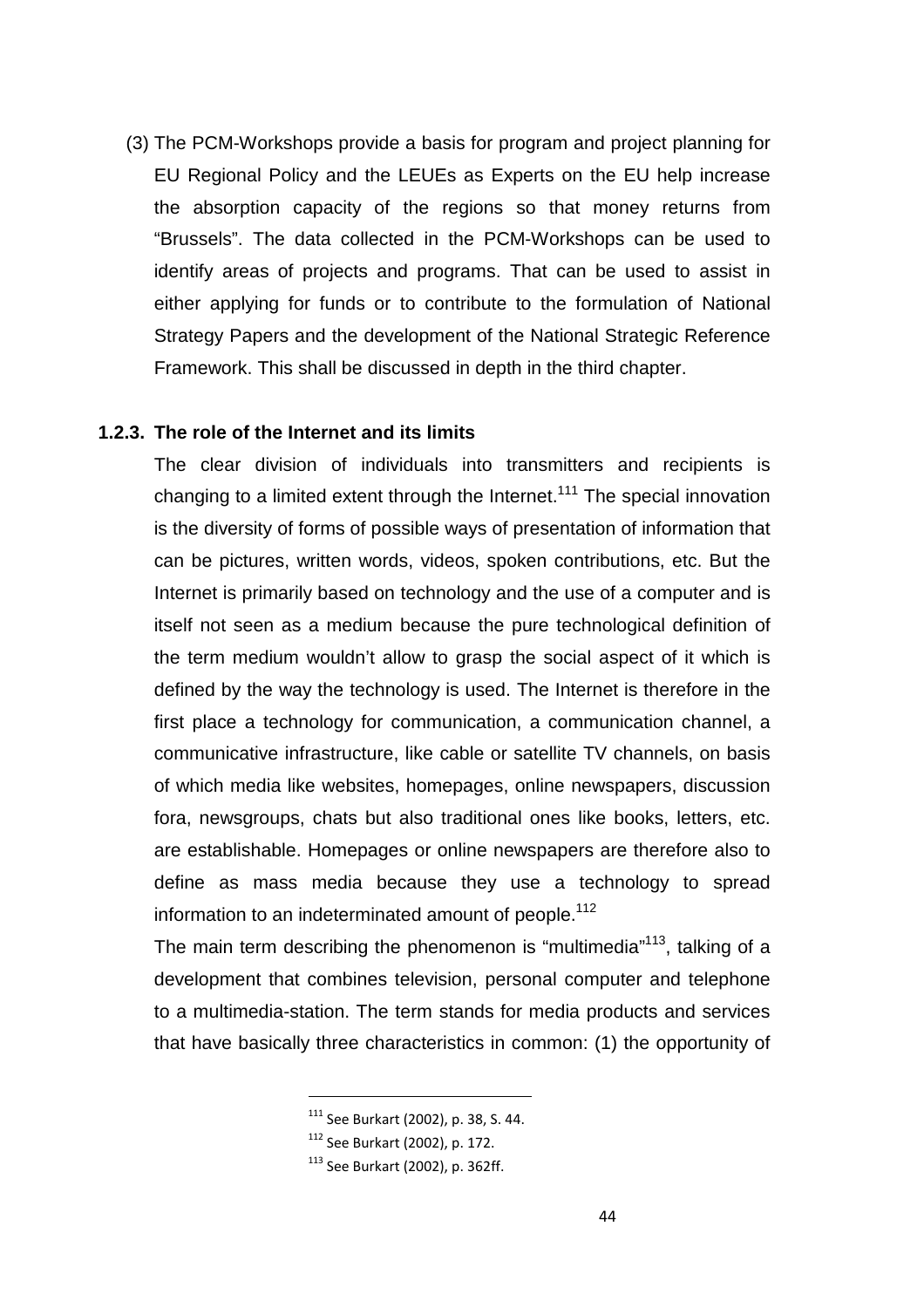(3) The PCM-Workshops provide a basis for program and project planning for EU Regional Policy and the LEUEs as Experts on the EU help increase the absorption capacity of the regions so that money returns from "Brussels". The data collected in the PCM-Workshops can be used to identify areas of projects and programs. That can be used to assist in either applying for funds or to contribute to the formulation of National Strategy Papers and the development of the National Strategic Reference Framework. This shall be discussed in depth in the third chapter.

### **1.2.3. The role of the Internet and its limits**

The clear division of individuals into transmitters and recipients is changing to a limited extent through the Internet.<sup>111</sup> The special innovation is the diversity of forms of possible ways of presentation of information that can be pictures, written words, videos, spoken contributions, etc. But the Internet is primarily based on technology and the use of a computer and is itself not seen as a medium because the pure technological definition of the term medium wouldn't allow to grasp the social aspect of it which is defined by the way the technology is used. The Internet is therefore in the first place a technology for communication, a communication channel, a communicative infrastructure, like cable or satellite TV channels, on basis of which media like websites, homepages, online newspapers, discussion fora, newsgroups, chats but also traditional ones like books, letters, etc. are establishable. Homepages or online newspapers are therefore also to define as mass media because they use a technology to spread information to an indeterminated amount of people.<sup>112</sup>

The main term describing the phenomenon is "multimedia"<sup>113</sup>, talking of a development that combines television, personal computer and telephone to a multimedia-station. The term stands for media products and services that have basically three characteristics in common: (1) the opportunity of

<sup>111</sup> See Burkart (2002), p. 38, S. 44.

<sup>112</sup> See Burkart (2002), p. 172.

<sup>113</sup> See Burkart (2002), p. 362ff.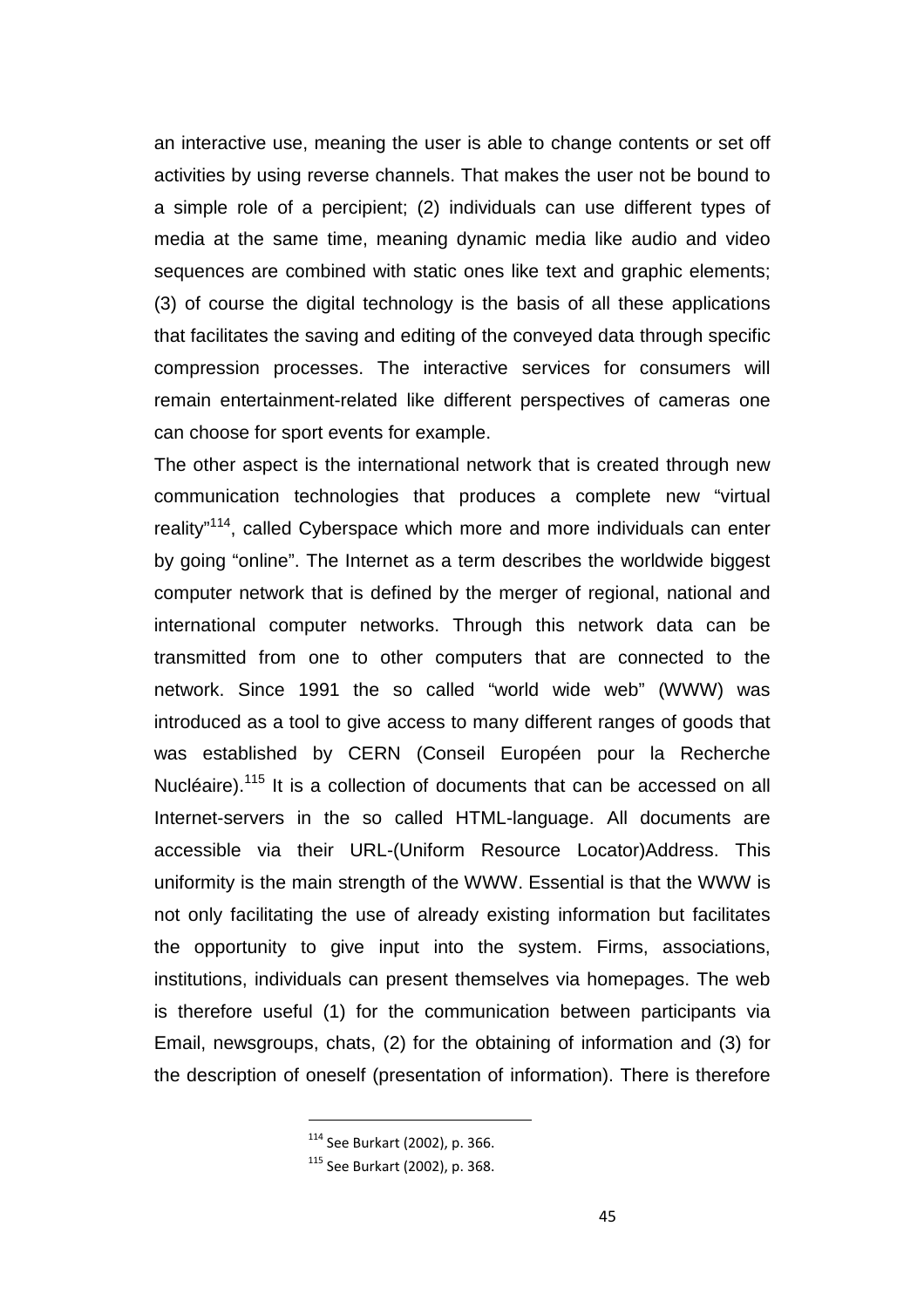an interactive use, meaning the user is able to change contents or set off activities by using reverse channels. That makes the user not be bound to a simple role of a percipient; (2) individuals can use different types of media at the same time, meaning dynamic media like audio and video sequences are combined with static ones like text and graphic elements; (3) of course the digital technology is the basis of all these applications that facilitates the saving and editing of the conveyed data through specific compression processes. The interactive services for consumers will remain entertainment-related like different perspectives of cameras one can choose for sport events for example.

The other aspect is the international network that is created through new communication technologies that produces a complete new "virtual reality"<sup>114</sup>, called Cyberspace which more and more individuals can enter by going "online". The Internet as a term describes the worldwide biggest computer network that is defined by the merger of regional, national and international computer networks. Through this network data can be transmitted from one to other computers that are connected to the network. Since 1991 the so called "world wide web" (WWW) was introduced as a tool to give access to many different ranges of goods that was established by CERN (Conseil Européen pour la Recherche Nucléaire).<sup>115</sup> It is a collection of documents that can be accessed on all Internet-servers in the so called HTML-language. All documents are accessible via their URL-(Uniform Resource Locator)Address. This uniformity is the main strength of the WWW. Essential is that the WWW is not only facilitating the use of already existing information but facilitates the opportunity to give input into the system. Firms, associations, institutions, individuals can present themselves via homepages. The web is therefore useful (1) for the communication between participants via Email, newsgroups, chats, (2) for the obtaining of information and (3) for the description of oneself (presentation of information). There is therefore

<sup>114</sup> See Burkart (2002), p. 366.

<sup>115</sup> See Burkart (2002), p. 368.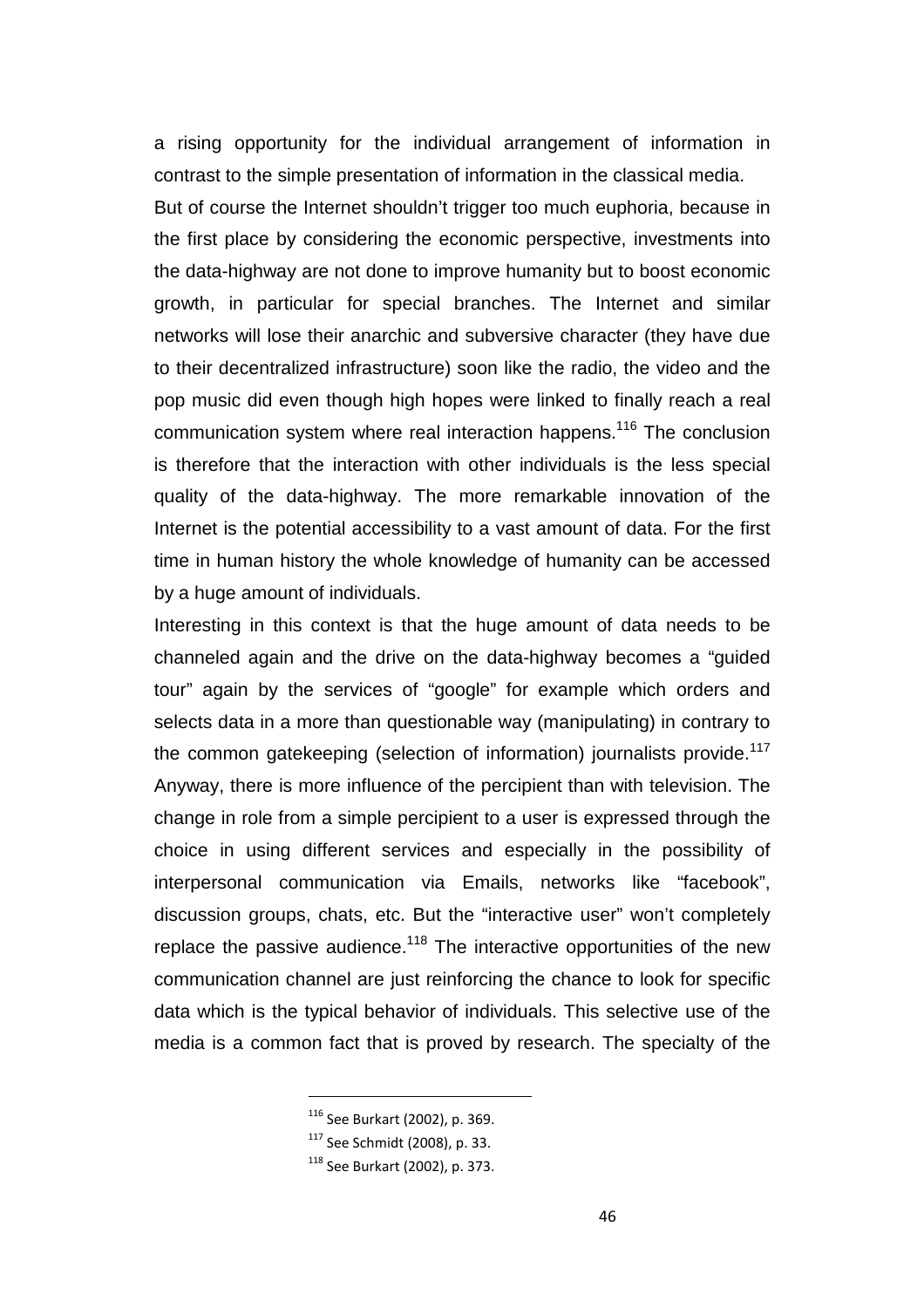a rising opportunity for the individual arrangement of information in contrast to the simple presentation of information in the classical media. But of course the Internet shouldn't trigger too much euphoria, because in the first place by considering the economic perspective, investments into the data-highway are not done to improve humanity but to boost economic growth, in particular for special branches. The Internet and similar networks will lose their anarchic and subversive character (they have due to their decentralized infrastructure) soon like the radio, the video and the pop music did even though high hopes were linked to finally reach a real communication system where real interaction happens. <sup>116</sup> The conclusion is therefore that the interaction with other individuals is the less special quality of the data-highway. The more remarkable innovation of the Internet is the potential accessibility to a vast amount of data. For the first time in human history the whole knowledge of humanity can be accessed by a huge amount of individuals.

Interesting in this context is that the huge amount of data needs to be channeled again and the drive on the data-highway becomes a "guided tour" again by the services of "google" for example which orders and selects data in a more than questionable way (manipulating) in contrary to the common gatekeeping (selection of information) journalists provide.<sup>117</sup> Anyway, there is more influence of the percipient than with television. The change in role from a simple percipient to a user is expressed through the choice in using different services and especially in the possibility of interpersonal communication via Emails, networks like "facebook", discussion groups, chats, etc. But the "interactive user" won't completely replace the passive audience.<sup>118</sup> The interactive opportunities of the new communication channel are just reinforcing the chance to look for specific data which is the typical behavior of individuals. This selective use of the media is a common fact that is proved by research. The specialty of the

<sup>116</sup> See Burkart (2002), p. 369.

<sup>117</sup> See Schmidt (2008), p. 33.

<sup>118</sup> See Burkart (2002), p. 373.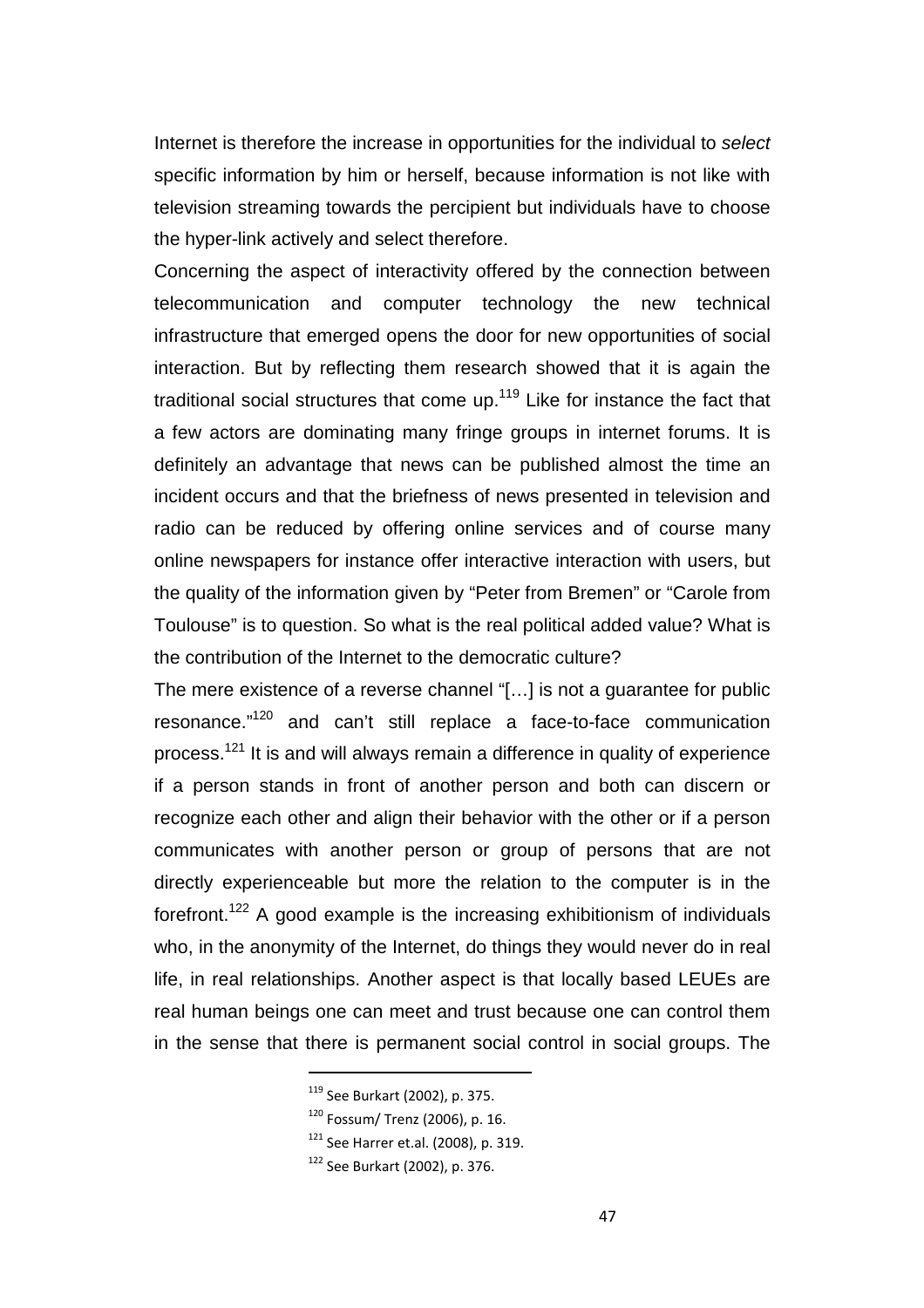Internet is therefore the increase in opportunities for the individual to select specific information by him or herself, because information is not like with television streaming towards the percipient but individuals have to choose the hyper-link actively and select therefore.

Concerning the aspect of interactivity offered by the connection between telecommunication and computer technology the new technical infrastructure that emerged opens the door for new opportunities of social interaction. But by reflecting them research showed that it is again the traditional social structures that come up.<sup>119</sup> Like for instance the fact that a few actors are dominating many fringe groups in internet forums. It is definitely an advantage that news can be published almost the time an incident occurs and that the briefness of news presented in television and radio can be reduced by offering online services and of course many online newspapers for instance offer interactive interaction with users, but the quality of the information given by "Peter from Bremen" or "Carole from Toulouse" is to question. So what is the real political added value? What is the contribution of the Internet to the democratic culture?

The mere existence of a reverse channel "[…] is not a guarantee for public resonance."<sup>120</sup> and can't still replace a face-to-face communication process.<sup>121</sup> It is and will always remain a difference in quality of experience if a person stands in front of another person and both can discern or recognize each other and align their behavior with the other or if a person communicates with another person or group of persons that are not directly experienceable but more the relation to the computer is in the forefront.<sup>122</sup> A good example is the increasing exhibitionism of individuals who, in the anonymity of the Internet, do things they would never do in real life, in real relationships. Another aspect is that locally based LEUEs are real human beings one can meet and trust because one can control them in the sense that there is permanent social control in social groups. The

<sup>119</sup> See Burkart (2002), p. 375.

<sup>120</sup> Fossum/ Trenz (2006), p. 16.

<sup>&</sup>lt;sup>121</sup> See Harrer et.al. (2008), p. 319.

<sup>122</sup> See Burkart (2002), p. 376.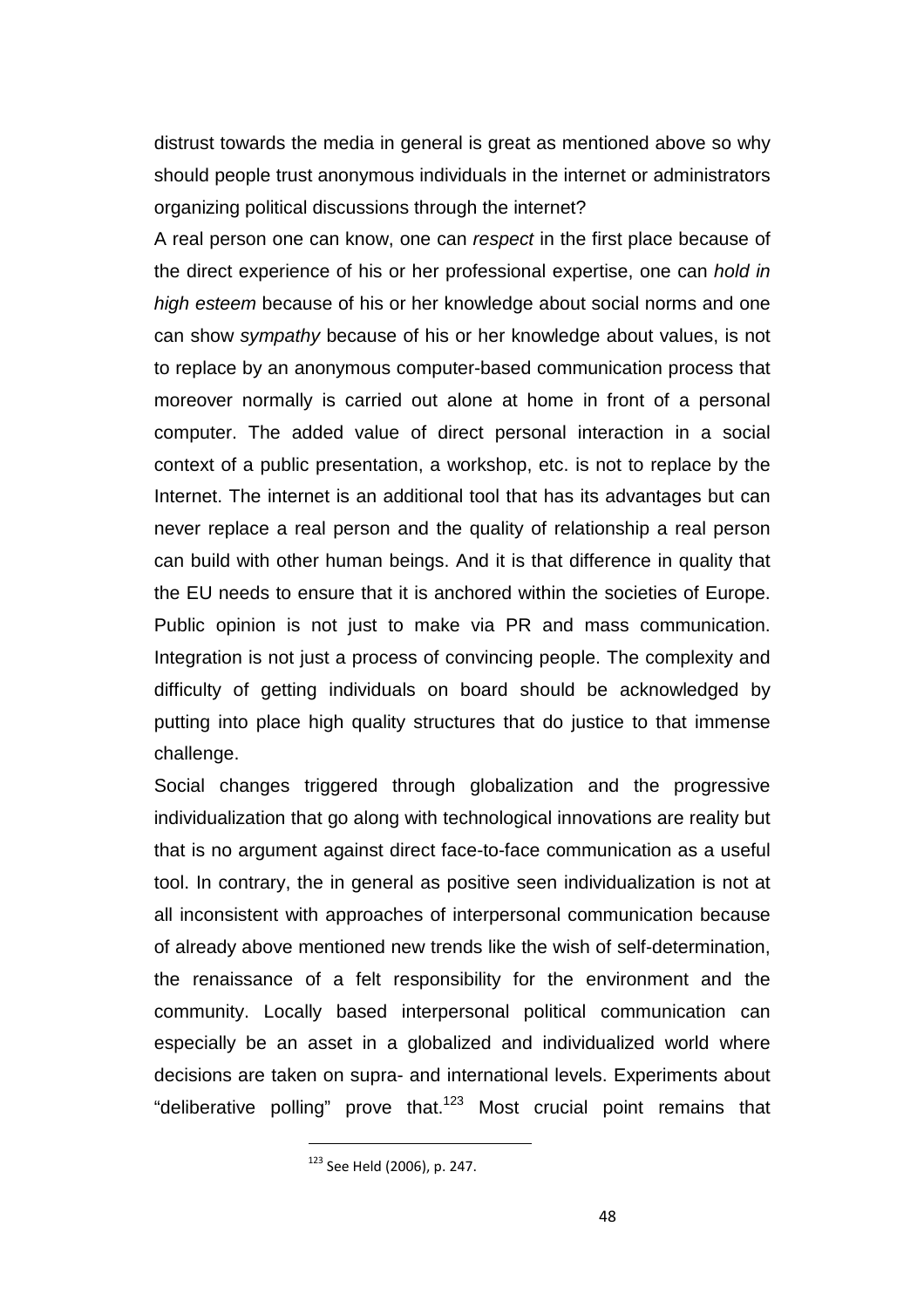distrust towards the media in general is great as mentioned above so why should people trust anonymous individuals in the internet or administrators organizing political discussions through the internet?

A real person one can know, one can respect in the first place because of the direct experience of his or her professional expertise, one can hold in high esteem because of his or her knowledge about social norms and one can show sympathy because of his or her knowledge about values, is not to replace by an anonymous computer-based communication process that moreover normally is carried out alone at home in front of a personal computer. The added value of direct personal interaction in a social context of a public presentation, a workshop, etc. is not to replace by the Internet. The internet is an additional tool that has its advantages but can never replace a real person and the quality of relationship a real person can build with other human beings. And it is that difference in quality that the EU needs to ensure that it is anchored within the societies of Europe. Public opinion is not just to make via PR and mass communication. Integration is not just a process of convincing people. The complexity and difficulty of getting individuals on board should be acknowledged by putting into place high quality structures that do justice to that immense challenge.

Social changes triggered through globalization and the progressive individualization that go along with technological innovations are reality but that is no argument against direct face-to-face communication as a useful tool. In contrary, the in general as positive seen individualization is not at all inconsistent with approaches of interpersonal communication because of already above mentioned new trends like the wish of self-determination, the renaissance of a felt responsibility for the environment and the community. Locally based interpersonal political communication can especially be an asset in a globalized and individualized world where decisions are taken on supra- and international levels. Experiments about "deliberative polling" prove that.<sup>123</sup> Most crucial point remains that

<sup>123</sup> See Held (2006), p. 247.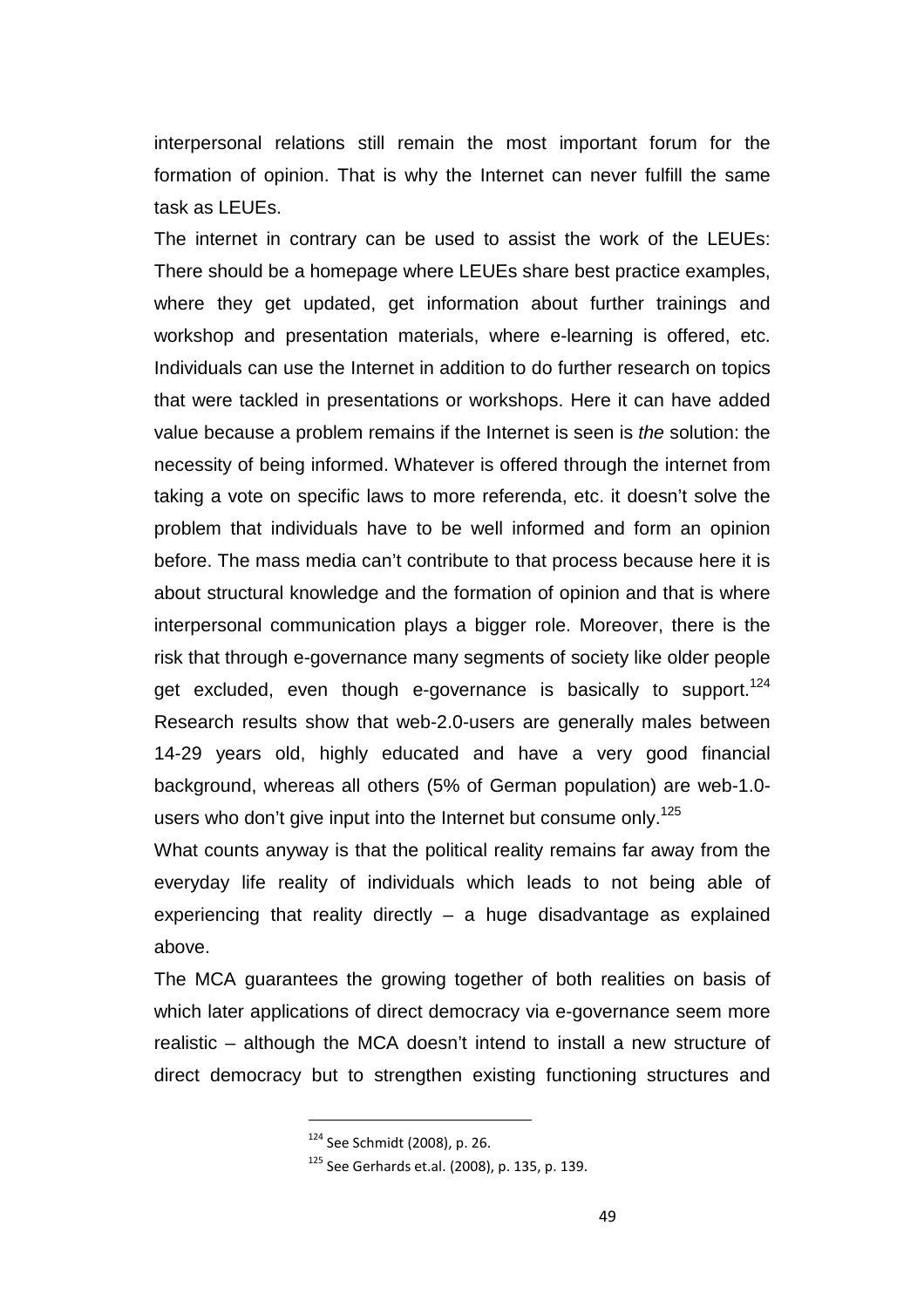interpersonal relations still remain the most important forum for the formation of opinion. That is why the Internet can never fulfill the same task as LEUEs.

The internet in contrary can be used to assist the work of the LEUEs: There should be a homepage where LEUEs share best practice examples, where they get updated, get information about further trainings and workshop and presentation materials, where e-learning is offered, etc. Individuals can use the Internet in addition to do further research on topics that were tackled in presentations or workshops. Here it can have added value because a problem remains if the Internet is seen is the solution: the necessity of being informed. Whatever is offered through the internet from taking a vote on specific laws to more referenda, etc. it doesn't solve the problem that individuals have to be well informed and form an opinion before. The mass media can't contribute to that process because here it is about structural knowledge and the formation of opinion and that is where interpersonal communication plays a bigger role. Moreover, there is the risk that through e-governance many segments of society like older people get excluded, even though e-governance is basically to support.<sup>124</sup> Research results show that web-2.0-users are generally males between 14-29 years old, highly educated and have a very good financial background, whereas all others (5% of German population) are web-1.0 users who don't give input into the Internet but consume only.<sup>125</sup>

What counts anyway is that the political reality remains far away from the everyday life reality of individuals which leads to not being able of experiencing that reality directly  $-$  a huge disadvantage as explained above.

The MCA guarantees the growing together of both realities on basis of which later applications of direct democracy via e-governance seem more realistic – although the MCA doesn't intend to install a new structure of direct democracy but to strengthen existing functioning structures and

<sup>124</sup> See Schmidt (2008), p. 26.

<sup>125</sup> See Gerhards et.al. (2008), p. 135, p. 139.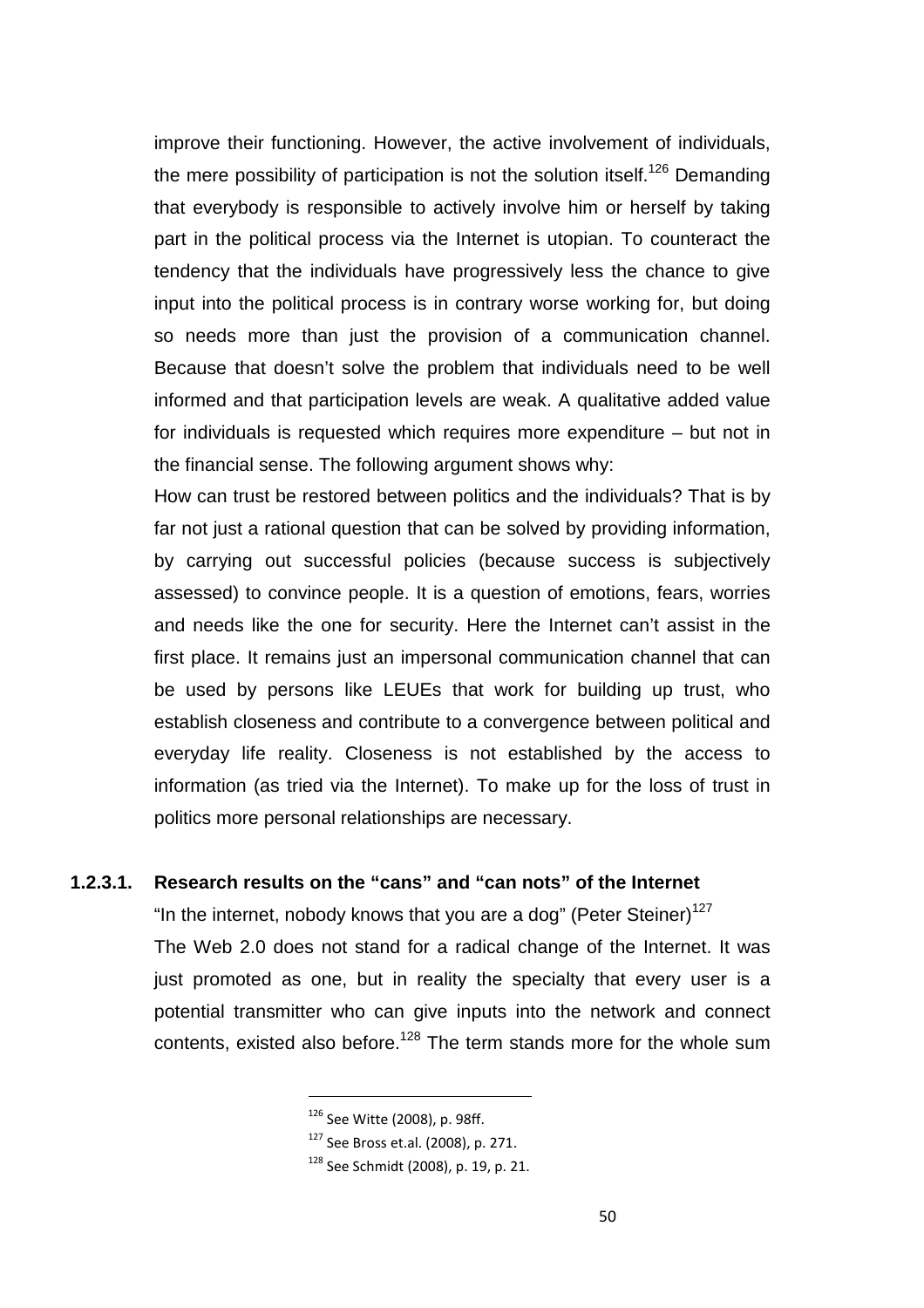improve their functioning. However, the active involvement of individuals, the mere possibility of participation is not the solution itself.<sup>126</sup> Demanding that everybody is responsible to actively involve him or herself by taking part in the political process via the Internet is utopian. To counteract the tendency that the individuals have progressively less the chance to give input into the political process is in contrary worse working for, but doing so needs more than just the provision of a communication channel. Because that doesn't solve the problem that individuals need to be well informed and that participation levels are weak. A qualitative added value for individuals is requested which requires more expenditure – but not in the financial sense. The following argument shows why:

How can trust be restored between politics and the individuals? That is by far not just a rational question that can be solved by providing information, by carrying out successful policies (because success is subjectively assessed) to convince people. It is a question of emotions, fears, worries and needs like the one for security. Here the Internet can't assist in the first place. It remains just an impersonal communication channel that can be used by persons like LEUEs that work for building up trust, who establish closeness and contribute to a convergence between political and everyday life reality. Closeness is not established by the access to information (as tried via the Internet). To make up for the loss of trust in politics more personal relationships are necessary.

### **1.2.3.1. Research results on the "cans" and "can nots" of the Internet**

"In the internet, nobody knows that you are a dog" (Peter Steiner)<sup>127</sup> The Web 2.0 does not stand for a radical change of the Internet. It was just promoted as one, but in reality the specialty that every user is a potential transmitter who can give inputs into the network and connect contents, existed also before.<sup>128</sup> The term stands more for the whole sum

<sup>126</sup> See Witte (2008), p. 98ff.

<sup>127</sup> See Bross et.al. (2008), p. 271.

<sup>128</sup> See Schmidt (2008), p. 19, p. 21.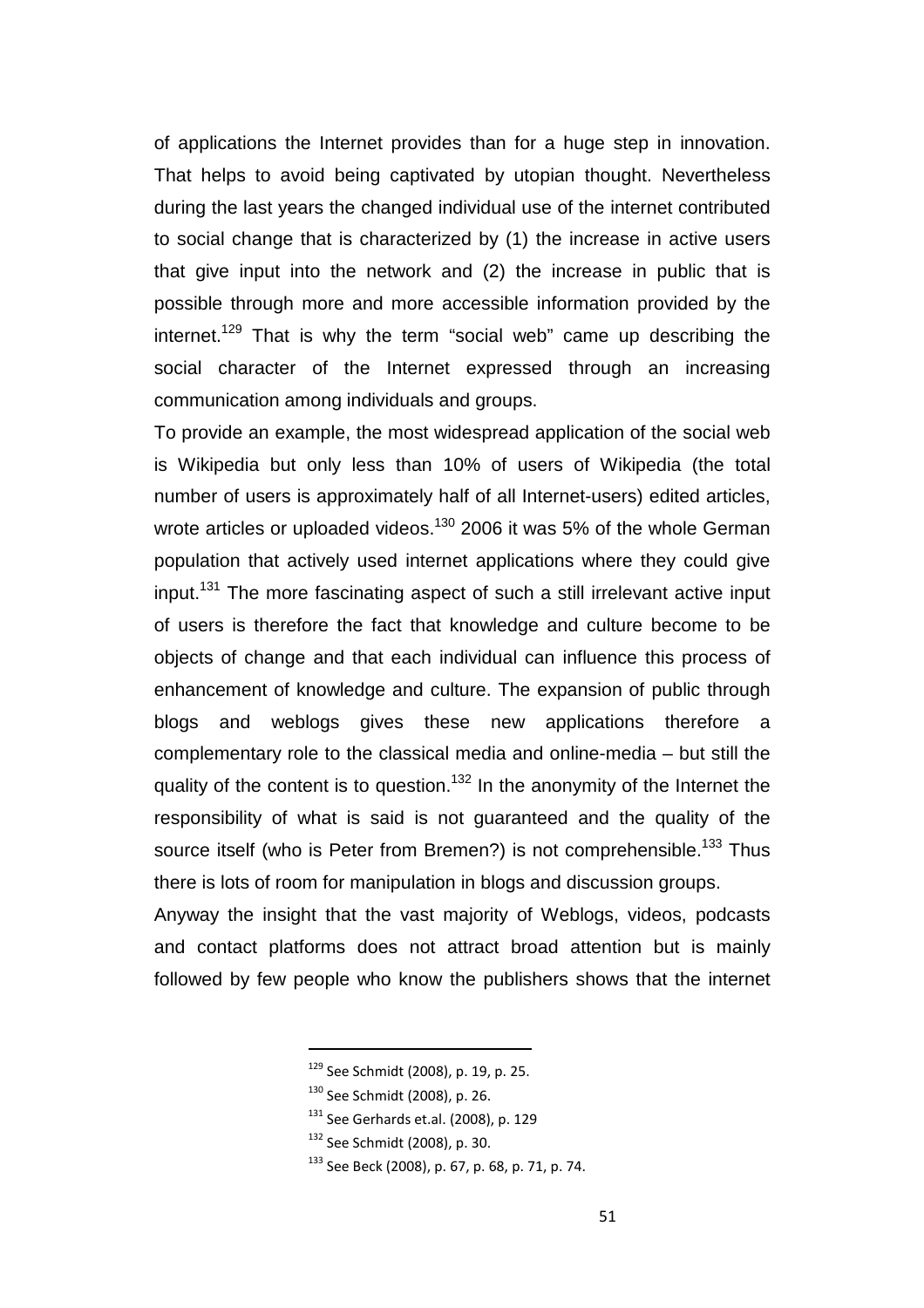of applications the Internet provides than for a huge step in innovation. That helps to avoid being captivated by utopian thought. Nevertheless during the last years the changed individual use of the internet contributed to social change that is characterized by (1) the increase in active users that give input into the network and (2) the increase in public that is possible through more and more accessible information provided by the internet.<sup>129</sup> That is why the term "social web" came up describing the social character of the Internet expressed through an increasing communication among individuals and groups.

To provide an example, the most widespread application of the social web is Wikipedia but only less than 10% of users of Wikipedia (the total number of users is approximately half of all Internet-users) edited articles, wrote articles or uploaded videos.<sup>130</sup> 2006 it was 5% of the whole German population that actively used internet applications where they could give input.<sup>131</sup> The more fascinating aspect of such a still irrelevant active input of users is therefore the fact that knowledge and culture become to be objects of change and that each individual can influence this process of enhancement of knowledge and culture. The expansion of public through blogs and weblogs gives these new applications therefore a complementary role to the classical media and online-media – but still the quality of the content is to question.<sup>132</sup> In the anonymity of the Internet the responsibility of what is said is not guaranteed and the quality of the source itself (who is Peter from Bremen?) is not comprehensible.<sup>133</sup> Thus there is lots of room for manipulation in blogs and discussion groups.

Anyway the insight that the vast majority of Weblogs, videos, podcasts and contact platforms does not attract broad attention but is mainly followed by few people who know the publishers shows that the internet

<sup>129</sup> See Schmidt (2008), p. 19, p. 25.

<sup>130</sup> See Schmidt (2008), p. 26.

 $131$  See Gerhards et.al. (2008), p. 129

<sup>132</sup> See Schmidt (2008), p. 30.

<sup>133</sup> See Beck (2008), p. 67, p. 68, p. 71, p. 74.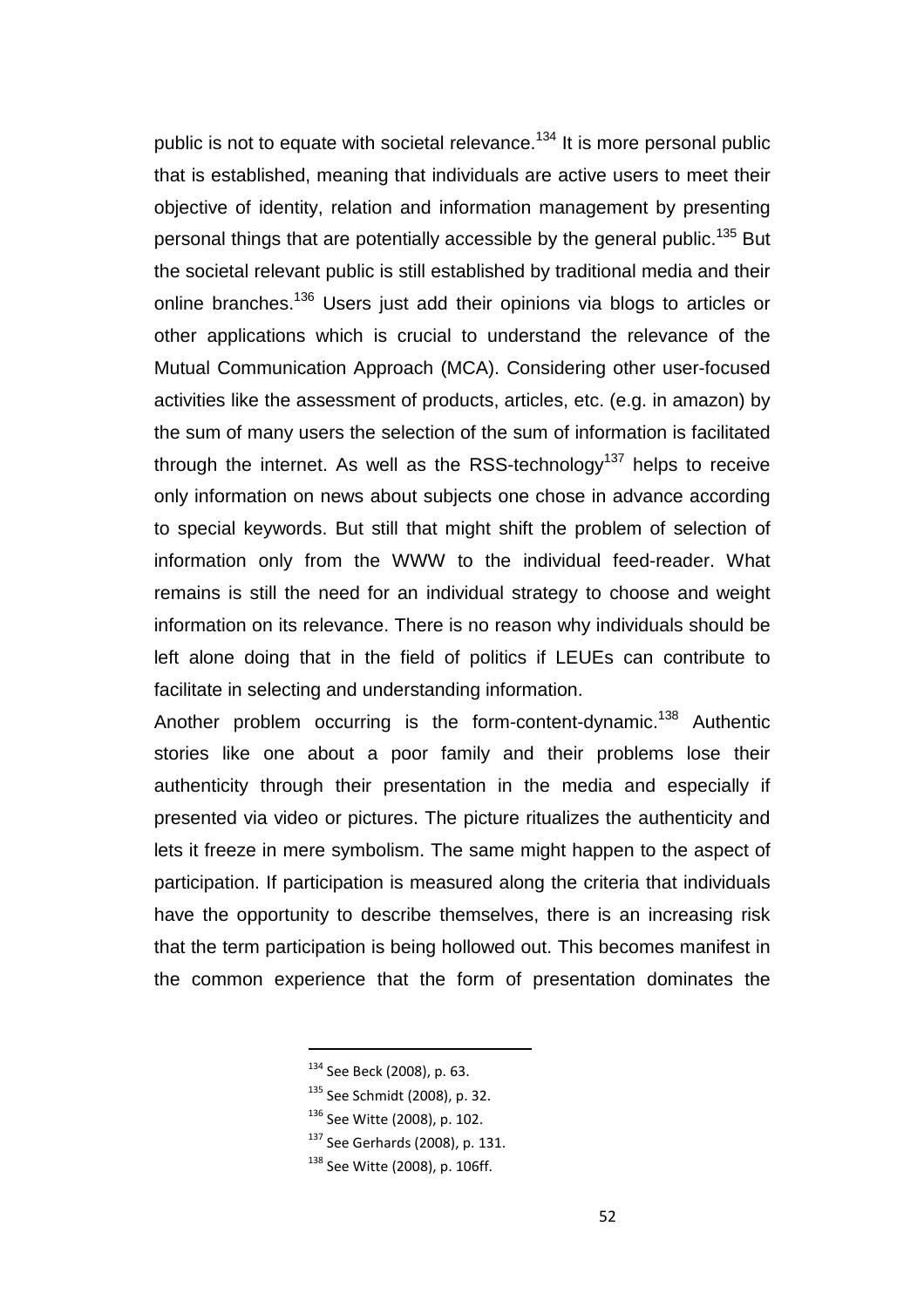public is not to equate with societal relevance.<sup>134</sup> It is more personal public that is established, meaning that individuals are active users to meet their objective of identity, relation and information management by presenting personal things that are potentially accessible by the general public.<sup>135</sup> But the societal relevant public is still established by traditional media and their online branches.<sup>136</sup> Users just add their opinions via blogs to articles or other applications which is crucial to understand the relevance of the Mutual Communication Approach (MCA). Considering other user-focused activities like the assessment of products, articles, etc. (e.g. in amazon) by the sum of many users the selection of the sum of information is facilitated through the internet. As well as the RSS-technology<sup>137</sup> helps to receive only information on news about subjects one chose in advance according to special keywords. But still that might shift the problem of selection of information only from the WWW to the individual feed-reader. What remains is still the need for an individual strategy to choose and weight information on its relevance. There is no reason why individuals should be left alone doing that in the field of politics if LEUEs can contribute to facilitate in selecting and understanding information.

Another problem occurring is the form-content-dynamic.<sup>138</sup> Authentic stories like one about a poor family and their problems lose their authenticity through their presentation in the media and especially if presented via video or pictures. The picture ritualizes the authenticity and lets it freeze in mere symbolism. The same might happen to the aspect of participation. If participation is measured along the criteria that individuals have the opportunity to describe themselves, there is an increasing risk that the term participation is being hollowed out. This becomes manifest in the common experience that the form of presentation dominates the

<sup>134</sup> See Beck (2008), p. 63.

<sup>135</sup> See Schmidt (2008), p. 32.

<sup>136</sup> See Witte (2008), p. 102.

<sup>&</sup>lt;sup>137</sup> See Gerhards (2008), p. 131.

<sup>138</sup> See Witte (2008), p. 106ff.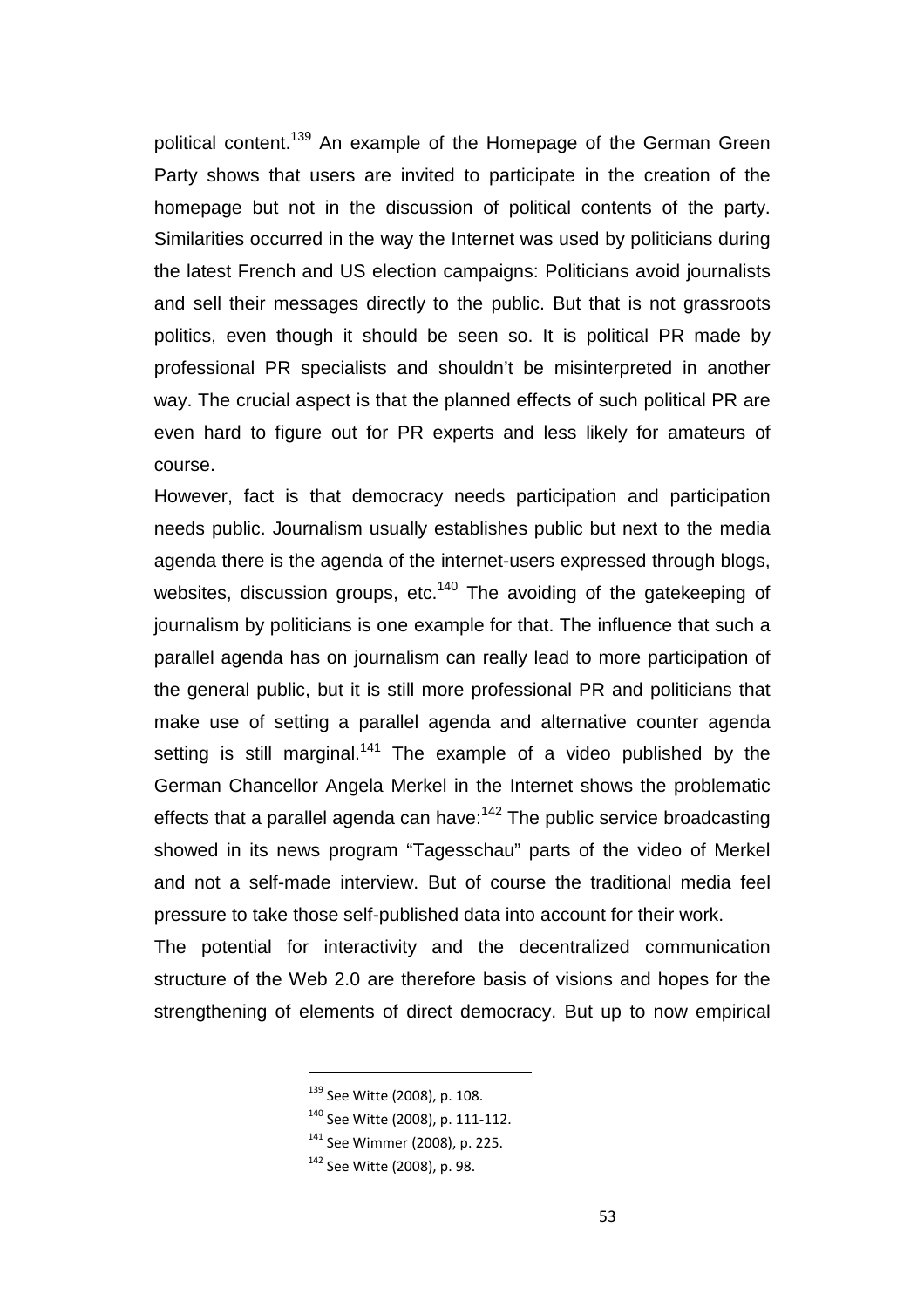political content.<sup>139</sup> An example of the Homepage of the German Green Party shows that users are invited to participate in the creation of the homepage but not in the discussion of political contents of the party. Similarities occurred in the way the Internet was used by politicians during the latest French and US election campaigns: Politicians avoid journalists and sell their messages directly to the public. But that is not grassroots politics, even though it should be seen so. It is political PR made by professional PR specialists and shouldn't be misinterpreted in another way. The crucial aspect is that the planned effects of such political PR are even hard to figure out for PR experts and less likely for amateurs of course.

However, fact is that democracy needs participation and participation needs public. Journalism usually establishes public but next to the media agenda there is the agenda of the internet-users expressed through blogs, websites, discussion groups, etc.<sup>140</sup> The avoiding of the gatekeeping of journalism by politicians is one example for that. The influence that such a parallel agenda has on journalism can really lead to more participation of the general public, but it is still more professional PR and politicians that make use of setting a parallel agenda and alternative counter agenda setting is still marginal.<sup>141</sup> The example of a video published by the German Chancellor Angela Merkel in the Internet shows the problematic effects that a parallel agenda can have: $142$  The public service broadcasting showed in its news program "Tagesschau" parts of the video of Merkel and not a self-made interview. But of course the traditional media feel pressure to take those self-published data into account for their work.

The potential for interactivity and the decentralized communication structure of the Web 2.0 are therefore basis of visions and hopes for the strengthening of elements of direct democracy. But up to now empirical

<sup>&</sup>lt;sup>139</sup> See Witte (2008), p. 108.

<sup>140</sup> See Witte (2008), p. 111-112.

 $141$  See Wimmer (2008), p. 225.

<sup>142</sup> See Witte (2008), p. 98.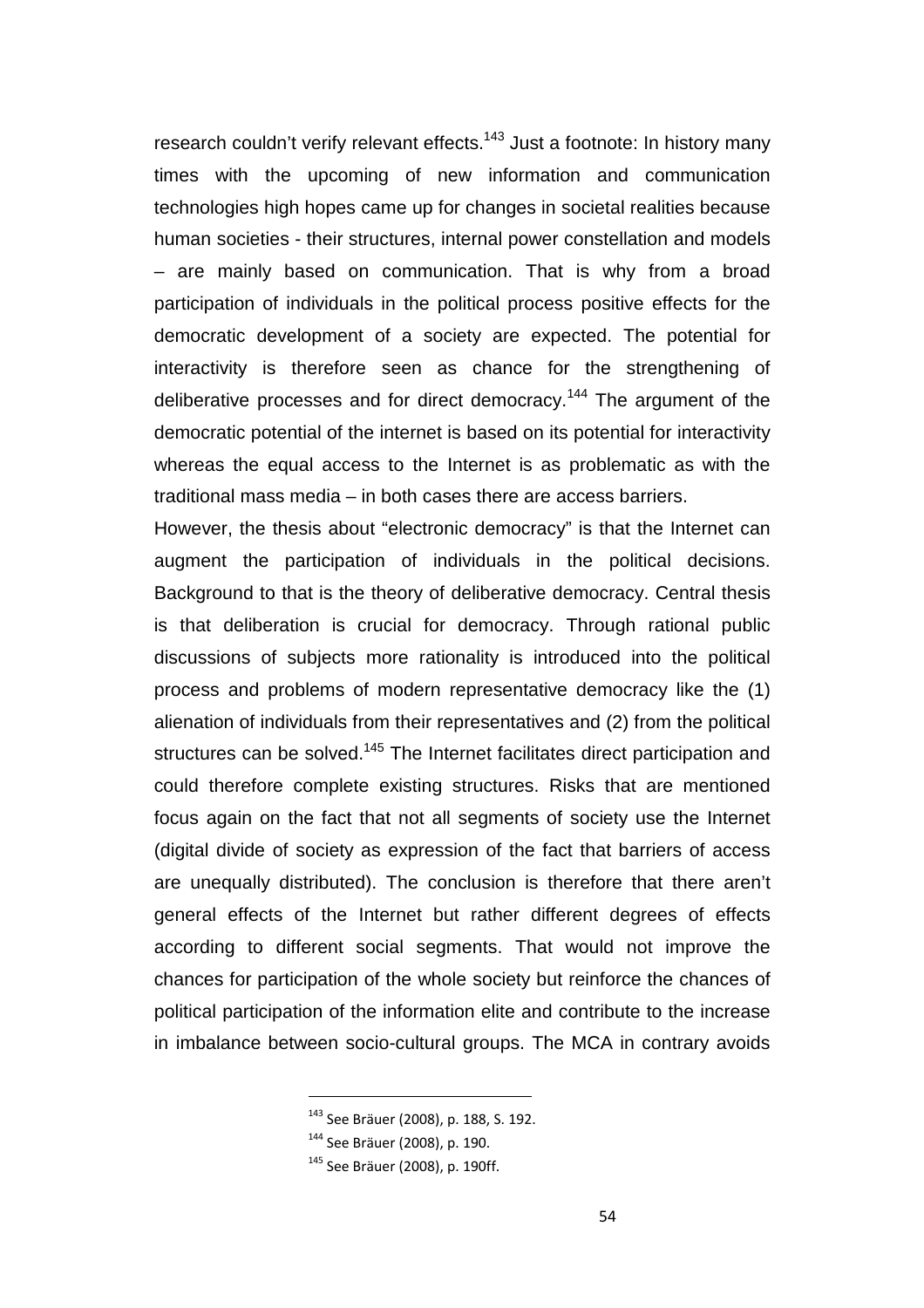research couldn't verify relevant effects.<sup>143</sup> Just a footnote: In history many times with the upcoming of new information and communication technologies high hopes came up for changes in societal realities because human societies - their structures, internal power constellation and models – are mainly based on communication. That is why from a broad participation of individuals in the political process positive effects for the democratic development of a society are expected. The potential for interactivity is therefore seen as chance for the strengthening of deliberative processes and for direct democracy.<sup>144</sup> The argument of the democratic potential of the internet is based on its potential for interactivity whereas the equal access to the Internet is as problematic as with the traditional mass media – in both cases there are access barriers.

However, the thesis about "electronic democracy" is that the Internet can augment the participation of individuals in the political decisions. Background to that is the theory of deliberative democracy. Central thesis is that deliberation is crucial for democracy. Through rational public discussions of subjects more rationality is introduced into the political process and problems of modern representative democracy like the (1) alienation of individuals from their representatives and (2) from the political structures can be solved.<sup>145</sup> The Internet facilitates direct participation and could therefore complete existing structures. Risks that are mentioned focus again on the fact that not all segments of society use the Internet (digital divide of society as expression of the fact that barriers of access are unequally distributed). The conclusion is therefore that there aren't general effects of the Internet but rather different degrees of effects according to different social segments. That would not improve the chances for participation of the whole society but reinforce the chances of political participation of the information elite and contribute to the increase in imbalance between socio-cultural groups. The MCA in contrary avoids

<sup>143</sup> See Bräuer (2008), p. 188, S. 192.

<sup>144</sup> See Bräuer (2008), p. 190.

<sup>145</sup> See Bräuer (2008), p. 190ff.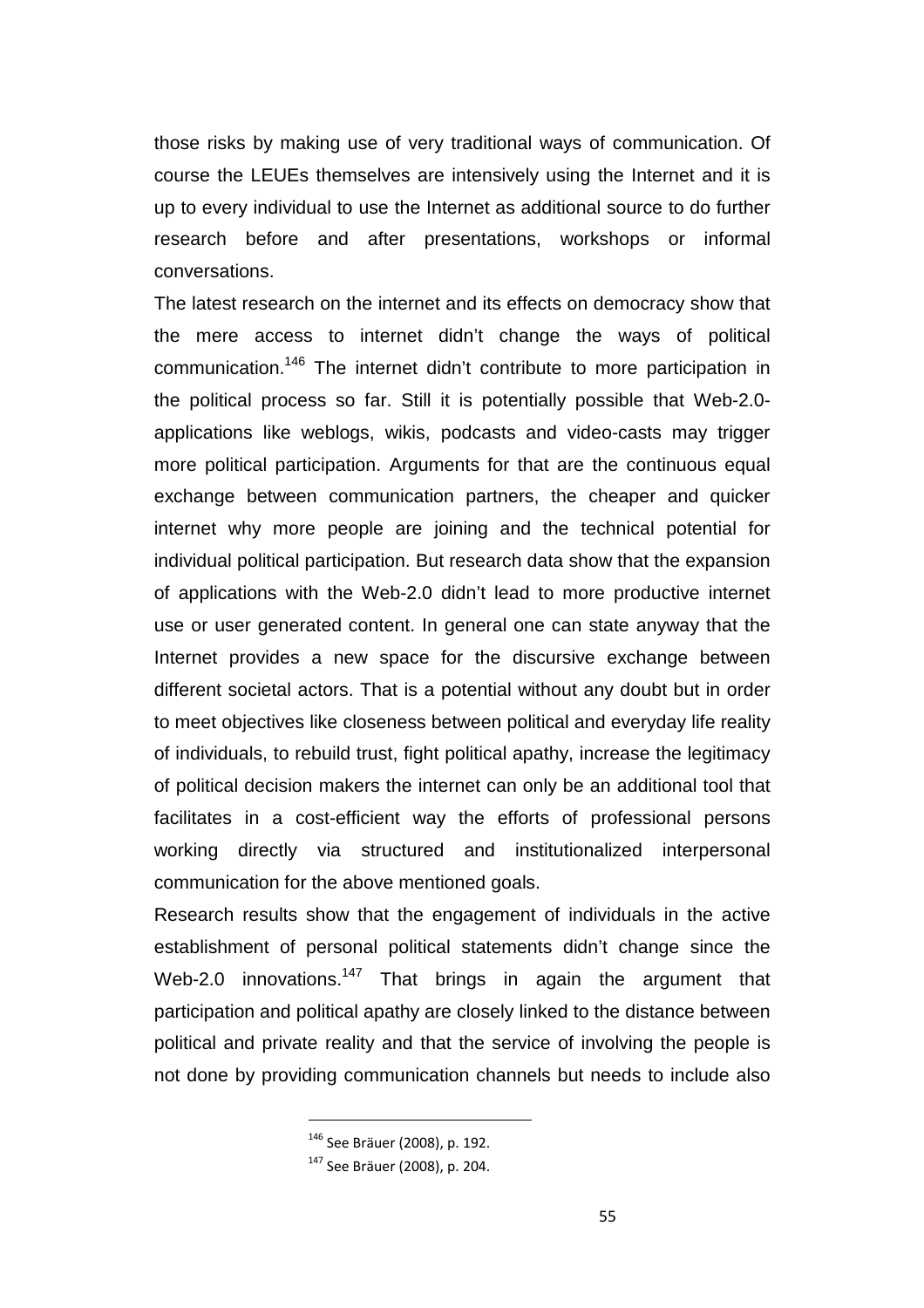those risks by making use of very traditional ways of communication. Of course the LEUEs themselves are intensively using the Internet and it is up to every individual to use the Internet as additional source to do further research before and after presentations, workshops or informal conversations.

The latest research on the internet and its effects on democracy show that the mere access to internet didn't change the ways of political communication.<sup>146</sup> The internet didn't contribute to more participation in the political process so far. Still it is potentially possible that Web-2.0 applications like weblogs, wikis, podcasts and video-casts may trigger more political participation. Arguments for that are the continuous equal exchange between communication partners, the cheaper and quicker internet why more people are joining and the technical potential for individual political participation. But research data show that the expansion of applications with the Web-2.0 didn't lead to more productive internet use or user generated content. In general one can state anyway that the Internet provides a new space for the discursive exchange between different societal actors. That is a potential without any doubt but in order to meet objectives like closeness between political and everyday life reality of individuals, to rebuild trust, fight political apathy, increase the legitimacy of political decision makers the internet can only be an additional tool that facilitates in a cost-efficient way the efforts of professional persons working directly via structured and institutionalized interpersonal communication for the above mentioned goals.

Research results show that the engagement of individuals in the active establishment of personal political statements didn't change since the Web-2.0 innovations.<sup>147</sup> That brings in again the argument that participation and political apathy are closely linked to the distance between political and private reality and that the service of involving the people is not done by providing communication channels but needs to include also

<sup>146</sup> See Bräuer (2008), p. 192.

<sup>147</sup> See Bräuer (2008), p. 204.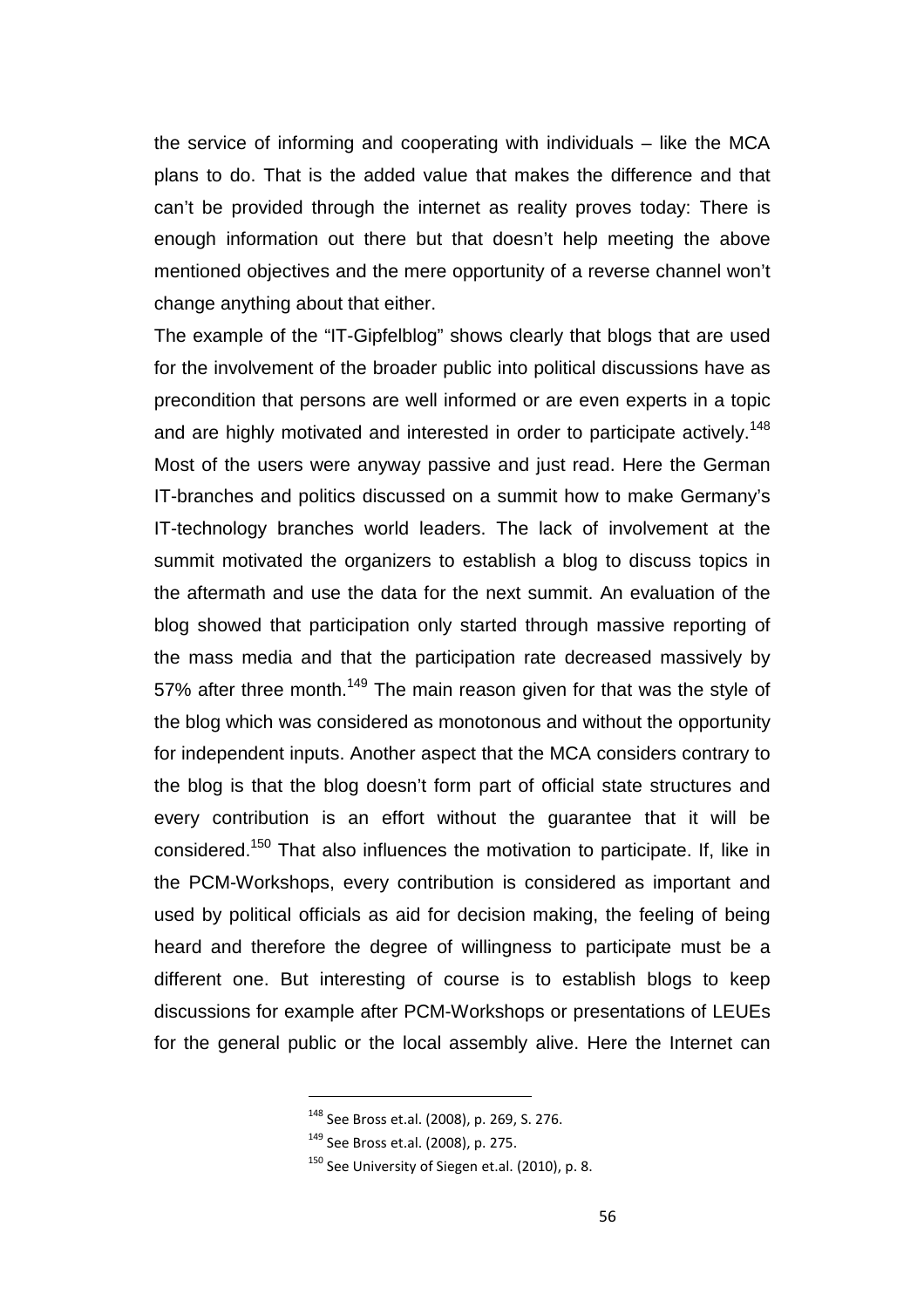the service of informing and cooperating with individuals – like the MCA plans to do. That is the added value that makes the difference and that can't be provided through the internet as reality proves today: There is enough information out there but that doesn't help meeting the above mentioned objectives and the mere opportunity of a reverse channel won't change anything about that either.

The example of the "IT-Gipfelblog" shows clearly that blogs that are used for the involvement of the broader public into political discussions have as precondition that persons are well informed or are even experts in a topic and are highly motivated and interested in order to participate actively.<sup>148</sup> Most of the users were anyway passive and just read. Here the German IT-branches and politics discussed on a summit how to make Germany's IT-technology branches world leaders. The lack of involvement at the summit motivated the organizers to establish a blog to discuss topics in the aftermath and use the data for the next summit. An evaluation of the blog showed that participation only started through massive reporting of the mass media and that the participation rate decreased massively by 57% after three month.<sup>149</sup> The main reason given for that was the style of the blog which was considered as monotonous and without the opportunity for independent inputs. Another aspect that the MCA considers contrary to the blog is that the blog doesn't form part of official state structures and every contribution is an effort without the guarantee that it will be considered.<sup>150</sup> That also influences the motivation to participate. If, like in the PCM-Workshops, every contribution is considered as important and used by political officials as aid for decision making, the feeling of being heard and therefore the degree of willingness to participate must be a different one. But interesting of course is to establish blogs to keep discussions for example after PCM-Workshops or presentations of LEUEs for the general public or the local assembly alive. Here the Internet can

<sup>148</sup> See Bross et.al. (2008), p. 269, S. 276.

<sup>149</sup> See Bross et.al. (2008), p. 275.

 $150$  See University of Siegen et.al. (2010), p. 8.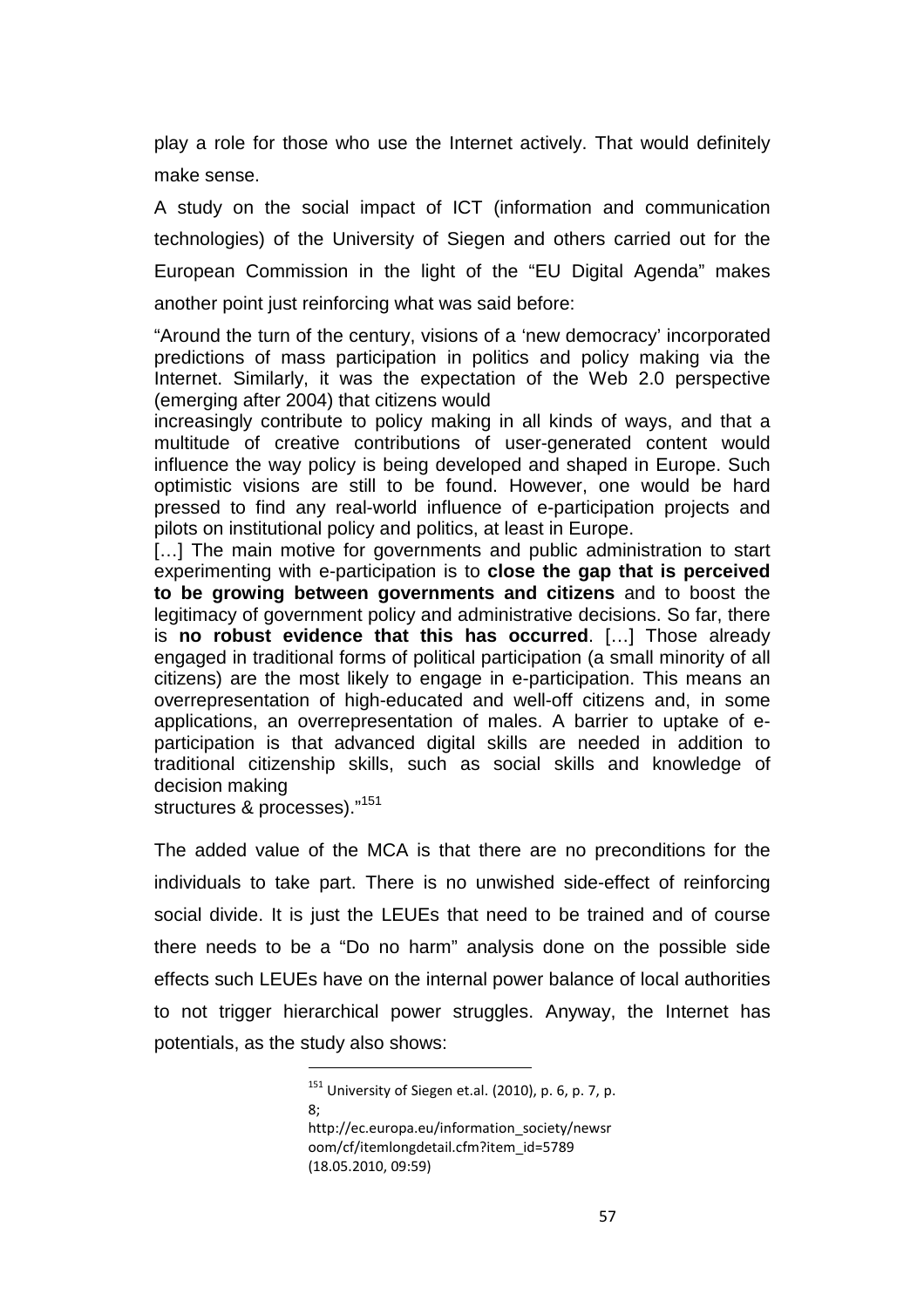play a role for those who use the Internet actively. That would definitely make sense.

A study on the social impact of ICT (information and communication technologies) of the University of Siegen and others carried out for the European Commission in the light of the "EU Digital Agenda" makes another point just reinforcing what was said before:

"Around the turn of the century, visions of a 'new democracy' incorporated predictions of mass participation in politics and policy making via the Internet. Similarly, it was the expectation of the Web 2.0 perspective (emerging after 2004) that citizens would

increasingly contribute to policy making in all kinds of ways, and that a multitude of creative contributions of user-generated content would influence the way policy is being developed and shaped in Europe. Such optimistic visions are still to be found. However, one would be hard pressed to find any real-world influence of e-participation projects and pilots on institutional policy and politics, at least in Europe.

[...] The main motive for governments and public administration to start experimenting with e-participation is to **close the gap that is perceived to be growing between governments and citizens** and to boost the legitimacy of government policy and administrative decisions. So far, there is **no robust evidence that this has occurred**. […] Those already engaged in traditional forms of political participation (a small minority of all citizens) are the most likely to engage in e-participation. This means an overrepresentation of high-educated and well-off citizens and, in some applications, an overrepresentation of males. A barrier to uptake of eparticipation is that advanced digital skills are needed in addition to traditional citizenship skills, such as social skills and knowledge of decision making

structures & processes)."<sup>151</sup>

The added value of the MCA is that there are no preconditions for the individuals to take part. There is no unwished side-effect of reinforcing social divide. It is just the LEUEs that need to be trained and of course there needs to be a "Do no harm" analysis done on the possible side effects such LEUEs have on the internal power balance of local authorities to not trigger hierarchical power struggles. Anyway, the Internet has potentials, as the study also shows:

<sup>151</sup> University of Siegen et.al. (2010), p. 6, p. 7, p. 8;

http://ec.europa.eu/information\_society/newsr oom/cf/itemlongdetail.cfm?item\_id=5789 (18.05.2010, 09:59)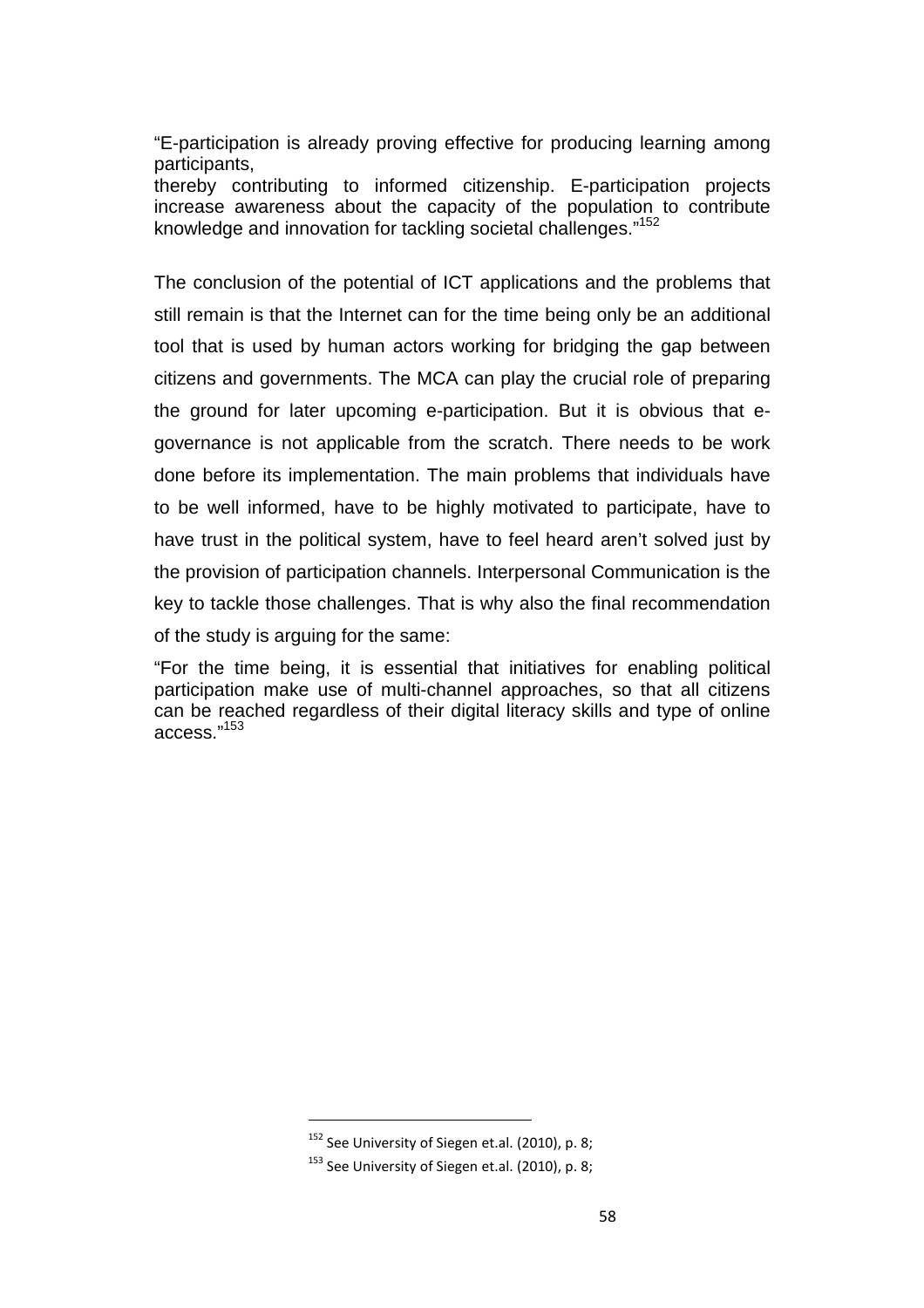"E-participation is already proving effective for producing learning among participants,

thereby contributing to informed citizenship. E-participation projects increase awareness about the capacity of the population to contribute knowledge and innovation for tackling societal challenges."<sup>152</sup>

The conclusion of the potential of ICT applications and the problems that still remain is that the Internet can for the time being only be an additional tool that is used by human actors working for bridging the gap between citizens and governments. The MCA can play the crucial role of preparing the ground for later upcoming e-participation. But it is obvious that egovernance is not applicable from the scratch. There needs to be work done before its implementation. The main problems that individuals have to be well informed, have to be highly motivated to participate, have to have trust in the political system, have to feel heard aren't solved just by the provision of participation channels. Interpersonal Communication is the key to tackle those challenges. That is why also the final recommendation of the study is arguing for the same:

"For the time being, it is essential that initiatives for enabling political participation make use of multi-channel approaches, so that all citizens can be reached regardless of their digital literacy skills and type of online access."<sup>153</sup>

<sup>&</sup>lt;sup>152</sup> See University of Siegen et.al. (2010), p. 8;

<sup>&</sup>lt;sup>153</sup> See University of Siegen et.al. (2010), p. 8;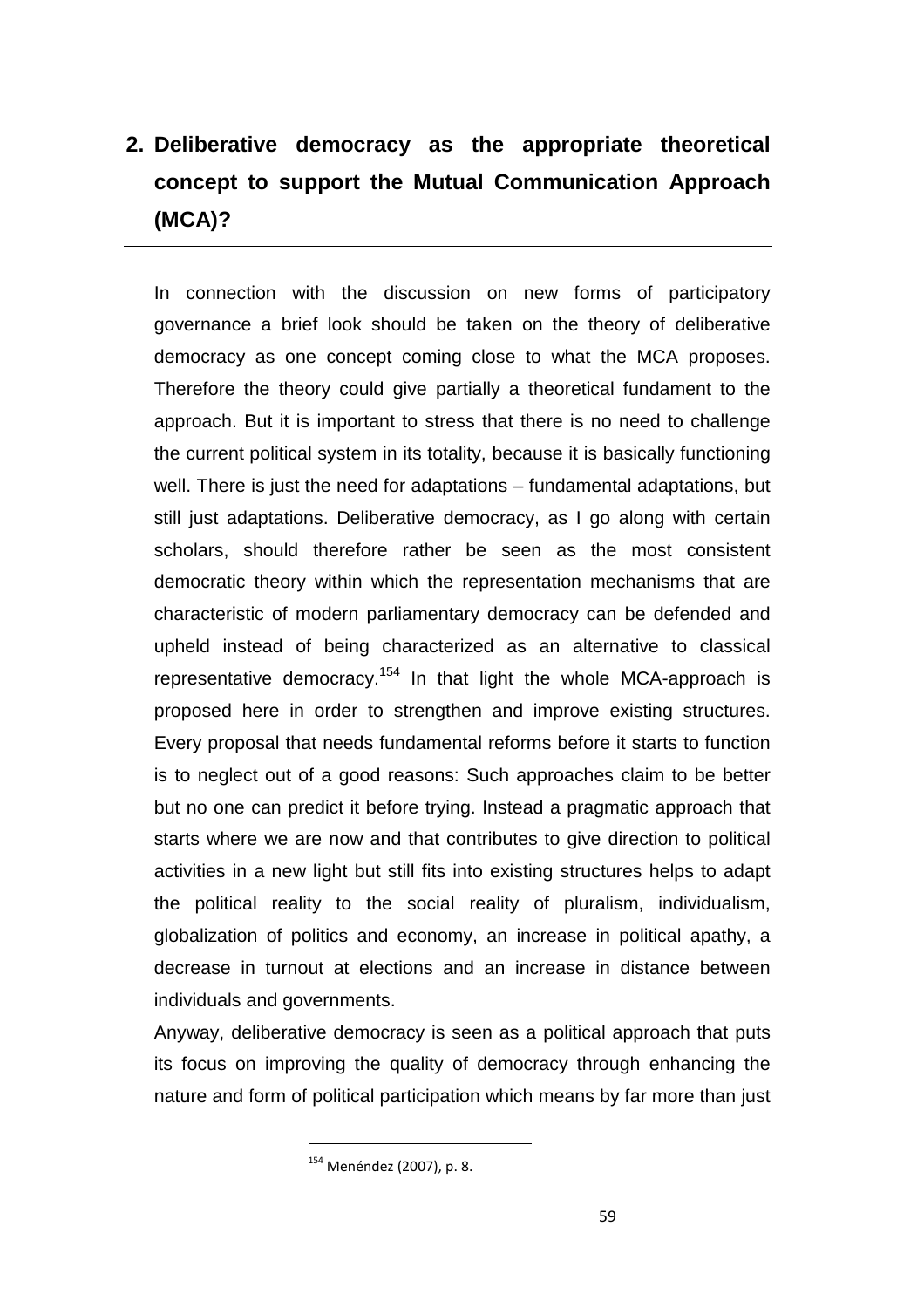# **2. Deliberative democracy as the appropriate theoretical concept to support the Mutual Communication Approach (MCA)?**

In connection with the discussion on new forms of participatory governance a brief look should be taken on the theory of deliberative democracy as one concept coming close to what the MCA proposes. Therefore the theory could give partially a theoretical fundament to the approach. But it is important to stress that there is no need to challenge the current political system in its totality, because it is basically functioning well. There is just the need for adaptations – fundamental adaptations, but still just adaptations. Deliberative democracy, as I go along with certain scholars, should therefore rather be seen as the most consistent democratic theory within which the representation mechanisms that are characteristic of modern parliamentary democracy can be defended and upheld instead of being characterized as an alternative to classical representative democracy.<sup>154</sup> In that light the whole MCA-approach is proposed here in order to strengthen and improve existing structures. Every proposal that needs fundamental reforms before it starts to function is to neglect out of a good reasons: Such approaches claim to be better but no one can predict it before trying. Instead a pragmatic approach that starts where we are now and that contributes to give direction to political activities in a new light but still fits into existing structures helps to adapt the political reality to the social reality of pluralism, individualism, globalization of politics and economy, an increase in political apathy, a decrease in turnout at elections and an increase in distance between individuals and governments.

Anyway, deliberative democracy is seen as a political approach that puts its focus on improving the quality of democracy through enhancing the nature and form of political participation which means by far more than just

<sup>154</sup> Menéndez (2007), p. 8.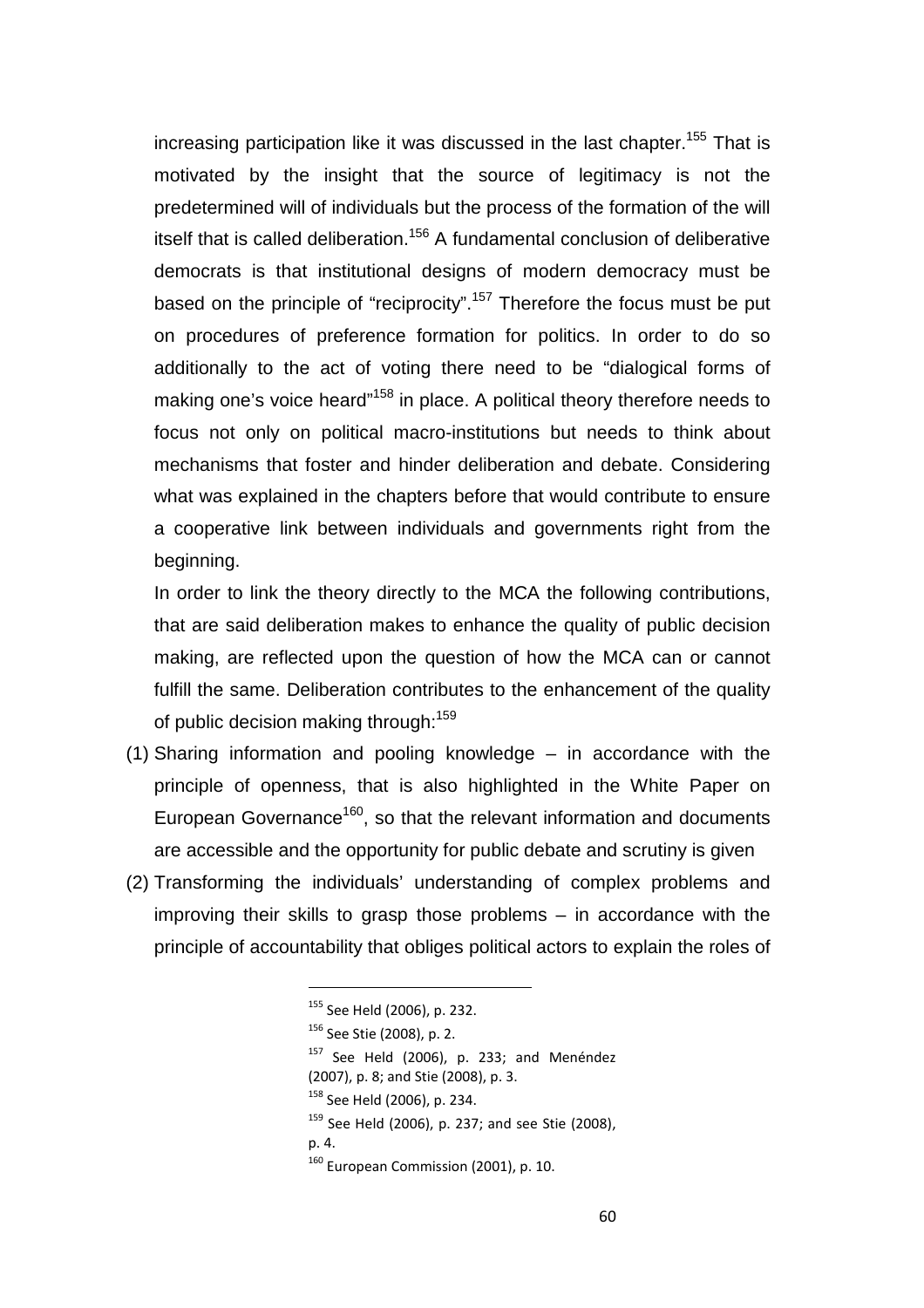increasing participation like it was discussed in the last chapter.<sup>155</sup> That is motivated by the insight that the source of legitimacy is not the predetermined will of individuals but the process of the formation of the will itself that is called deliberation.<sup>156</sup> A fundamental conclusion of deliberative democrats is that institutional designs of modern democracy must be based on the principle of "reciprocity".<sup>157</sup> Therefore the focus must be put on procedures of preference formation for politics. In order to do so additionally to the act of voting there need to be "dialogical forms of making one's voice heard<sup>"158</sup> in place. A political theory therefore needs to focus not only on political macro-institutions but needs to think about mechanisms that foster and hinder deliberation and debate. Considering what was explained in the chapters before that would contribute to ensure a cooperative link between individuals and governments right from the beginning.

In order to link the theory directly to the MCA the following contributions, that are said deliberation makes to enhance the quality of public decision making, are reflected upon the question of how the MCA can or cannot fulfill the same. Deliberation contributes to the enhancement of the quality of public decision making through:<sup>159</sup>

- (1) Sharing information and pooling knowledge in accordance with the principle of openness, that is also highlighted in the White Paper on European Governance<sup>160</sup>, so that the relevant information and documents are accessible and the opportunity for public debate and scrutiny is given
- (2) Transforming the individuals' understanding of complex problems and improving their skills to grasp those problems – in accordance with the principle of accountability that obliges political actors to explain the roles of

<sup>&</sup>lt;sup>155</sup> See Held (2006), p. 232.

<sup>156</sup> See Stie (2008), p. 2.

 $157$  See Held (2006), p. 233; and Menéndez

<sup>(2007),</sup> p. 8; and Stie (2008), p. 3.

<sup>158</sup> See Held (2006), p. 234.

 $159$  See Held (2006), p. 237; and see Stie (2008),

p. 4.

<sup>&</sup>lt;sup>160</sup> European Commission (2001), p. 10.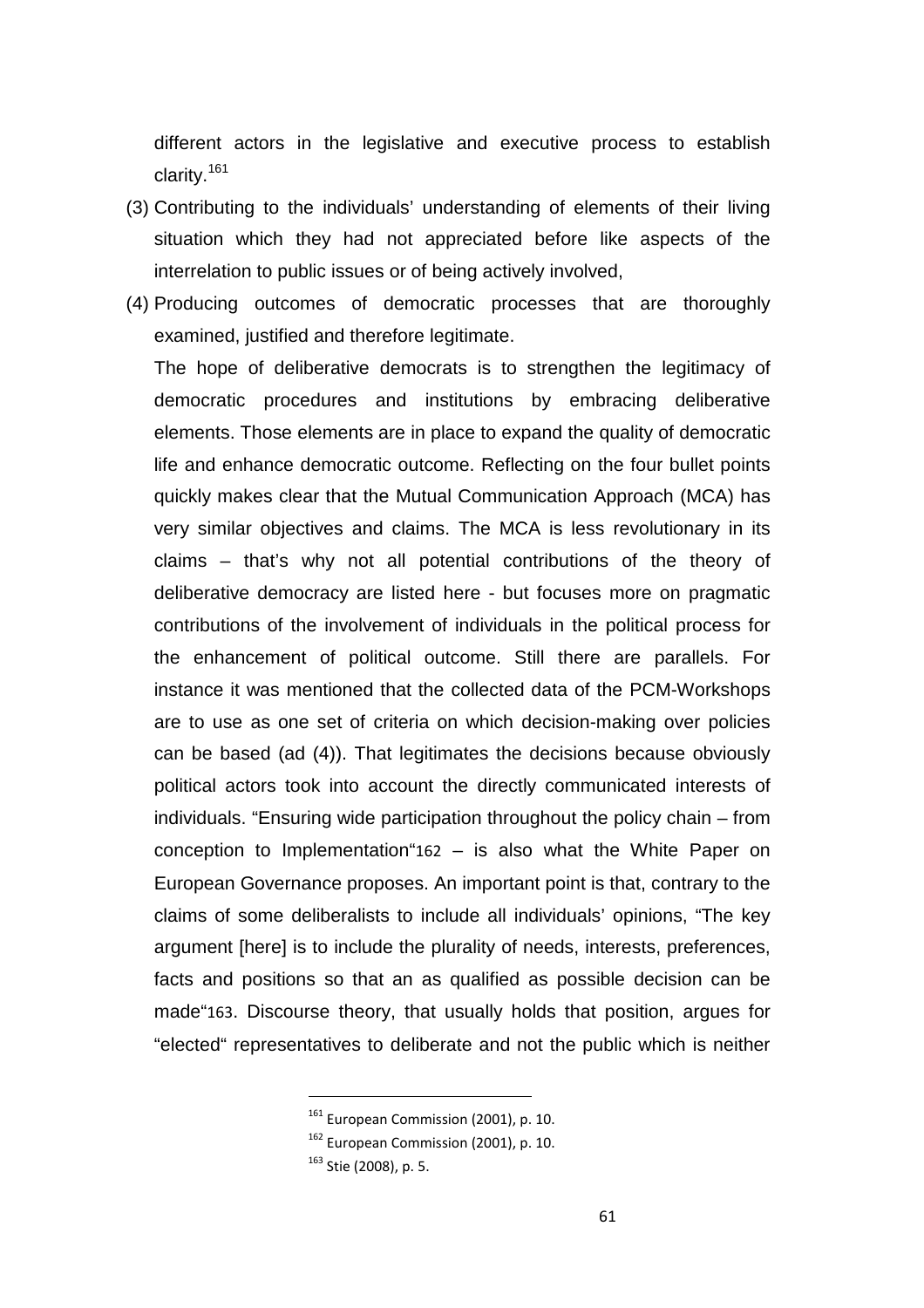different actors in the legislative and executive process to establish clarity.<sup>161</sup>

- (3) Contributing to the individuals' understanding of elements of their living situation which they had not appreciated before like aspects of the interrelation to public issues or of being actively involved,
- (4) Producing outcomes of democratic processes that are thoroughly examined, justified and therefore legitimate.

The hope of deliberative democrats is to strengthen the legitimacy of democratic procedures and institutions by embracing deliberative elements. Those elements are in place to expand the quality of democratic life and enhance democratic outcome. Reflecting on the four bullet points quickly makes clear that the Mutual Communication Approach (MCA) has very similar objectives and claims. The MCA is less revolutionary in its claims – that's why not all potential contributions of the theory of deliberative democracy are listed here - but focuses more on pragmatic contributions of the involvement of individuals in the political process for the enhancement of political outcome. Still there are parallels. For instance it was mentioned that the collected data of the PCM-Workshops are to use as one set of criteria on which decision-making over policies can be based (ad (4)). That legitimates the decisions because obviously political actors took into account the directly communicated interests of individuals. "Ensuring wide participation throughout the policy chain – from conception to Implementation"162 – is also what the White Paper on European Governance proposes. An important point is that, contrary to the claims of some deliberalists to include all individuals' opinions, "The key argument [here] is to include the plurality of needs, interests, preferences, facts and positions so that an as qualified as possible decision can be made"163. Discourse theory, that usually holds that position, argues for "elected" representatives to deliberate and not the public which is neither

<sup>&</sup>lt;sup>161</sup> European Commission (2001), p. 10.

<sup>&</sup>lt;sup>162</sup> European Commission (2001), p. 10.

<sup>163</sup> Stie (2008), p. 5.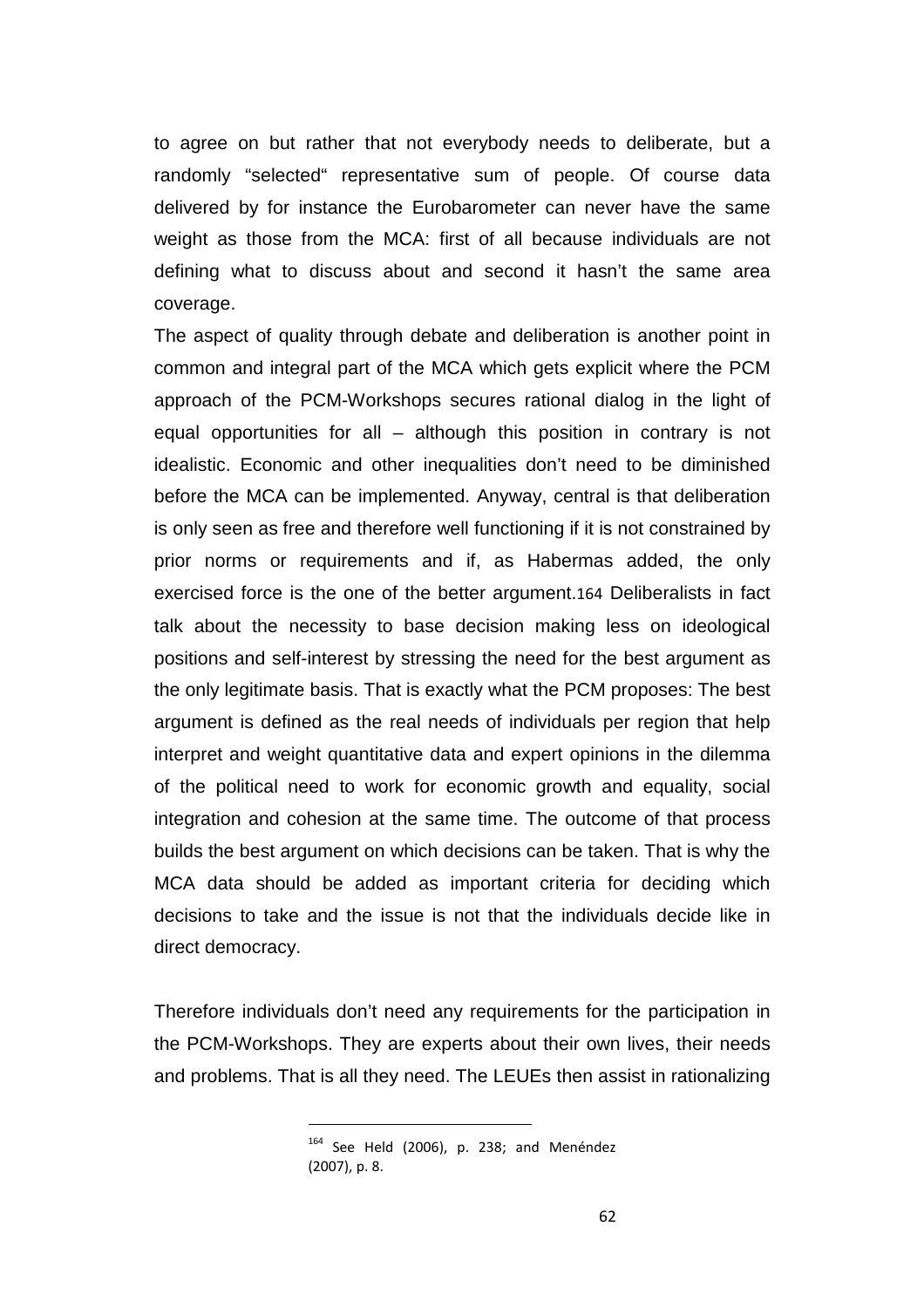to agree on but rather that not everybody needs to deliberate, but a randomly "selected" representative sum of people. Of course data delivered by for instance the Eurobarometer can never have the same weight as those from the MCA: first of all because individuals are not defining what to discuss about and second it hasn't the same area coverage.

The aspect of quality through debate and deliberation is another point in common and integral part of the MCA which gets explicit where the PCM approach of the PCM-Workshops secures rational dialog in the light of equal opportunities for all – although this position in contrary is not idealistic. Economic and other inequalities don't need to be diminished before the MCA can be implemented. Anyway, central is that deliberation is only seen as free and therefore well functioning if it is not constrained by prior norms or requirements and if, as Habermas added, the only exercised force is the one of the better argument.164 Deliberalists in fact talk about the necessity to base decision making less on ideological positions and self-interest by stressing the need for the best argument as the only legitimate basis. That is exactly what the PCM proposes: The best argument is defined as the real needs of individuals per region that help interpret and weight quantitative data and expert opinions in the dilemma of the political need to work for economic growth and equality, social integration and cohesion at the same time. The outcome of that process builds the best argument on which decisions can be taken. That is why the MCA data should be added as important criteria for deciding which decisions to take and the issue is not that the individuals decide like in direct democracy.

Therefore individuals don't need any requirements for the participation in the PCM-Workshops. They are experts about their own lives, their needs and problems. That is all they need. The LEUEs then assist in rationalizing

<sup>164</sup> See Held (2006), p. 238; and Menéndez (2007), p. 8.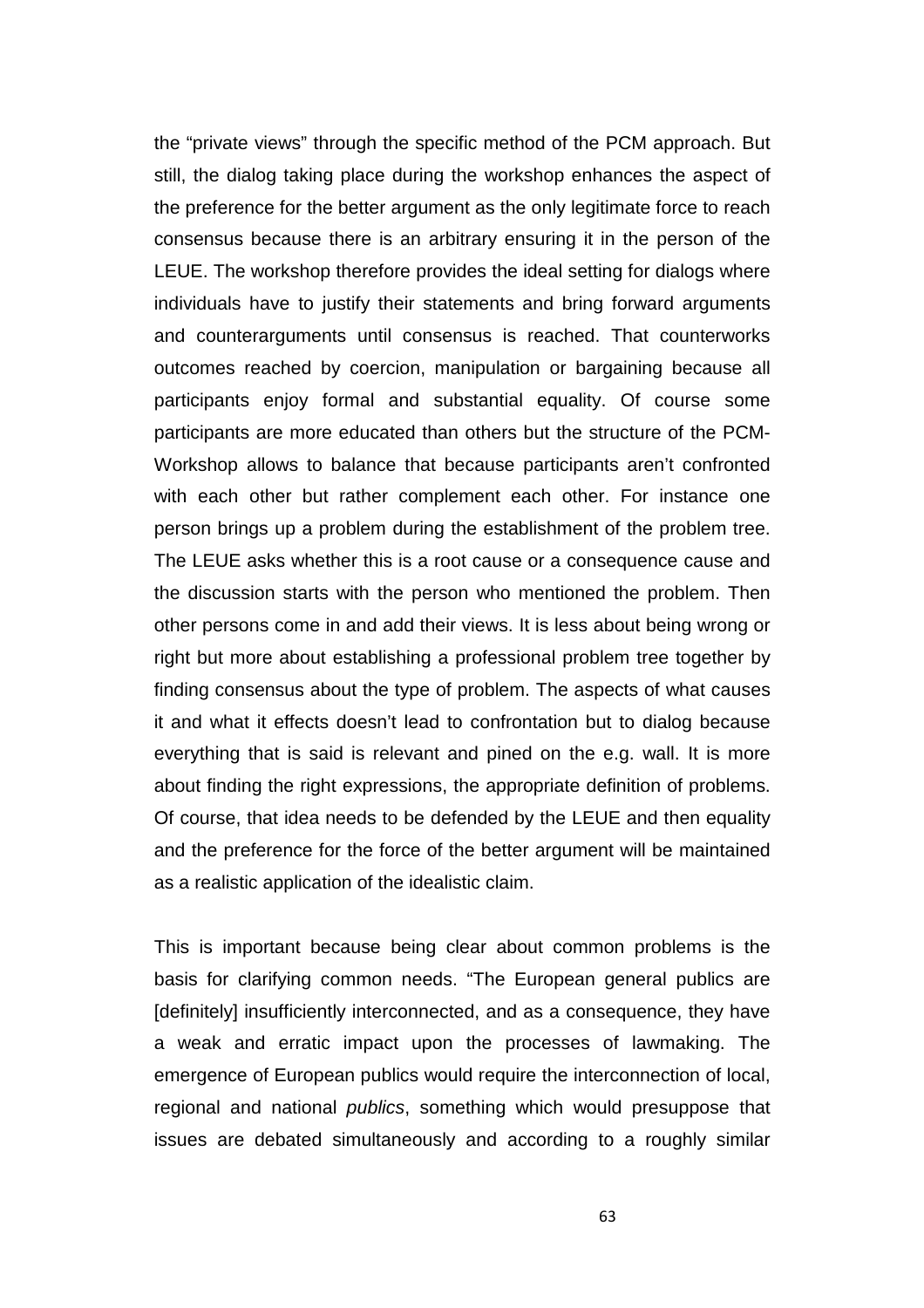the "private views" through the specific method of the PCM approach. But still, the dialog taking place during the workshop enhances the aspect of the preference for the better argument as the only legitimate force to reach consensus because there is an arbitrary ensuring it in the person of the LEUE. The workshop therefore provides the ideal setting for dialogs where individuals have to justify their statements and bring forward arguments and counterarguments until consensus is reached. That counterworks outcomes reached by coercion, manipulation or bargaining because all participants enjoy formal and substantial equality. Of course some participants are more educated than others but the structure of the PCM-Workshop allows to balance that because participants aren't confronted with each other but rather complement each other. For instance one person brings up a problem during the establishment of the problem tree. The LEUE asks whether this is a root cause or a consequence cause and the discussion starts with the person who mentioned the problem. Then other persons come in and add their views. It is less about being wrong or right but more about establishing a professional problem tree together by finding consensus about the type of problem. The aspects of what causes it and what it effects doesn't lead to confrontation but to dialog because everything that is said is relevant and pined on the e.g. wall. It is more about finding the right expressions, the appropriate definition of problems. Of course, that idea needs to be defended by the LEUE and then equality and the preference for the force of the better argument will be maintained as a realistic application of the idealistic claim.

This is important because being clear about common problems is the basis for clarifying common needs. "The European general publics are [definitely] insufficiently interconnected, and as a consequence, they have a weak and erratic impact upon the processes of lawmaking. The emergence of European publics would require the interconnection of local, regional and national publics, something which would presuppose that issues are debated simultaneously and according to a roughly similar

63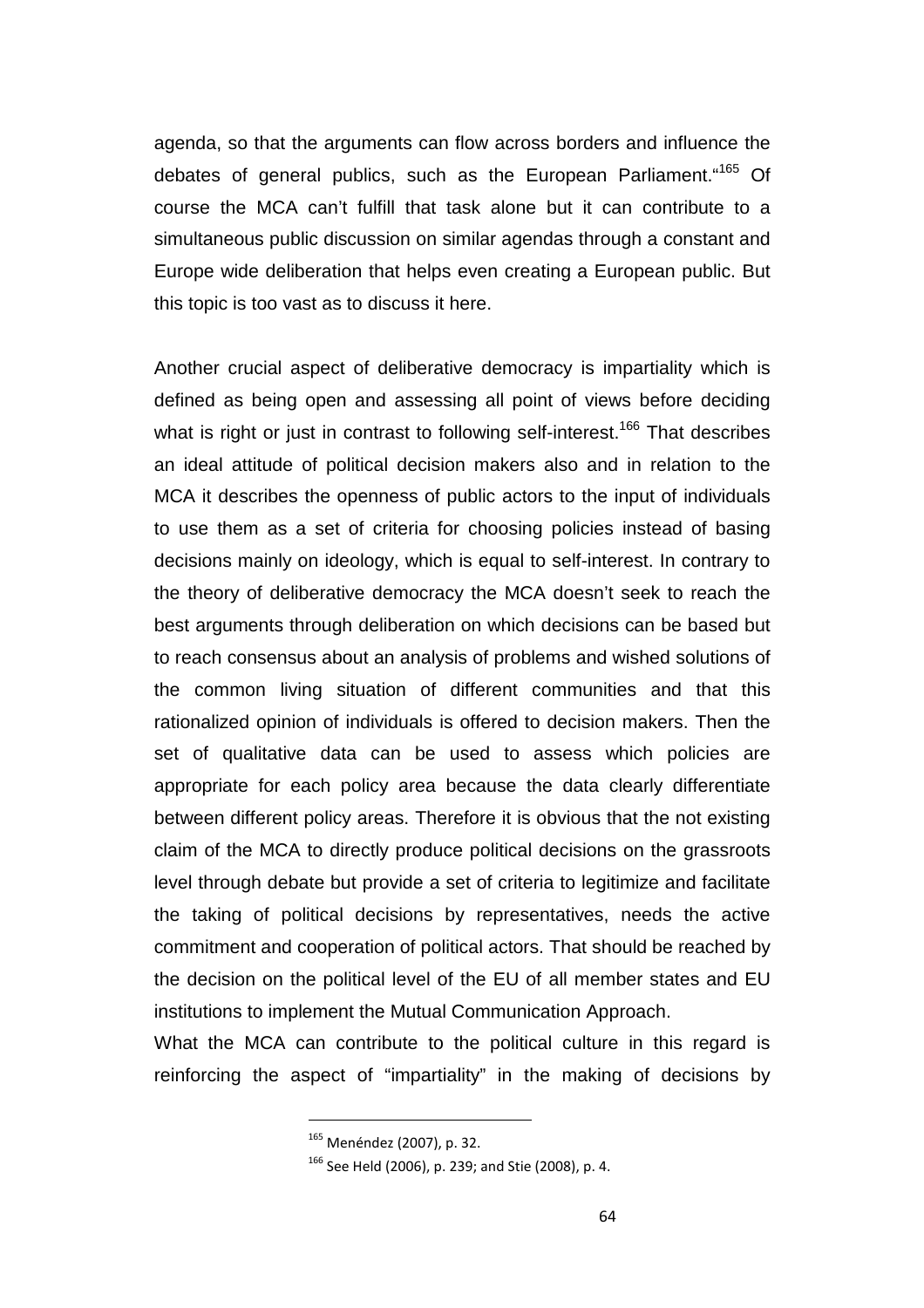agenda, so that the arguments can flow across borders and influence the debates of general publics, such as the European Parliament. "<sup>165</sup> Of course the MCA can't fulfill that task alone but it can contribute to a simultaneous public discussion on similar agendas through a constant and Europe wide deliberation that helps even creating a European public. But this topic is too vast as to discuss it here.

Another crucial aspect of deliberative democracy is impartiality which is defined as being open and assessing all point of views before deciding what is right or just in contrast to following self-interest.<sup>166</sup> That describes an ideal attitude of political decision makers also and in relation to the MCA it describes the openness of public actors to the input of individuals to use them as a set of criteria for choosing policies instead of basing decisions mainly on ideology, which is equal to self-interest. In contrary to the theory of deliberative democracy the MCA doesn't seek to reach the best arguments through deliberation on which decisions can be based but to reach consensus about an analysis of problems and wished solutions of the common living situation of different communities and that this rationalized opinion of individuals is offered to decision makers. Then the set of qualitative data can be used to assess which policies are appropriate for each policy area because the data clearly differentiate between different policy areas. Therefore it is obvious that the not existing claim of the MCA to directly produce political decisions on the grassroots level through debate but provide a set of criteria to legitimize and facilitate the taking of political decisions by representatives, needs the active commitment and cooperation of political actors. That should be reached by the decision on the political level of the EU of all member states and EU institutions to implement the Mutual Communication Approach.

What the MCA can contribute to the political culture in this regard is reinforcing the aspect of "impartiality" in the making of decisions by

<sup>165</sup> Menéndez (2007), p. 32.

<sup>166</sup> See Held (2006), p. 239; and Stie (2008), p. 4.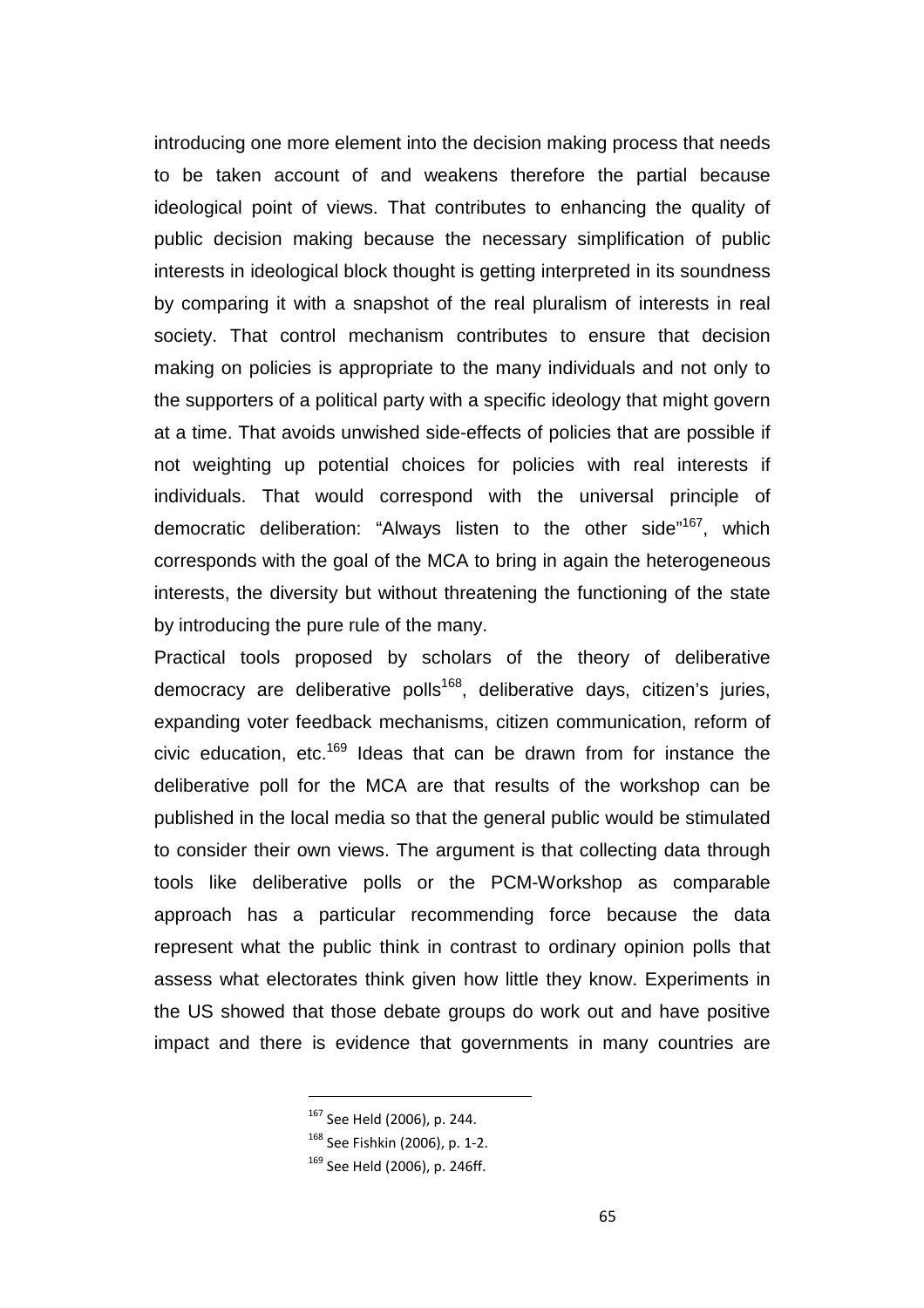introducing one more element into the decision making process that needs to be taken account of and weakens therefore the partial because ideological point of views. That contributes to enhancing the quality of public decision making because the necessary simplification of public interests in ideological block thought is getting interpreted in its soundness by comparing it with a snapshot of the real pluralism of interests in real society. That control mechanism contributes to ensure that decision making on policies is appropriate to the many individuals and not only to the supporters of a political party with a specific ideology that might govern at a time. That avoids unwished side-effects of policies that are possible if not weighting up potential choices for policies with real interests if individuals. That would correspond with the universal principle of democratic deliberation: "Always listen to the other side"<sup>167</sup>, which corresponds with the goal of the MCA to bring in again the heterogeneous interests, the diversity but without threatening the functioning of the state by introducing the pure rule of the many.

Practical tools proposed by scholars of the theory of deliberative democracy are deliberative polls<sup>168</sup>, deliberative days, citizen's juries, expanding voter feedback mechanisms, citizen communication, reform of civic education, etc.<sup>169</sup> Ideas that can be drawn from for instance the deliberative poll for the MCA are that results of the workshop can be published in the local media so that the general public would be stimulated to consider their own views. The argument is that collecting data through tools like deliberative polls or the PCM-Workshop as comparable approach has a particular recommending force because the data represent what the public think in contrast to ordinary opinion polls that assess what electorates think given how little they know. Experiments in the US showed that those debate groups do work out and have positive impact and there is evidence that governments in many countries are

<sup>167</sup> See Held (2006), p. 244.

<sup>168</sup> See Fishkin (2006), p. 1-2.

<sup>169</sup> See Held (2006), p. 246ff.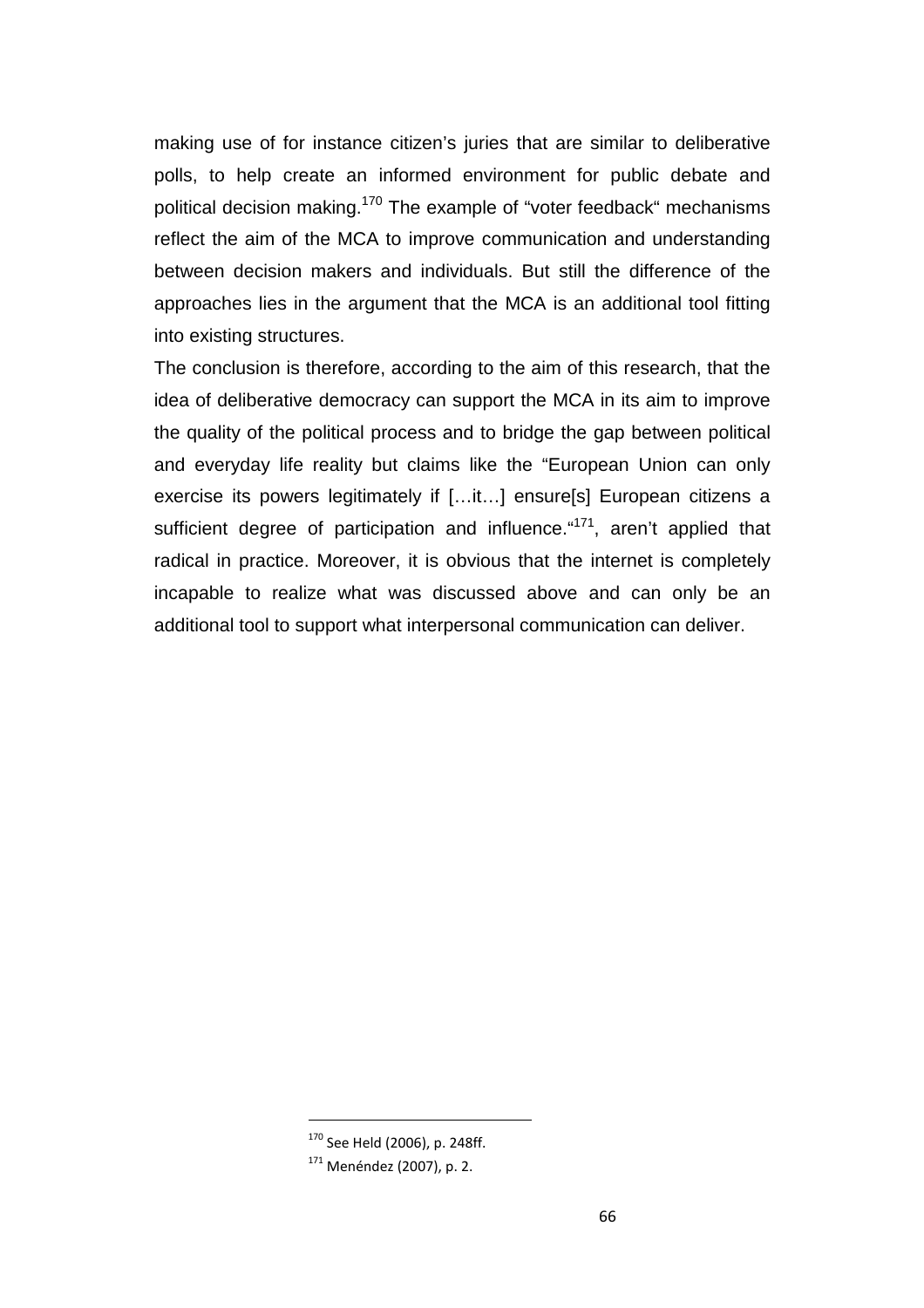making use of for instance citizen's juries that are similar to deliberative polls, to help create an informed environment for public debate and political decision making.<sup>170</sup> The example of "voter feedback" mechanisms reflect the aim of the MCA to improve communication and understanding between decision makers and individuals. But still the difference of the approaches lies in the argument that the MCA is an additional tool fitting into existing structures.

The conclusion is therefore, according to the aim of this research, that the idea of deliberative democracy can support the MCA in its aim to improve the quality of the political process and to bridge the gap between political and everyday life reality but claims like the "European Union can only exercise its powers legitimately if […it…] ensure[s] European citizens a sufficient degree of participation and influence. "<sup>171</sup>, aren't applied that radical in practice. Moreover, it is obvious that the internet is completely incapable to realize what was discussed above and can only be an additional tool to support what interpersonal communication can deliver.

<sup>170</sup> See Held (2006), p. 248ff.

<sup>171</sup> Menéndez (2007), p. 2.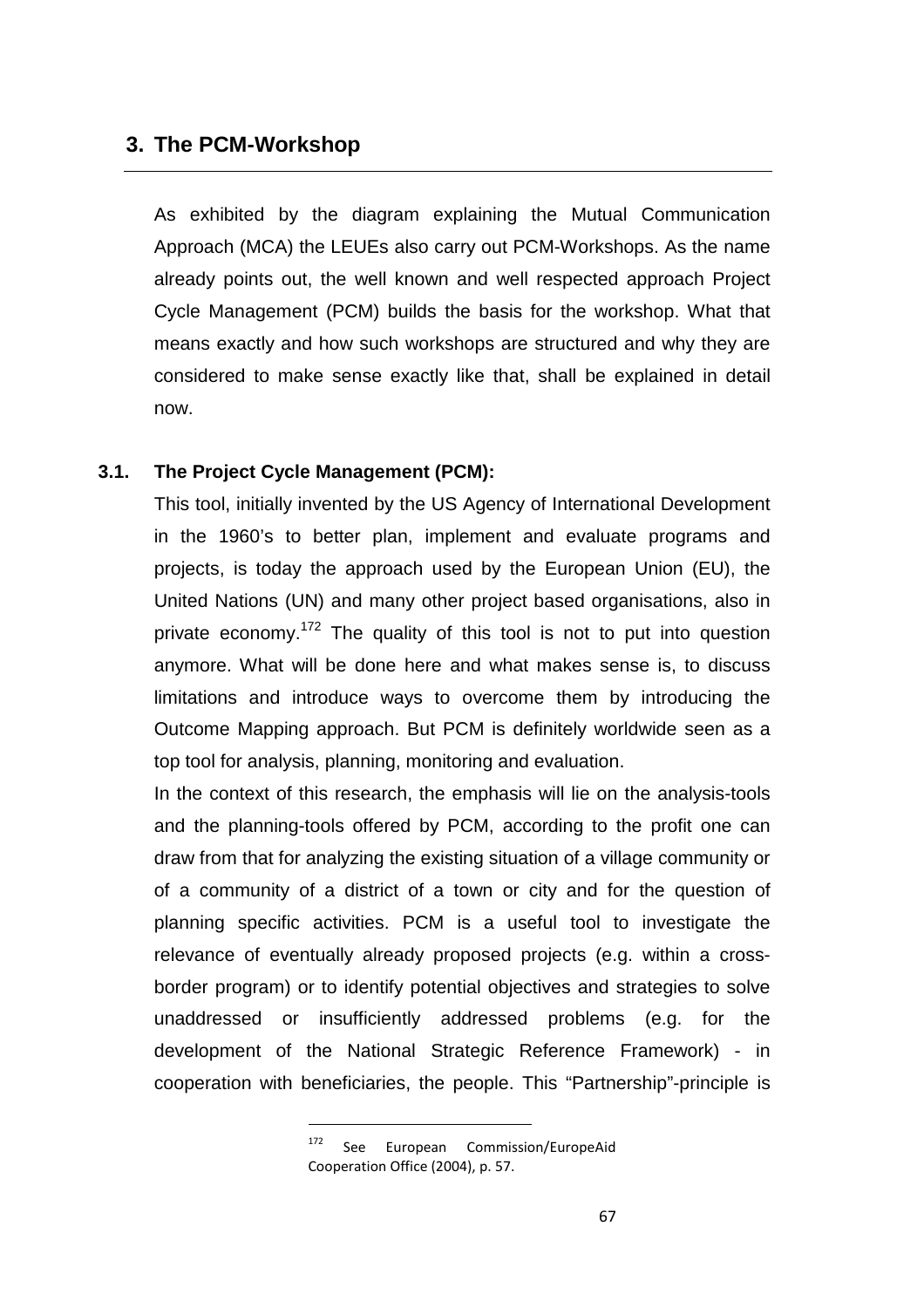## **3. The PCM-Workshop**

As exhibited by the diagram explaining the Mutual Communication Approach (MCA) the LEUEs also carry out PCM-Workshops. As the name already points out, the well known and well respected approach Project Cycle Management (PCM) builds the basis for the workshop. What that means exactly and how such workshops are structured and why they are considered to make sense exactly like that, shall be explained in detail now.

## **3.1. The Project Cycle Management (PCM):**

 $\overline{\phantom{a}}$ 

This tool, initially invented by the US Agency of International Development in the 1960's to better plan, implement and evaluate programs and projects, is today the approach used by the European Union (EU), the United Nations (UN) and many other project based organisations, also in private economy.<sup>172</sup> The quality of this tool is not to put into question anymore. What will be done here and what makes sense is, to discuss limitations and introduce ways to overcome them by introducing the Outcome Mapping approach. But PCM is definitely worldwide seen as a top tool for analysis, planning, monitoring and evaluation.

In the context of this research, the emphasis will lie on the analysis-tools and the planning-tools offered by PCM, according to the profit one can draw from that for analyzing the existing situation of a village community or of a community of a district of a town or city and for the question of planning specific activities. PCM is a useful tool to investigate the relevance of eventually already proposed projects (e.g. within a crossborder program) or to identify potential objectives and strategies to solve unaddressed or insufficiently addressed problems (e.g. for the development of the National Strategic Reference Framework) - in cooperation with beneficiaries, the people. This "Partnership"-principle is

<sup>&</sup>lt;sup>172</sup> See European Commission/EuropeAid Cooperation Office (2004), p. 57.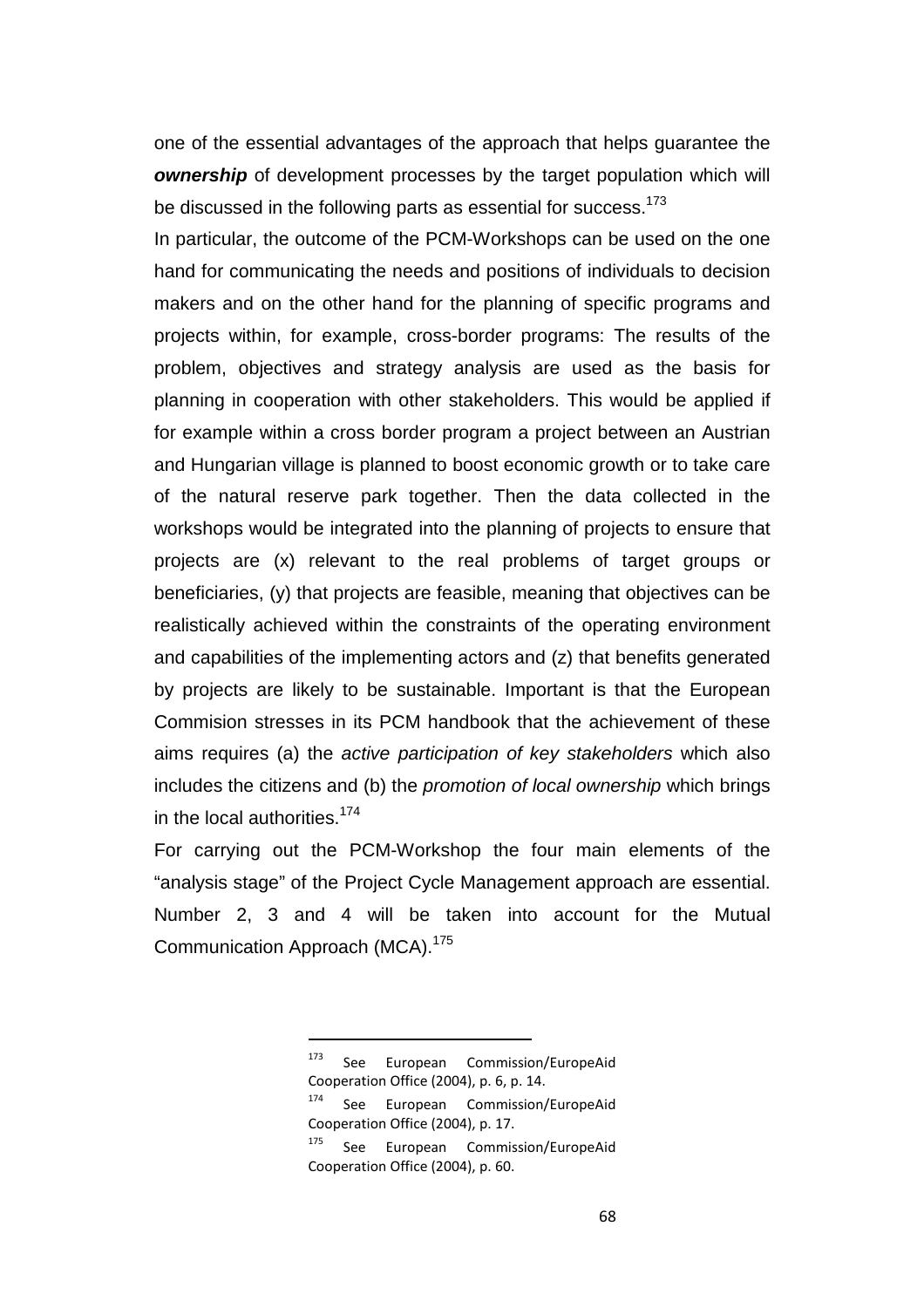one of the essential advantages of the approach that helps guarantee the **ownership** of development processes by the target population which will be discussed in the following parts as essential for success.<sup>173</sup>

In particular, the outcome of the PCM-Workshops can be used on the one hand for communicating the needs and positions of individuals to decision makers and on the other hand for the planning of specific programs and projects within, for example, cross-border programs: The results of the problem, objectives and strategy analysis are used as the basis for planning in cooperation with other stakeholders. This would be applied if for example within a cross border program a project between an Austrian and Hungarian village is planned to boost economic growth or to take care of the natural reserve park together. Then the data collected in the workshops would be integrated into the planning of projects to ensure that projects are (x) relevant to the real problems of target groups or beneficiaries, (y) that projects are feasible, meaning that objectives can be realistically achieved within the constraints of the operating environment and capabilities of the implementing actors and (z) that benefits generated by projects are likely to be sustainable. Important is that the European Commision stresses in its PCM handbook that the achievement of these aims requires (a) the active participation of key stakeholders which also includes the citizens and (b) the promotion of local ownership which brings in the local authorities.<sup>174</sup>

For carrying out the PCM-Workshop the four main elements of the "analysis stage" of the Project Cycle Management approach are essential. Number 2, 3 and 4 will be taken into account for the Mutual Communication Approach (MCA).<sup>175</sup>

<sup>&</sup>lt;sup>173</sup> See European Commission/EuropeAid Cooperation Office (2004), p. 6, p. 14.

<sup>&</sup>lt;sup>174</sup> See European Commission/EuropeAid Cooperation Office (2004), p. 17.

<sup>&</sup>lt;sup>175</sup> See European Commission/EuropeAid Cooperation Office (2004), p. 60.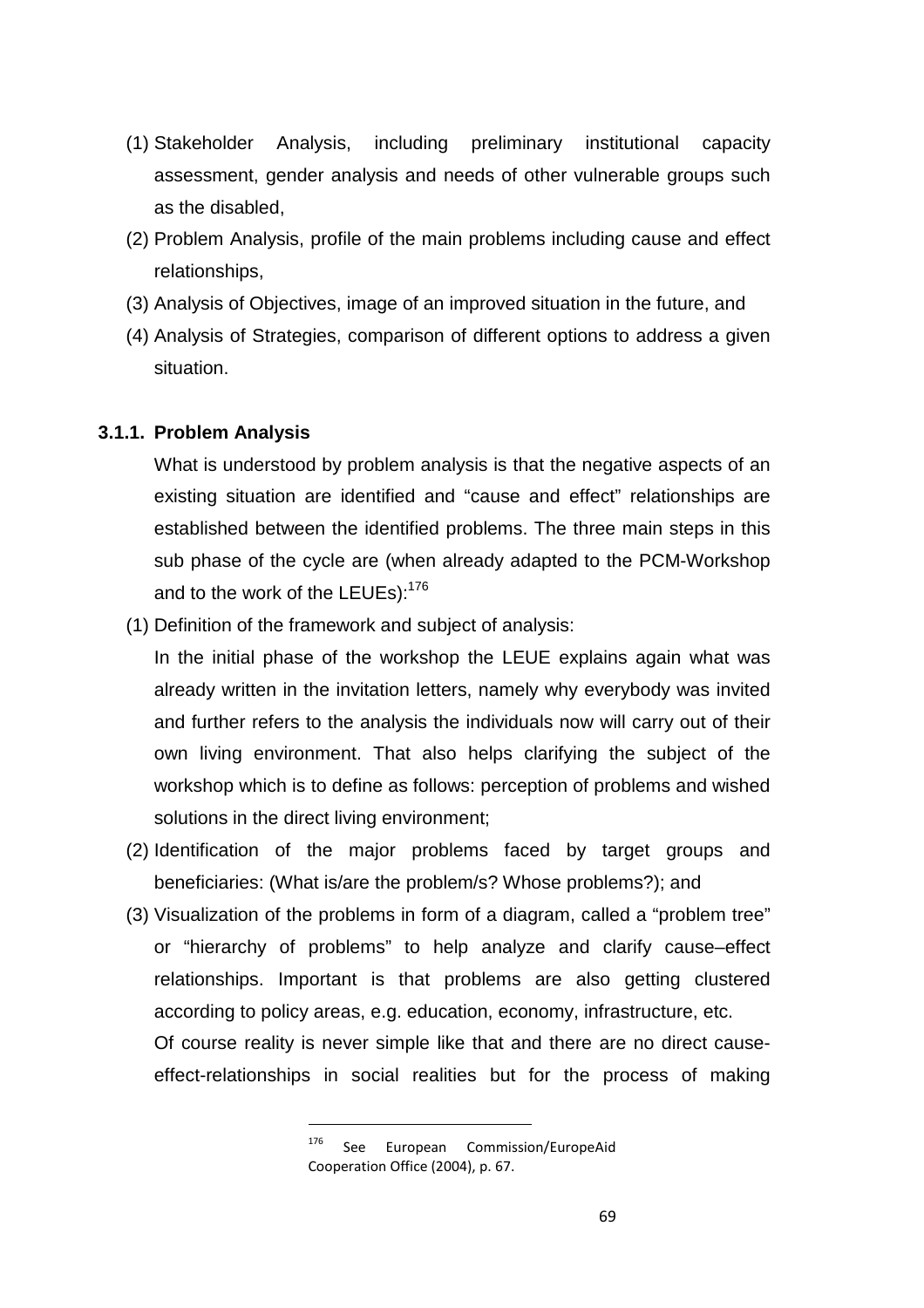- (1) Stakeholder Analysis, including preliminary institutional capacity assessment, gender analysis and needs of other vulnerable groups such as the disabled,
- (2) Problem Analysis, profile of the main problems including cause and effect relationships,
- (3) Analysis of Objectives, image of an improved situation in the future, and
- (4) Analysis of Strategies, comparison of different options to address a given situation.

## **3.1.1. Problem Analysis**

What is understood by problem analysis is that the negative aspects of an existing situation are identified and "cause and effect" relationships are established between the identified problems. The three main steps in this sub phase of the cycle are (when already adapted to the PCM-Workshop and to the work of the LEUEs):<sup>176</sup>

(1) Definition of the framework and subject of analysis:

 $\overline{\phantom{a}}$ 

In the initial phase of the workshop the LEUE explains again what was already written in the invitation letters, namely why everybody was invited and further refers to the analysis the individuals now will carry out of their own living environment. That also helps clarifying the subject of the workshop which is to define as follows: perception of problems and wished solutions in the direct living environment;

- (2) Identification of the major problems faced by target groups and beneficiaries: (What is/are the problem/s? Whose problems?); and
- (3) Visualization of the problems in form of a diagram, called a "problem tree" or "hierarchy of problems" to help analyze and clarify cause–effect relationships. Important is that problems are also getting clustered according to policy areas, e.g. education, economy, infrastructure, etc. Of course reality is never simple like that and there are no direct causeeffect-relationships in social realities but for the process of making

<sup>&</sup>lt;sup>176</sup> See European Commission/EuropeAid Cooperation Office (2004), p. 67.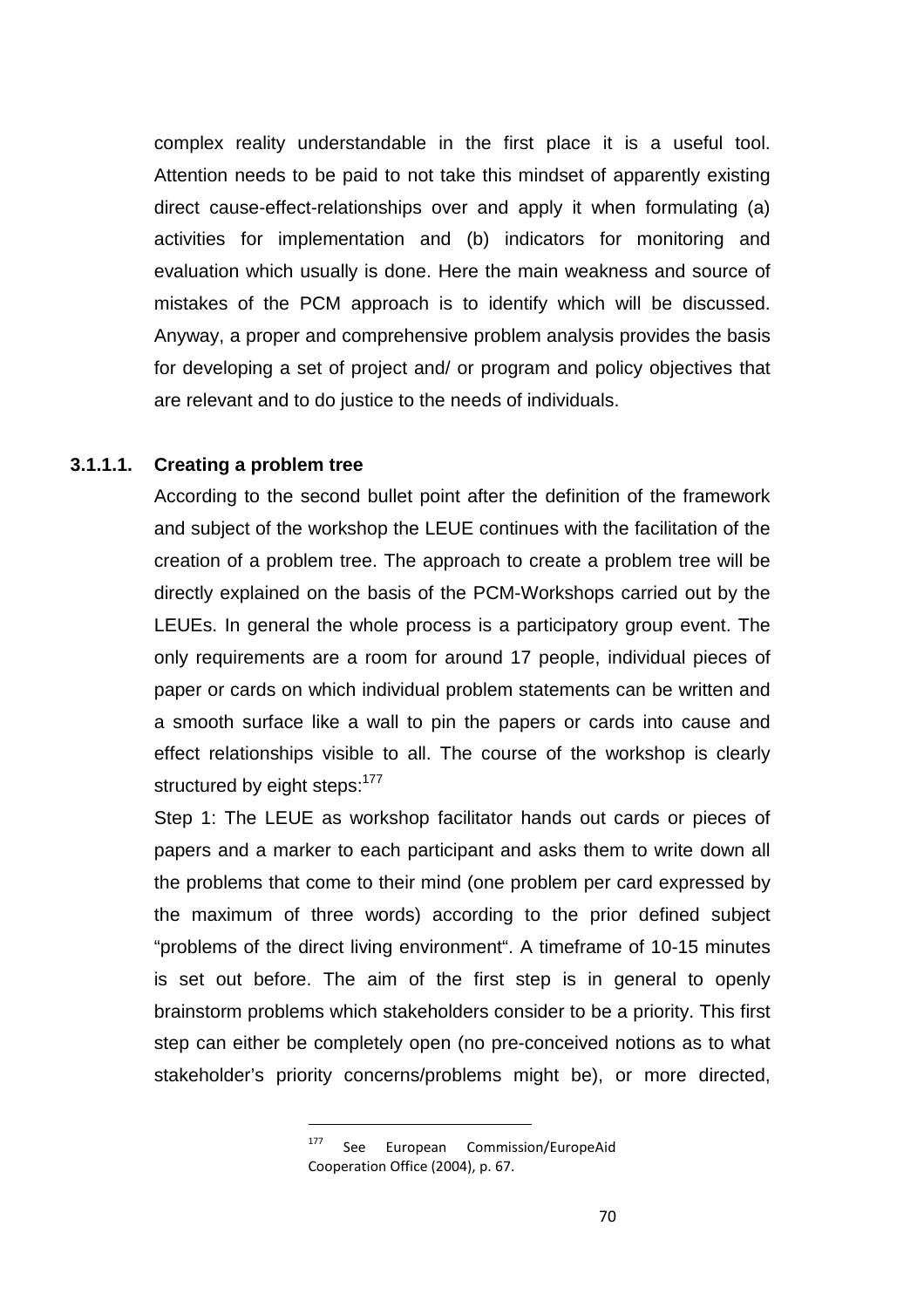complex reality understandable in the first place it is a useful tool. Attention needs to be paid to not take this mindset of apparently existing direct cause-effect-relationships over and apply it when formulating (a) activities for implementation and (b) indicators for monitoring and evaluation which usually is done. Here the main weakness and source of mistakes of the PCM approach is to identify which will be discussed. Anyway, a proper and comprehensive problem analysis provides the basis for developing a set of project and/ or program and policy objectives that are relevant and to do justice to the needs of individuals.

## **3.1.1.1. Creating a problem tree**

According to the second bullet point after the definition of the framework and subject of the workshop the LEUE continues with the facilitation of the creation of a problem tree. The approach to create a problem tree will be directly explained on the basis of the PCM-Workshops carried out by the LEUEs. In general the whole process is a participatory group event. The only requirements are a room for around 17 people, individual pieces of paper or cards on which individual problem statements can be written and a smooth surface like a wall to pin the papers or cards into cause and effect relationships visible to all. The course of the workshop is clearly structured by eight steps:  $177$ 

Step 1: The LEUE as workshop facilitator hands out cards or pieces of papers and a marker to each participant and asks them to write down all the problems that come to their mind (one problem per card expressed by the maximum of three words) according to the prior defined subject "problems of the direct living environment". A timeframe of 10-15 minutes is set out before. The aim of the first step is in general to openly brainstorm problems which stakeholders consider to be a priority. This first step can either be completely open (no pre-conceived notions as to what stakeholder's priority concerns/problems might be), or more directed,

<sup>&</sup>lt;sup>177</sup> See European Commission/EuropeAid Cooperation Office (2004), p. 67.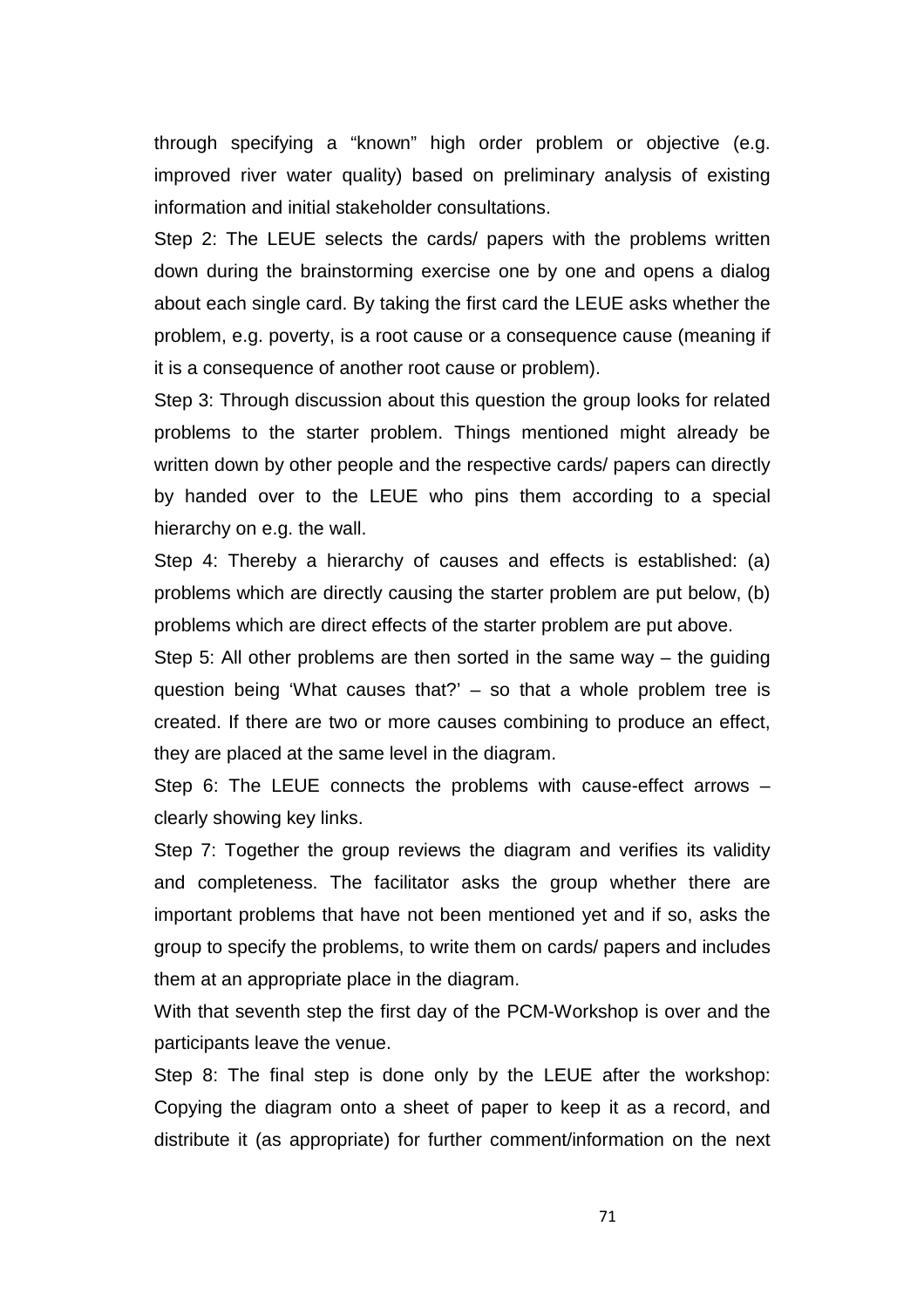through specifying a "known" high order problem or objective (e.g. improved river water quality) based on preliminary analysis of existing information and initial stakeholder consultations.

Step 2: The LEUE selects the cards/ papers with the problems written down during the brainstorming exercise one by one and opens a dialog about each single card. By taking the first card the LEUE asks whether the problem, e.g. poverty, is a root cause or a consequence cause (meaning if it is a consequence of another root cause or problem).

Step 3: Through discussion about this question the group looks for related problems to the starter problem. Things mentioned might already be written down by other people and the respective cards/ papers can directly by handed over to the LEUE who pins them according to a special hierarchy on e.g. the wall.

Step 4: Thereby a hierarchy of causes and effects is established: (a) problems which are directly causing the starter problem are put below, (b) problems which are direct effects of the starter problem are put above.

Step 5: All other problems are then sorted in the same way – the guiding question being 'What causes that?' – so that a whole problem tree is created. If there are two or more causes combining to produce an effect, they are placed at the same level in the diagram.

Step 6: The LEUE connects the problems with cause-effect arrows – clearly showing key links.

Step 7: Together the group reviews the diagram and verifies its validity and completeness. The facilitator asks the group whether there are important problems that have not been mentioned yet and if so, asks the group to specify the problems, to write them on cards/ papers and includes them at an appropriate place in the diagram.

With that seventh step the first day of the PCM-Workshop is over and the participants leave the venue.

Step 8: The final step is done only by the LEUE after the workshop: Copying the diagram onto a sheet of paper to keep it as a record, and distribute it (as appropriate) for further comment/information on the next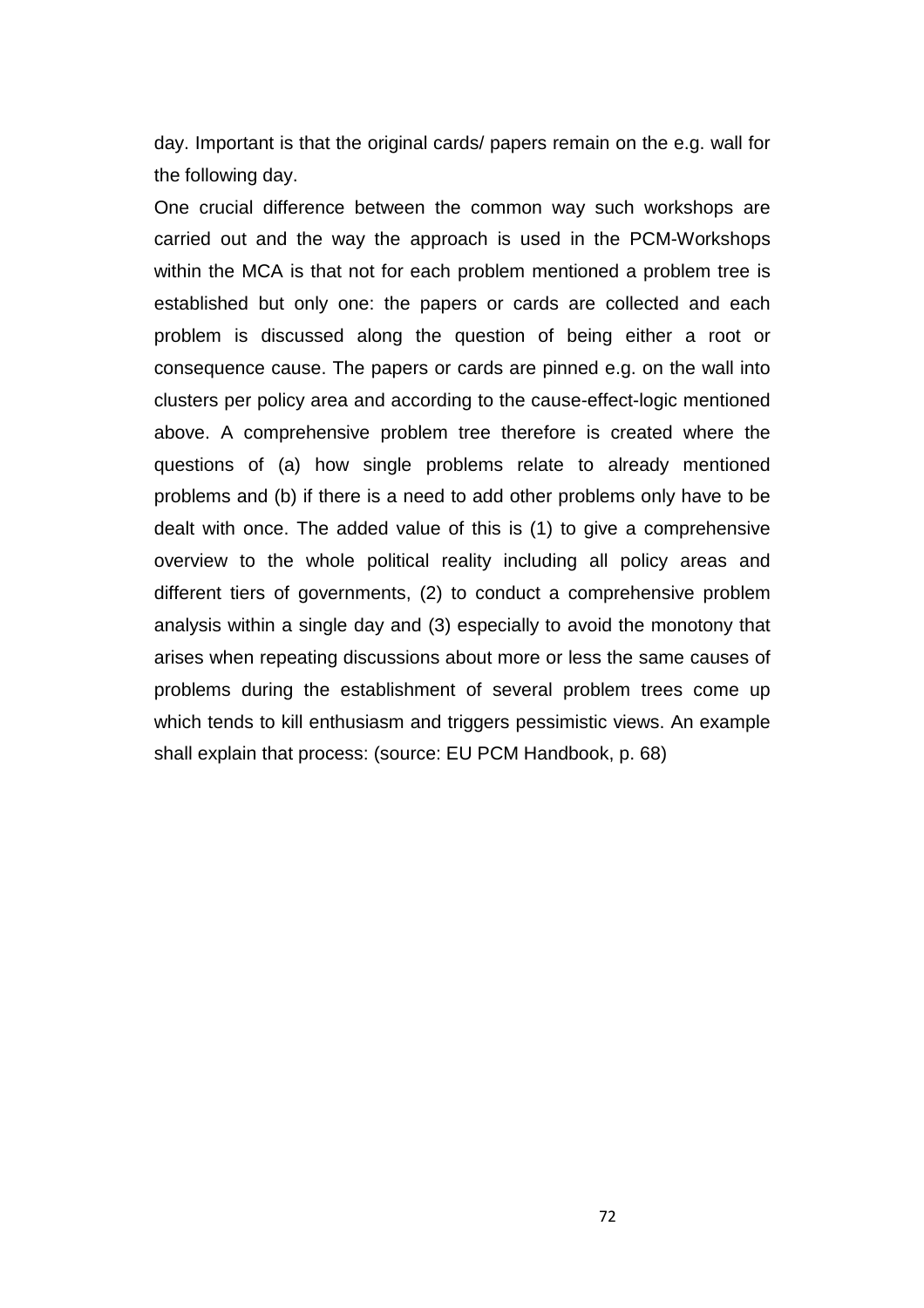day. Important is that the original cards/ papers remain on the e.g. wall for the following day.

One crucial difference between the common way such workshops are carried out and the way the approach is used in the PCM-Workshops within the MCA is that not for each problem mentioned a problem tree is established but only one: the papers or cards are collected and each problem is discussed along the question of being either a root or consequence cause. The papers or cards are pinned e.g. on the wall into clusters per policy area and according to the cause-effect-logic mentioned above. A comprehensive problem tree therefore is created where the questions of (a) how single problems relate to already mentioned problems and (b) if there is a need to add other problems only have to be dealt with once. The added value of this is (1) to give a comprehensive overview to the whole political reality including all policy areas and different tiers of governments, (2) to conduct a comprehensive problem analysis within a single day and (3) especially to avoid the monotony that arises when repeating discussions about more or less the same causes of problems during the establishment of several problem trees come up which tends to kill enthusiasm and triggers pessimistic views. An example shall explain that process: (source: EU PCM Handbook, p. 68)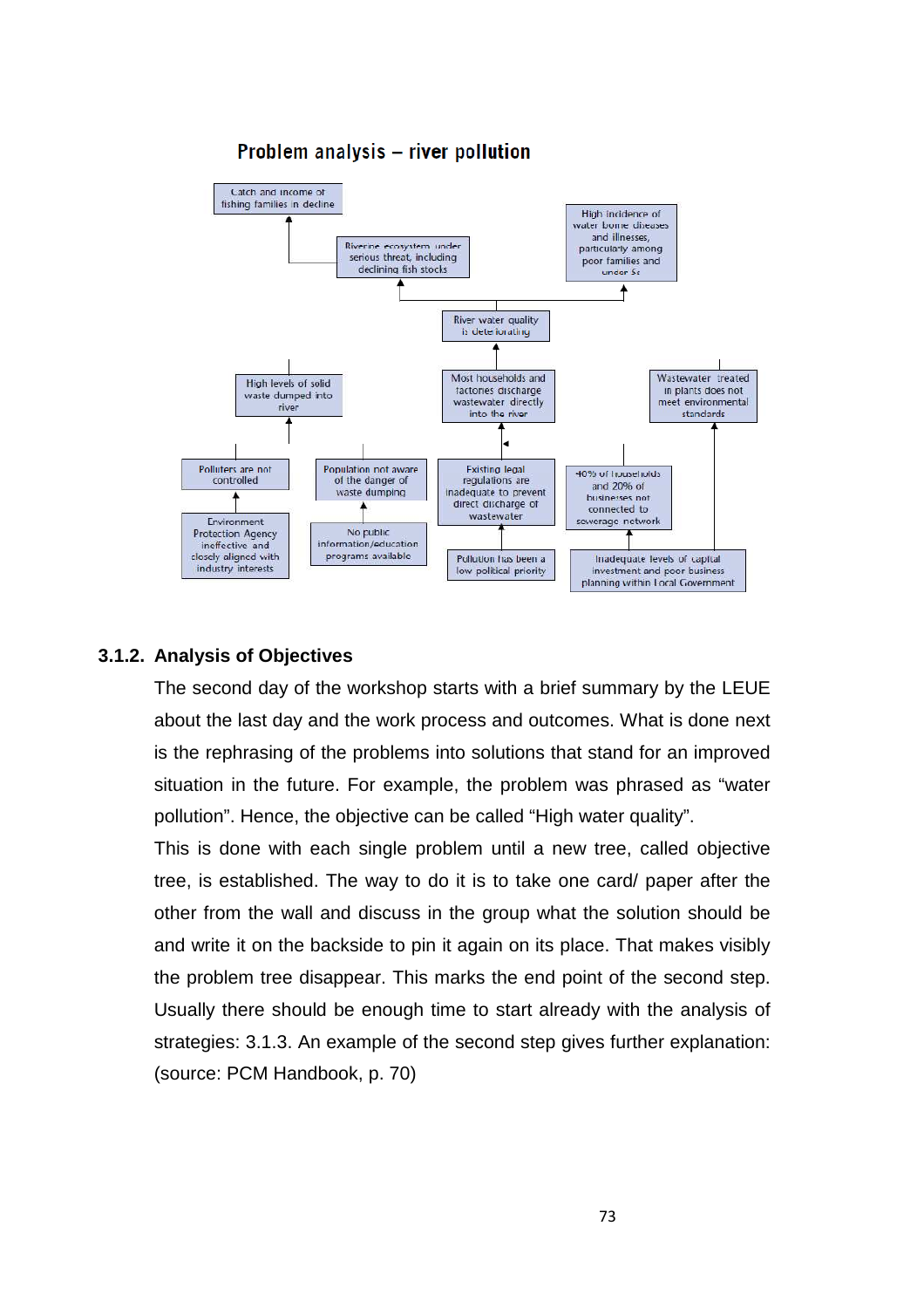

# Problem analysis - river pollution

## **3.1.2. Analysis of Objectives**

The second day of the workshop starts with a brief summary by the LEUE about the last day and the work process and outcomes. What is done next is the rephrasing of the problems into solutions that stand for an improved situation in the future. For example, the problem was phrased as "water pollution". Hence, the objective can be called "High water quality".

This is done with each single problem until a new tree, called objective tree, is established. The way to do it is to take one card/ paper after the other from the wall and discuss in the group what the solution should be and write it on the backside to pin it again on its place. That makes visibly the problem tree disappear. This marks the end point of the second step. Usually there should be enough time to start already with the analysis of strategies: 3.1.3. An example of the second step gives further explanation: (source: PCM Handbook, p. 70)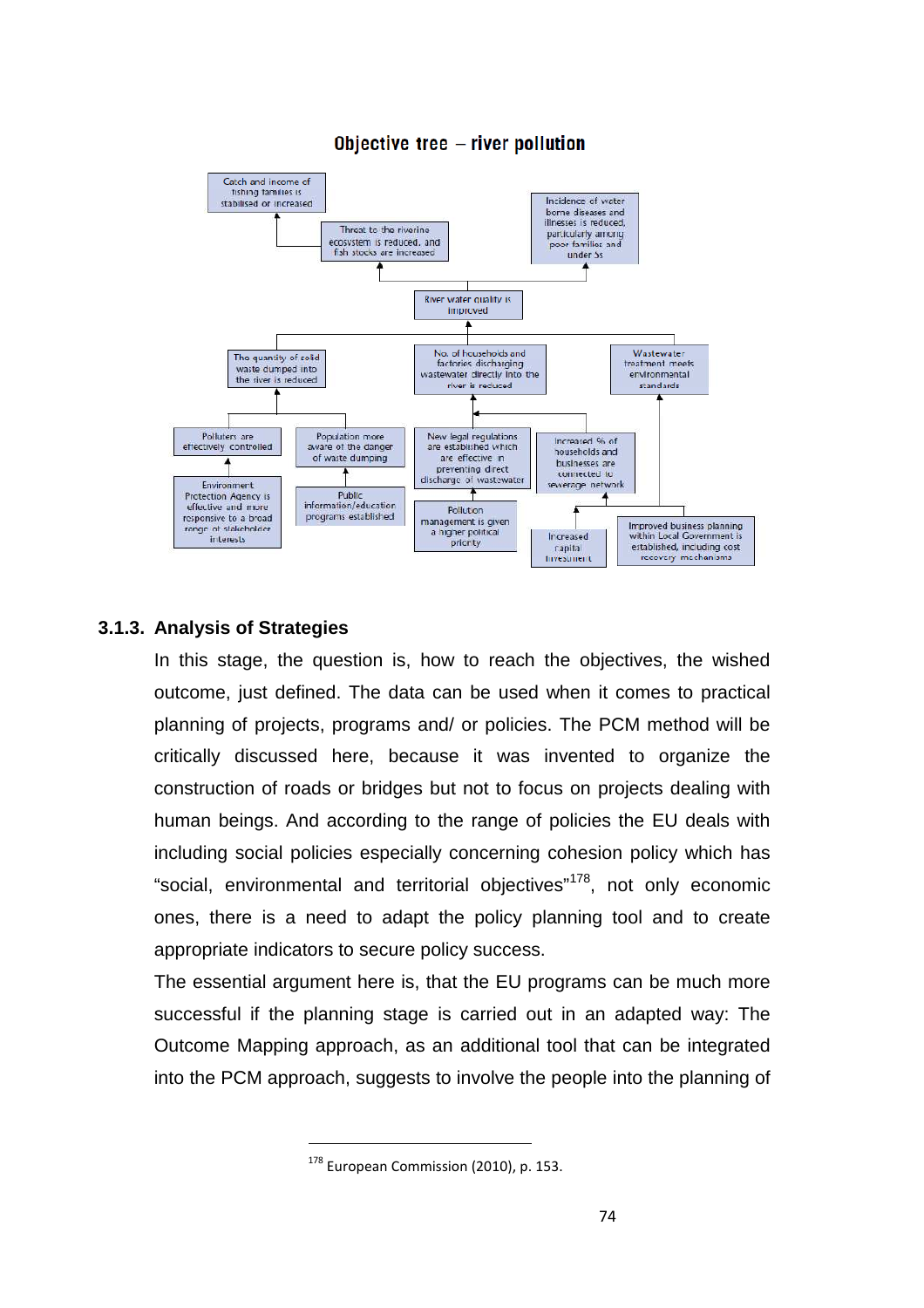

## Objective tree - river pollution

## **3.1.3. Analysis of Strategies**

In this stage, the question is, how to reach the objectives, the wished outcome, just defined. The data can be used when it comes to practical planning of projects, programs and/ or policies. The PCM method will be critically discussed here, because it was invented to organize the construction of roads or bridges but not to focus on projects dealing with human beings. And according to the range of policies the EU deals with including social policies especially concerning cohesion policy which has "social, environmental and territorial objectives"<sup>178</sup>, not only economic ones, there is a need to adapt the policy planning tool and to create appropriate indicators to secure policy success.

The essential argument here is, that the EU programs can be much more successful if the planning stage is carried out in an adapted way: The Outcome Mapping approach, as an additional tool that can be integrated into the PCM approach, suggests to involve the people into the planning of

<sup>&</sup>lt;sup>178</sup> European Commission (2010), p. 153.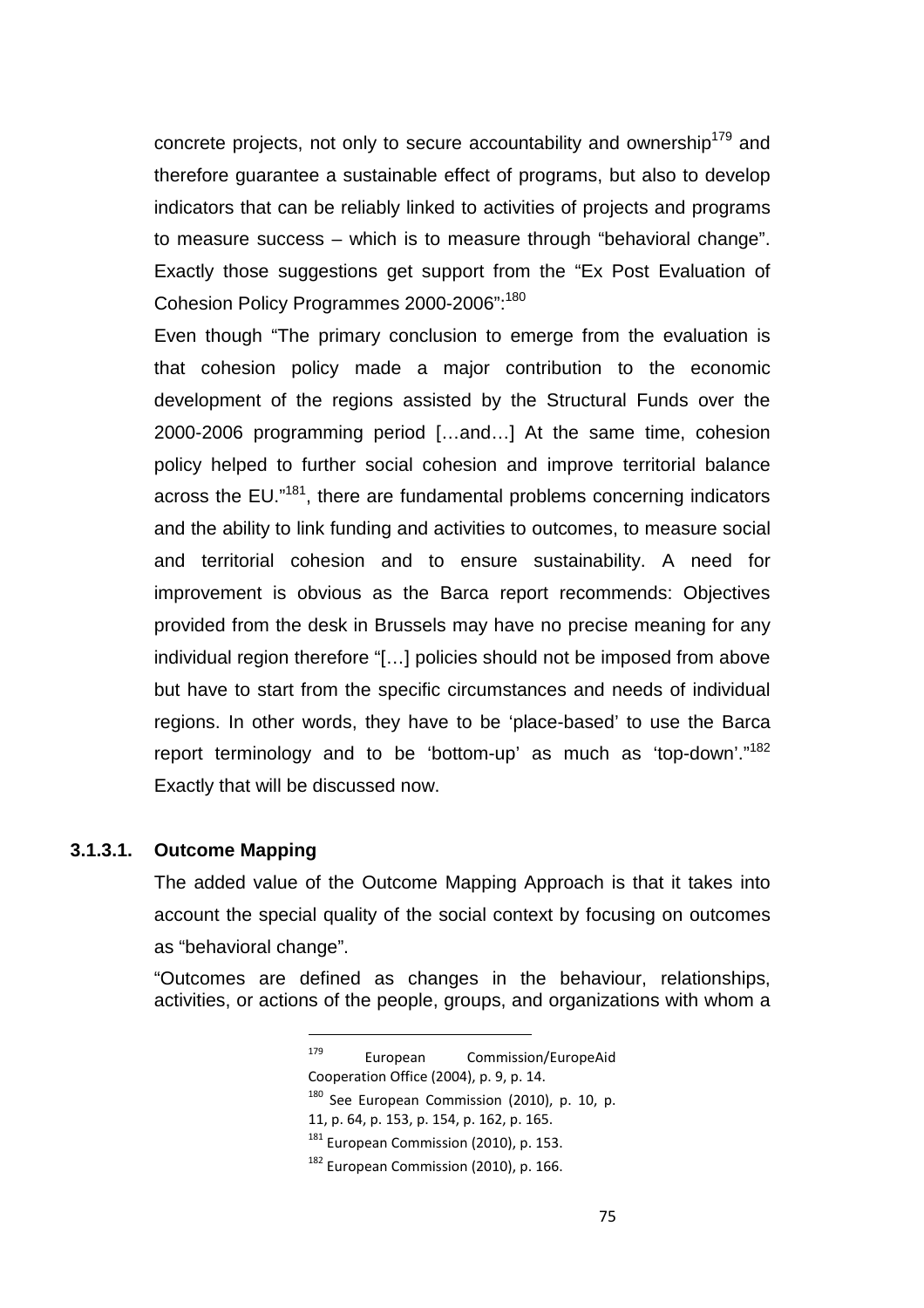concrete projects, not only to secure accountability and ownership<sup>179</sup> and therefore guarantee a sustainable effect of programs, but also to develop indicators that can be reliably linked to activities of projects and programs to measure success – which is to measure through "behavioral change". Exactly those suggestions get support from the "Ex Post Evaluation of Cohesion Policy Programmes 2000-2006":<sup>180</sup>

Even though "The primary conclusion to emerge from the evaluation is that cohesion policy made a major contribution to the economic development of the regions assisted by the Structural Funds over the 2000-2006 programming period […and…] At the same time, cohesion policy helped to further social cohesion and improve territorial balance across the EU."<sup>181</sup>, there are fundamental problems concerning indicators and the ability to link funding and activities to outcomes, to measure social and territorial cohesion and to ensure sustainability. A need for improvement is obvious as the Barca report recommends: Objectives provided from the desk in Brussels may have no precise meaning for any individual region therefore "[…] policies should not be imposed from above but have to start from the specific circumstances and needs of individual regions. In other words, they have to be 'place-based' to use the Barca report terminology and to be 'bottom-up' as much as 'top-down'."<sup>182</sup> Exactly that will be discussed now.

#### **3.1.3.1. Outcome Mapping**

The added value of the Outcome Mapping Approach is that it takes into account the special quality of the social context by focusing on outcomes as "behavioral change".

"Outcomes are defined as changes in the behaviour, relationships, activities, or actions of the people, groups, and organizations with whom a

<sup>181</sup> European Commission (2010), p. 153.

<sup>179</sup> European Commission/EuropeAid Cooperation Office (2004), p. 9, p. 14.  $180$  See European Commission (2010), p. 10, p.

<sup>11,</sup> p. 64, p. 153, p. 154, p. 162, p. 165.

<sup>&</sup>lt;sup>182</sup> European Commission (2010), p. 166.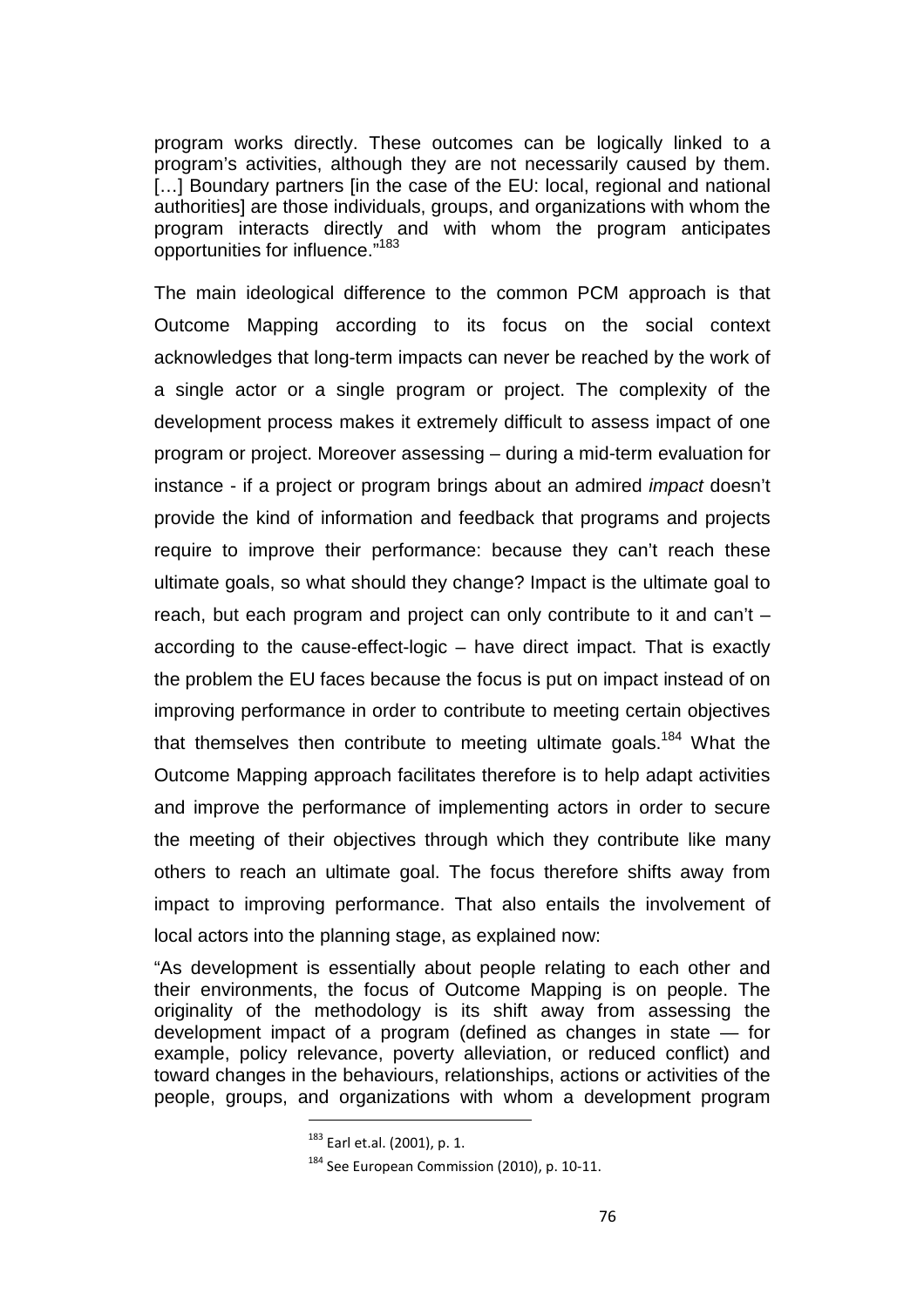program works directly. These outcomes can be logically linked to a program's activities, although they are not necessarily caused by them. [...] Boundary partners [in the case of the EU: local, regional and national authorities] are those individuals, groups, and organizations with whom the program interacts directly and with whom the program anticipates opportunities for influence."<sup>183</sup>

The main ideological difference to the common PCM approach is that Outcome Mapping according to its focus on the social context acknowledges that long-term impacts can never be reached by the work of a single actor or a single program or project. The complexity of the development process makes it extremely difficult to assess impact of one program or project. Moreover assessing – during a mid-term evaluation for instance - if a project or program brings about an admired impact doesn't provide the kind of information and feedback that programs and projects require to improve their performance: because they can't reach these ultimate goals, so what should they change? Impact is the ultimate goal to reach, but each program and project can only contribute to it and can't – according to the cause-effect-logic – have direct impact. That is exactly the problem the EU faces because the focus is put on impact instead of on improving performance in order to contribute to meeting certain objectives that themselves then contribute to meeting ultimate goals.<sup>184</sup> What the Outcome Mapping approach facilitates therefore is to help adapt activities and improve the performance of implementing actors in order to secure the meeting of their objectives through which they contribute like many others to reach an ultimate goal. The focus therefore shifts away from impact to improving performance. That also entails the involvement of local actors into the planning stage, as explained now:

"As development is essentially about people relating to each other and their environments, the focus of Outcome Mapping is on people. The originality of the methodology is its shift away from assessing the development impact of a program (defined as changes in state — for example, policy relevance, poverty alleviation, or reduced conflict) and toward changes in the behaviours, relationships, actions or activities of the people, groups, and organizations with whom a development program

<sup>183</sup> Earl et.al. (2001), p. 1.

<sup>&</sup>lt;sup>184</sup> See European Commission (2010), p. 10-11.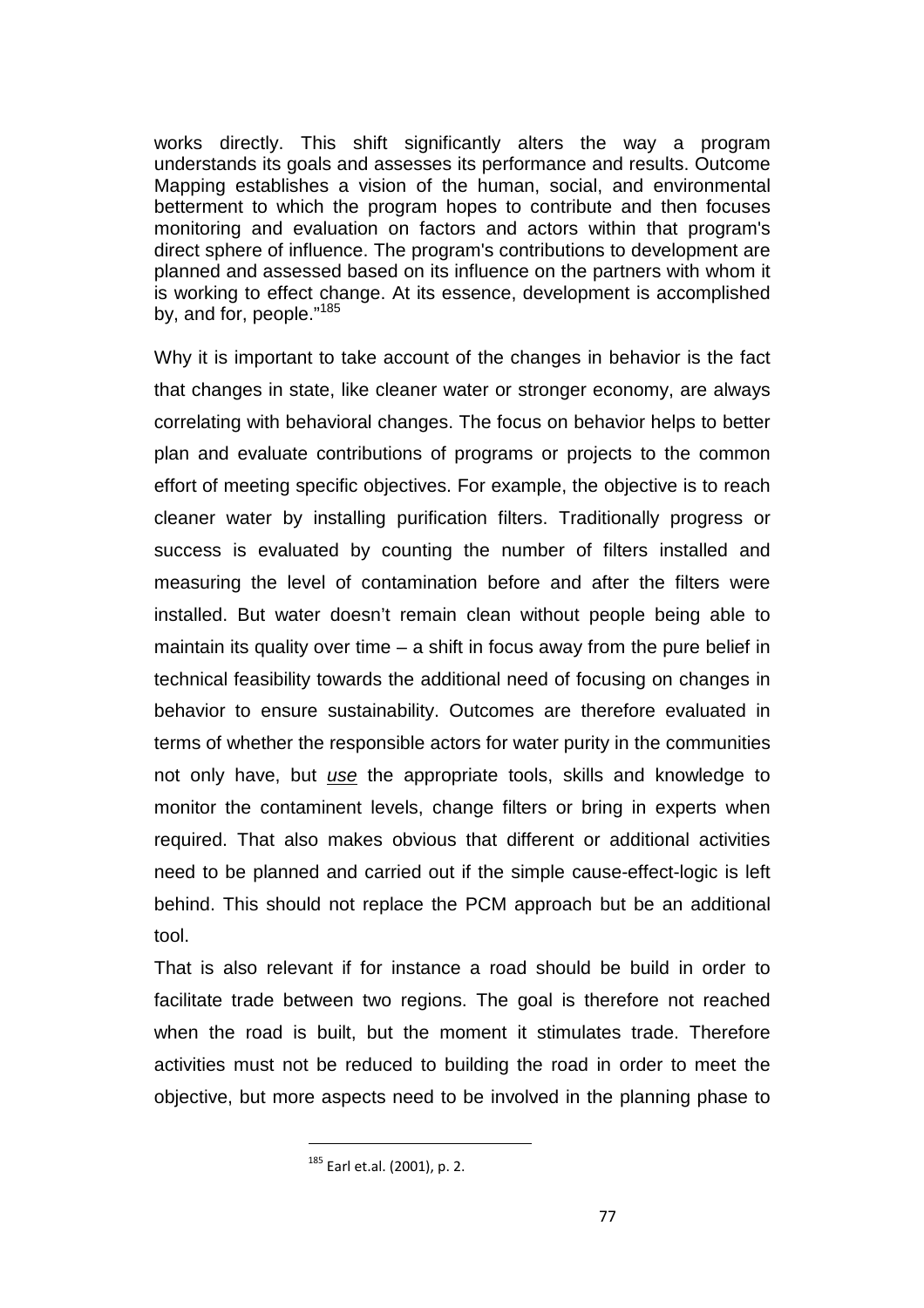works directly. This shift significantly alters the way a program understands its goals and assesses its performance and results. Outcome Mapping establishes a vision of the human, social, and environmental betterment to which the program hopes to contribute and then focuses monitoring and evaluation on factors and actors within that program's direct sphere of influence. The program's contributions to development are planned and assessed based on its influence on the partners with whom it is working to effect change. At its essence, development is accomplished by, and for, people."<sup>185</sup>

Why it is important to take account of the changes in behavior is the fact that changes in state, like cleaner water or stronger economy, are always correlating with behavioral changes. The focus on behavior helps to better plan and evaluate contributions of programs or projects to the common effort of meeting specific objectives. For example, the objective is to reach cleaner water by installing purification filters. Traditionally progress or success is evaluated by counting the number of filters installed and measuring the level of contamination before and after the filters were installed. But water doesn't remain clean without people being able to maintain its quality over time  $-$  a shift in focus away from the pure belief in technical feasibility towards the additional need of focusing on changes in behavior to ensure sustainability. Outcomes are therefore evaluated in terms of whether the responsible actors for water purity in the communities not only have, but use the appropriate tools, skills and knowledge to monitor the contaminent levels, change filters or bring in experts when required. That also makes obvious that different or additional activities need to be planned and carried out if the simple cause-effect-logic is left behind. This should not replace the PCM approach but be an additional tool.

That is also relevant if for instance a road should be build in order to facilitate trade between two regions. The goal is therefore not reached when the road is built, but the moment it stimulates trade. Therefore activities must not be reduced to building the road in order to meet the objective, but more aspects need to be involved in the planning phase to

<sup>185</sup> Earl et.al. (2001), p. 2.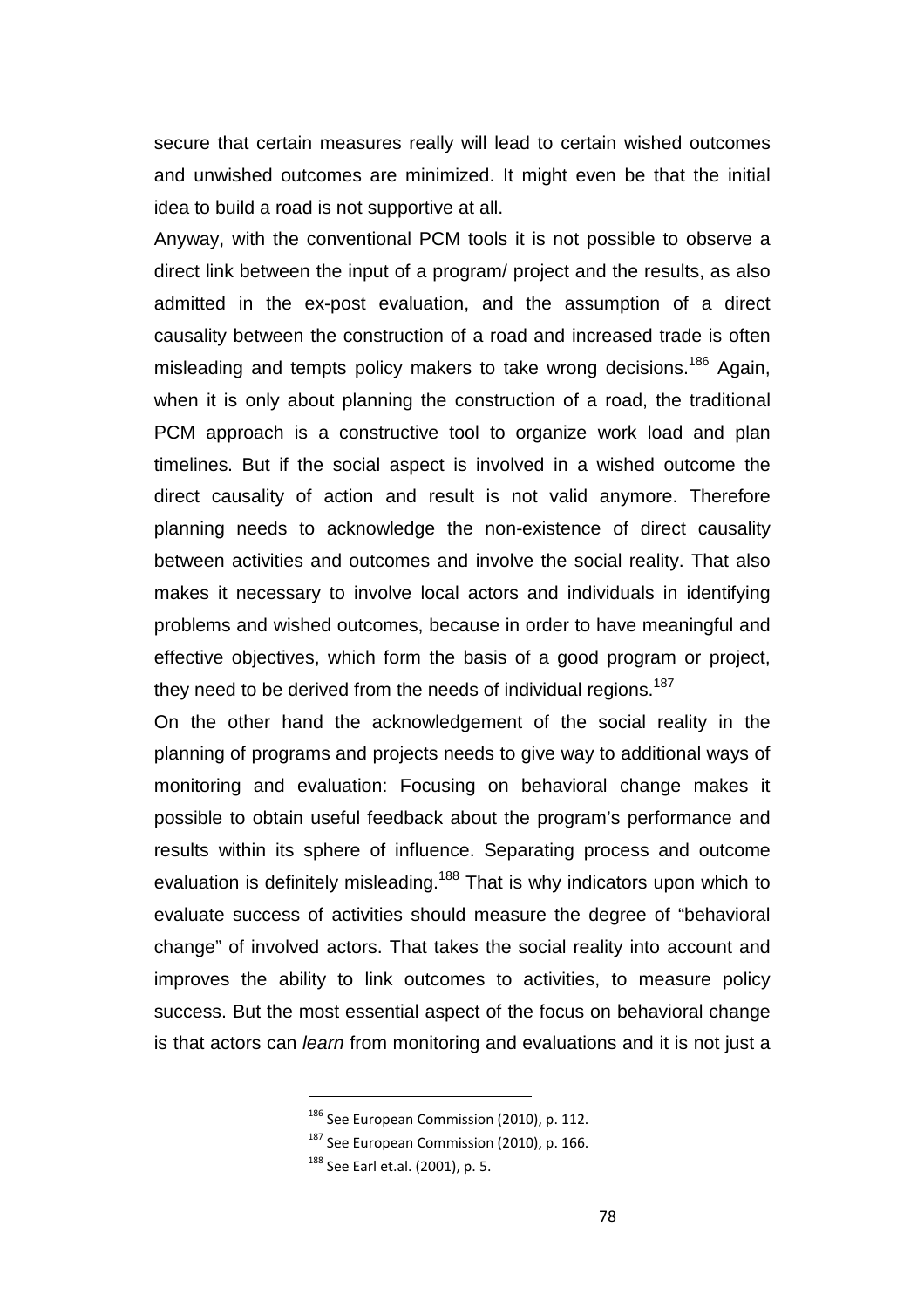secure that certain measures really will lead to certain wished outcomes and unwished outcomes are minimized. It might even be that the initial idea to build a road is not supportive at all.

Anyway, with the conventional PCM tools it is not possible to observe a direct link between the input of a program/ project and the results, as also admitted in the ex-post evaluation, and the assumption of a direct causality between the construction of a road and increased trade is often misleading and tempts policy makers to take wrong decisions.<sup>186</sup> Again, when it is only about planning the construction of a road, the traditional PCM approach is a constructive tool to organize work load and plan timelines. But if the social aspect is involved in a wished outcome the direct causality of action and result is not valid anymore. Therefore planning needs to acknowledge the non-existence of direct causality between activities and outcomes and involve the social reality. That also makes it necessary to involve local actors and individuals in identifying problems and wished outcomes, because in order to have meaningful and effective objectives, which form the basis of a good program or project, they need to be derived from the needs of individual regions.<sup>187</sup>

On the other hand the acknowledgement of the social reality in the planning of programs and projects needs to give way to additional ways of monitoring and evaluation: Focusing on behavioral change makes it possible to obtain useful feedback about the program's performance and results within its sphere of influence. Separating process and outcome evaluation is definitely misleading.<sup>188</sup> That is why indicators upon which to evaluate success of activities should measure the degree of "behavioral change" of involved actors. That takes the social reality into account and improves the ability to link outcomes to activities, to measure policy success. But the most essential aspect of the focus on behavioral change is that actors can learn from monitoring and evaluations and it is not just a

<sup>&</sup>lt;sup>186</sup> See European Commission (2010), p. 112.

<sup>&</sup>lt;sup>187</sup> See European Commission (2010), p. 166.

<sup>188</sup> See Earl et.al. (2001), p. 5.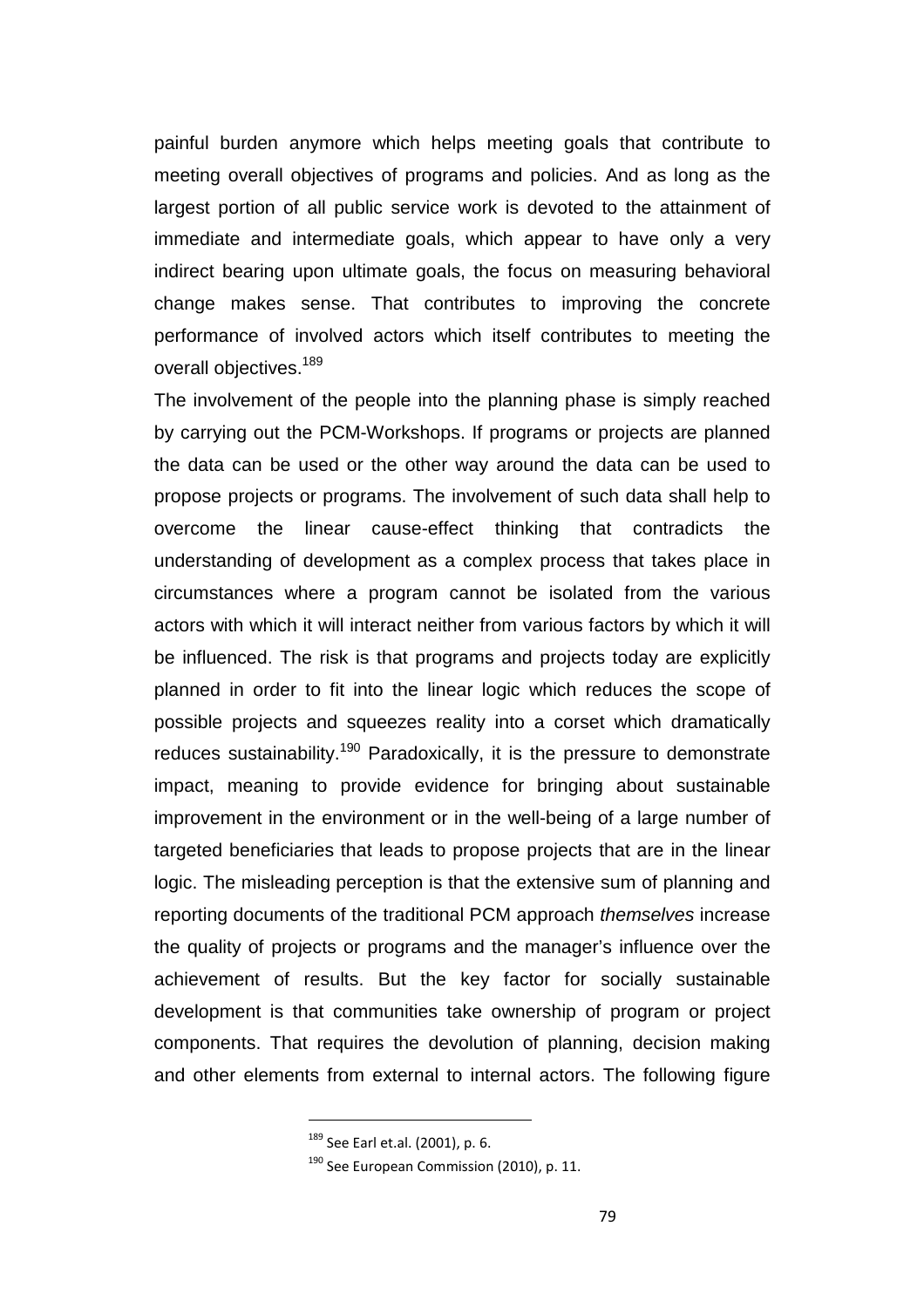painful burden anymore which helps meeting goals that contribute to meeting overall objectives of programs and policies. And as long as the largest portion of all public service work is devoted to the attainment of immediate and intermediate goals, which appear to have only a very indirect bearing upon ultimate goals, the focus on measuring behavioral change makes sense. That contributes to improving the concrete performance of involved actors which itself contributes to meeting the overall objectives.<sup>189</sup>

The involvement of the people into the planning phase is simply reached by carrying out the PCM-Workshops. If programs or projects are planned the data can be used or the other way around the data can be used to propose projects or programs. The involvement of such data shall help to overcome the linear cause-effect thinking that contradicts the understanding of development as a complex process that takes place in circumstances where a program cannot be isolated from the various actors with which it will interact neither from various factors by which it will be influenced. The risk is that programs and projects today are explicitly planned in order to fit into the linear logic which reduces the scope of possible projects and squeezes reality into a corset which dramatically reduces sustainability.<sup>190</sup> Paradoxically, it is the pressure to demonstrate impact, meaning to provide evidence for bringing about sustainable improvement in the environment or in the well-being of a large number of targeted beneficiaries that leads to propose projects that are in the linear logic. The misleading perception is that the extensive sum of planning and reporting documents of the traditional PCM approach themselves increase the quality of projects or programs and the manager's influence over the achievement of results. But the key factor for socially sustainable development is that communities take ownership of program or project components. That requires the devolution of planning, decision making and other elements from external to internal actors. The following figure

<sup>189</sup> See Earl et.al. (2001), p. 6.

<sup>&</sup>lt;sup>190</sup> See European Commission (2010), p. 11.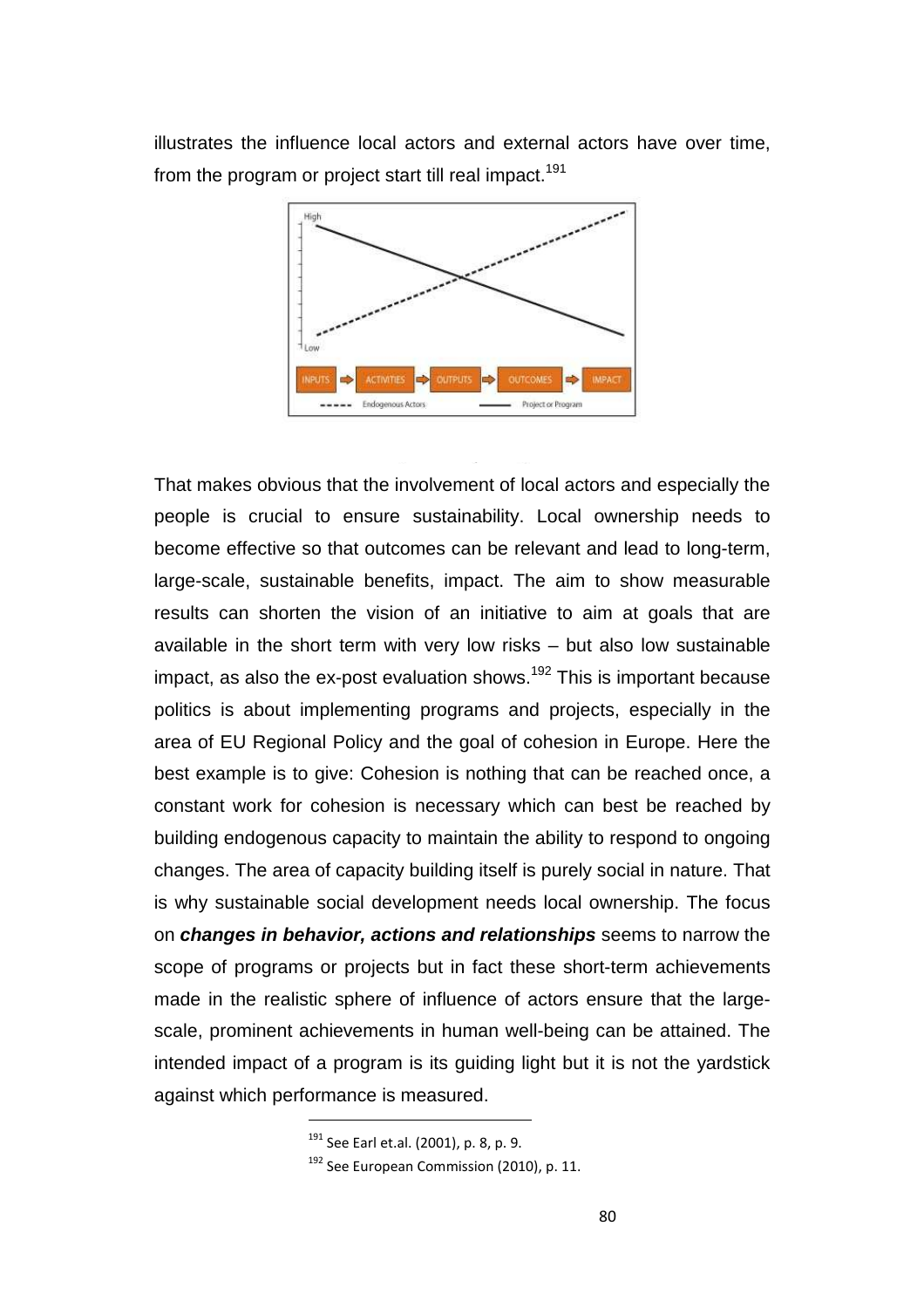illustrates the influence local actors and external actors have over time, from the program or project start till real impact.<sup>191</sup>



That makes obvious that the involvement of local actors and especially the people is crucial to ensure sustainability. Local ownership needs to become effective so that outcomes can be relevant and lead to long-term, large-scale, sustainable benefits, impact. The aim to show measurable results can shorten the vision of an initiative to aim at goals that are available in the short term with very low risks – but also low sustainable impact, as also the  $ex$ -post evaluation shows.<sup>192</sup> This is important because politics is about implementing programs and projects, especially in the area of EU Regional Policy and the goal of cohesion in Europe. Here the best example is to give: Cohesion is nothing that can be reached once, a constant work for cohesion is necessary which can best be reached by building endogenous capacity to maintain the ability to respond to ongoing changes. The area of capacity building itself is purely social in nature. That is why sustainable social development needs local ownership. The focus on **changes in behavior, actions and relationships** seems to narrow the scope of programs or projects but in fact these short-term achievements made in the realistic sphere of influence of actors ensure that the largescale, prominent achievements in human well-being can be attained. The intended impact of a program is its guiding light but it is not the yardstick against which performance is measured.

<sup>191</sup> See Earl et.al. (2001), p. 8, p. 9.

<sup>&</sup>lt;sup>192</sup> See European Commission (2010), p. 11.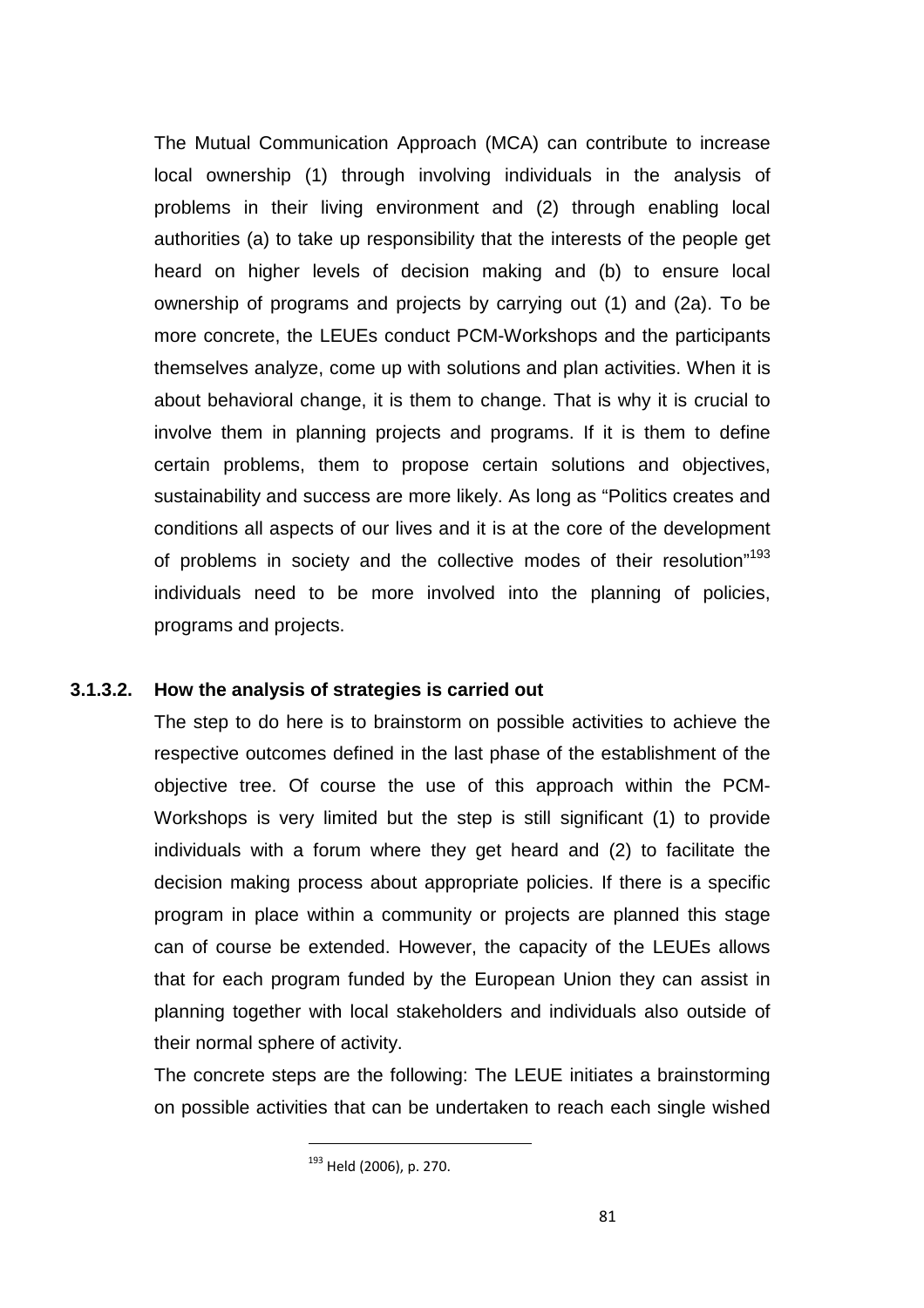The Mutual Communication Approach (MCA) can contribute to increase local ownership (1) through involving individuals in the analysis of problems in their living environment and (2) through enabling local authorities (a) to take up responsibility that the interests of the people get heard on higher levels of decision making and (b) to ensure local ownership of programs and projects by carrying out (1) and (2a). To be more concrete, the LEUEs conduct PCM-Workshops and the participants themselves analyze, come up with solutions and plan activities. When it is about behavioral change, it is them to change. That is why it is crucial to involve them in planning projects and programs. If it is them to define certain problems, them to propose certain solutions and objectives, sustainability and success are more likely. As long as "Politics creates and conditions all aspects of our lives and it is at the core of the development of problems in society and the collective modes of their resolution"<sup>193</sup> individuals need to be more involved into the planning of policies, programs and projects.

### **3.1.3.2. How the analysis of strategies is carried out**

The step to do here is to brainstorm on possible activities to achieve the respective outcomes defined in the last phase of the establishment of the objective tree. Of course the use of this approach within the PCM-Workshops is very limited but the step is still significant (1) to provide individuals with a forum where they get heard and (2) to facilitate the decision making process about appropriate policies. If there is a specific program in place within a community or projects are planned this stage can of course be extended. However, the capacity of the LEUEs allows that for each program funded by the European Union they can assist in planning together with local stakeholders and individuals also outside of their normal sphere of activity.

The concrete steps are the following: The LEUE initiates a brainstorming on possible activities that can be undertaken to reach each single wished

<sup>193</sup> Held (2006), p. 270.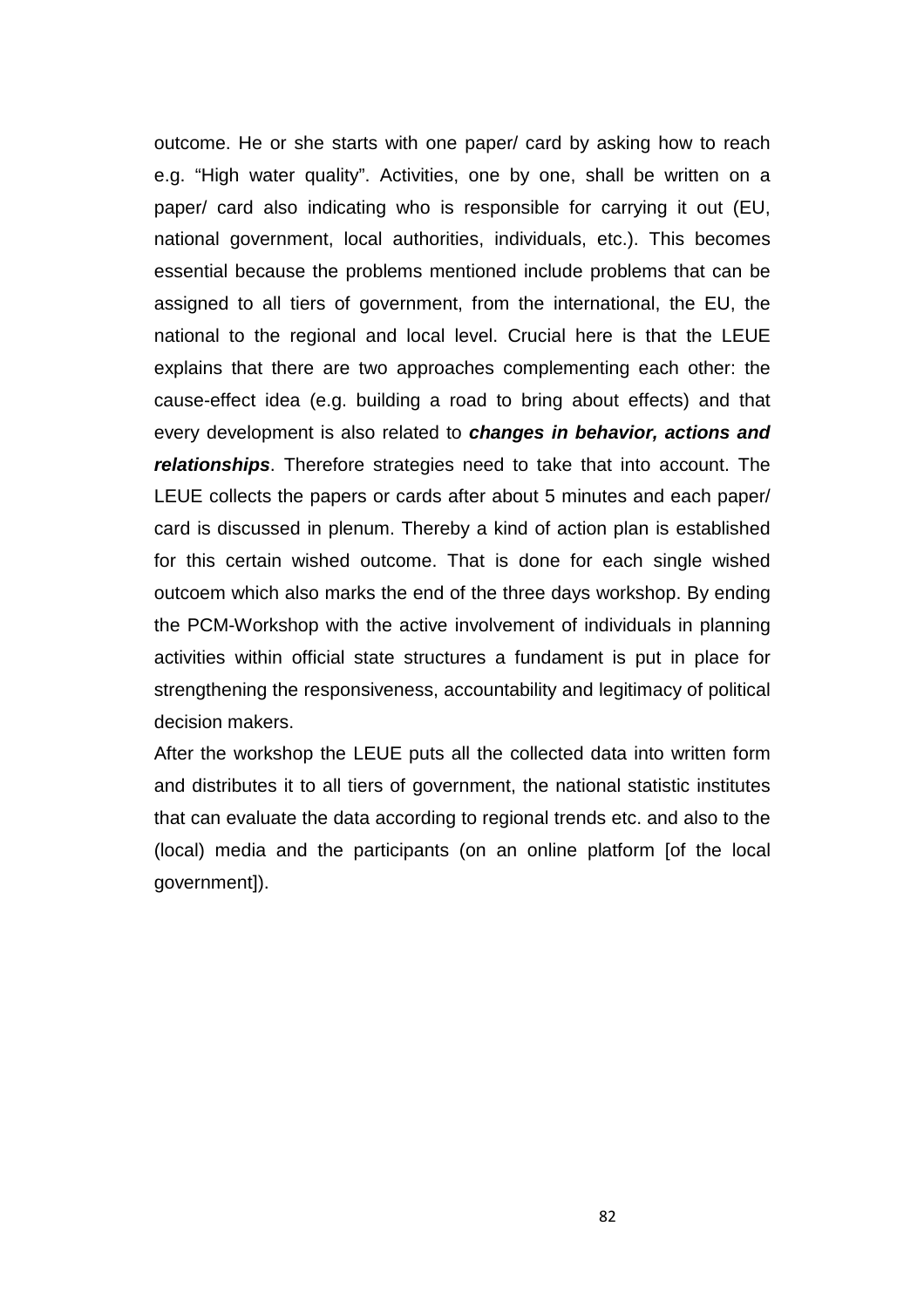outcome. He or she starts with one paper/ card by asking how to reach e.g. "High water quality". Activities, one by one, shall be written on a paper/ card also indicating who is responsible for carrying it out (EU, national government, local authorities, individuals, etc.). This becomes essential because the problems mentioned include problems that can be assigned to all tiers of government, from the international, the EU, the national to the regional and local level. Crucial here is that the LEUE explains that there are two approaches complementing each other: the cause-effect idea (e.g. building a road to bring about effects) and that every development is also related to **changes in behavior, actions and relationships**. Therefore strategies need to take that into account. The LEUE collects the papers or cards after about 5 minutes and each paper/ card is discussed in plenum. Thereby a kind of action plan is established for this certain wished outcome. That is done for each single wished outcoem which also marks the end of the three days workshop. By ending the PCM-Workshop with the active involvement of individuals in planning activities within official state structures a fundament is put in place for strengthening the responsiveness, accountability and legitimacy of political decision makers.

After the workshop the LEUE puts all the collected data into written form and distributes it to all tiers of government, the national statistic institutes that can evaluate the data according to regional trends etc. and also to the (local) media and the participants (on an online platform [of the local government]).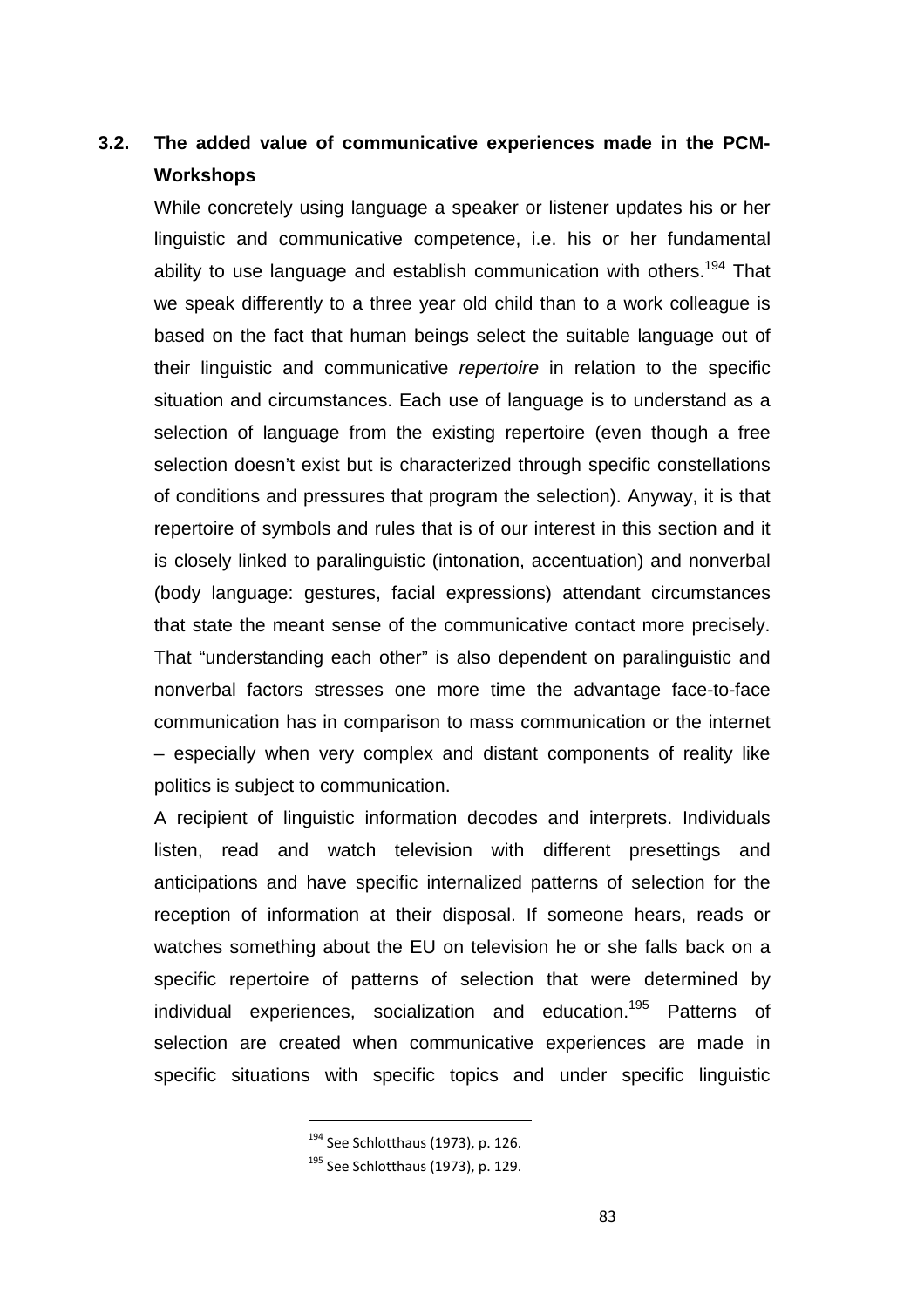# **3.2. The added value of communicative experiences made in the PCM-Workshops**

While concretely using language a speaker or listener updates his or her linguistic and communicative competence, i.e. his or her fundamental ability to use language and establish communication with others.<sup>194</sup> That we speak differently to a three year old child than to a work colleague is based on the fact that human beings select the suitable language out of their linguistic and communicative repertoire in relation to the specific situation and circumstances. Each use of language is to understand as a selection of language from the existing repertoire (even though a free selection doesn't exist but is characterized through specific constellations of conditions and pressures that program the selection). Anyway, it is that repertoire of symbols and rules that is of our interest in this section and it is closely linked to paralinguistic (intonation, accentuation) and nonverbal (body language: gestures, facial expressions) attendant circumstances that state the meant sense of the communicative contact more precisely. That "understanding each other" is also dependent on paralinguistic and nonverbal factors stresses one more time the advantage face-to-face communication has in comparison to mass communication or the internet – especially when very complex and distant components of reality like politics is subject to communication.

A recipient of linguistic information decodes and interprets. Individuals listen, read and watch television with different presettings and anticipations and have specific internalized patterns of selection for the reception of information at their disposal. If someone hears, reads or watches something about the EU on television he or she falls back on a specific repertoire of patterns of selection that were determined by individual experiences, socialization and education. <sup>195</sup> Patterns of selection are created when communicative experiences are made in specific situations with specific topics and under specific linguistic

<sup>194</sup> See Schlotthaus (1973), p. 126.

<sup>195</sup> See Schlotthaus (1973), p. 129.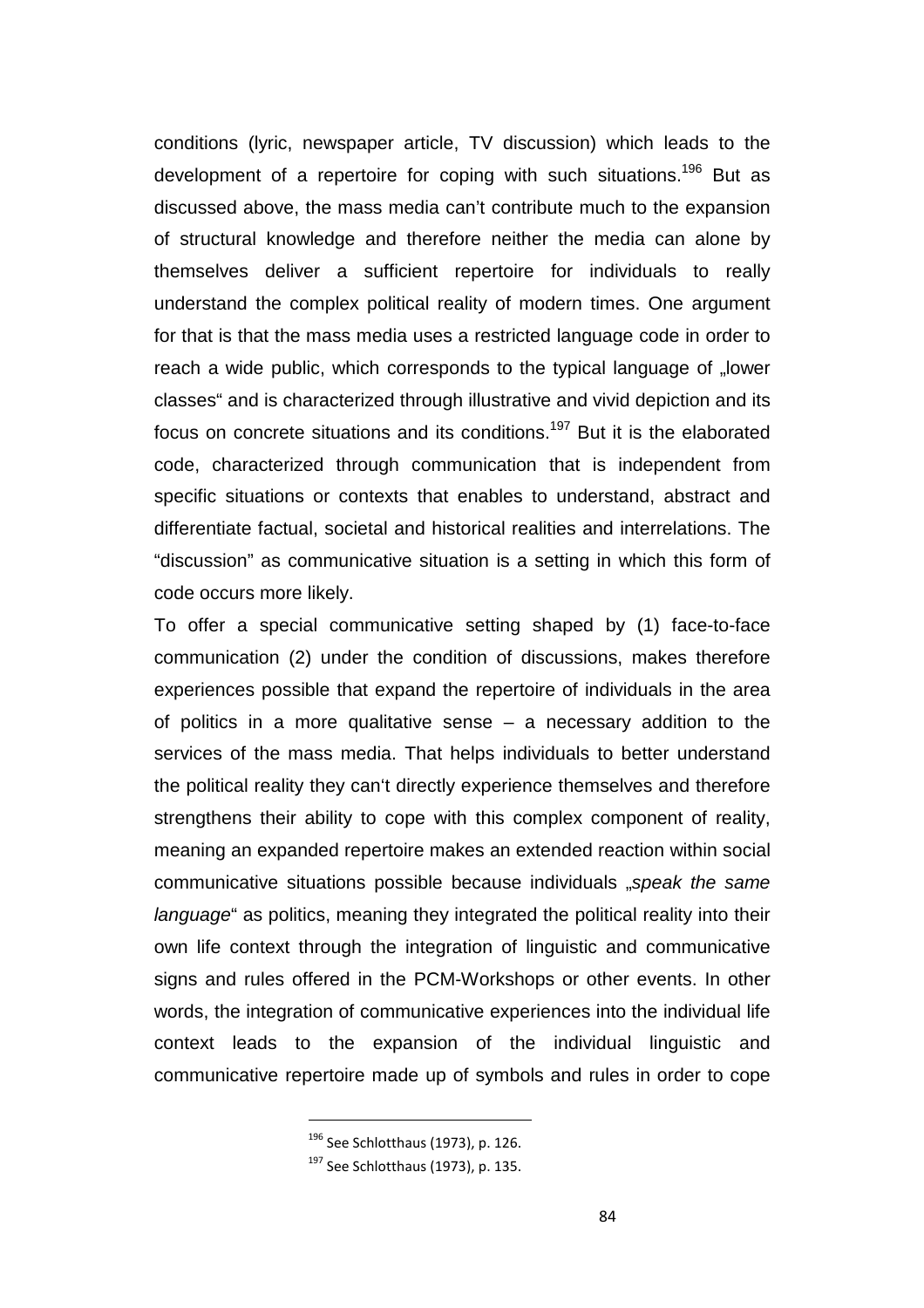conditions (lyric, newspaper article, TV discussion) which leads to the development of a repertoire for coping with such situations.<sup>196</sup> But as discussed above, the mass media can't contribute much to the expansion of structural knowledge and therefore neither the media can alone by themselves deliver a sufficient repertoire for individuals to really understand the complex political reality of modern times. One argument for that is that the mass media uses a restricted language code in order to reach a wide public, which corresponds to the typical language of "lower classes" and is characterized through illustrative and vivid depiction and its focus on concrete situations and its conditions.<sup>197</sup> But it is the elaborated code, characterized through communication that is independent from specific situations or contexts that enables to understand, abstract and differentiate factual, societal and historical realities and interrelations. The "discussion" as communicative situation is a setting in which this form of code occurs more likely.

To offer a special communicative setting shaped by (1) face-to-face communication (2) under the condition of discussions, makes therefore experiences possible that expand the repertoire of individuals in the area of politics in a more qualitative sense – a necessary addition to the services of the mass media. That helps individuals to better understand the political reality they can't directly experience themselves and therefore strengthens their ability to cope with this complex component of reality, meaning an expanded repertoire makes an extended reaction within social communicative situations possible because individuals "speak the same language" as politics, meaning they integrated the political reality into their own life context through the integration of linguistic and communicative signs and rules offered in the PCM-Workshops or other events. In other words, the integration of communicative experiences into the individual life context leads to the expansion of the individual linguistic and communicative repertoire made up of symbols and rules in order to cope

<sup>196</sup> See Schlotthaus (1973), p. 126.

<sup>197</sup> See Schlotthaus (1973), p. 135.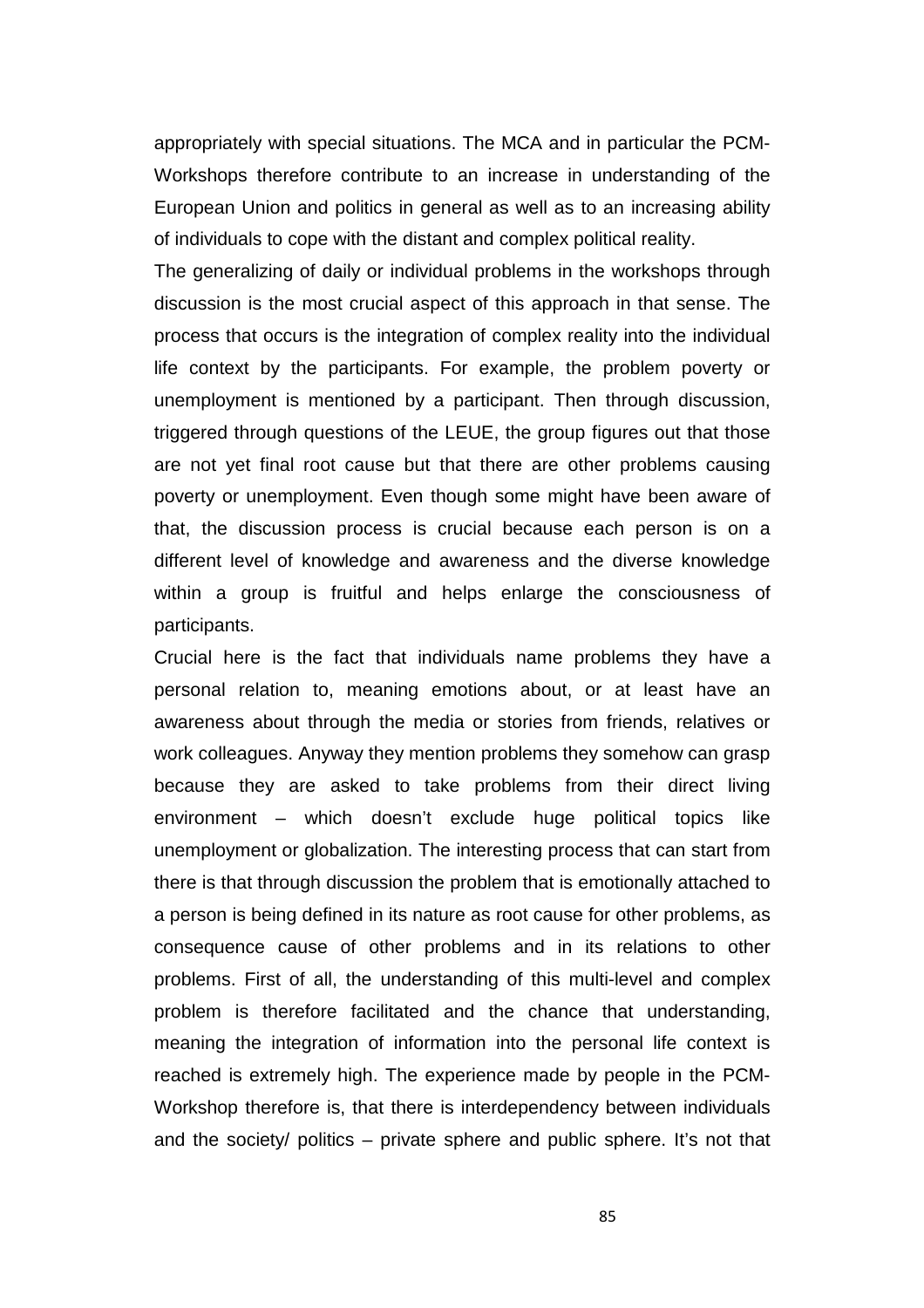appropriately with special situations. The MCA and in particular the PCM-Workshops therefore contribute to an increase in understanding of the European Union and politics in general as well as to an increasing ability of individuals to cope with the distant and complex political reality.

The generalizing of daily or individual problems in the workshops through discussion is the most crucial aspect of this approach in that sense. The process that occurs is the integration of complex reality into the individual life context by the participants. For example, the problem poverty or unemployment is mentioned by a participant. Then through discussion, triggered through questions of the LEUE, the group figures out that those are not yet final root cause but that there are other problems causing poverty or unemployment. Even though some might have been aware of that, the discussion process is crucial because each person is on a different level of knowledge and awareness and the diverse knowledge within a group is fruitful and helps enlarge the consciousness of participants.

Crucial here is the fact that individuals name problems they have a personal relation to, meaning emotions about, or at least have an awareness about through the media or stories from friends, relatives or work colleagues. Anyway they mention problems they somehow can grasp because they are asked to take problems from their direct living environment – which doesn't exclude huge political topics like unemployment or globalization. The interesting process that can start from there is that through discussion the problem that is emotionally attached to a person is being defined in its nature as root cause for other problems, as consequence cause of other problems and in its relations to other problems. First of all, the understanding of this multi-level and complex problem is therefore facilitated and the chance that understanding, meaning the integration of information into the personal life context is reached is extremely high. The experience made by people in the PCM-Workshop therefore is, that there is interdependency between individuals and the society/ politics – private sphere and public sphere. It's not that

85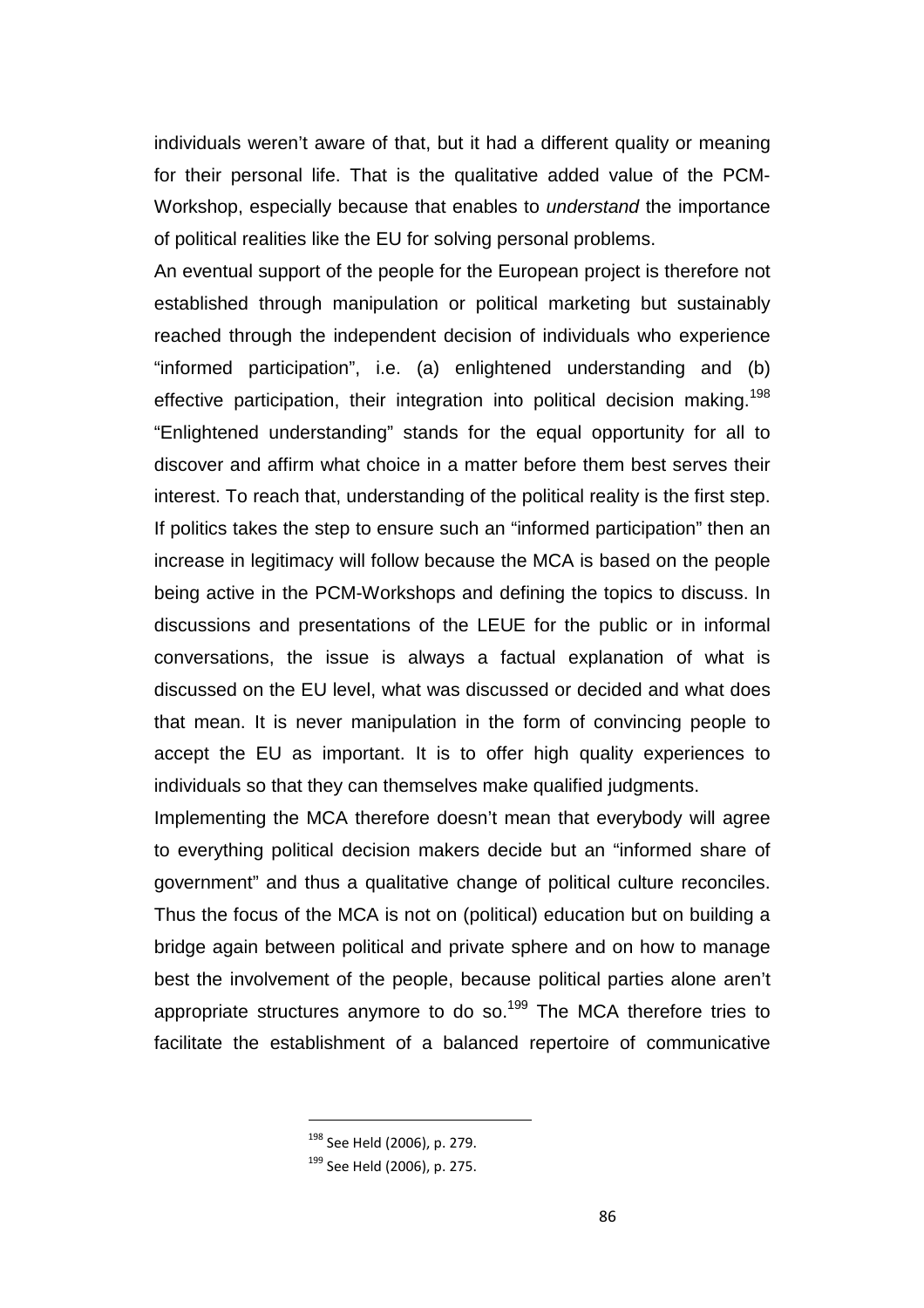individuals weren't aware of that, but it had a different quality or meaning for their personal life. That is the qualitative added value of the PCM-Workshop, especially because that enables to understand the importance of political realities like the EU for solving personal problems.

An eventual support of the people for the European project is therefore not established through manipulation or political marketing but sustainably reached through the independent decision of individuals who experience "informed participation", i.e. (a) enlightened understanding and (b) effective participation, their integration into political decision making.<sup>198</sup> "Enlightened understanding" stands for the equal opportunity for all to discover and affirm what choice in a matter before them best serves their interest. To reach that, understanding of the political reality is the first step. If politics takes the step to ensure such an "informed participation" then an increase in legitimacy will follow because the MCA is based on the people being active in the PCM-Workshops and defining the topics to discuss. In discussions and presentations of the LEUE for the public or in informal conversations, the issue is always a factual explanation of what is discussed on the EU level, what was discussed or decided and what does that mean. It is never manipulation in the form of convincing people to accept the EU as important. It is to offer high quality experiences to individuals so that they can themselves make qualified judgments.

Implementing the MCA therefore doesn't mean that everybody will agree to everything political decision makers decide but an "informed share of government" and thus a qualitative change of political culture reconciles. Thus the focus of the MCA is not on (political) education but on building a bridge again between political and private sphere and on how to manage best the involvement of the people, because political parties alone aren't appropriate structures anymore to do so.<sup>199</sup> The MCA therefore tries to facilitate the establishment of a balanced repertoire of communicative

<sup>198</sup> See Held (2006), p. 279.

<sup>199</sup> See Held (2006), p. 275.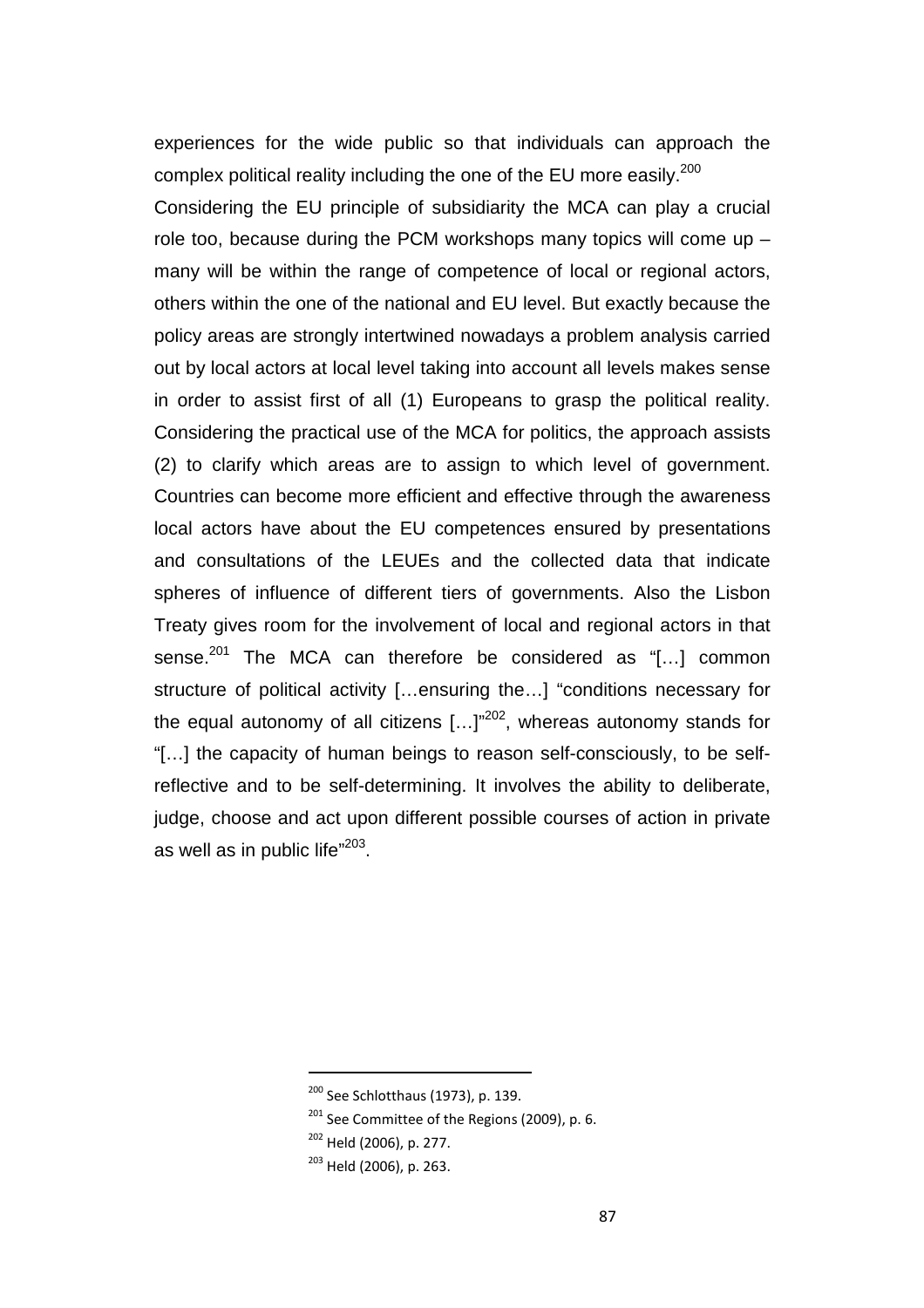experiences for the wide public so that individuals can approach the complex political reality including the one of the EU more easily.<sup>200</sup>

Considering the EU principle of subsidiarity the MCA can play a crucial role too, because during the PCM workshops many topics will come up – many will be within the range of competence of local or regional actors, others within the one of the national and EU level. But exactly because the policy areas are strongly intertwined nowadays a problem analysis carried out by local actors at local level taking into account all levels makes sense in order to assist first of all (1) Europeans to grasp the political reality. Considering the practical use of the MCA for politics, the approach assists (2) to clarify which areas are to assign to which level of government. Countries can become more efficient and effective through the awareness local actors have about the EU competences ensured by presentations and consultations of the LEUEs and the collected data that indicate spheres of influence of different tiers of governments. Also the Lisbon Treaty gives room for the involvement of local and regional actors in that sense. $^{201}$  The MCA can therefore be considered as "[...] common structure of political activity […ensuring the…] "conditions necessary for the equal autonomy of all citizens  $[...]^{202}$ , whereas autonomy stands for "[…] the capacity of human beings to reason self-consciously, to be selfreflective and to be self-determining. It involves the ability to deliberate, judge, choose and act upon different possible courses of action in private as well as in public life" $^{203}$ .

<sup>200</sup> See Schlotthaus (1973), p. 139.

 $201$  See Committee of the Regions (2009), p. 6.

<sup>&</sup>lt;sup>202</sup> Held (2006), p. 277.

<sup>203</sup> Held (2006), p. 263.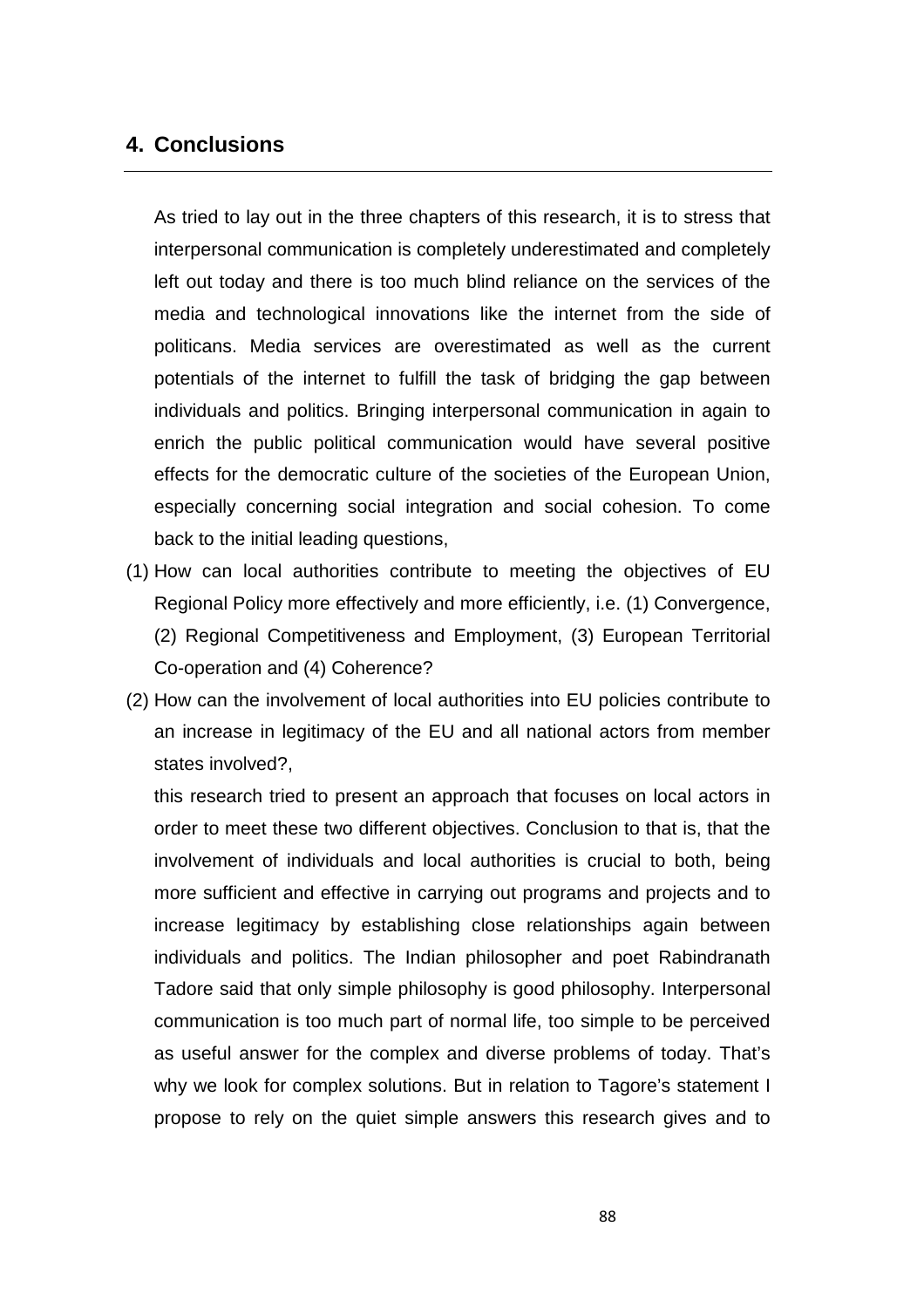## **4. Conclusions**

As tried to lay out in the three chapters of this research, it is to stress that interpersonal communication is completely underestimated and completely left out today and there is too much blind reliance on the services of the media and technological innovations like the internet from the side of politicans. Media services are overestimated as well as the current potentials of the internet to fulfill the task of bridging the gap between individuals and politics. Bringing interpersonal communication in again to enrich the public political communication would have several positive effects for the democratic culture of the societies of the European Union, especially concerning social integration and social cohesion. To come back to the initial leading questions,

- (1) How can local authorities contribute to meeting the objectives of EU Regional Policy more effectively and more efficiently, i.e. (1) Convergence, (2) Regional Competitiveness and Employment, (3) European Territorial Co-operation and (4) Coherence?
- (2) How can the involvement of local authorities into EU policies contribute to an increase in legitimacy of the EU and all national actors from member states involved?,

this research tried to present an approach that focuses on local actors in order to meet these two different objectives. Conclusion to that is, that the involvement of individuals and local authorities is crucial to both, being more sufficient and effective in carrying out programs and projects and to increase legitimacy by establishing close relationships again between individuals and politics. The Indian philosopher and poet Rabindranath Tadore said that only simple philosophy is good philosophy. Interpersonal communication is too much part of normal life, too simple to be perceived as useful answer for the complex and diverse problems of today. That's why we look for complex solutions. But in relation to Tagore's statement I propose to rely on the quiet simple answers this research gives and to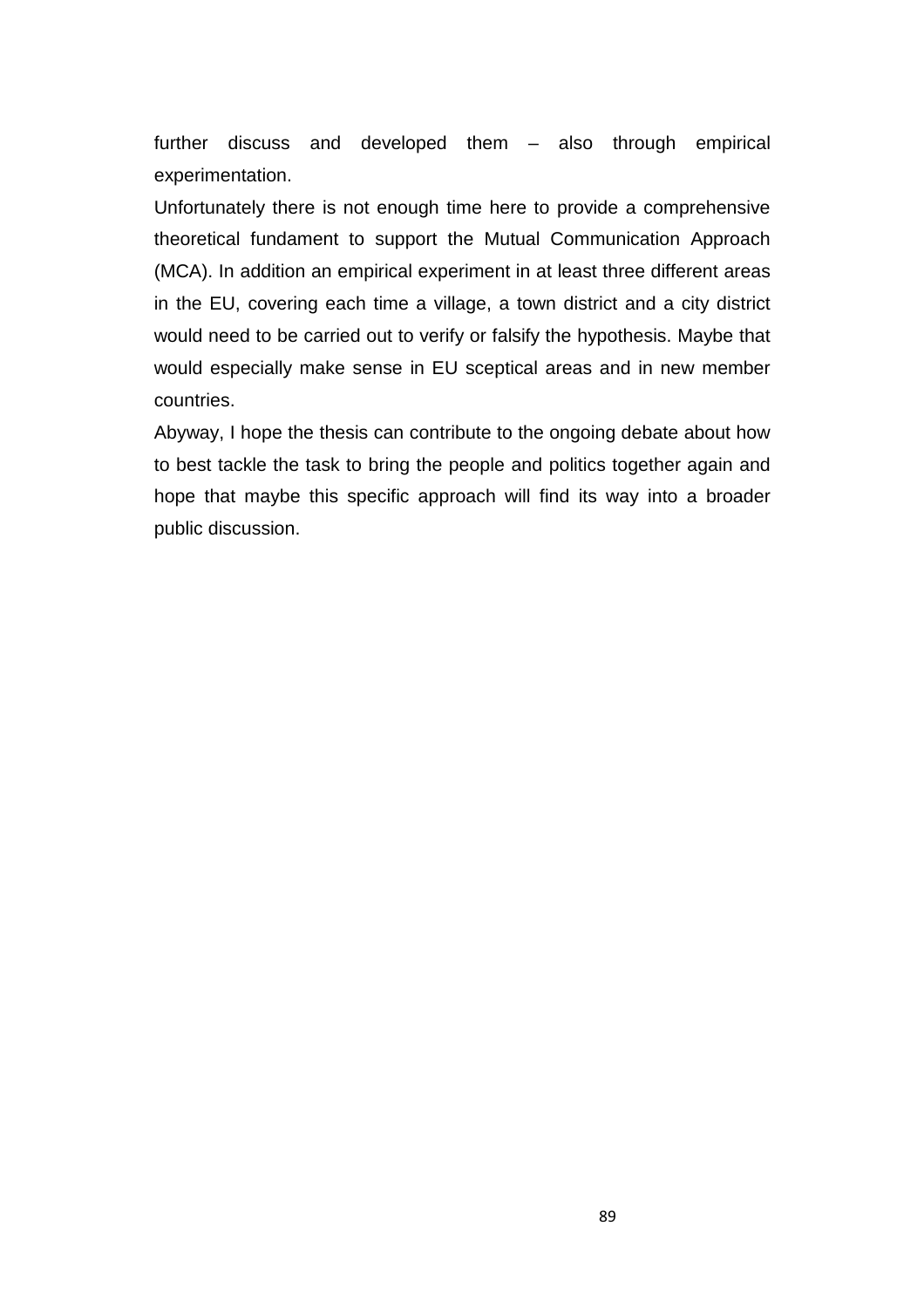further discuss and developed them – also through empirical experimentation.

Unfortunately there is not enough time here to provide a comprehensive theoretical fundament to support the Mutual Communication Approach (MCA). In addition an empirical experiment in at least three different areas in the EU, covering each time a village, a town district and a city district would need to be carried out to verify or falsify the hypothesis. Maybe that would especially make sense in EU sceptical areas and in new member countries.

Abyway, I hope the thesis can contribute to the ongoing debate about how to best tackle the task to bring the people and politics together again and hope that maybe this specific approach will find its way into a broader public discussion.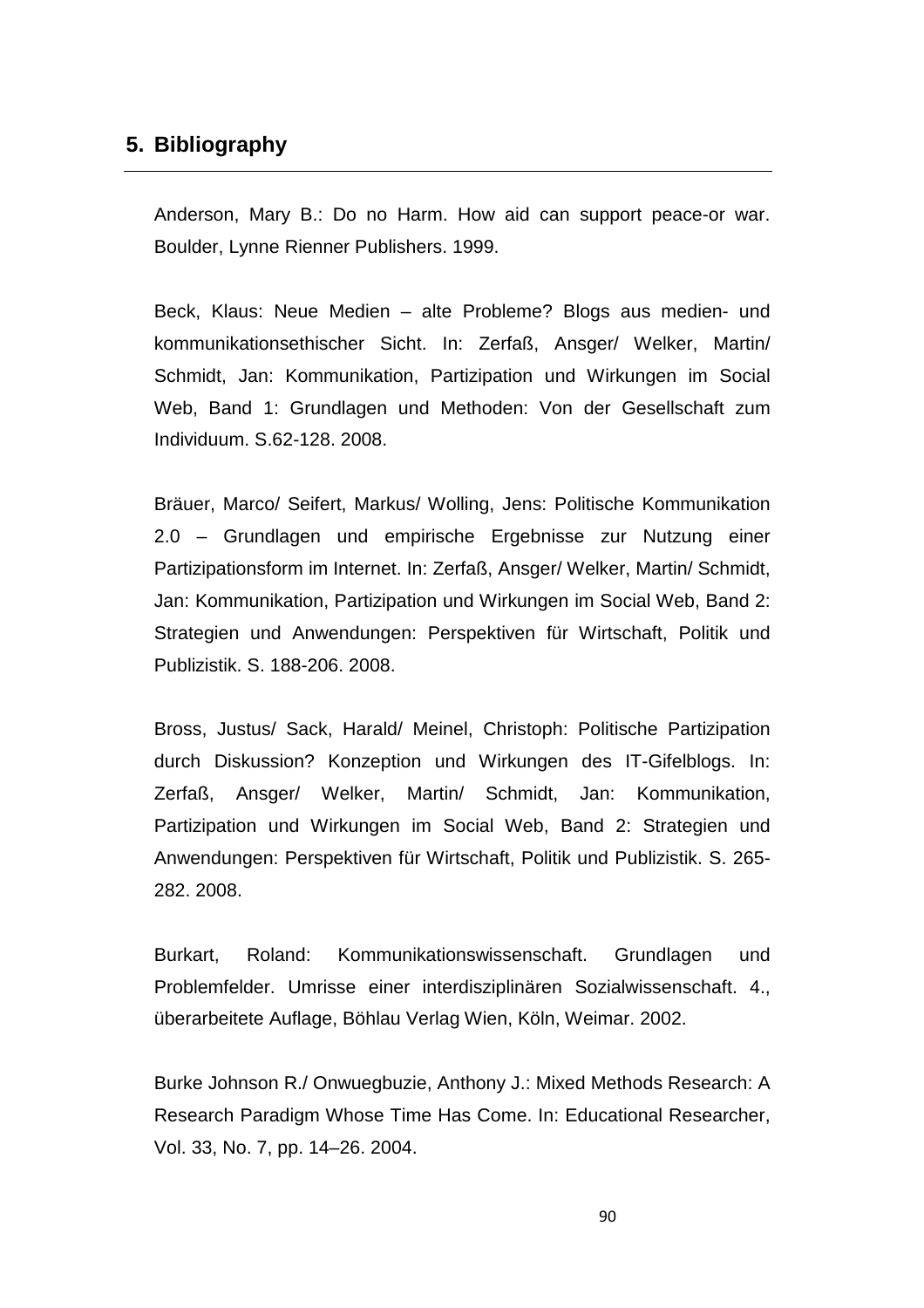## **5. Bibliography**

Anderson, Mary B.: Do no Harm. How aid can support peace-or war. Boulder, Lynne Rienner Publishers. 1999.

Beck, Klaus: Neue Medien – alte Probleme? Blogs aus medien- und kommunikationsethischer Sicht. In: Zerfaß, Ansger/ Welker, Martin/ Schmidt, Jan: Kommunikation, Partizipation und Wirkungen im Social Web, Band 1: Grundlagen und Methoden: Von der Gesellschaft zum Individuum. S.62-128. 2008.

Bräuer, Marco/ Seifert, Markus/ Wolling, Jens: Politische Kommunikation 2.0 – Grundlagen und empirische Ergebnisse zur Nutzung einer Partizipationsform im Internet. In: Zerfaß, Ansger/ Welker, Martin/ Schmidt, Jan: Kommunikation, Partizipation und Wirkungen im Social Web, Band 2: Strategien und Anwendungen: Perspektiven für Wirtschaft, Politik und Publizistik. S. 188-206. 2008.

Bross, Justus/ Sack, Harald/ Meinel, Christoph: Politische Partizipation durch Diskussion? Konzeption und Wirkungen des IT-Gifelblogs. In: Zerfaß, Ansger/ Welker, Martin/ Schmidt, Jan: Kommunikation, Partizipation und Wirkungen im Social Web, Band 2: Strategien und Anwendungen: Perspektiven für Wirtschaft, Politik und Publizistik. S. 265- 282. 2008.

Burkart, Roland: Kommunikationswissenschaft. Grundlagen und Problemfelder. Umrisse einer interdisziplinären Sozialwissenschaft. 4., überarbeitete Auflage, Böhlau Verlag Wien, Köln, Weimar. 2002.

Burke Johnson R./ Onwuegbuzie, Anthony J.: Mixed Methods Research: A Research Paradigm Whose Time Has Come. In: Educational Researcher, Vol. 33, No. 7, pp. 14–26. 2004.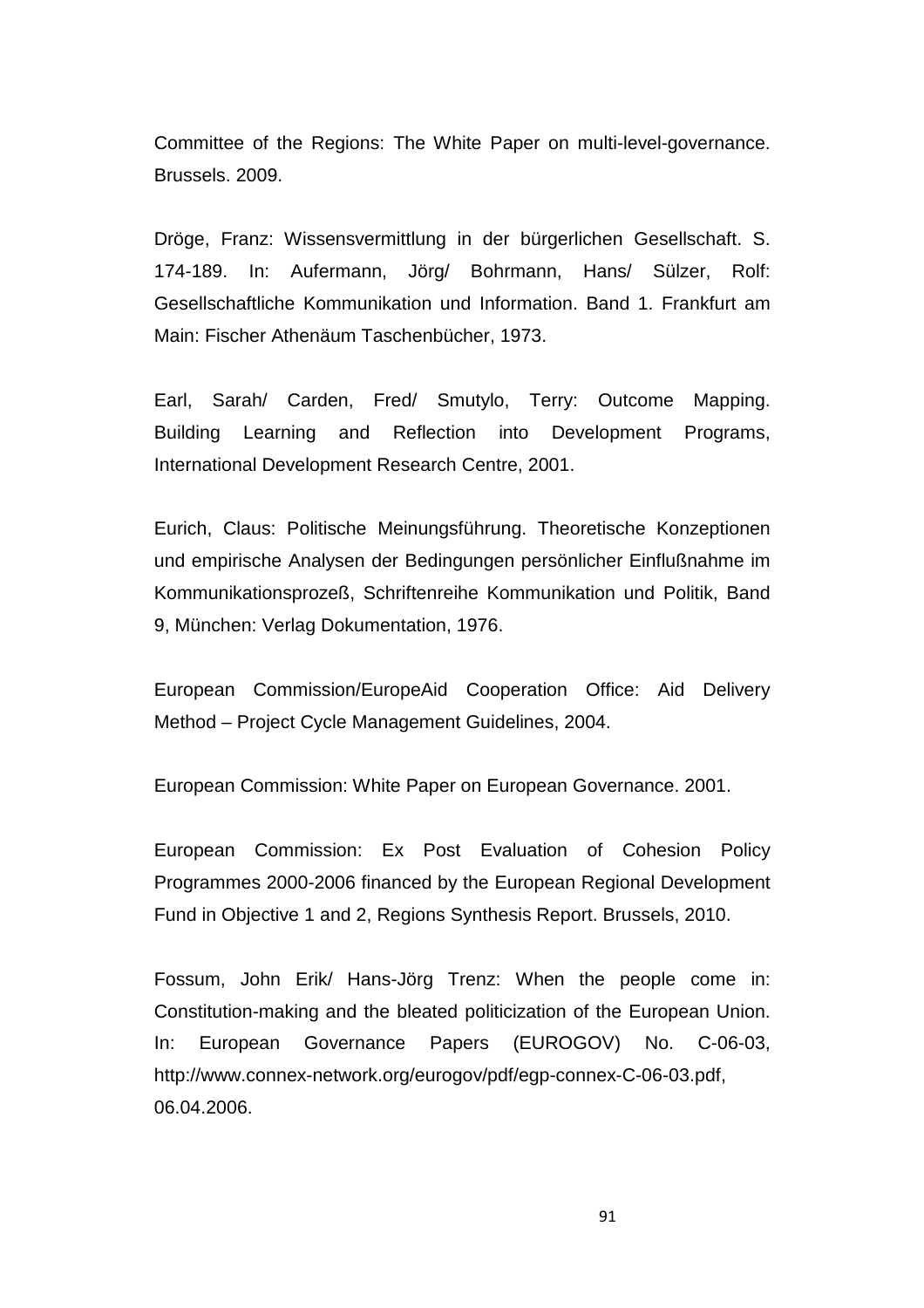Committee of the Regions: The White Paper on multi-level-governance. Brussels. 2009.

Dröge, Franz: Wissensvermittlung in der bürgerlichen Gesellschaft. S. 174-189. In: Aufermann, Jörg/ Bohrmann, Hans/ Sülzer, Rolf: Gesellschaftliche Kommunikation und Information. Band 1. Frankfurt am Main: Fischer Athenäum Taschenbücher, 1973.

Earl, Sarah/ Carden, Fred/ Smutylo, Terry: Outcome Mapping. Building Learning and Reflection into Development Programs, International Development Research Centre, 2001.

Eurich, Claus: Politische Meinungsführung. Theoretische Konzeptionen und empirische Analysen der Bedingungen persönlicher Einflußnahme im Kommunikationsprozeß, Schriftenreihe Kommunikation und Politik, Band 9, München: Verlag Dokumentation, 1976.

European Commission/EuropeAid Cooperation Office: Aid Delivery Method – Project Cycle Management Guidelines, 2004.

European Commission: White Paper on European Governance. 2001.

European Commission: Ex Post Evaluation of Cohesion Policy Programmes 2000-2006 financed by the European Regional Development Fund in Objective 1 and 2, Regions Synthesis Report. Brussels, 2010.

Fossum, John Erik/ Hans-Jörg Trenz: When the people come in: Constitution-making and the bleated politicization of the European Union. In: European Governance Papers (EUROGOV) No. C-06-03, http://www.connex-network.org/eurogov/pdf/egp-connex-C-06-03.pdf, 06.04.2006.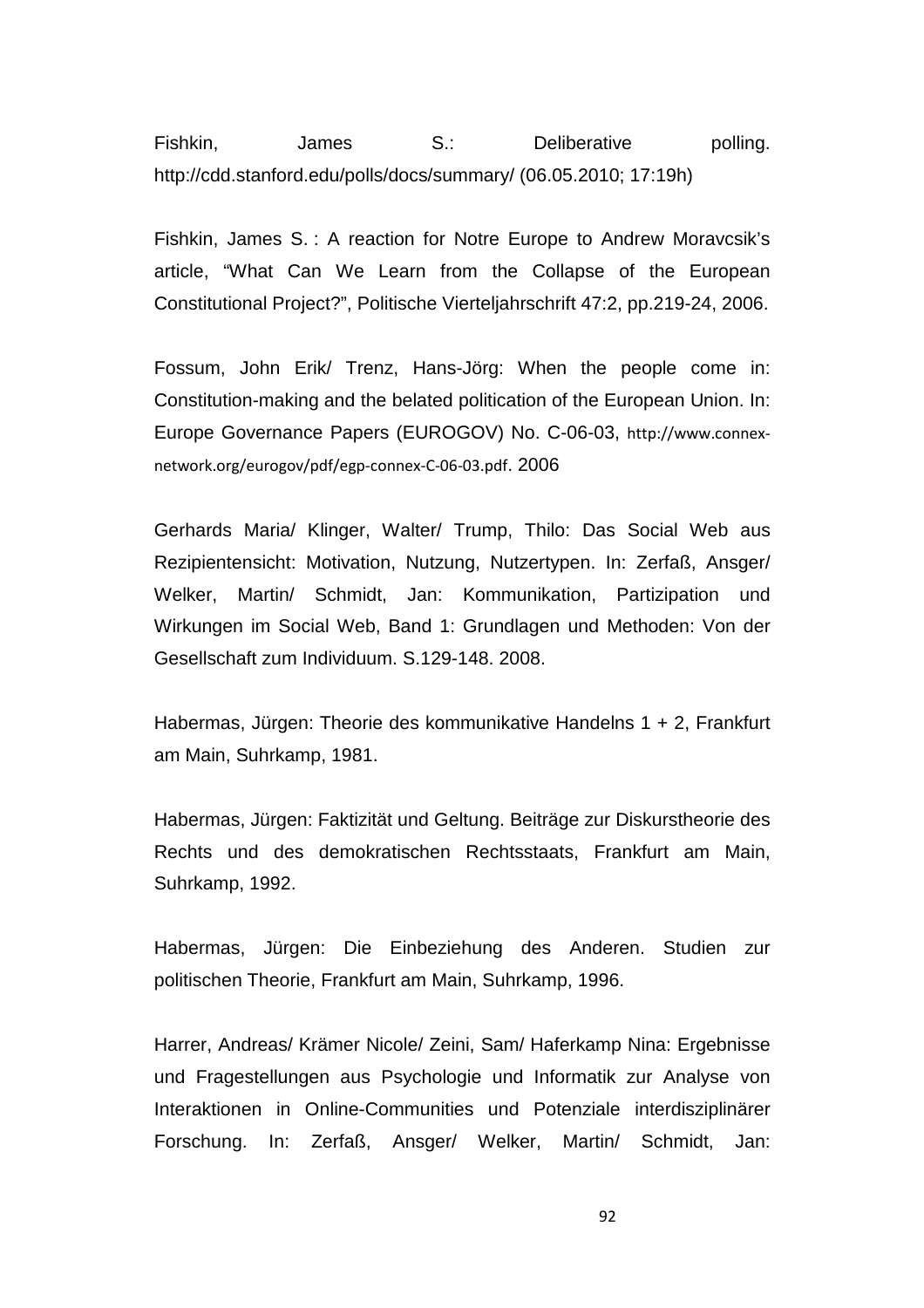Fishkin, James S.: Deliberative polling. http://cdd.stanford.edu/polls/docs/summary/ (06.05.2010; 17:19h)

Fishkin, James S. : A reaction for Notre Europe to Andrew Moravcsik's article, "What Can We Learn from the Collapse of the European Constitutional Project?", Politische Vierteljahrschrift 47:2, pp.219-24, 2006.

Fossum, John Erik/ Trenz, Hans-Jörg: When the people come in: Constitution-making and the belated politication of the European Union. In: Europe Governance Papers (EUROGOV) No. C-06-03, http://www.connexnetwork.org/eurogov/pdf/egp-connex-C-06-03.pdf. 2006

Gerhards Maria/ Klinger, Walter/ Trump, Thilo: Das Social Web aus Rezipientensicht: Motivation, Nutzung, Nutzertypen. In: Zerfaß, Ansger/ Welker, Martin/ Schmidt, Jan: Kommunikation, Partizipation und Wirkungen im Social Web, Band 1: Grundlagen und Methoden: Von der Gesellschaft zum Individuum. S.129-148. 2008.

Habermas, Jürgen: Theorie des kommunikative Handelns 1 + 2, Frankfurt am Main, Suhrkamp, 1981.

Habermas, Jürgen: Faktizität und Geltung. Beiträge zur Diskurstheorie des Rechts und des demokratischen Rechtsstaats, Frankfurt am Main, Suhrkamp, 1992.

Habermas, Jürgen: Die Einbeziehung des Anderen. Studien zur politischen Theorie, Frankfurt am Main, Suhrkamp, 1996.

Harrer, Andreas/ Krämer Nicole/ Zeini, Sam/ Haferkamp Nina: Ergebnisse und Fragestellungen aus Psychologie und Informatik zur Analyse von Interaktionen in Online-Communities und Potenziale interdisziplinärer Forschung. In: Zerfaß, Ansger/ Welker, Martin/ Schmidt, Jan: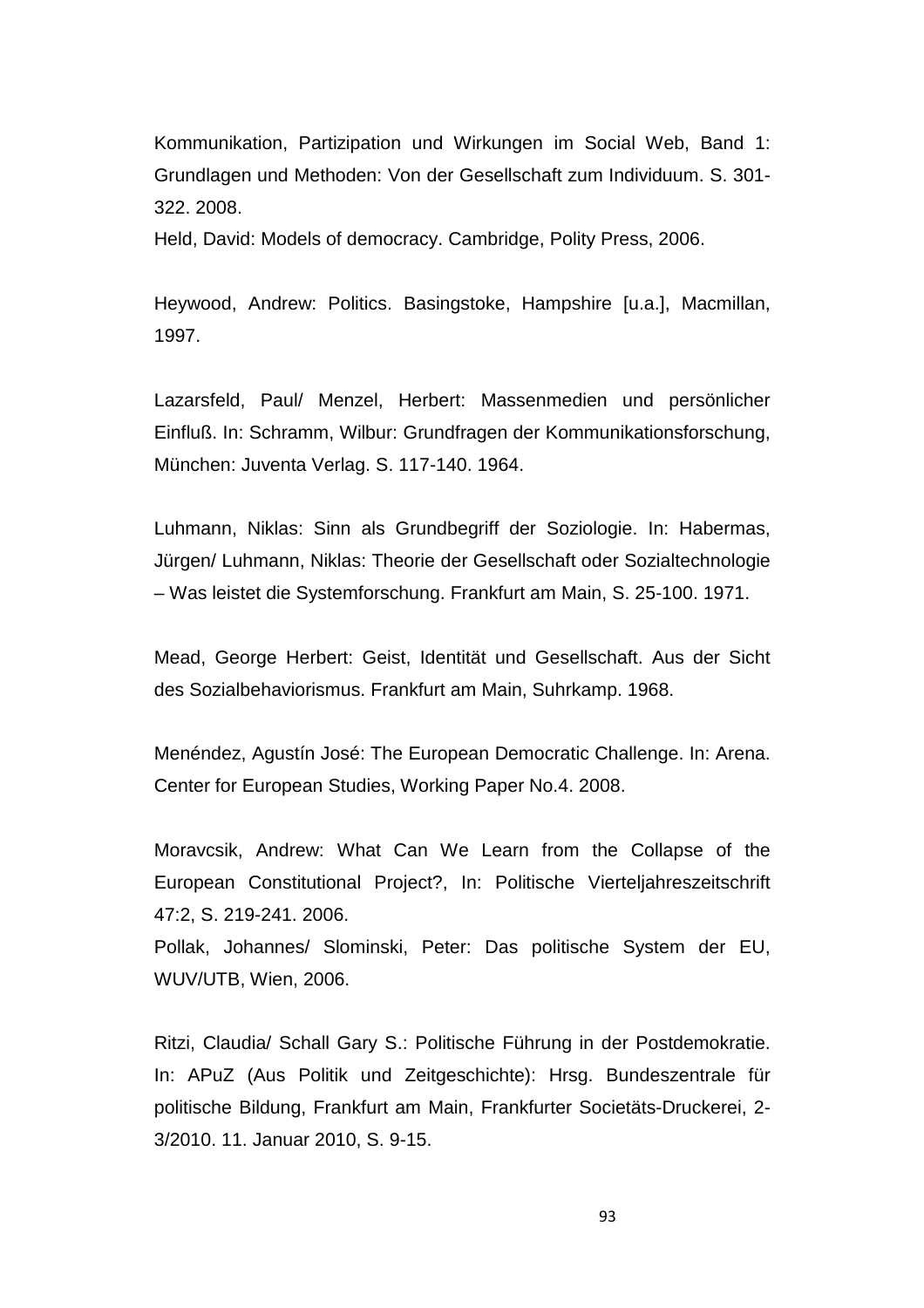Kommunikation, Partizipation und Wirkungen im Social Web, Band 1: Grundlagen und Methoden: Von der Gesellschaft zum Individuum. S. 301- 322. 2008.

Held, David: Models of democracy. Cambridge, Polity Press, 2006.

Heywood, Andrew: Politics. Basingstoke, Hampshire [u.a.], Macmillan, 1997.

Lazarsfeld, Paul/ Menzel, Herbert: Massenmedien und persönlicher Einfluß. In: Schramm, Wilbur: Grundfragen der Kommunikationsforschung, München: Juventa Verlag. S. 117-140. 1964.

Luhmann, Niklas: Sinn als Grundbegriff der Soziologie. In: Habermas, Jürgen/ Luhmann, Niklas: Theorie der Gesellschaft oder Sozialtechnologie – Was leistet die Systemforschung. Frankfurt am Main, S. 25-100. 1971.

Mead, George Herbert: Geist, Identität und Gesellschaft. Aus der Sicht des Sozialbehaviorismus. Frankfurt am Main, Suhrkamp. 1968.

Menéndez, Agustín José: The European Democratic Challenge. In: Arena. Center for European Studies, Working Paper No.4. 2008.

Moravcsik, Andrew: What Can We Learn from the Collapse of the European Constitutional Project?, In: Politische Vierteljahreszeitschrift 47:2, S. 219-241. 2006.

Pollak, Johannes/ Slominski, Peter: Das politische System der EU, WUV/UTB, Wien, 2006.

Ritzi, Claudia/ Schall Gary S.: Politische Führung in der Postdemokratie. In: APuZ (Aus Politik und Zeitgeschichte): Hrsg. Bundeszentrale für politische Bildung, Frankfurt am Main, Frankfurter Societäts-Druckerei, 2- 3/2010. 11. Januar 2010, S. 9-15.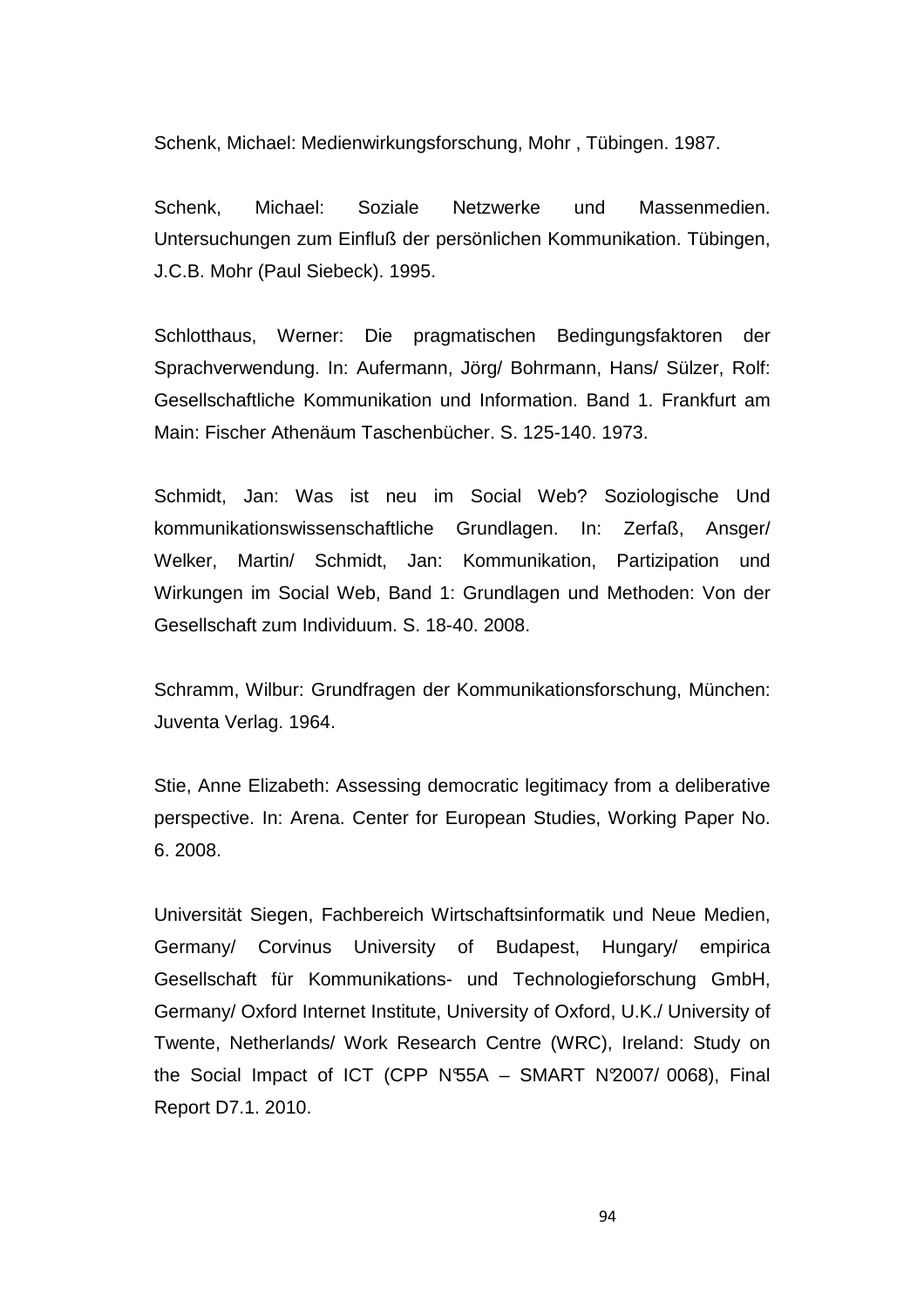Schenk, Michael: Medienwirkungsforschung, Mohr , Tübingen. 1987.

Schenk, Michael: Soziale Netzwerke und Massenmedien. Untersuchungen zum Einfluß der persönlichen Kommunikation. Tübingen, J.C.B. Mohr (Paul Siebeck). 1995.

Schlotthaus, Werner: Die pragmatischen Bedingungsfaktoren der Sprachverwendung. In: Aufermann, Jörg/ Bohrmann, Hans/ Sülzer, Rolf: Gesellschaftliche Kommunikation und Information. Band 1. Frankfurt am Main: Fischer Athenäum Taschenbücher. S. 125-140. 1973.

Schmidt, Jan: Was ist neu im Social Web? Soziologische Und kommunikationswissenschaftliche Grundlagen. In: Zerfaß, Ansger/ Welker, Martin/ Schmidt, Jan: Kommunikation, Partizipation und Wirkungen im Social Web, Band 1: Grundlagen und Methoden: Von der Gesellschaft zum Individuum. S. 18-40. 2008.

Schramm, Wilbur: Grundfragen der Kommunikationsforschung, München: Juventa Verlag. 1964.

Stie, Anne Elizabeth: Assessing democratic legitimacy from a deliberative perspective. In: Arena. Center for European Studies, Working Paper No. 6. 2008.

Universität Siegen, Fachbereich Wirtschaftsinformatik und Neue Medien, Germany/ Corvinus University of Budapest, Hungary/ empirica Gesellschaft für Kommunikations- und Technologieforschung GmbH, Germany/ Oxford Internet Institute, University of Oxford, U.K./ University of Twente, Netherlands/ Work Research Centre (WRC), Ireland: Study on the Social Impact of ICT (CPP N°55A - SMART N°2007/ 0068), Final Report D7.1. 2010.